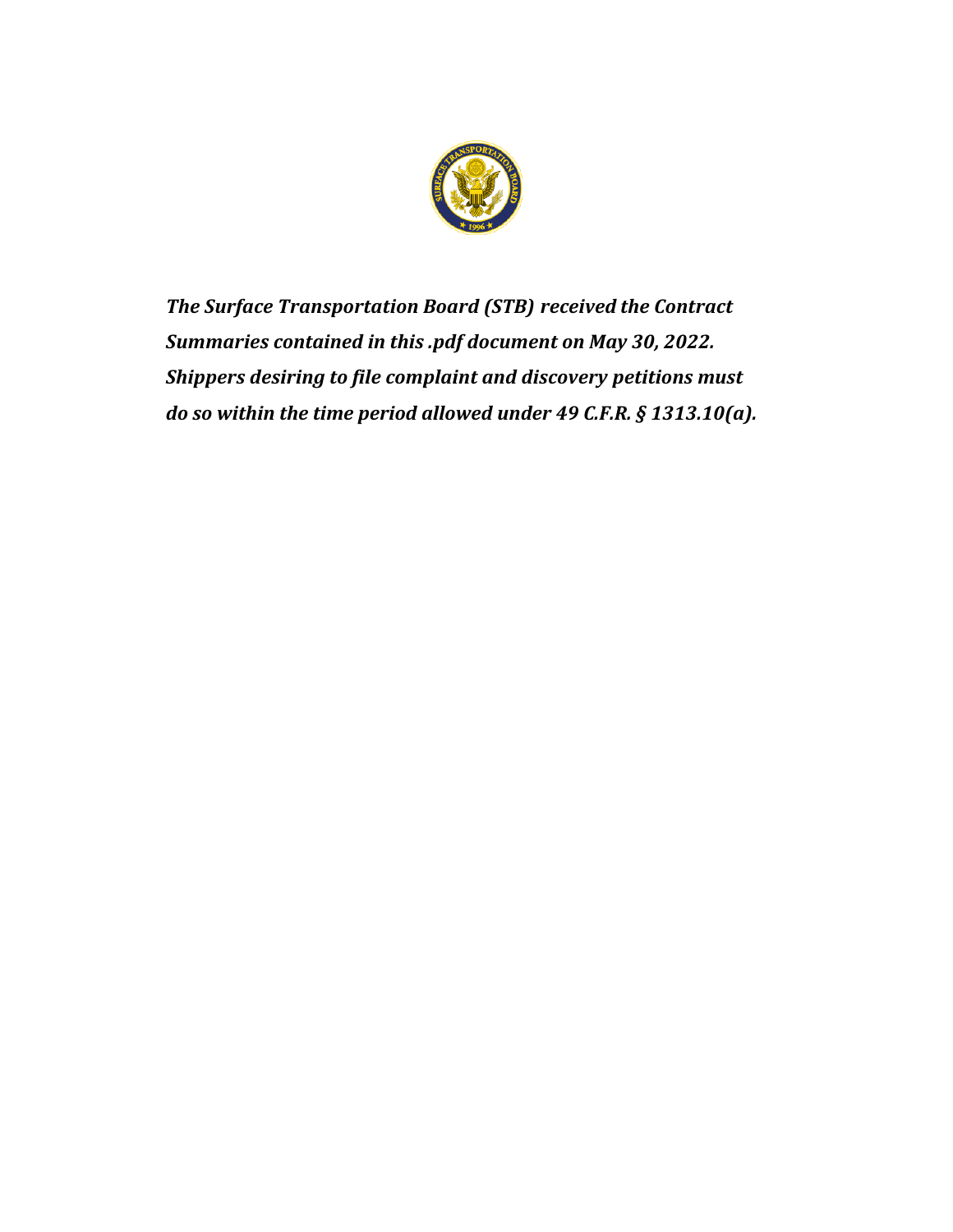

*The Surface Transportation Board (STB) received the Contract Summaries contained in this .pdf document on May 30, 2022. Shippers desiring to file complaint and discovery petitions must do so within the time period allowed under 49 C.F.R. § 1313.10(a).*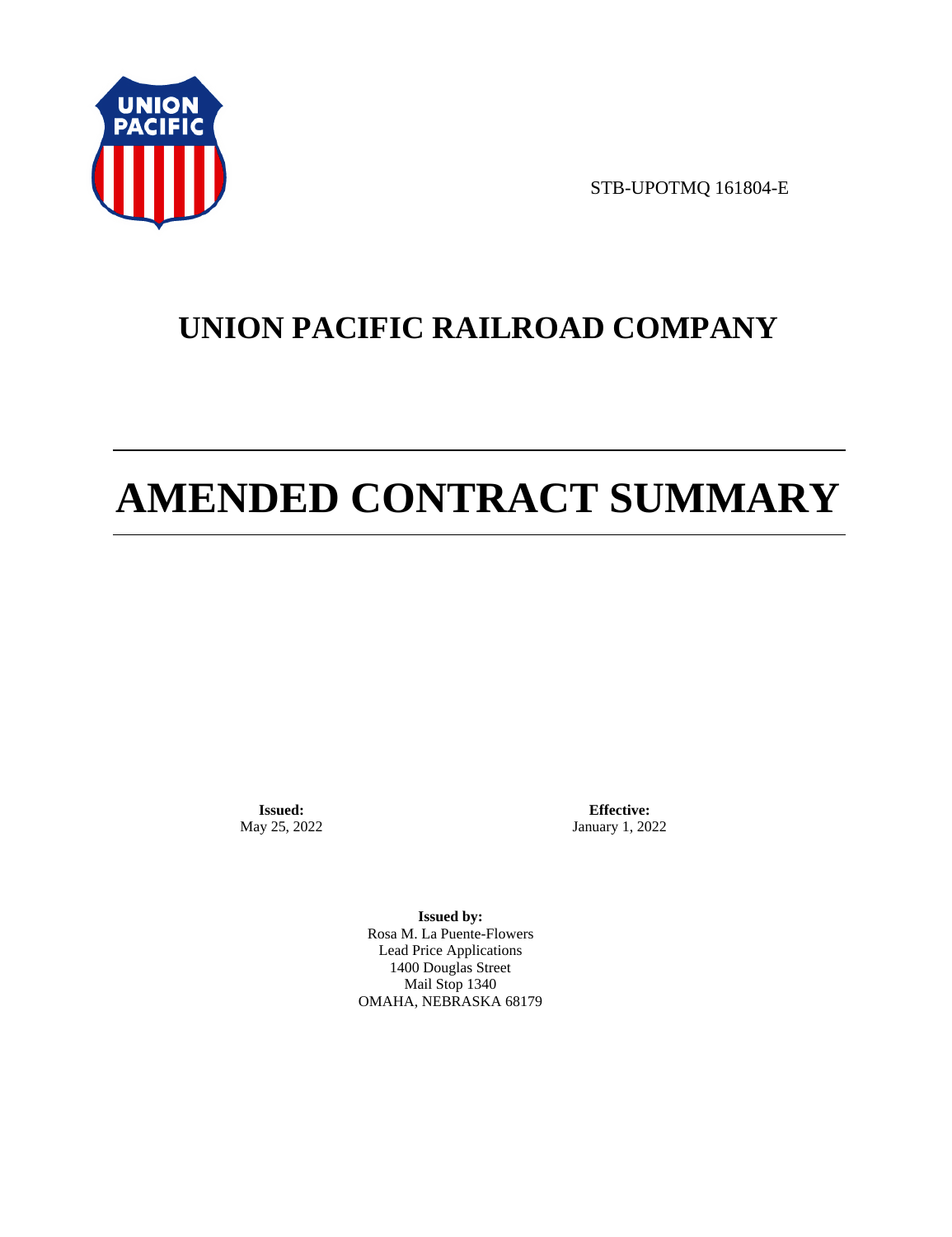

STB-UPOTMQ 161804-E

# **UNION PACIFIC RAILROAD COMPANY**

# **AMENDED CONTRACT SUMMARY**

**Issued:**  May 25, 2022

**Effective:** January 1, 2022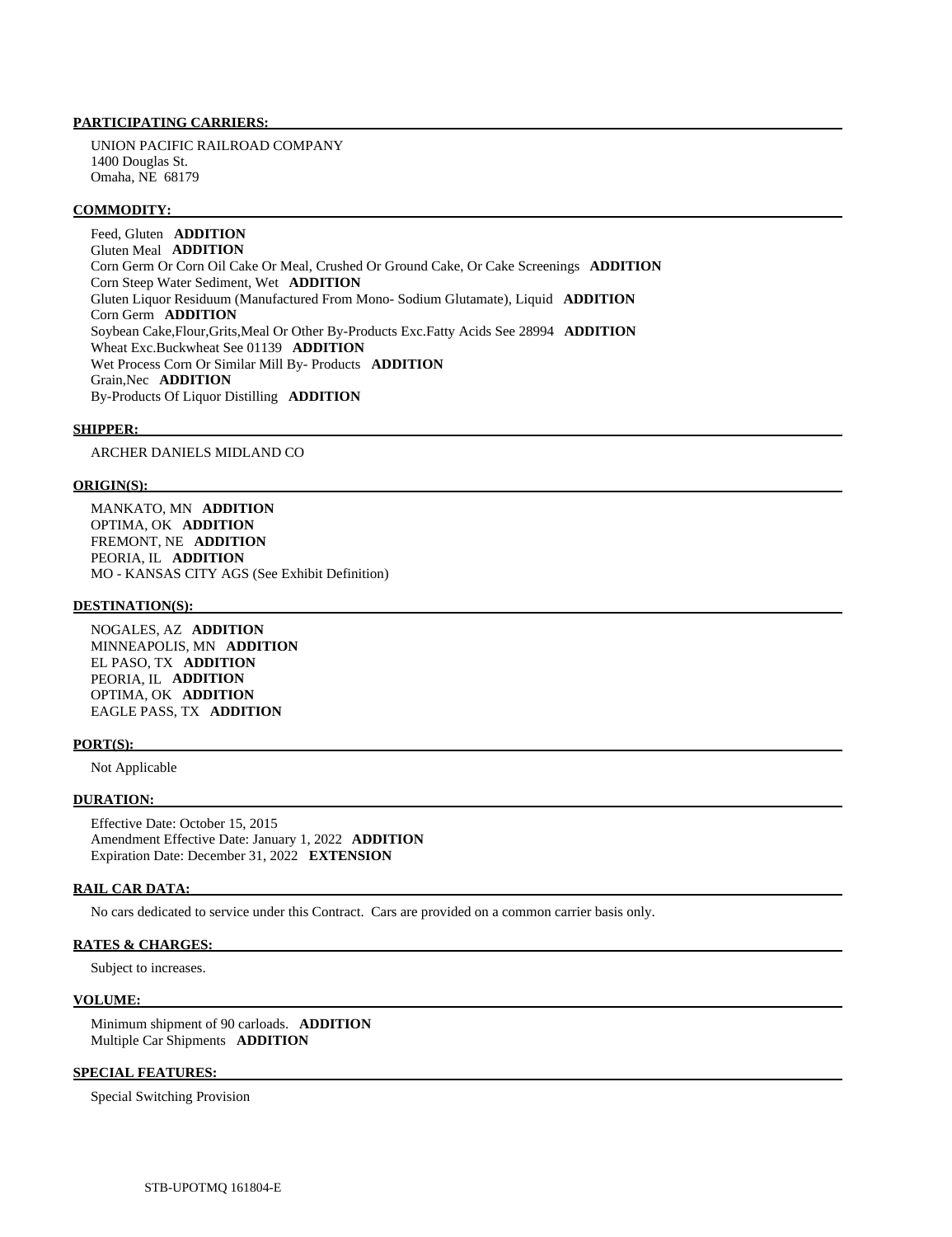UNION PACIFIC RAILROAD COMPANY 1400 Douglas St. Omaha, NE 68179

#### **COMMODITY:**

 Feed, Gluten **ADDITION**  Gluten Meal **ADDITION**  Corn Germ Or Corn Oil Cake Or Meal, Crushed Or Ground Cake, Or Cake Screenings **ADDITION**  Corn Steep Water Sediment, Wet **ADDITION**  Gluten Liquor Residuum (Manufactured From Mono- Sodium Glutamate), Liquid **ADDITION**  Corn Germ **ADDITION**  Soybean Cake,Flour,Grits,Meal Or Other By-Products Exc.Fatty Acids See 28994 **ADDITION**  Wheat Exc.Buckwheat See 01139 **ADDITION**  Wet Process Corn Or Similar Mill By- Products **ADDITION**  Grain,Nec **ADDITION**  By-Products Of Liquor Distilling **ADDITION** 

#### **SHIPPER:**

ARCHER DANIELS MIDLAND CO

#### **ORIGIN(S):**

 MANKATO, MN **ADDITION**  OPTIMA, OK **ADDITION**  FREMONT, NE **ADDITION**  PEORIA, IL **ADDITION**  MO - KANSAS CITY AGS (See Exhibit Definition)

# **DESTINATION(S):**

 NOGALES, AZ **ADDITION**  MINNEAPOLIS, MN **ADDITION**  EL PASO, TX **ADDITION**  PEORIA, IL **ADDITION**  OPTIMA, OK **ADDITION**  EAGLE PASS, TX **ADDITION** 

#### **PORT(S):**

Not Applicable

## **DURATION:**

 Effective Date: October 15, 2015 Amendment Effective Date: January 1, 2022 **ADDITION**  Expiration Date: December 31, 2022 **EXTENSION** 

#### **RAIL CAR DATA:**

No cars dedicated to service under this Contract. Cars are provided on a common carrier basis only.

# **RATES & CHARGES:**

Subject to increases.

#### **VOLUME:**

 Minimum shipment of 90 carloads. **ADDITION**  Multiple Car Shipments **ADDITION** 

# **SPECIAL FEATURES:**

Special Switching Provision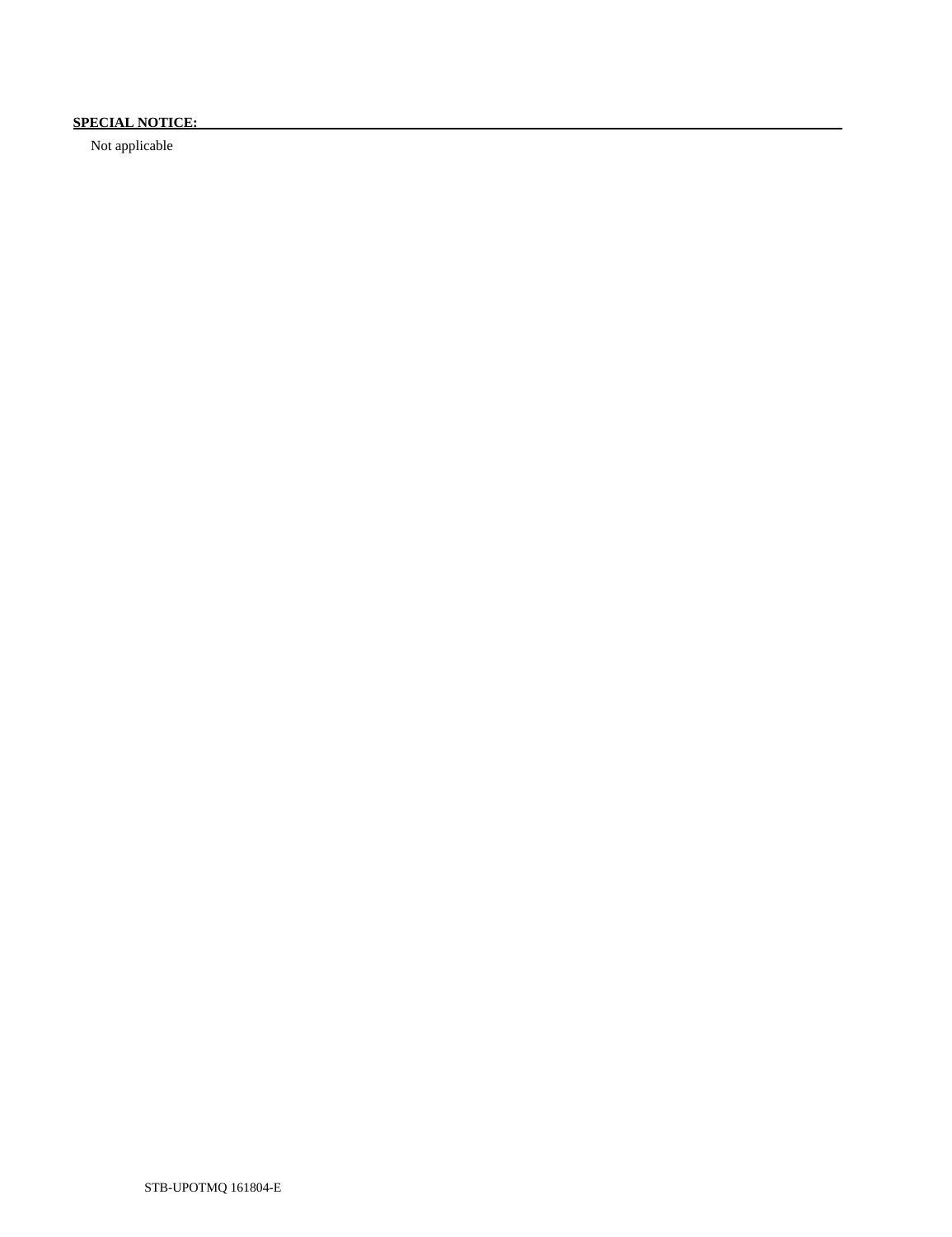# **SPECIAL NOTICE:**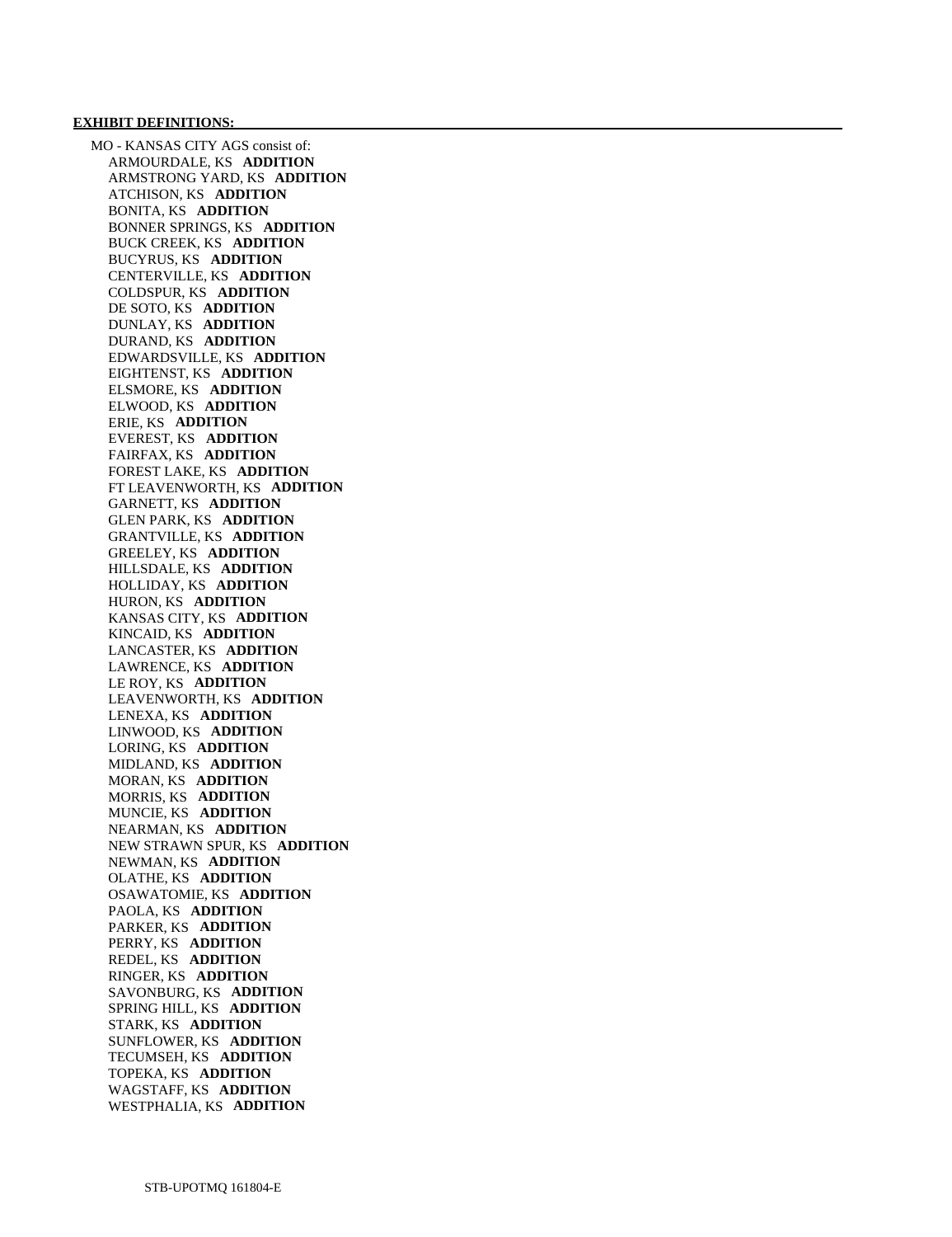#### **EXHIBIT DEFINITIONS:**

 MO - KANSAS CITY AGS consist of: ARMOURDALE, KS **ADDITION**  ARMSTRONG YARD, KS **ADDITION**  ATCHISON, KS **ADDITION**  BONITA, KS **ADDITION**  BONNER SPRINGS, KS **ADDITION**  BUCK CREEK, KS **ADDITION**  BUCYRUS, KS **ADDITION**  CENTERVILLE, KS **ADDITION**  COLDSPUR, KS **ADDITION**  DE SOTO, KS **ADDITION**  DUNLAY, KS **ADDITION**  DURAND, KS **ADDITION**  EDWARDSVILLE, KS **ADDITION**  EIGHTENST, KS **ADDITION**  ELSMORE, KS **ADDITION**  ELWOOD, KS **ADDITION**  ERIE, KS **ADDITION**  EVEREST, KS **ADDITION**  FAIRFAX, KS **ADDITION**  FOREST LAKE, KS **ADDITION**  FT LEAVENWORTH, KS **ADDITION**  GARNETT, KS **ADDITION**  GLEN PARK, KS **ADDITION**  GRANTVILLE, KS **ADDITION**  GREELEY, KS **ADDITION**  HILLSDALE, KS **ADDITION**  HOLLIDAY, KS **ADDITION**  HURON, KS **ADDITION**  KANSAS CITY, KS **ADDITION**  KINCAID, KS **ADDITION**  LANCASTER, KS **ADDITION**  LAWRENCE, KS **ADDITION**  LE ROY, KS **ADDITION**  LEAVENWORTH, KS **ADDITION**  LENEXA, KS **ADDITION**  LINWOOD, KS **ADDITION**  LORING, KS **ADDITION**  MIDLAND, KS **ADDITION**  MORAN, KS **ADDITION**  MORRIS, KS **ADDITION**  MUNCIE, KS **ADDITION**  NEARMAN, KS **ADDITION**  NEW STRAWN SPUR, KS **ADDITION**  NEWMAN, KS **ADDITION**  OLATHE, KS **ADDITION**  OSAWATOMIE, KS **ADDITION**  PAOLA, KS **ADDITION**  PARKER, KS **ADDITION**  PERRY, KS **ADDITION**  REDEL, KS **ADDITION**  RINGER, KS **ADDITION**  SAVONBURG, KS **ADDITION**  SPRING HILL, KS **ADDITION**  STARK, KS **ADDITION**  SUNFLOWER, KS **ADDITION**  TECUMSEH, KS **ADDITION**  TOPEKA, KS **ADDITION**  WAGSTAFF, KS **ADDITION**  WESTPHALIA, KS **ADDITION**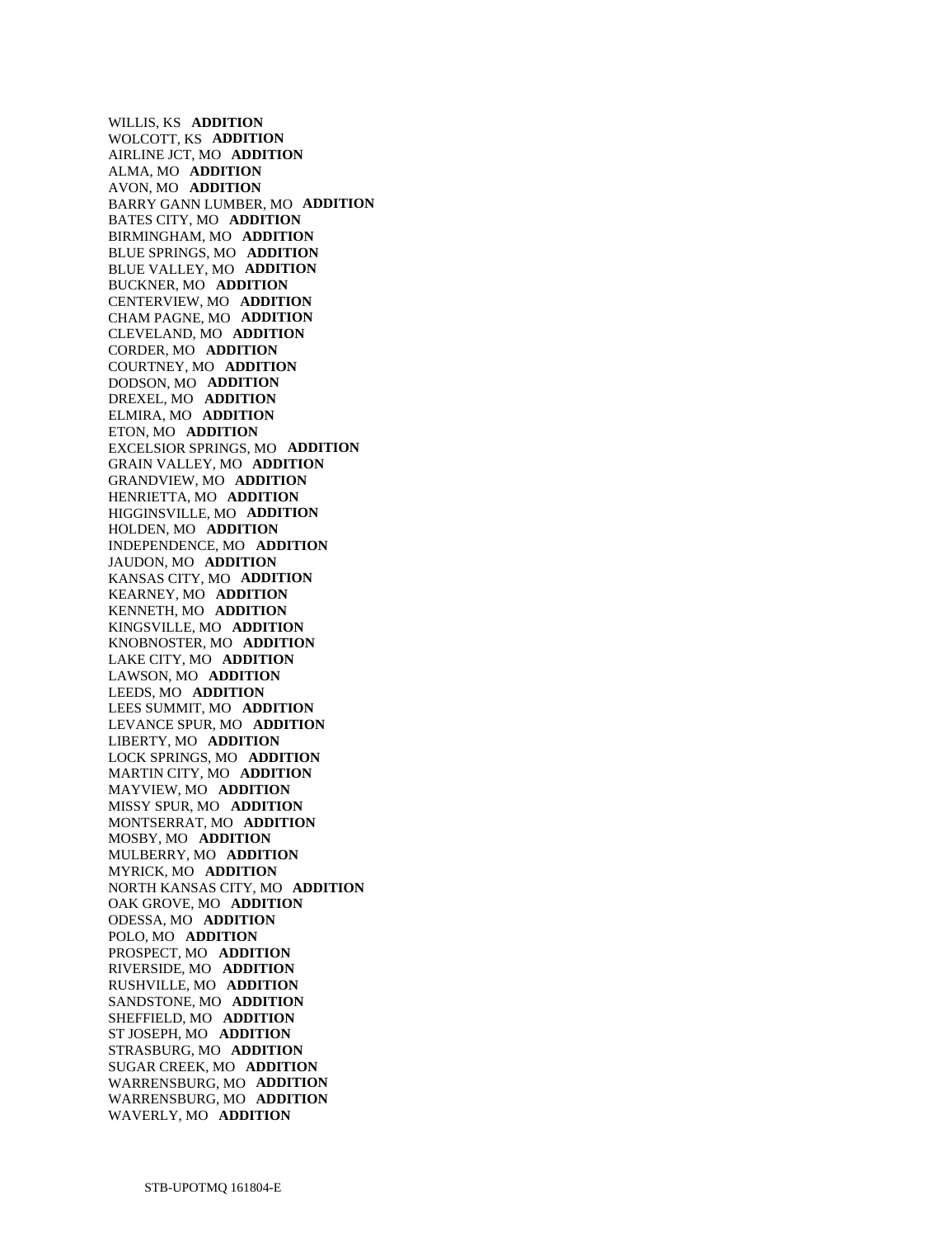WILLIS, KS **ADDITION**  WOLCOTT, KS **ADDITION**  AIRLINE JCT, MO **ADDITION**  ALMA, MO **ADDITION**  AVON, MO **ADDITION**  BARRY GANN LUMBER, MO **ADDITION**  BATES CITY, MO **ADDITION**  BIRMINGHAM, MO **ADDITION**  BLUE SPRINGS, MO **ADDITION**  BLUE VALLEY, MO **ADDITION**  BUCKNER, MO **ADDITION**  CENTERVIEW, MO **ADDITION**  CHAM PAGNE, MO **ADDITION**  CLEVELAND, MO **ADDITION**  CORDER, MO **ADDITION**  COURTNEY, MO **ADDITION**  DODSON, MO **ADDITION**  DREXEL, MO **ADDITION**  ELMIRA, MO **ADDITION**  ETON, MO **ADDITION**  EXCELSIOR SPRINGS, MO **ADDITION**  GRAIN VALLEY, MO **ADDITION**  GRANDVIEW, MO **ADDITION**  HENRIETTA, MO **ADDITION**  HIGGINSVILLE, MO **ADDITION**  HOLDEN, MO **ADDITION**  INDEPENDENCE, MO **ADDITION**  JAUDON, MO **ADDITION**  KANSAS CITY, MO **ADDITION**  KEARNEY, MO **ADDITION**  KENNETH, MO **ADDITION**  KINGSVILLE, MO **ADDITION**  KNOBNOSTER, MO **ADDITION**  LAKE CITY, MO **ADDITION**  LAWSON, MO **ADDITION**  LEEDS, MO **ADDITION**  LEES SUMMIT, MO **ADDITION**  LEVANCE SPUR, MO **ADDITION**  LIBERTY, MO **ADDITION**  LOCK SPRINGS, MO **ADDITION**  MARTIN CITY, MO **ADDITION**  MAYVIEW, MO **ADDITION**  MISSY SPUR, MO **ADDITION**  MONTSERRAT, MO **ADDITION**  MOSBY, MO **ADDITION**  MULBERRY, MO **ADDITION**  MYRICK, MO **ADDITION**  NORTH KANSAS CITY, MO **ADDITION**  OAK GROVE, MO **ADDITION**  ODESSA, MO **ADDITION**  POLO, MO **ADDITION**  PROSPECT, MO **ADDITION**  RIVERSIDE, MO **ADDITION**  RUSHVILLE, MO **ADDITION**  SANDSTONE, MO **ADDITION**  SHEFFIELD, MO **ADDITION**  ST JOSEPH, MO **ADDITION**  STRASBURG, MO **ADDITION**  SUGAR CREEK, MO **ADDITION**  WARRENSBURG, MO **ADDITION**  WARRENSBURG, MO **ADDITION**  WAVERLY, MO **ADDITION**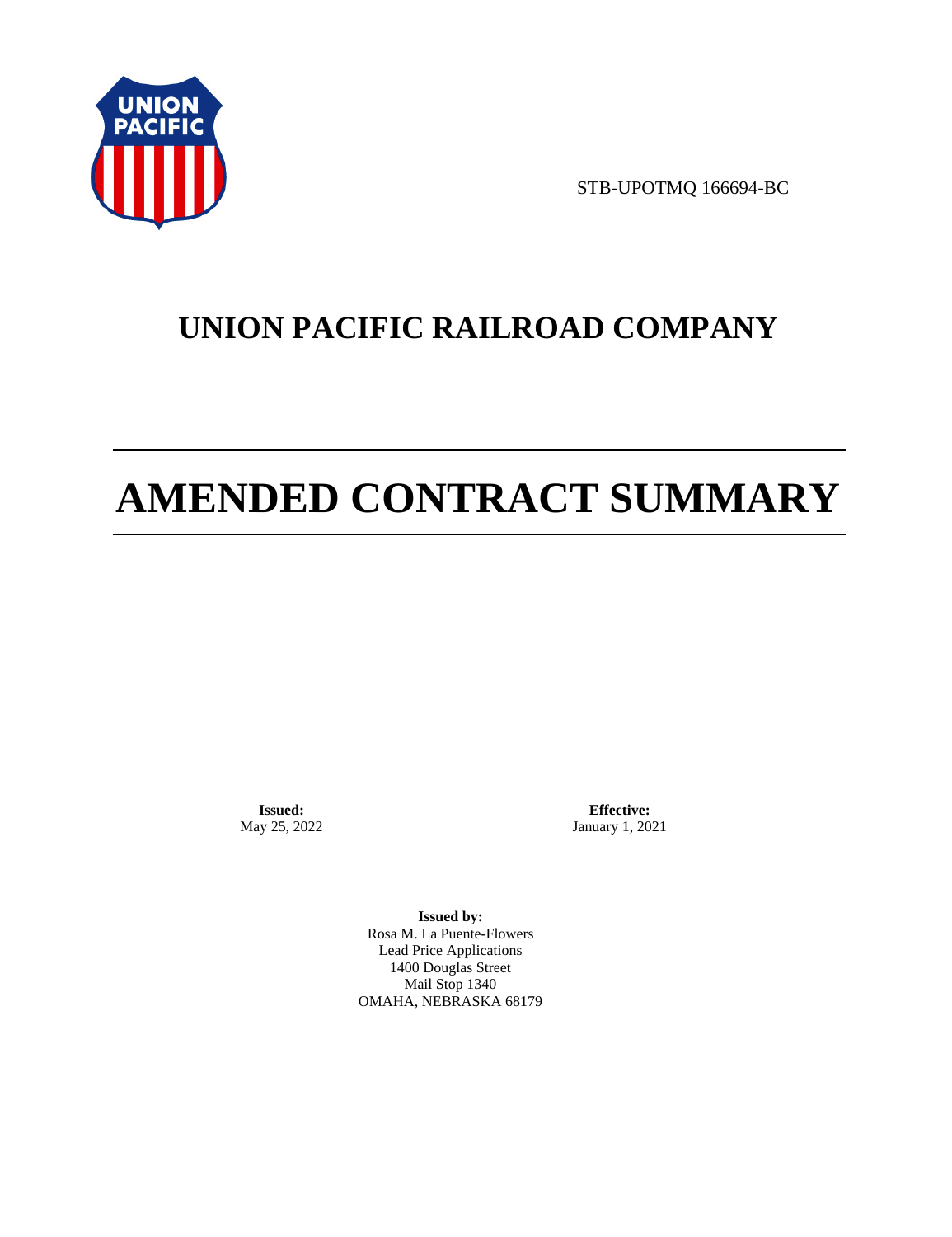

STB-UPOTMQ 166694-BC

# **UNION PACIFIC RAILROAD COMPANY**

# **AMENDED CONTRACT SUMMARY**

**Issued:**  May 25, 2022

**Effective:** January 1, 2021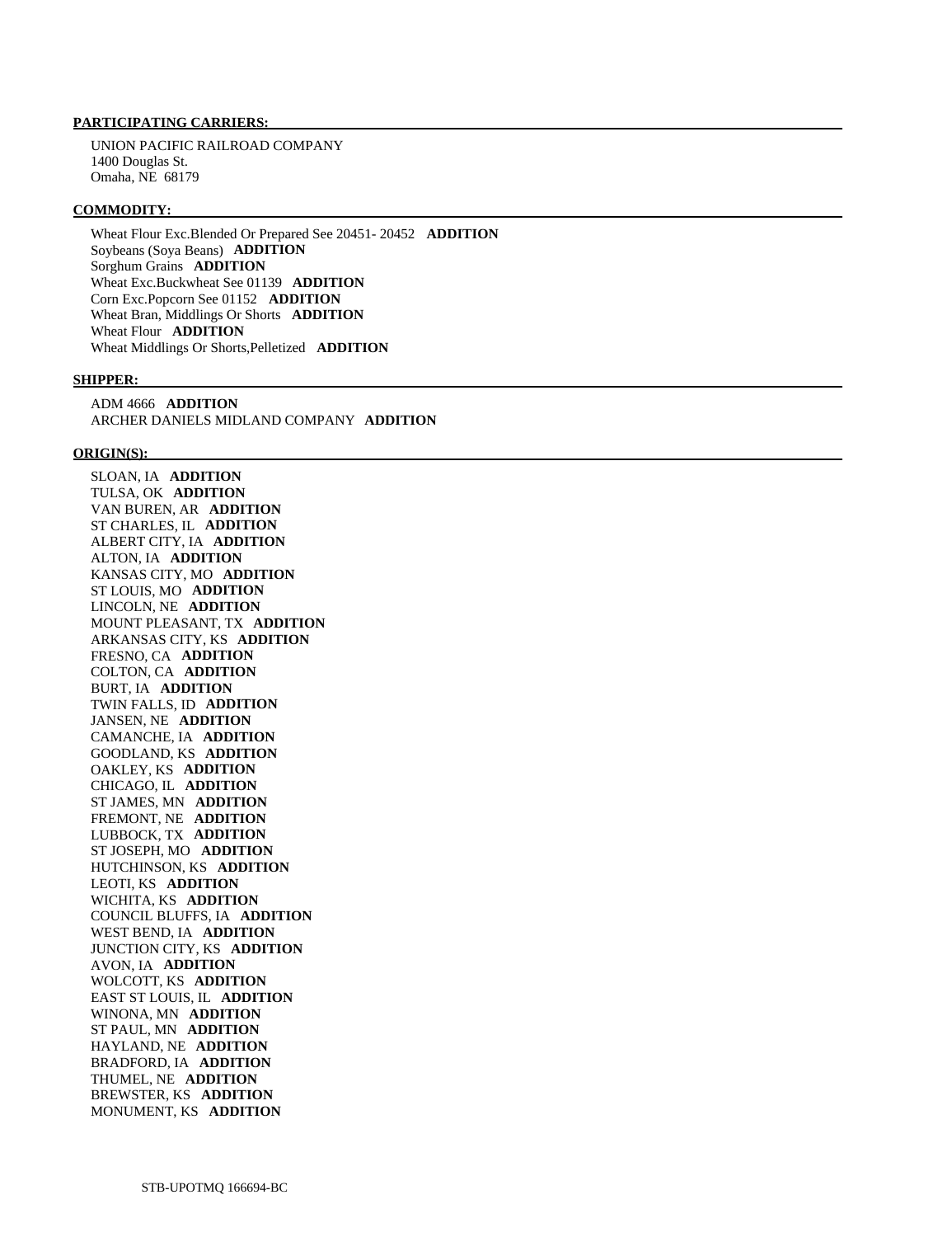UNION PACIFIC RAILROAD COMPANY 1400 Douglas St. Omaha, NE 68179

#### **COMMODITY:**

 Wheat Flour Exc.Blended Or Prepared See 20451- 20452 **ADDITION**  Soybeans (Soya Beans) **ADDITION**  Sorghum Grains **ADDITION**  Wheat Exc.Buckwheat See 01139 **ADDITION**  Corn Exc.Popcorn See 01152 **ADDITION**  Wheat Bran, Middlings Or Shorts **ADDITION**  Wheat Flour **ADDITION**  Wheat Middlings Or Shorts,Pelletized **ADDITION** 

#### **SHIPPER:**

 ADM 4666 **ADDITION**  ARCHER DANIELS MIDLAND COMPANY **ADDITION** 

#### **ORIGIN(S):**

 SLOAN, IA **ADDITION**  TULSA, OK **ADDITION**  VAN BUREN, AR **ADDITION**  ST CHARLES, IL **ADDITION**  ALBERT CITY, IA **ADDITION**  ALTON, IA **ADDITION**  KANSAS CITY, MO **ADDITION**  ST LOUIS, MO **ADDITION**  LINCOLN, NE **ADDITION**  MOUNT PLEASANT, TX **ADDITION**  ARKANSAS CITY, KS **ADDITION**  FRESNO, CA **ADDITION**  COLTON, CA **ADDITION**  BURT, IA **ADDITION**  TWIN FALLS, ID **ADDITION**  JANSEN, NE **ADDITION**  CAMANCHE, IA **ADDITION**  GOODLAND, KS **ADDITION**  OAKLEY, KS **ADDITION**  CHICAGO, IL **ADDITION**  ST JAMES, MN **ADDITION**  FREMONT, NE **ADDITION**  LUBBOCK, TX **ADDITION**  ST JOSEPH, MO **ADDITION**  HUTCHINSON, KS **ADDITION**  LEOTI, KS **ADDITION**  WICHITA, KS **ADDITION**  COUNCIL BLUFFS, IA **ADDITION**  WEST BEND, IA **ADDITION**  JUNCTION CITY, KS **ADDITION**  AVON, IA **ADDITION**  WOLCOTT, KS **ADDITION**  EAST ST LOUIS, IL **ADDITION**  WINONA, MN **ADDITION**  ST PAUL, MN **ADDITION**  HAYLAND, NE **ADDITION**  BRADFORD, IA **ADDITION**  THUMEL, NE **ADDITION**  BREWSTER, KS **ADDITION**  MONUMENT, KS **ADDITION**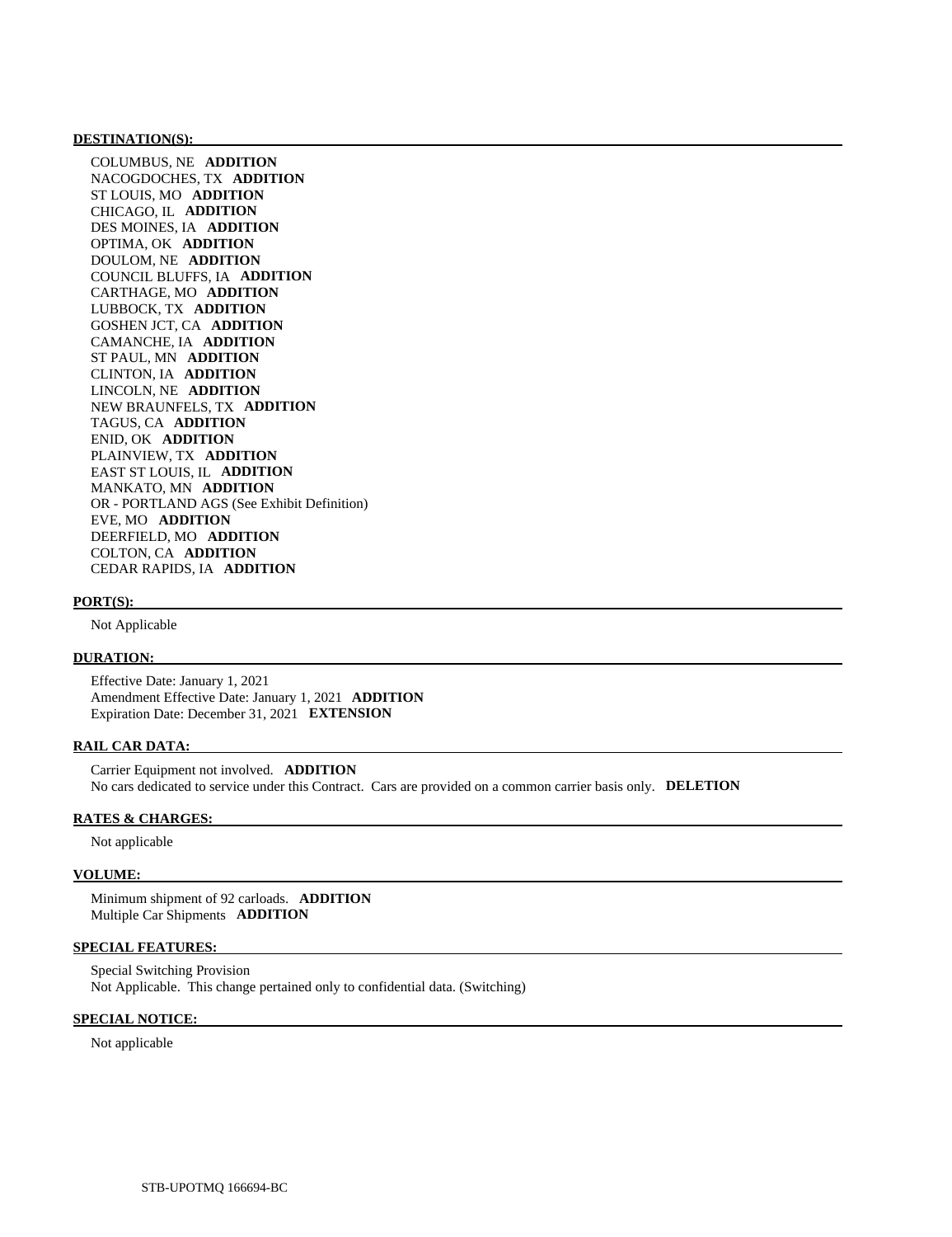#### **DESTINATION(S):**

 COLUMBUS, NE **ADDITION**  NACOGDOCHES, TX **ADDITION**  ST LOUIS, MO **ADDITION**  CHICAGO, IL **ADDITION**  DES MOINES, IA **ADDITION**  OPTIMA, OK **ADDITION**  DOULOM, NE **ADDITION**  COUNCIL BLUFFS, IA **ADDITION**  CARTHAGE, MO **ADDITION**  LUBBOCK, TX **ADDITION**  GOSHEN JCT, CA **ADDITION**  CAMANCHE, IA **ADDITION**  ST PAUL, MN **ADDITION**  CLINTON, IA **ADDITION**  LINCOLN, NE **ADDITION**  NEW BRAUNFELS, TX **ADDITION**  TAGUS, CA **ADDITION**  ENID, OK **ADDITION**  PLAINVIEW, TX **ADDITION**  EAST ST LOUIS, IL **ADDITION**  MANKATO, MN **ADDITION**  OR - PORTLAND AGS (See Exhibit Definition) EVE, MO **ADDITION**  DEERFIELD, MO **ADDITION**  COLTON, CA **ADDITION**  CEDAR RAPIDS, IA **ADDITION** 

#### **PORT(S):**

Not Applicable

# **DURATION:**

 Effective Date: January 1, 2021 Amendment Effective Date: January 1, 2021 **ADDITION**  Expiration Date: December 31, 2021 **EXTENSION** 

# **RAIL CAR DATA:**

 Carrier Equipment not involved. **ADDITION**  No cars dedicated to service under this Contract. Cars are provided on a common carrier basis only. **DELETION** 

# **RATES & CHARGES:**

Not applicable

#### **VOLUME:**

 Minimum shipment of 92 carloads. **ADDITION**  Multiple Car Shipments **ADDITION** 

### **SPECIAL FEATURES:**

 Special Switching Provision Not Applicable. This change pertained only to confidential data. (Switching)

#### **SPECIAL NOTICE:**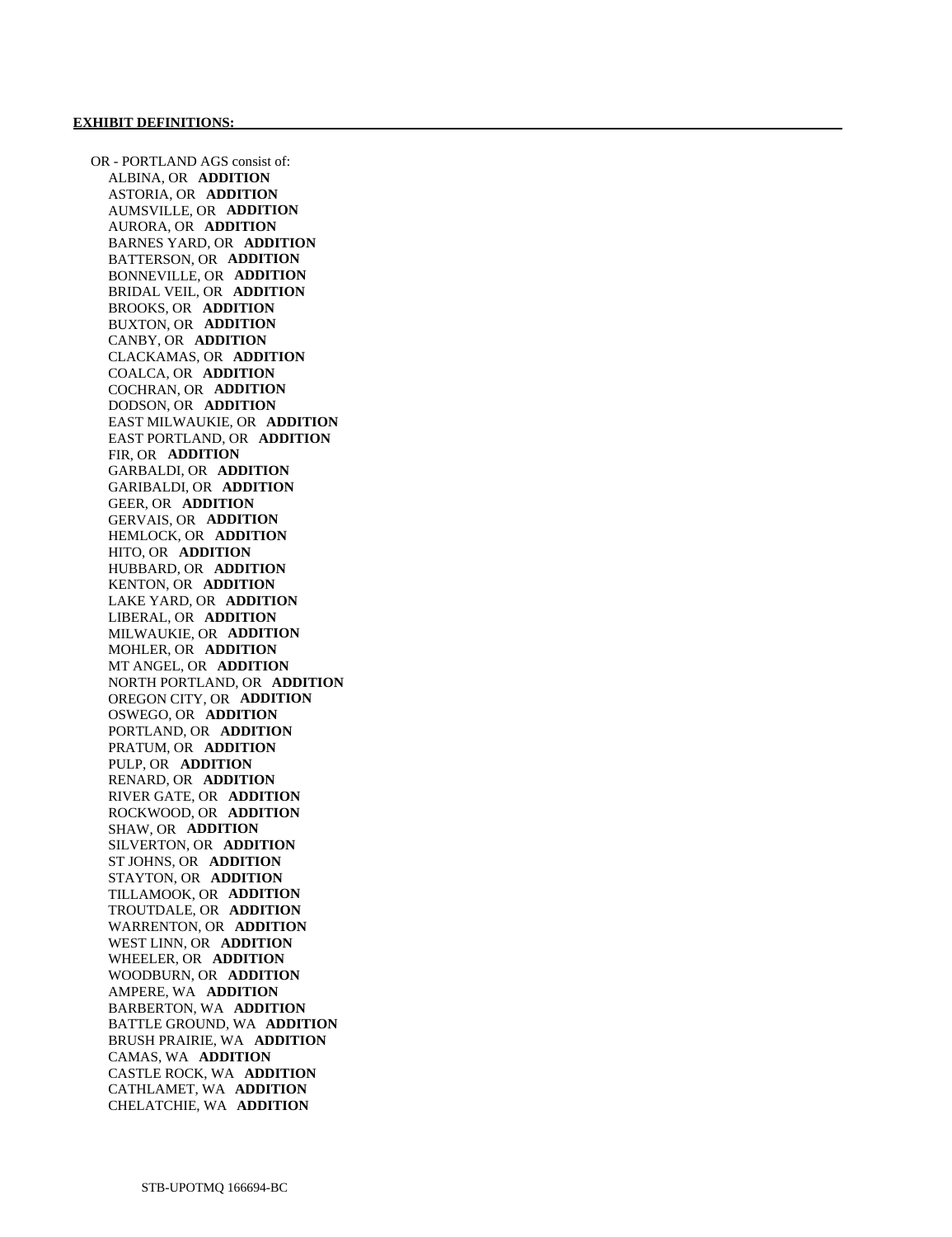OR - PORTLAND AGS consist of: ALBINA, OR **ADDITION**  ASTORIA, OR **ADDITION**  AUMSVILLE, OR **ADDITION**  AURORA, OR **ADDITION**  BARNES YARD, OR **ADDITION**  BATTERSON, OR **ADDITION**  BONNEVILLE, OR **ADDITION**  BRIDAL VEIL, OR **ADDITION**  BROOKS, OR **ADDITION**  BUXTON, OR **ADDITION**  CANBY, OR **ADDITION**  CLACKAMAS, OR **ADDITION**  COALCA, OR **ADDITION**  COCHRAN, OR **ADDITION**  DODSON, OR **ADDITION**  EAST MILWAUKIE, OR **ADDITION**  EAST PORTLAND, OR **ADDITION**  FIR, OR **ADDITION**  GARBALDI, OR **ADDITION**  GARIBALDI, OR **ADDITION**  GEER, OR **ADDITION**  GERVAIS, OR **ADDITION**  HEMLOCK, OR **ADDITION**  HITO, OR **ADDITION**  HUBBARD, OR **ADDITION**  KENTON, OR **ADDITION**  LAKE YARD, OR **ADDITION**  LIBERAL, OR **ADDITION**  MILWAUKIE, OR **ADDITION**  MOHLER, OR **ADDITION**  MT ANGEL, OR **ADDITION**  NORTH PORTLAND, OR **ADDITION**  OREGON CITY, OR **ADDITION**  OSWEGO, OR **ADDITION**  PORTLAND, OR **ADDITION**  PRATUM, OR **ADDITION**  PULP, OR **ADDITION**  RENARD, OR **ADDITION**  RIVER GATE, OR **ADDITION**  ROCKWOOD, OR **ADDITION**  SHAW, OR **ADDITION**  SILVERTON, OR **ADDITION**  ST JOHNS, OR **ADDITION**  STAYTON, OR **ADDITION**  TILLAMOOK, OR **ADDITION**  TROUTDALE, OR **ADDITION**  WARRENTON, OR **ADDITION**  WEST LINN, OR **ADDITION**  WHEELER, OR **ADDITION**  WOODBURN, OR **ADDITION**  AMPERE, WA **ADDITION**  BARBERTON, WA **ADDITION**  BATTLE GROUND, WA **ADDITION**  BRUSH PRAIRIE, WA **ADDITION**  CAMAS, WA **ADDITION**  CASTLE ROCK, WA **ADDITION**  CATHLAMET, WA **ADDITION**  CHELATCHIE, WA **ADDITION**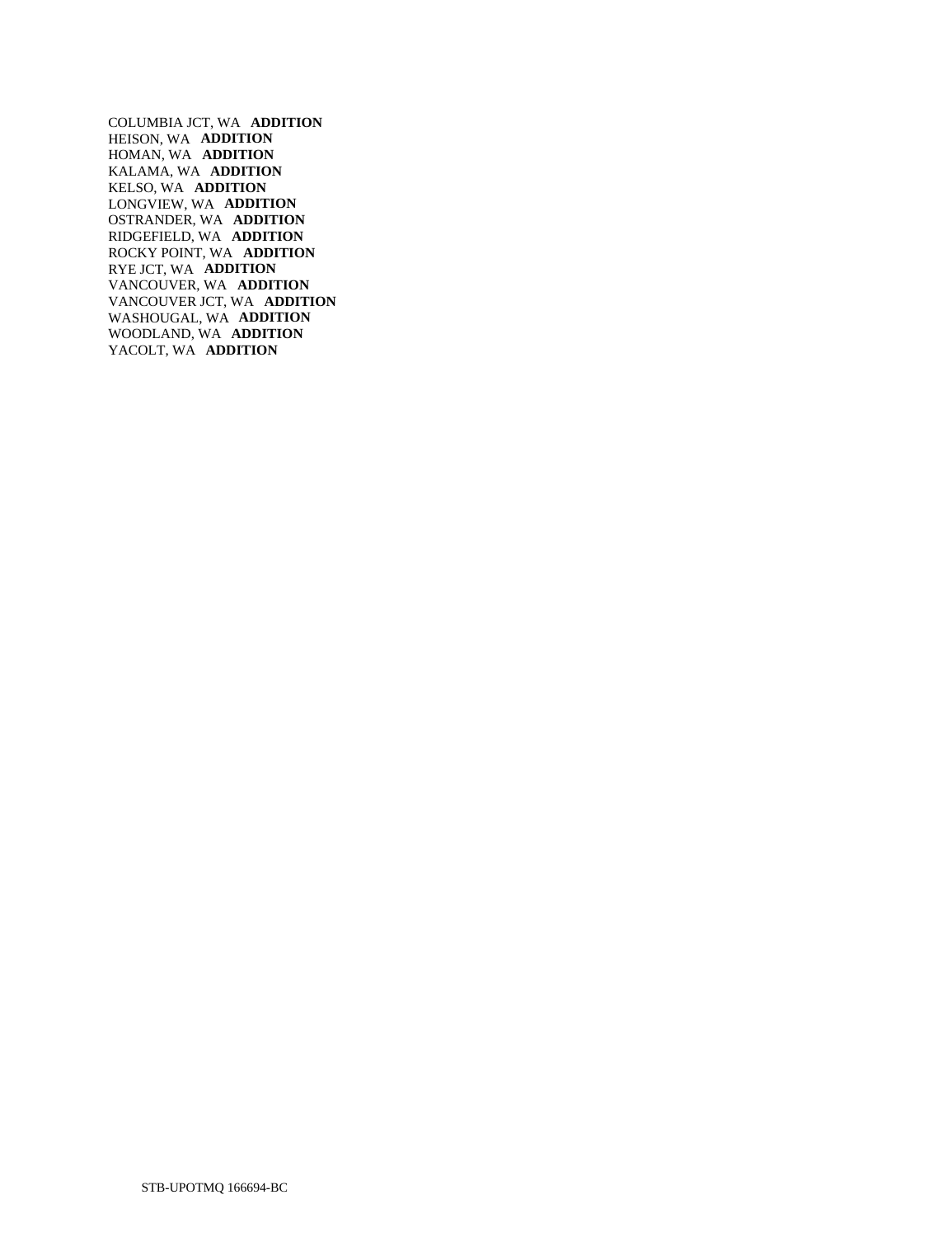COLUMBIA JCT, WA **ADDITION**  HEISON, WA **ADDITION**  HOMAN, WA **ADDITION**  KALAMA, WA **ADDITION**  KELSO, WA **ADDITION**  LONGVIEW, WA **ADDITION**  OSTRANDER, WA **ADDITION**  RIDGEFIELD, WA **ADDITION**  ROCKY POINT, WA **ADDITION**  RYE JCT, WA **ADDITION**  VANCOUVER, WA **ADDITION**  VANCOUVER JCT, WA **ADDITION**  WASHOUGAL, WA **ADDITION**  WOODLAND, WA **ADDITION**  YACOLT, WA **ADDITION**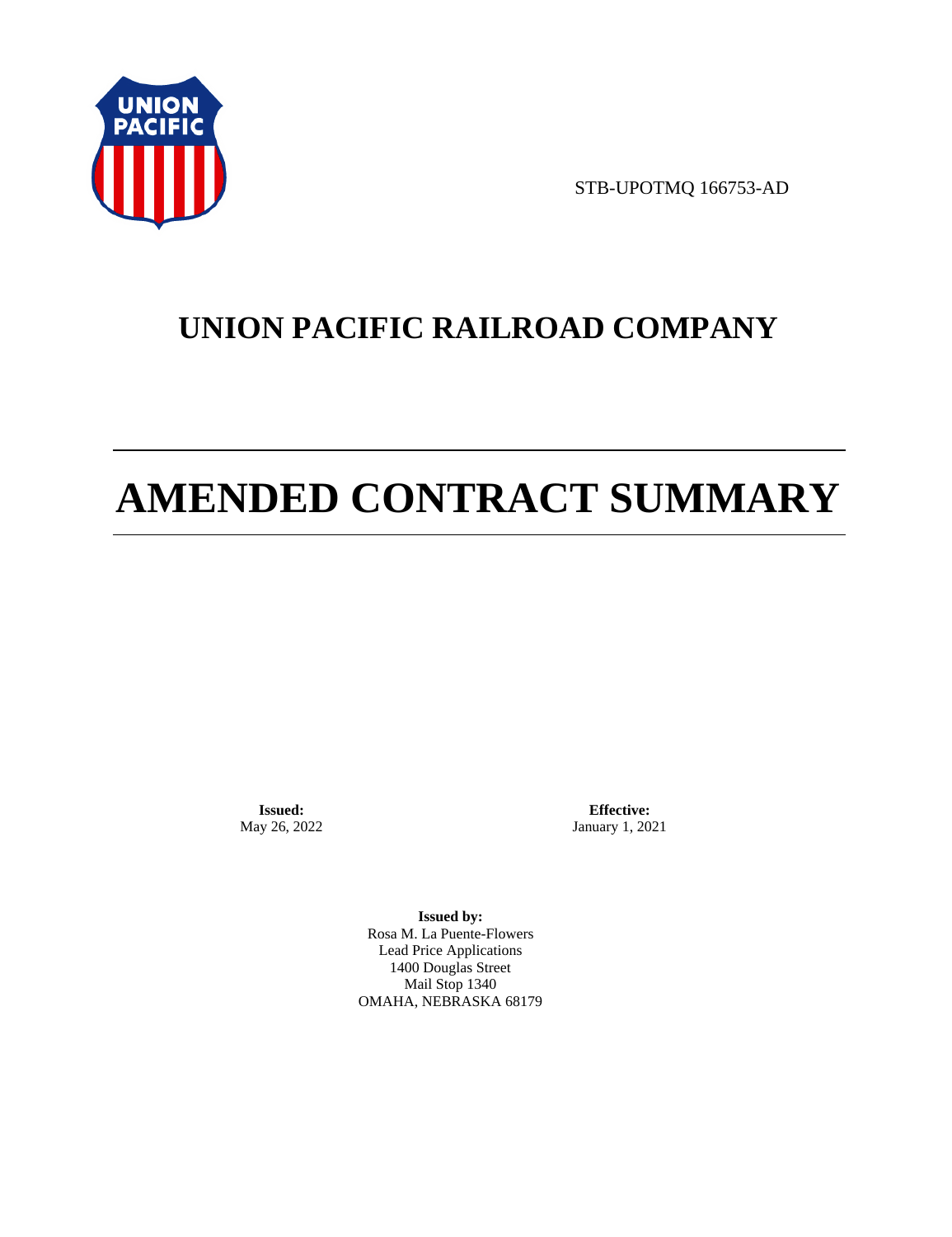

STB-UPOTMQ 166753-AD

# **UNION PACIFIC RAILROAD COMPANY**

# **AMENDED CONTRACT SUMMARY**

**Issued:**  May 26, 2022

**Effective:** January 1, 2021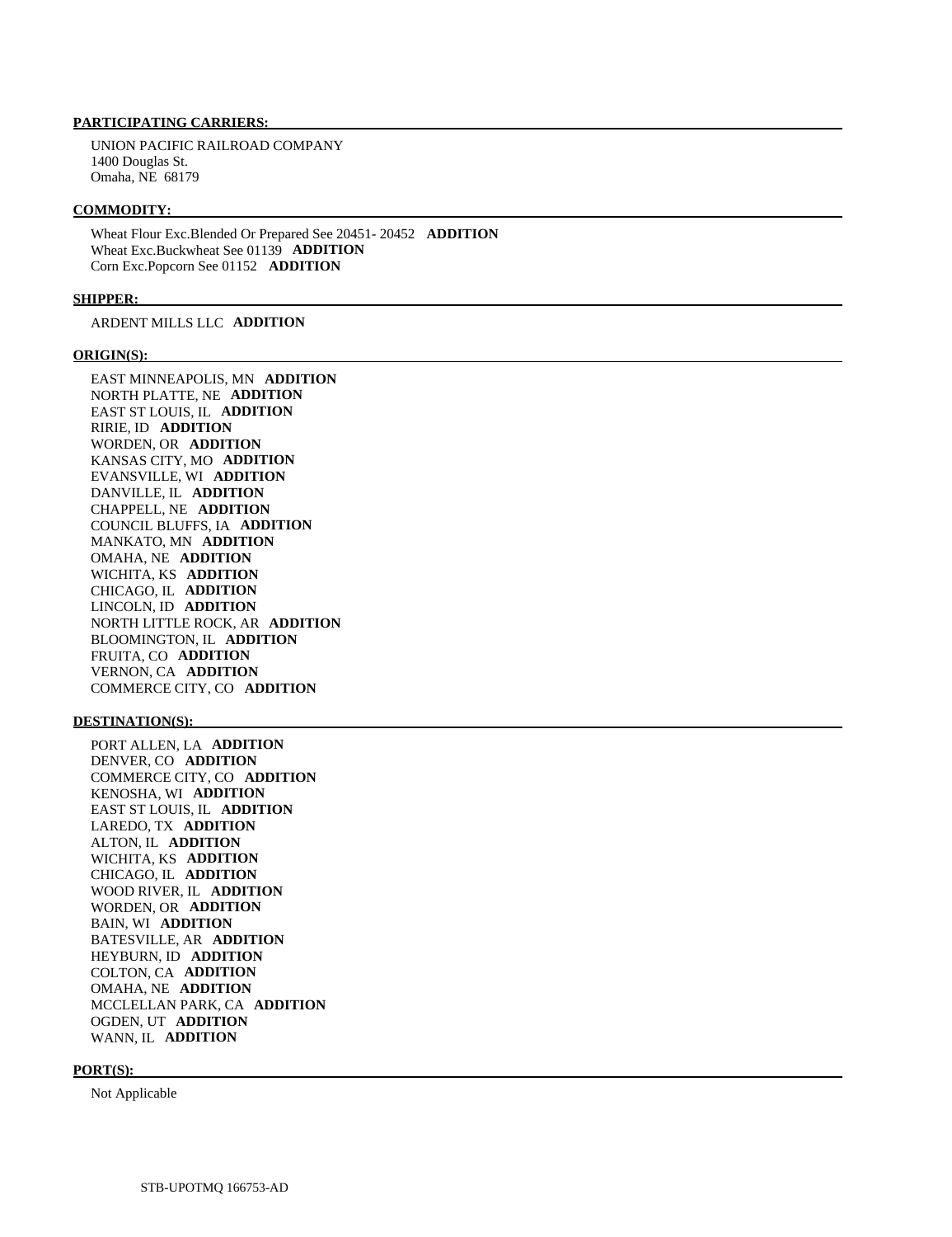UNION PACIFIC RAILROAD COMPANY 1400 Douglas St. Omaha, NE 68179

#### **COMMODITY:**

 Wheat Flour Exc.Blended Or Prepared See 20451- 20452 **ADDITION**  Wheat Exc.Buckwheat See 01139 **ADDITION**  Corn Exc.Popcorn See 01152 **ADDITION** 

# **SHIPPER:**

ARDENT MILLS LLC **ADDITION** 

#### **ORIGIN(S):**

 EAST MINNEAPOLIS, MN **ADDITION**  NORTH PLATTE, NE **ADDITION**  EAST ST LOUIS, IL **ADDITION**  RIRIE, ID **ADDITION**  WORDEN, OR **ADDITION**  KANSAS CITY, MO **ADDITION**  EVANSVILLE, WI **ADDITION**  DANVILLE, IL **ADDITION**  CHAPPELL, NE **ADDITION**  COUNCIL BLUFFS, IA **ADDITION**  MANKATO, MN **ADDITION**  OMAHA, NE **ADDITION**  WICHITA, KS **ADDITION**  CHICAGO, IL **ADDITION**  LINCOLN, ID **ADDITION**  NORTH LITTLE ROCK, AR **ADDITION**  BLOOMINGTON, IL **ADDITION**  FRUITA, CO **ADDITION**  VERNON, CA **ADDITION**  COMMERCE CITY, CO **ADDITION** 

#### **DESTINATION(S):**

 PORT ALLEN, LA **ADDITION**  DENVER, CO **ADDITION**  COMMERCE CITY, CO **ADDITION**  KENOSHA, WI **ADDITION**  EAST ST LOUIS, IL **ADDITION**  LAREDO, TX **ADDITION**  ALTON, IL **ADDITION**  WICHITA, KS **ADDITION**  CHICAGO, IL **ADDITION**  WOOD RIVER, IL **ADDITION**  WORDEN, OR **ADDITION**  BAIN, WI **ADDITION**  BATESVILLE, AR **ADDITION**  HEYBURN, ID **ADDITION**  COLTON, CA **ADDITION**  OMAHA, NE **ADDITION**  MCCLELLAN PARK, CA **ADDITION**  OGDEN, UT **ADDITION**  WANN, IL **ADDITION** 

#### **PORT(S):**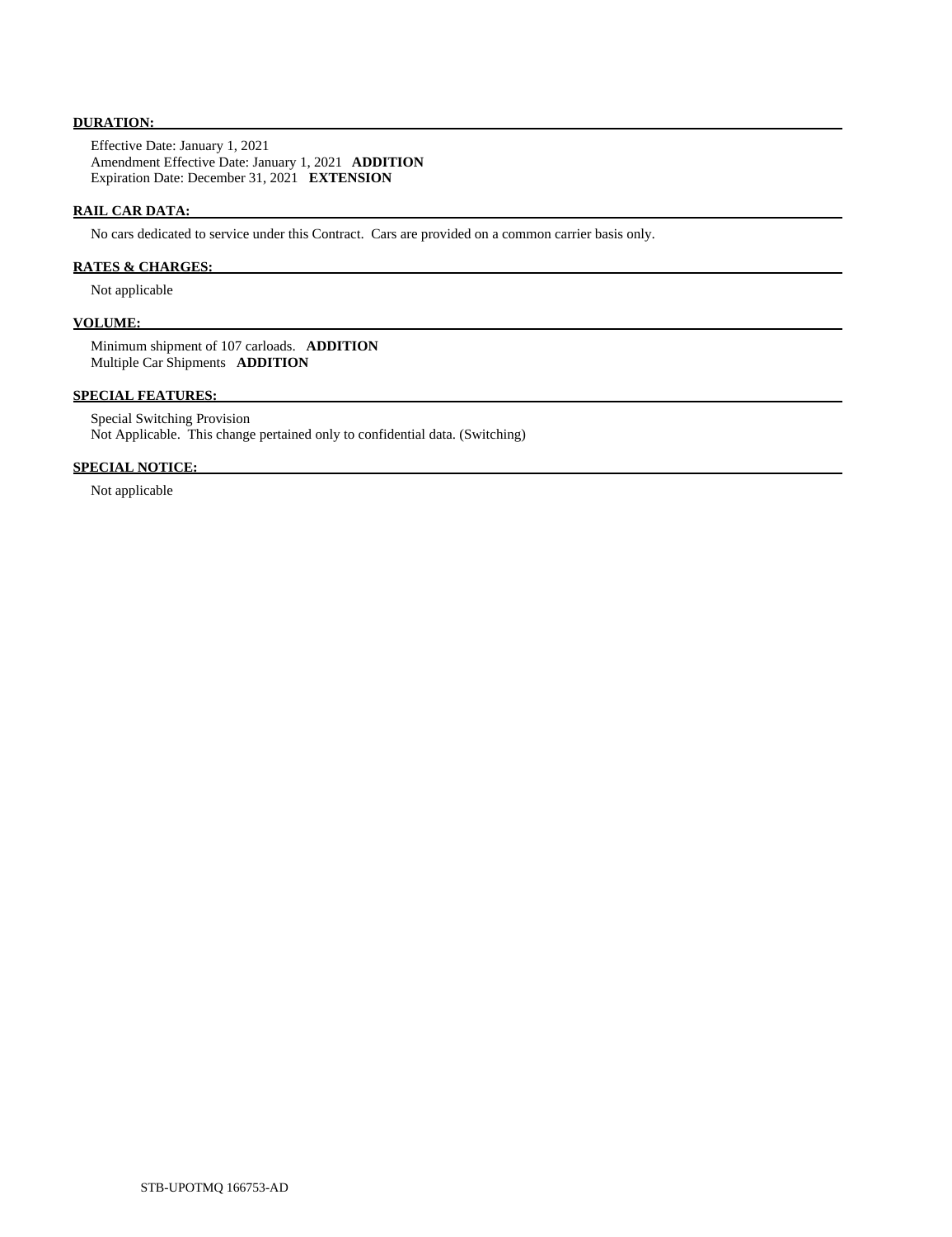# **DURATION:**

 Effective Date: January 1, 2021 Amendment Effective Date: January 1, 2021 **ADDITION**  Expiration Date: December 31, 2021 **EXTENSION** 

# **RAIL CAR DATA:**

No cars dedicated to service under this Contract. Cars are provided on a common carrier basis only.

### **RATES & CHARGES:**

Not applicable

# **VOLUME:**

 Minimum shipment of 107 carloads. **ADDITION**  Multiple Car Shipments **ADDITION** 

# **SPECIAL FEATURES:**

 Special Switching Provision Not Applicable. This change pertained only to confidential data. (Switching)

# **SPECIAL NOTICE:**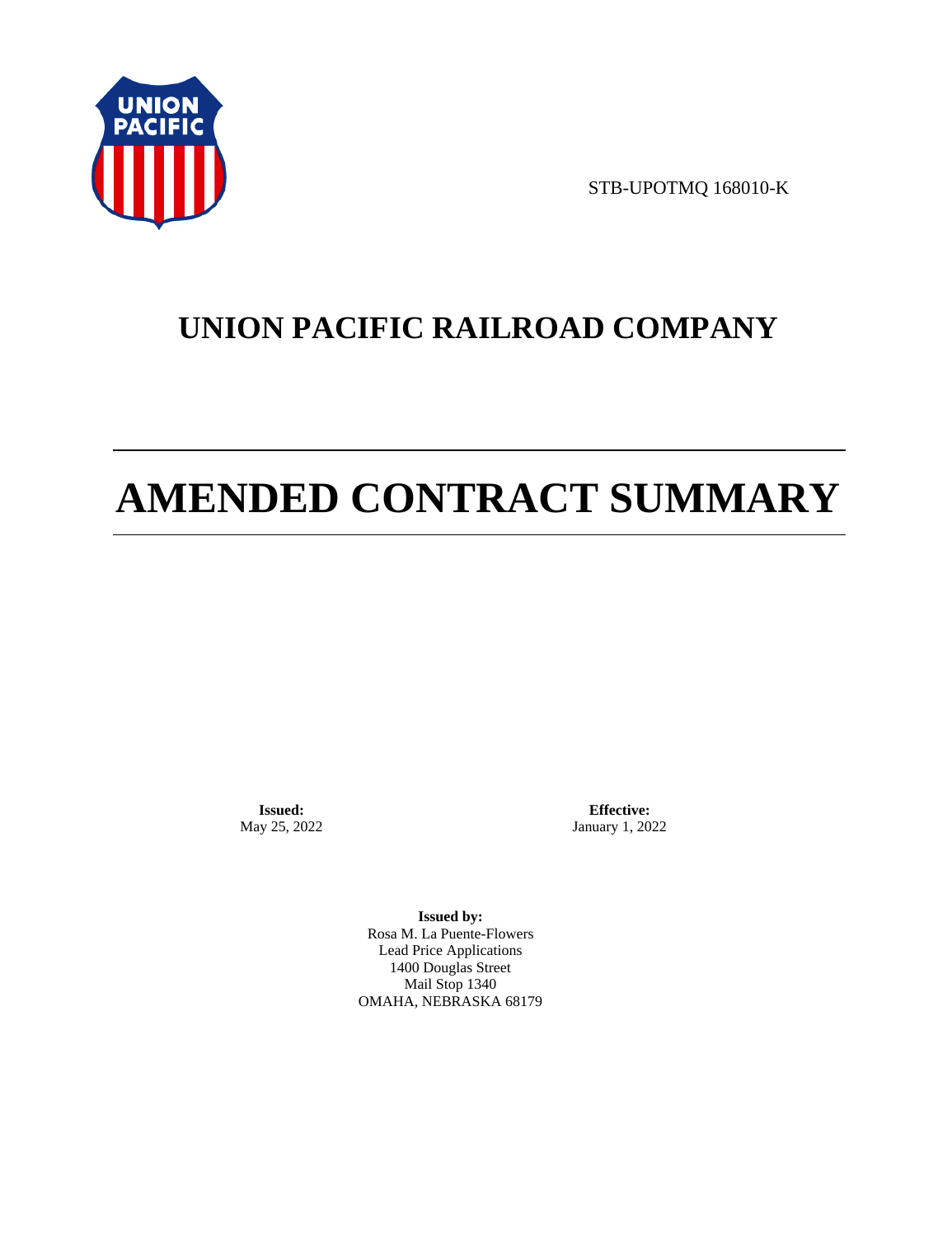

STB-UPOTMQ 168010-K

# **UNION PACIFIC RAILROAD COMPANY**

# **AMENDED CONTRACT SUMMARY**

**Issued:**  May 25, 2022

**Effective:** January 1, 2022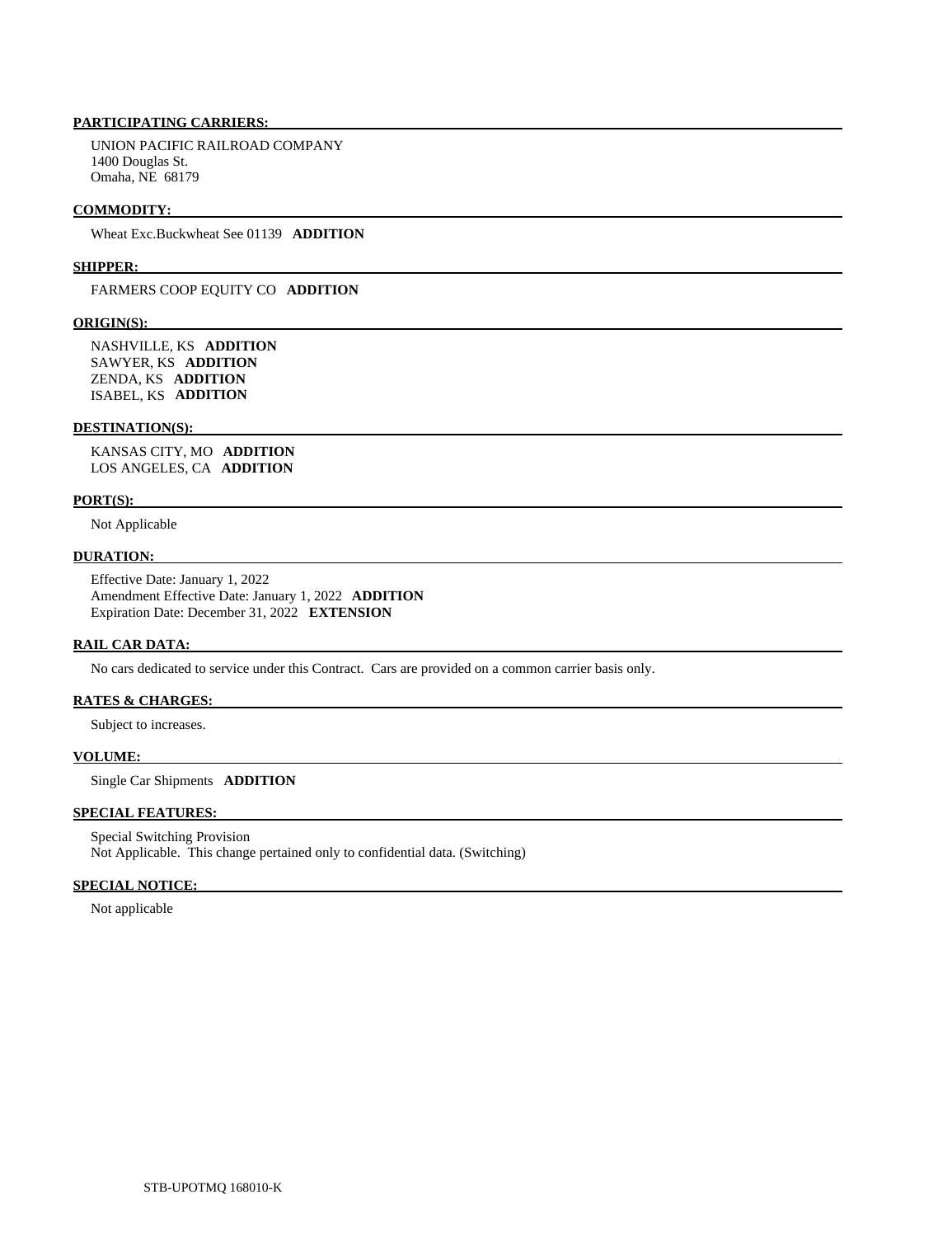UNION PACIFIC RAILROAD COMPANY 1400 Douglas St. Omaha, NE 68179

### **COMMODITY:**

Wheat Exc.Buckwheat See 01139 **ADDITION** 

#### **SHIPPER:**

FARMERS COOP EQUITY CO **ADDITION** 

### **ORIGIN(S):**

 NASHVILLE, KS **ADDITION**  SAWYER, KS **ADDITION**  ZENDA, KS **ADDITION**  ISABEL, KS **ADDITION** 

#### **DESTINATION(S):**

 KANSAS CITY, MO **ADDITION**  LOS ANGELES, CA **ADDITION** 

### **PORT(S):**

Not Applicable

## **DURATION:**

 Effective Date: January 1, 2022 Amendment Effective Date: January 1, 2022 **ADDITION**  Expiration Date: December 31, 2022 **EXTENSION** 

# **RAIL CAR DATA:**

No cars dedicated to service under this Contract. Cars are provided on a common carrier basis only.

# **RATES & CHARGES:**

Subject to increases.

## **VOLUME:**

Single Car Shipments **ADDITION** 

# **SPECIAL FEATURES:**

 Special Switching Provision Not Applicable. This change pertained only to confidential data. (Switching)

# **SPECIAL NOTICE:**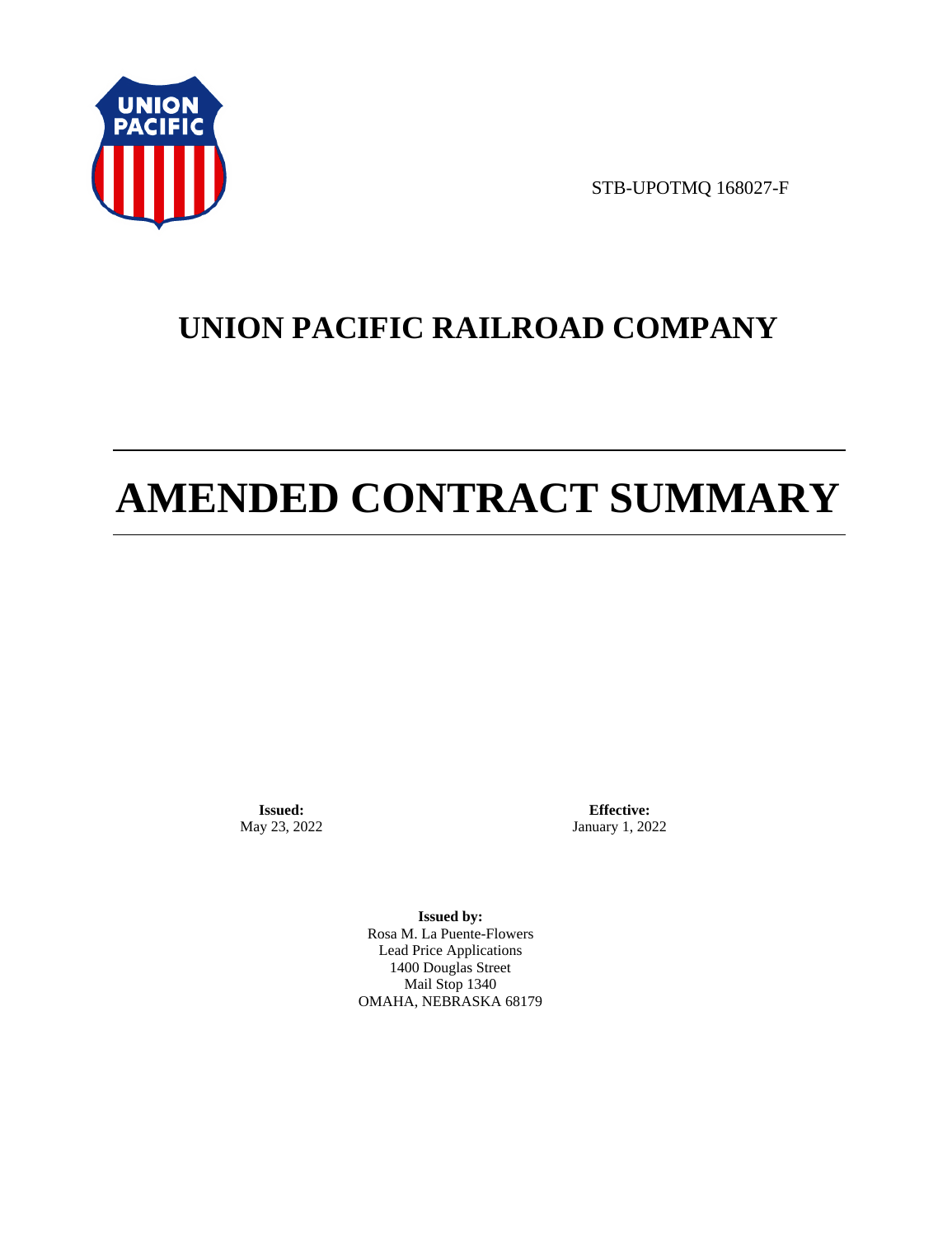

STB-UPOTMQ 168027-F

# **UNION PACIFIC RAILROAD COMPANY**

# **AMENDED CONTRACT SUMMARY**

**Issued:**  May 23, 2022

**Effective:** January 1, 2022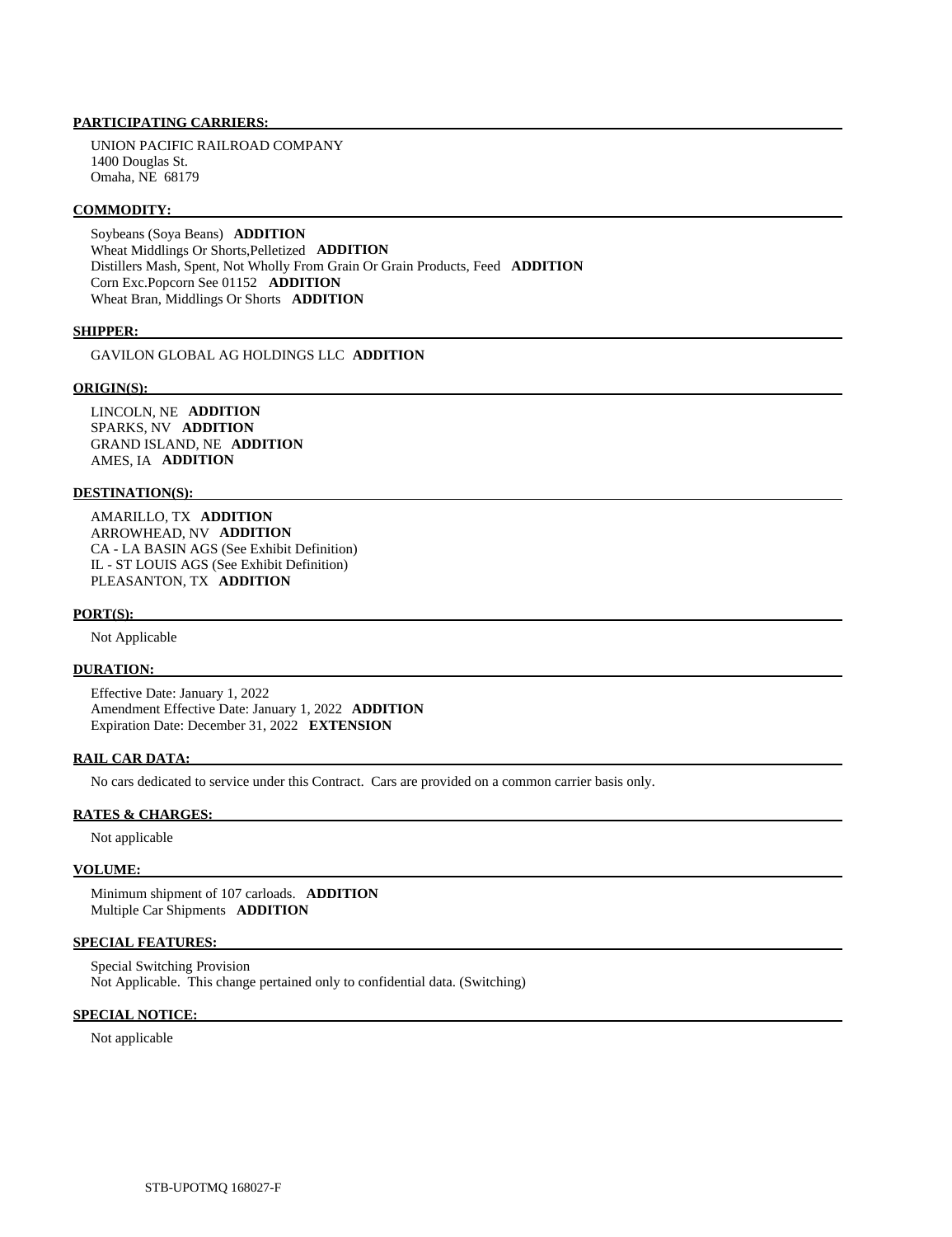UNION PACIFIC RAILROAD COMPANY 1400 Douglas St. Omaha, NE 68179

# **COMMODITY:**

 Soybeans (Soya Beans) **ADDITION**  Wheat Middlings Or Shorts,Pelletized **ADDITION**  Distillers Mash, Spent, Not Wholly From Grain Or Grain Products, Feed **ADDITION**  Corn Exc.Popcorn See 01152 **ADDITION**  Wheat Bran, Middlings Or Shorts **ADDITION** 

# **SHIPPER:**

GAVILON GLOBAL AG HOLDINGS LLC **ADDITION** 

#### **ORIGIN(S):**

 LINCOLN, NE **ADDITION**  SPARKS, NV **ADDITION**  GRAND ISLAND, NE **ADDITION**  AMES, IA **ADDITION** 

# **DESTINATION(S):**

 AMARILLO, TX **ADDITION**  ARROWHEAD, NV **ADDITION**  CA - LA BASIN AGS (See Exhibit Definition) IL - ST LOUIS AGS (See Exhibit Definition) PLEASANTON, TX **ADDITION** 

#### **PORT(S):**

Not Applicable

# **DURATION:**

 Effective Date: January 1, 2022 Amendment Effective Date: January 1, 2022 **ADDITION**  Expiration Date: December 31, 2022 **EXTENSION** 

# **RAIL CAR DATA:**

No cars dedicated to service under this Contract. Cars are provided on a common carrier basis only.

# **RATES & CHARGES:**

Not applicable

### **VOLUME:**

 Minimum shipment of 107 carloads. **ADDITION**  Multiple Car Shipments **ADDITION** 

#### **SPECIAL FEATURES:**

 Special Switching Provision Not Applicable. This change pertained only to confidential data. (Switching)

# **SPECIAL NOTICE:**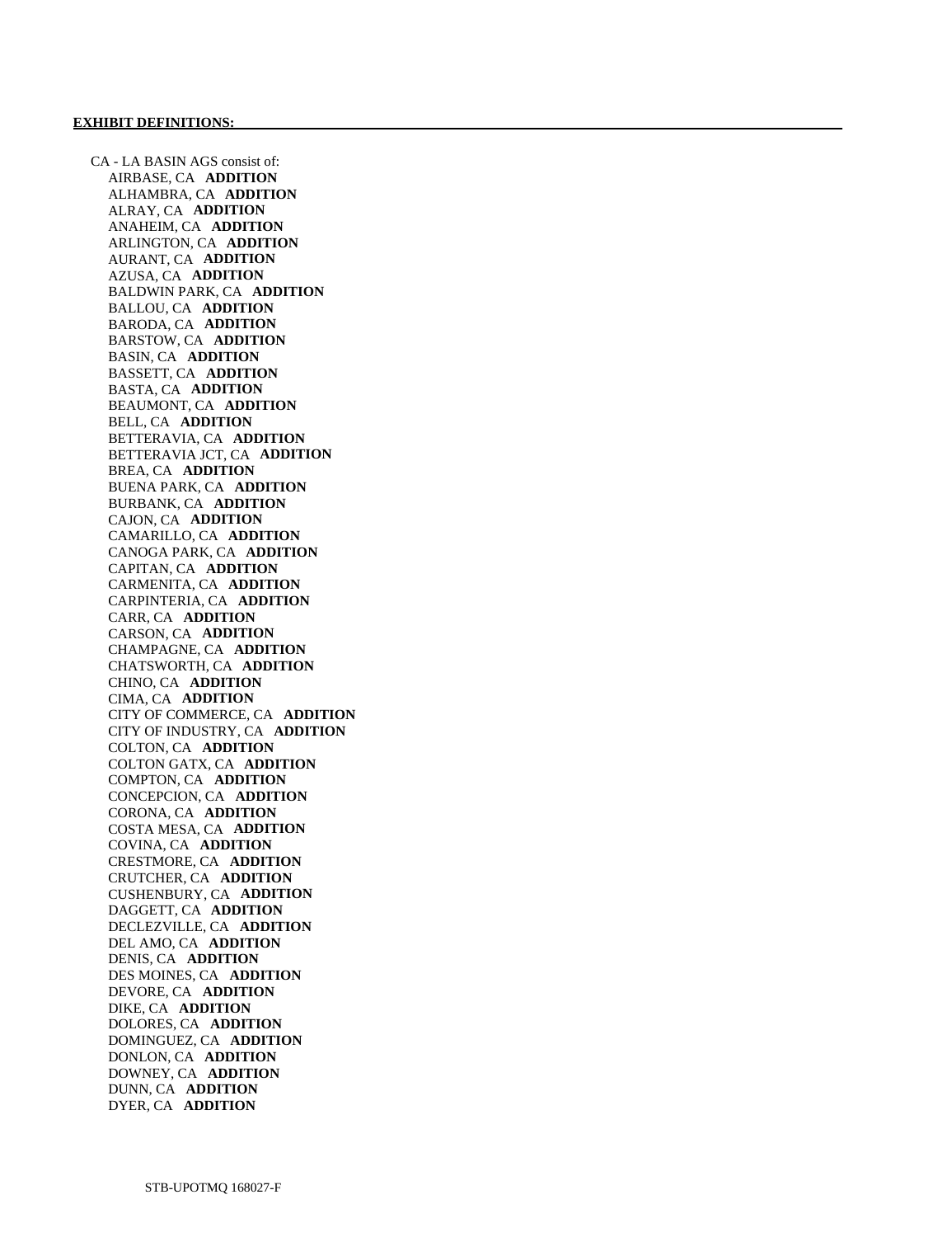CA - LA BASIN AGS consist of: AIRBASE, CA **ADDITION**  ALHAMBRA, CA **ADDITION**  ALRAY, CA **ADDITION**  ANAHEIM, CA **ADDITION**  ARLINGTON, CA **ADDITION**  AURANT, CA **ADDITION**  AZUSA, CA **ADDITION**  BALDWIN PARK, CA **ADDITION**  BALLOU, CA **ADDITION**  BARODA, CA **ADDITION**  BARSTOW, CA **ADDITION**  BASIN, CA **ADDITION**  BASSETT, CA **ADDITION**  BASTA, CA **ADDITION**  BEAUMONT, CA **ADDITION**  BELL, CA **ADDITION**  BETTERAVIA, CA **ADDITION**  BETTERAVIA JCT, CA **ADDITION**  BREA, CA **ADDITION**  BUENA PARK, CA **ADDITION**  BURBANK, CA **ADDITION**  CAJON, CA **ADDITION**  CAMARILLO, CA **ADDITION**  CANOGA PARK, CA **ADDITION**  CAPITAN, CA **ADDITION**  CARMENITA, CA **ADDITION**  CARPINTERIA, CA **ADDITION**  CARR, CA **ADDITION**  CARSON, CA **ADDITION**  CHAMPAGNE, CA **ADDITION**  CHATSWORTH, CA **ADDITION**  CHINO, CA **ADDITION**  CIMA, CA **ADDITION**  CITY OF COMMERCE, CA **ADDITION**  CITY OF INDUSTRY, CA **ADDITION**  COLTON, CA **ADDITION**  COLTON GATX, CA **ADDITION**  COMPTON, CA **ADDITION**  CONCEPCION, CA **ADDITION**  CORONA, CA **ADDITION**  COSTA MESA, CA **ADDITION**  COVINA, CA **ADDITION**  CRESTMORE, CA **ADDITION**  CRUTCHER, CA **ADDITION**  CUSHENBURY, CA **ADDITION**  DAGGETT, CA **ADDITION**  DECLEZVILLE, CA **ADDITION**  DEL AMO, CA **ADDITION**  DENIS, CA **ADDITION**  DES MOINES, CA **ADDITION**  DEVORE, CA **ADDITION**  DIKE, CA **ADDITION**  DOLORES, CA **ADDITION**  DOMINGUEZ, CA **ADDITION**  DONLON, CA **ADDITION**  DOWNEY, CA **ADDITION**  DUNN, CA **ADDITION**  DYER, CA **ADDITION**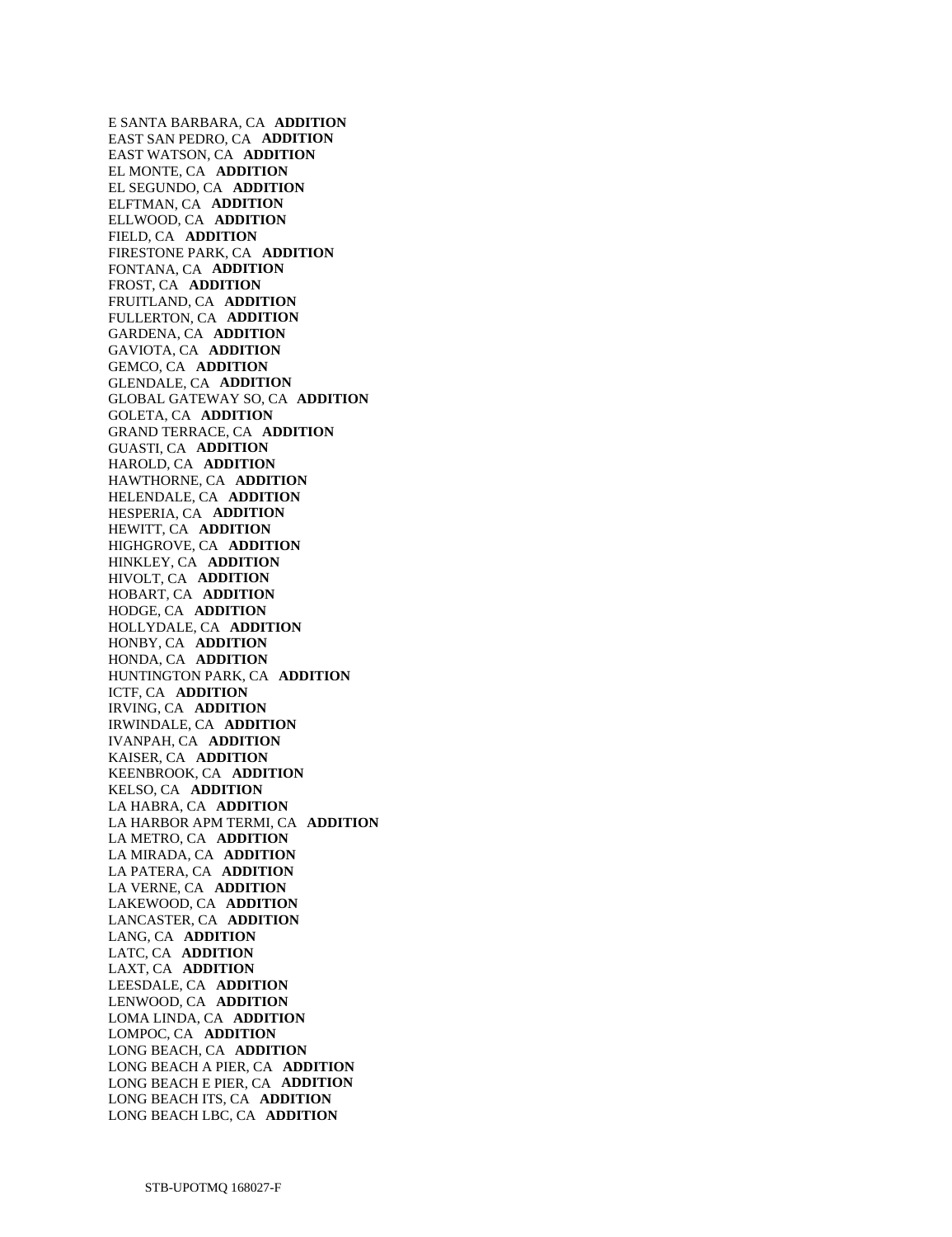E SANTA BARBARA, CA **ADDITION**  EAST SAN PEDRO, CA **ADDITION**  EAST WATSON, CA **ADDITION**  EL MONTE, CA **ADDITION**  EL SEGUNDO, CA **ADDITION**  ELFTMAN, CA **ADDITION**  ELLWOOD, CA **ADDITION**  FIELD, CA **ADDITION**  FIRESTONE PARK, CA **ADDITION**  FONTANA, CA **ADDITION**  FROST, CA **ADDITION**  FRUITLAND, CA **ADDITION**  FULLERTON, CA **ADDITION**  GARDENA, CA **ADDITION**  GAVIOTA, CA **ADDITION**  GEMCO, CA **ADDITION**  GLENDALE, CA **ADDITION**  GLOBAL GATEWAY SO, CA **ADDITION**  GOLETA, CA **ADDITION**  GRAND TERRACE, CA **ADDITION**  GUASTI, CA **ADDITION**  HAROLD, CA **ADDITION**  HAWTHORNE, CA **ADDITION**  HELENDALE, CA **ADDITION**  HESPERIA, CA **ADDITION**  HEWITT, CA **ADDITION**  HIGHGROVE, CA **ADDITION**  HINKLEY, CA **ADDITION**  HIVOLT, CA **ADDITION**  HOBART, CA **ADDITION**  HODGE, CA **ADDITION**  HOLLYDALE, CA **ADDITION**  HONBY, CA **ADDITION**  HONDA, CA **ADDITION**  HUNTINGTON PARK, CA **ADDITION**  ICTF, CA **ADDITION**  IRVING, CA **ADDITION**  IRWINDALE, CA **ADDITION**  IVANPAH, CA **ADDITION**  KAISER, CA **ADDITION**  KEENBROOK, CA **ADDITION**  KELSO, CA **ADDITION**  LA HABRA, CA **ADDITION**  LA HARBOR APM TERMI, CA **ADDITION**  LA METRO, CA **ADDITION**  LA MIRADA, CA **ADDITION**  LA PATERA, CA **ADDITION**  LA VERNE, CA **ADDITION**  LAKEWOOD, CA **ADDITION**  LANCASTER, CA **ADDITION**  LANG, CA **ADDITION**  LATC, CA **ADDITION**  LAXT, CA **ADDITION**  LEESDALE, CA **ADDITION**  LENWOOD, CA **ADDITION**  LOMA LINDA, CA **ADDITION**  LOMPOC, CA **ADDITION**  LONG BEACH, CA **ADDITION**  LONG BEACH A PIER, CA **ADDITION**  LONG BEACH E PIER, CA **ADDITION**  LONG BEACH ITS, CA **ADDITION**  LONG BEACH LBC, CA **ADDITION**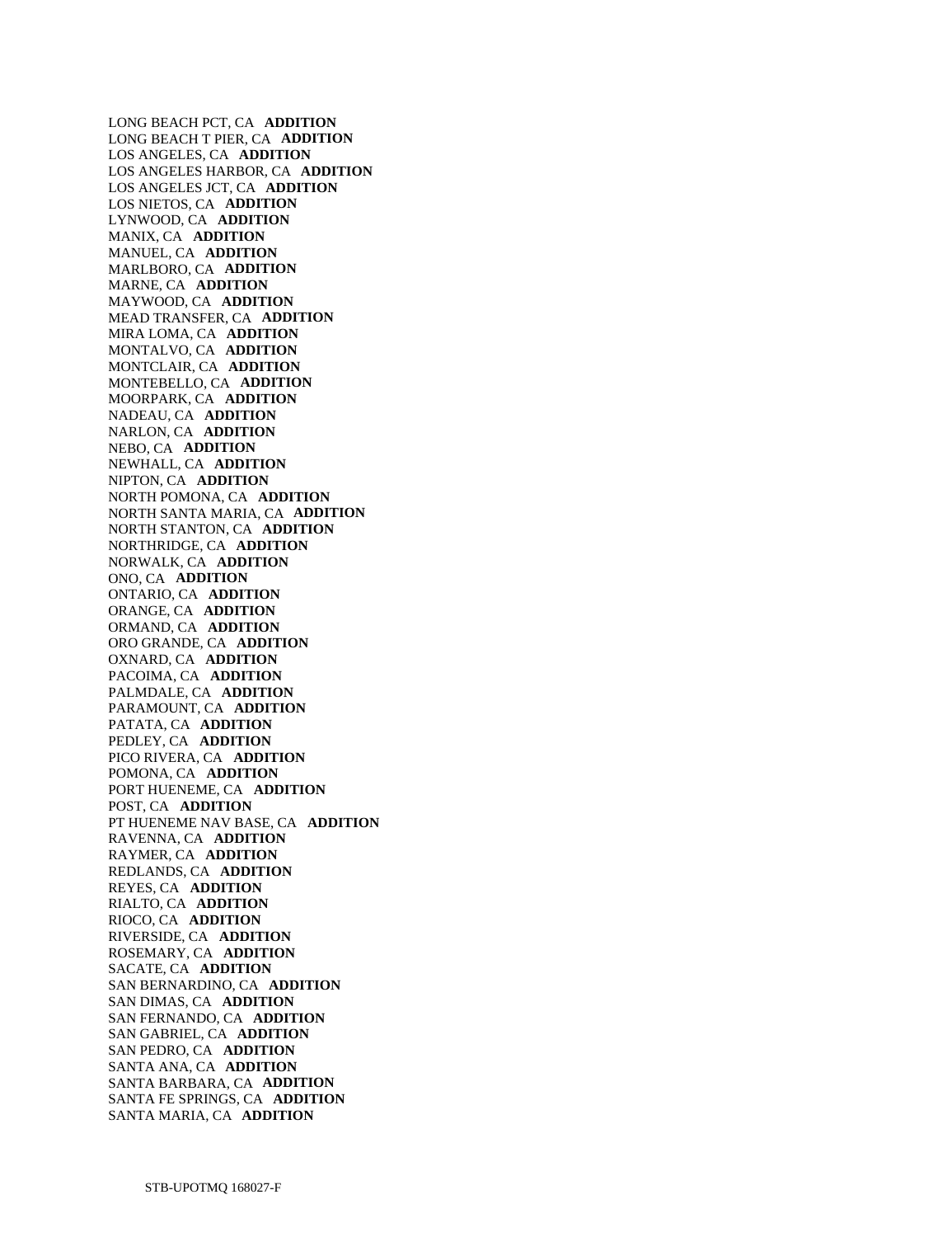LONG BEACH PCT, CA **ADDITION**  LONG BEACH T PIER, CA **ADDITION**  LOS ANGELES, CA **ADDITION**  LOS ANGELES HARBOR, CA **ADDITION**  LOS ANGELES JCT, CA **ADDITION**  LOS NIETOS, CA **ADDITION**  LYNWOOD, CA **ADDITION**  MANIX, CA **ADDITION**  MANUEL, CA **ADDITION**  MARLBORO, CA **ADDITION**  MARNE, CA **ADDITION**  MAYWOOD, CA **ADDITION**  MEAD TRANSFER, CA **ADDITION**  MIRA LOMA, CA **ADDITION**  MONTALVO, CA **ADDITION**  MONTCLAIR, CA **ADDITION**  MONTEBELLO, CA **ADDITION**  MOORPARK, CA **ADDITION**  NADEAU, CA **ADDITION**  NARLON, CA **ADDITION**  NEBO, CA **ADDITION**  NEWHALL, CA **ADDITION**  NIPTON, CA **ADDITION**  NORTH POMONA, CA **ADDITION**  NORTH SANTA MARIA, CA **ADDITION**  NORTH STANTON, CA **ADDITION**  NORTHRIDGE, CA **ADDITION**  NORWALK, CA **ADDITION**  ONO, CA **ADDITION**  ONTARIO, CA **ADDITION**  ORANGE, CA **ADDITION**  ORMAND, CA **ADDITION**  ORO GRANDE, CA **ADDITION**  OXNARD, CA **ADDITION**  PACOIMA, CA **ADDITION**  PALMDALE, CA **ADDITION**  PARAMOUNT, CA **ADDITION**  PATATA, CA **ADDITION**  PEDLEY, CA **ADDITION**  PICO RIVERA, CA **ADDITION**  POMONA, CA **ADDITION**  PORT HUENEME, CA **ADDITION**  POST, CA **ADDITION**  PT HUENEME NAV BASE, CA **ADDITION**  RAVENNA, CA **ADDITION**  RAYMER, CA **ADDITION**  REDLANDS, CA **ADDITION**  REYES, CA **ADDITION**  RIALTO, CA **ADDITION**  RIOCO, CA **ADDITION**  RIVERSIDE, CA **ADDITION**  ROSEMARY, CA **ADDITION**  SACATE, CA **ADDITION**  SAN BERNARDINO, CA **ADDITION**  SAN DIMAS, CA **ADDITION**  SAN FERNANDO, CA **ADDITION**  SAN GABRIEL, CA **ADDITION**  SAN PEDRO, CA **ADDITION**  SANTA ANA, CA **ADDITION**  SANTA BARBARA, CA **ADDITION**  SANTA FE SPRINGS, CA **ADDITION**  SANTA MARIA, CA **ADDITION**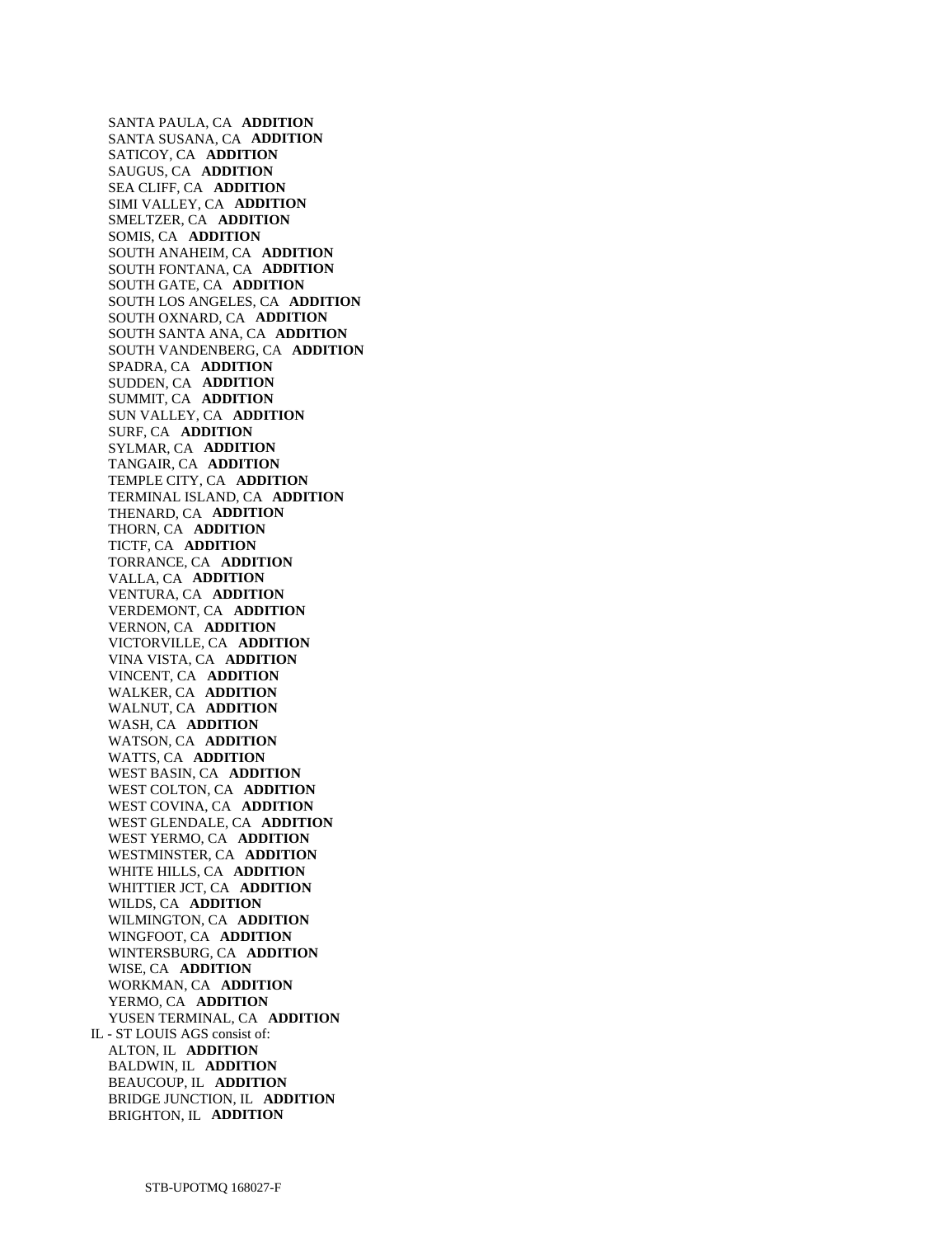SANTA PAULA, CA **ADDITION**  SANTA SUSANA, CA **ADDITION**  SATICOY, CA **ADDITION**  SAUGUS, CA **ADDITION**  SEA CLIFF, CA **ADDITION**  SIMI VALLEY, CA **ADDITION**  SMELTZER, CA **ADDITION**  SOMIS, CA **ADDITION**  SOUTH ANAHEIM, CA **ADDITION**  SOUTH FONTANA, CA **ADDITION**  SOUTH GATE, CA **ADDITION**  SOUTH LOS ANGELES, CA **ADDITION**  SOUTH OXNARD, CA **ADDITION**  SOUTH SANTA ANA, CA **ADDITION**  SOUTH VANDENBERG, CA **ADDITION**  SPADRA, CA **ADDITION**  SUDDEN, CA **ADDITION**  SUMMIT, CA **ADDITION**  SUN VALLEY, CA **ADDITION**  SURF, CA **ADDITION**  SYLMAR, CA **ADDITION**  TANGAIR, CA **ADDITION**  TEMPLE CITY, CA **ADDITION**  TERMINAL ISLAND, CA **ADDITION**  THENARD, CA **ADDITION**  THORN, CA **ADDITION**  TICTF, CA **ADDITION**  TORRANCE, CA **ADDITION**  VALLA, CA **ADDITION**  VENTURA, CA **ADDITION**  VERDEMONT, CA **ADDITION**  VERNON, CA **ADDITION**  VICTORVILLE, CA **ADDITION**  VINA VISTA, CA **ADDITION**  VINCENT, CA **ADDITION**  WALKER, CA **ADDITION**  WALNUT, CA **ADDITION**  WASH, CA **ADDITION**  WATSON, CA **ADDITION**  WATTS, CA **ADDITION**  WEST BASIN, CA **ADDITION**  WEST COLTON, CA **ADDITION**  WEST COVINA, CA **ADDITION**  WEST GLENDALE, CA **ADDITION**  WEST YERMO, CA **ADDITION**  WESTMINSTER, CA **ADDITION**  WHITE HILLS, CA **ADDITION**  WHITTIER JCT, CA **ADDITION**  WILDS, CA **ADDITION**  WILMINGTON, CA **ADDITION**  WINGFOOT, CA **ADDITION**  WINTERSBURG, CA **ADDITION**  WISE, CA **ADDITION**  WORKMAN, CA **ADDITION**  YERMO, CA **ADDITION**  YUSEN TERMINAL, CA **ADDITION**  IL - ST LOUIS AGS consist of: ALTON, IL **ADDITION**  BALDWIN, IL **ADDITION**  BEAUCOUP, IL **ADDITION**  BRIDGE JUNCTION, IL **ADDITION**  BRIGHTON, IL **ADDITION**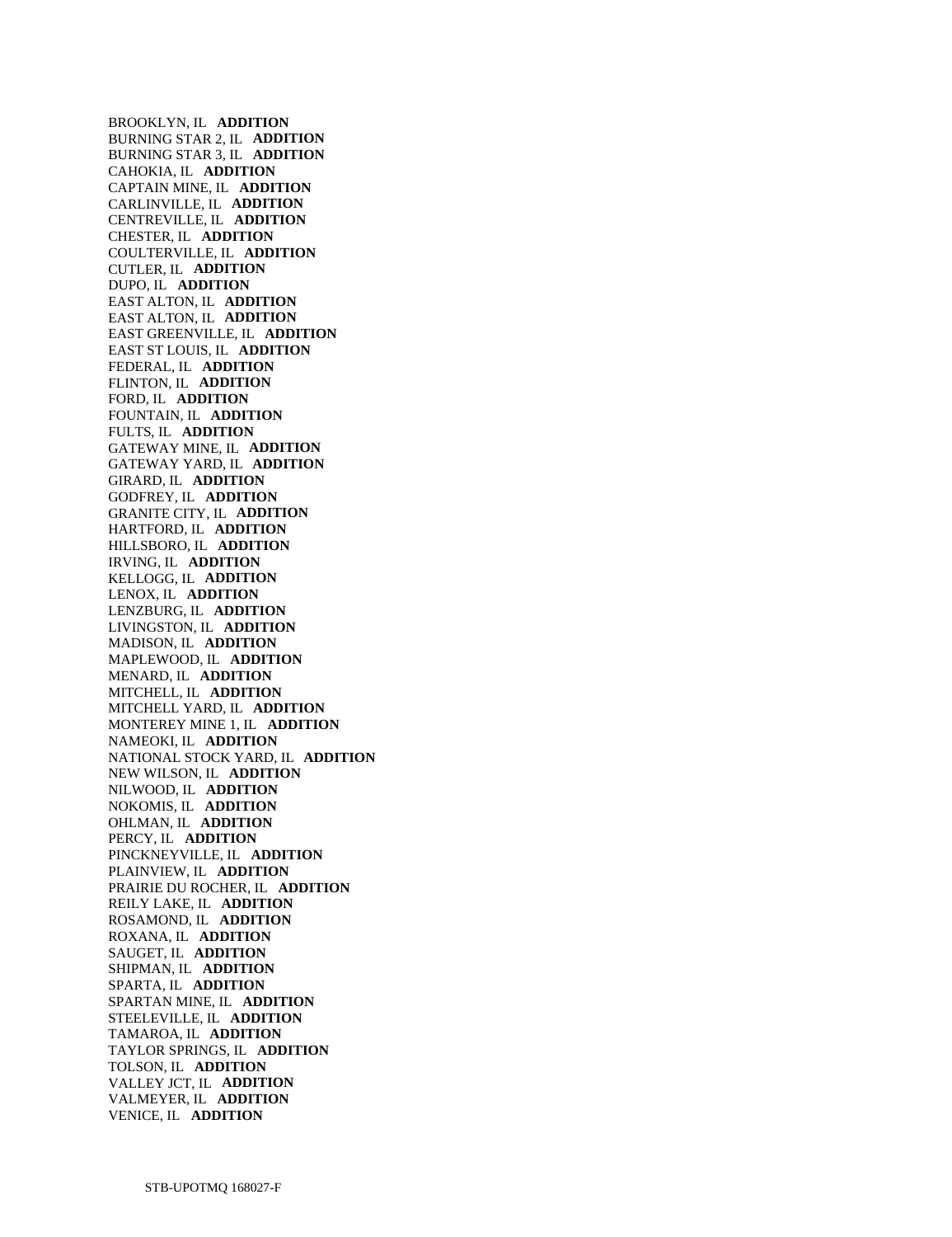BROOKLYN, IL **ADDITION**  BURNING STAR 2, IL **ADDITION**  BURNING STAR 3, IL **ADDITION**  CAHOKIA, IL **ADDITION**  CAPTAIN MINE, IL **ADDITION**  CARLINVILLE, IL **ADDITION**  CENTREVILLE, IL **ADDITION**  CHESTER, IL **ADDITION**  COULTERVILLE, IL **ADDITION**  CUTLER, IL **ADDITION**  DUPO, IL **ADDITION**  EAST ALTON, IL **ADDITION**  EAST ALTON, IL **ADDITION**  EAST GREENVILLE, IL **ADDITION**  EAST ST LOUIS, IL **ADDITION**  FEDERAL, IL **ADDITION**  FLINTON, IL **ADDITION**  FORD, IL **ADDITION**  FOUNTAIN, IL **ADDITION**  FULTS, IL **ADDITION**  GATEWAY MINE, IL **ADDITION**  GATEWAY YARD, IL **ADDITION**  GIRARD, IL **ADDITION**  GODFREY, IL **ADDITION**  GRANITE CITY, IL **ADDITION**  HARTFORD, IL **ADDITION**  HILLSBORO, IL **ADDITION**  IRVING, IL **ADDITION**  KELLOGG, IL **ADDITION**  LENOX, IL **ADDITION**  LENZBURG, IL **ADDITION**  LIVINGSTON, IL **ADDITION**  MADISON, IL **ADDITION**  MAPLEWOOD, IL **ADDITION**  MENARD, IL **ADDITION**  MITCHELL, IL **ADDITION**  MITCHELL YARD, IL **ADDITION**  MONTEREY MINE 1, IL **ADDITION**  NAMEOKI, IL **ADDITION**  NATIONAL STOCK YARD, IL **ADDITION**  NEW WILSON, IL **ADDITION**  NILWOOD, IL **ADDITION**  NOKOMIS, IL **ADDITION**  OHLMAN, IL **ADDITION**  PERCY, IL **ADDITION**  PINCKNEYVILLE, IL **ADDITION**  PLAINVIEW, IL **ADDITION**  PRAIRIE DU ROCHER, IL **ADDITION**  REILY LAKE, IL **ADDITION**  ROSAMOND, IL **ADDITION**  ROXANA, IL **ADDITION**  SAUGET, IL **ADDITION**  SHIPMAN, IL **ADDITION**  SPARTA, IL **ADDITION**  SPARTAN MINE, IL **ADDITION**  STEELEVILLE, IL **ADDITION**  TAMAROA, IL **ADDITION**  TAYLOR SPRINGS, IL **ADDITION**  TOLSON, IL **ADDITION**  VALLEY JCT, IL **ADDITION**  VALMEYER, IL **ADDITION**  VENICE, IL **ADDITION**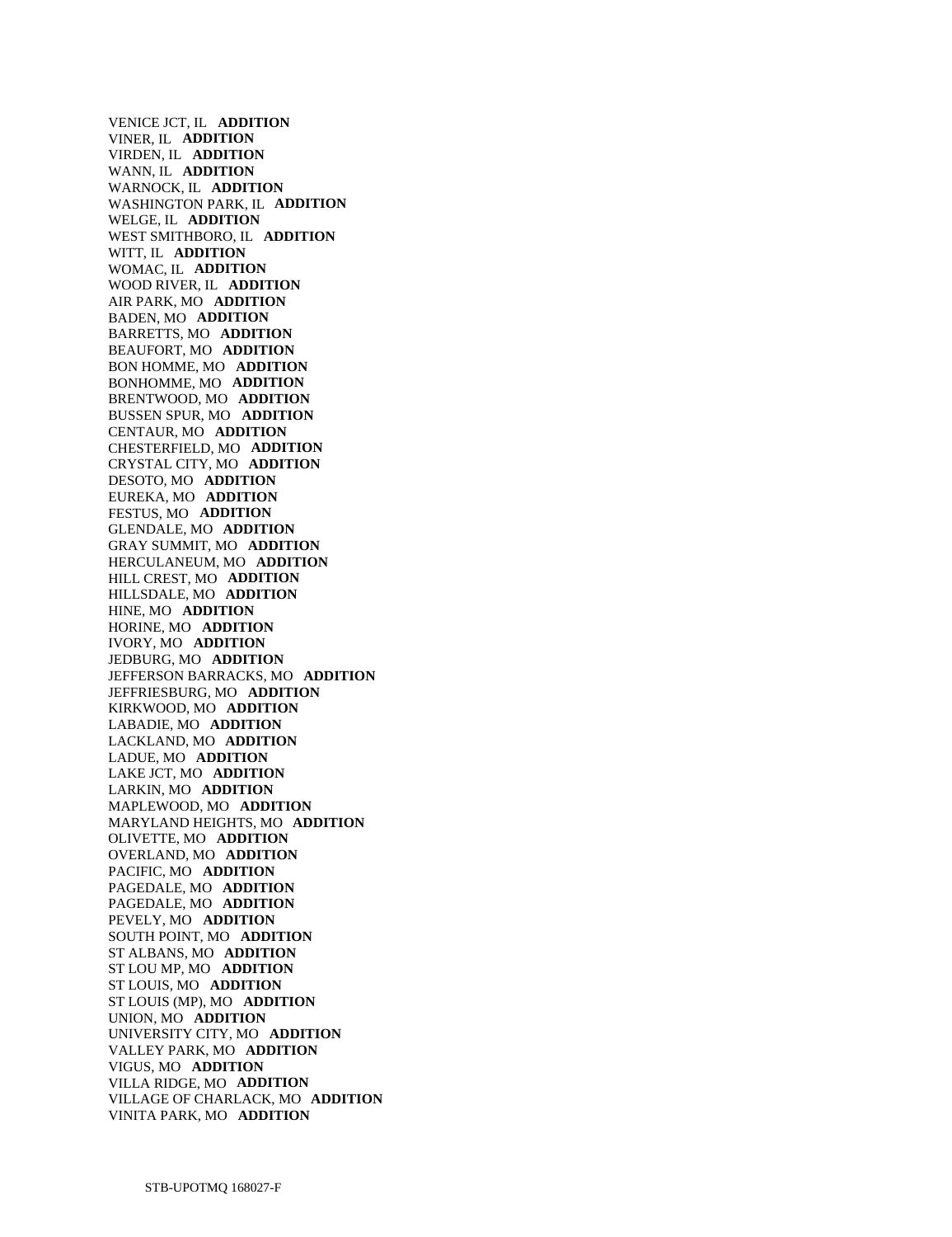VENICE JCT, IL **ADDITION**  VINER, IL **ADDITION**  VIRDEN, IL **ADDITION**  WANN, IL **ADDITION**  WARNOCK, IL **ADDITION**  WASHINGTON PARK, IL **ADDITION**  WELGE, IL **ADDITION**  WEST SMITHBORO, IL **ADDITION**  WITT, IL **ADDITION**  WOMAC, IL **ADDITION**  WOOD RIVER, IL **ADDITION**  AIR PARK, MO **ADDITION**  BADEN, MO **ADDITION**  BARRETTS, MO **ADDITION**  BEAUFORT, MO **ADDITION**  BON HOMME, MO **ADDITION**  BONHOMME, MO **ADDITION**  BRENTWOOD, MO **ADDITION**  BUSSEN SPUR, MO **ADDITION**  CENTAUR, MO **ADDITION**  CHESTERFIELD, MO **ADDITION**  CRYSTAL CITY, MO **ADDITION**  DESOTO, MO **ADDITION**  EUREKA, MO **ADDITION**  FESTUS, MO **ADDITION**  GLENDALE, MO **ADDITION**  GRAY SUMMIT, MO **ADDITION**  HERCULANEUM, MO **ADDITION**  HILL CREST, MO **ADDITION**  HILLSDALE, MO **ADDITION**  HINE, MO **ADDITION**  HORINE, MO **ADDITION**  IVORY, MO **ADDITION**  JEDBURG, MO **ADDITION**  JEFFERSON BARRACKS, MO **ADDITION**  JEFFRIESBURG, MO **ADDITION**  KIRKWOOD, MO **ADDITION**  LABADIE, MO **ADDITION**  LACKLAND, MO **ADDITION**  LADUE, MO **ADDITION**  LAKE JCT, MO **ADDITION**  LARKIN, MO **ADDITION**  MAPLEWOOD, MO **ADDITION**  MARYLAND HEIGHTS, MO **ADDITION**  OLIVETTE, MO **ADDITION**  OVERLAND, MO **ADDITION**  PACIFIC, MO **ADDITION**  PAGEDALE, MO **ADDITION**  PAGEDALE, MO **ADDITION**  PEVELY, MO **ADDITION**  SOUTH POINT, MO **ADDITION**  ST ALBANS, MO **ADDITION**  ST LOU MP, MO **ADDITION**  ST LOUIS, MO **ADDITION**  ST LOUIS (MP), MO **ADDITION**  UNION, MO **ADDITION**  UNIVERSITY CITY, MO **ADDITION**  VALLEY PARK, MO **ADDITION**  VIGUS, MO **ADDITION**  VILLA RIDGE, MO **ADDITION**  VILLAGE OF CHARLACK, MO **ADDITION**  VINITA PARK, MO **ADDITION**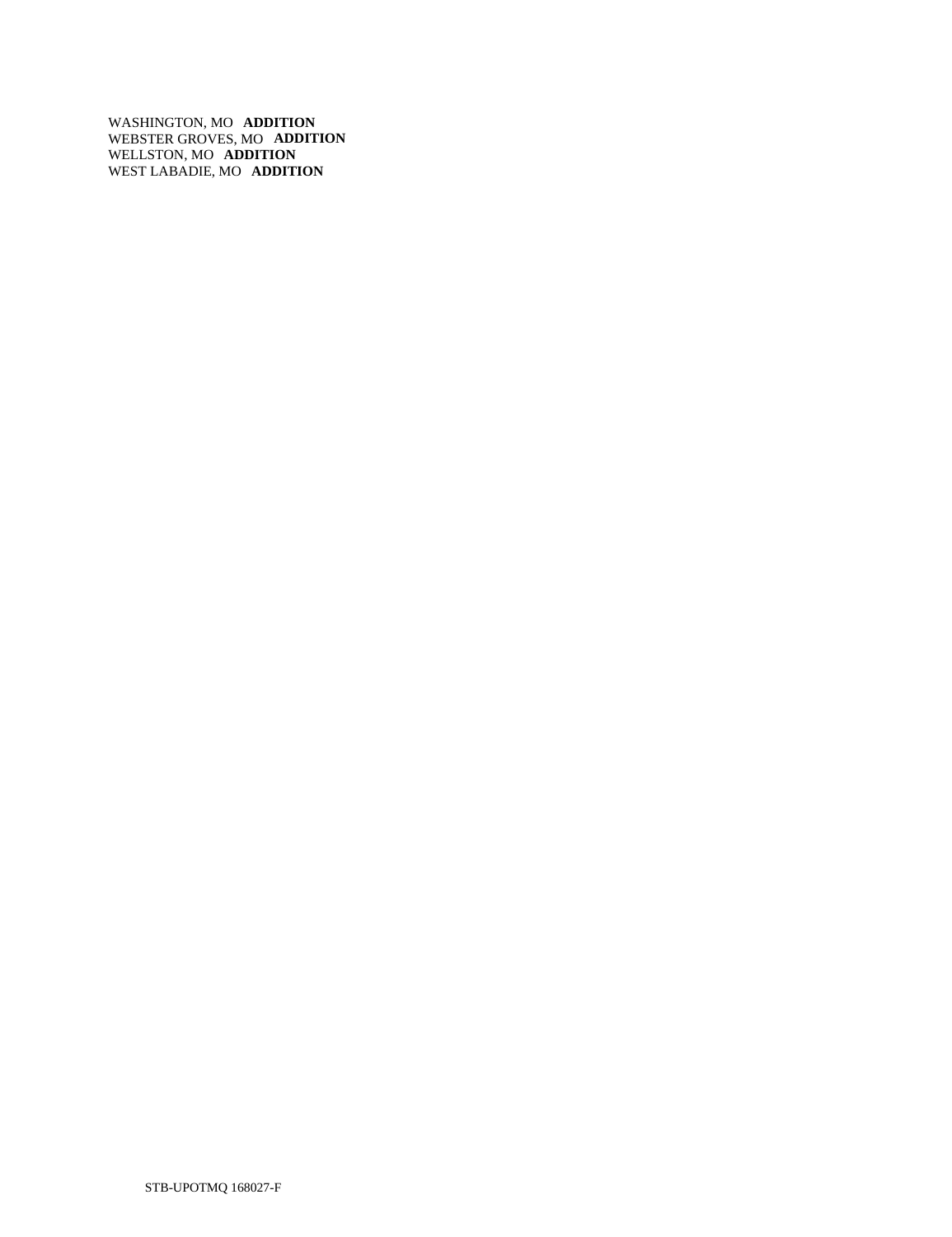WASHINGTON, MO **ADDITION**  WEBSTER GROVES, MO **ADDITION**  WELLSTON, MO **ADDITION**  WEST LABADIE, MO **ADDITION**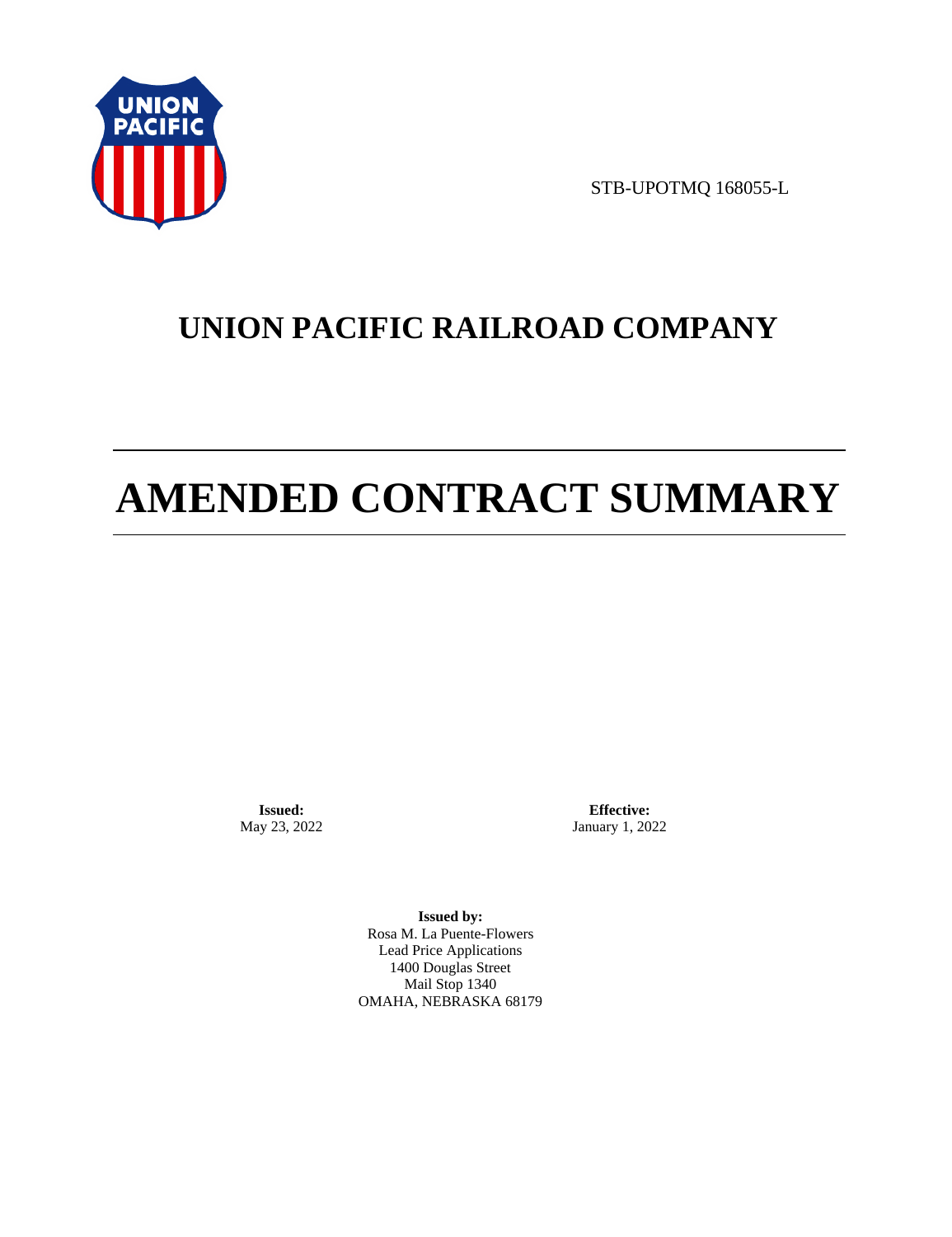

STB-UPOTMQ 168055-L

# **UNION PACIFIC RAILROAD COMPANY**

# **AMENDED CONTRACT SUMMARY**

**Issued:**  May 23, 2022

**Effective:** January 1, 2022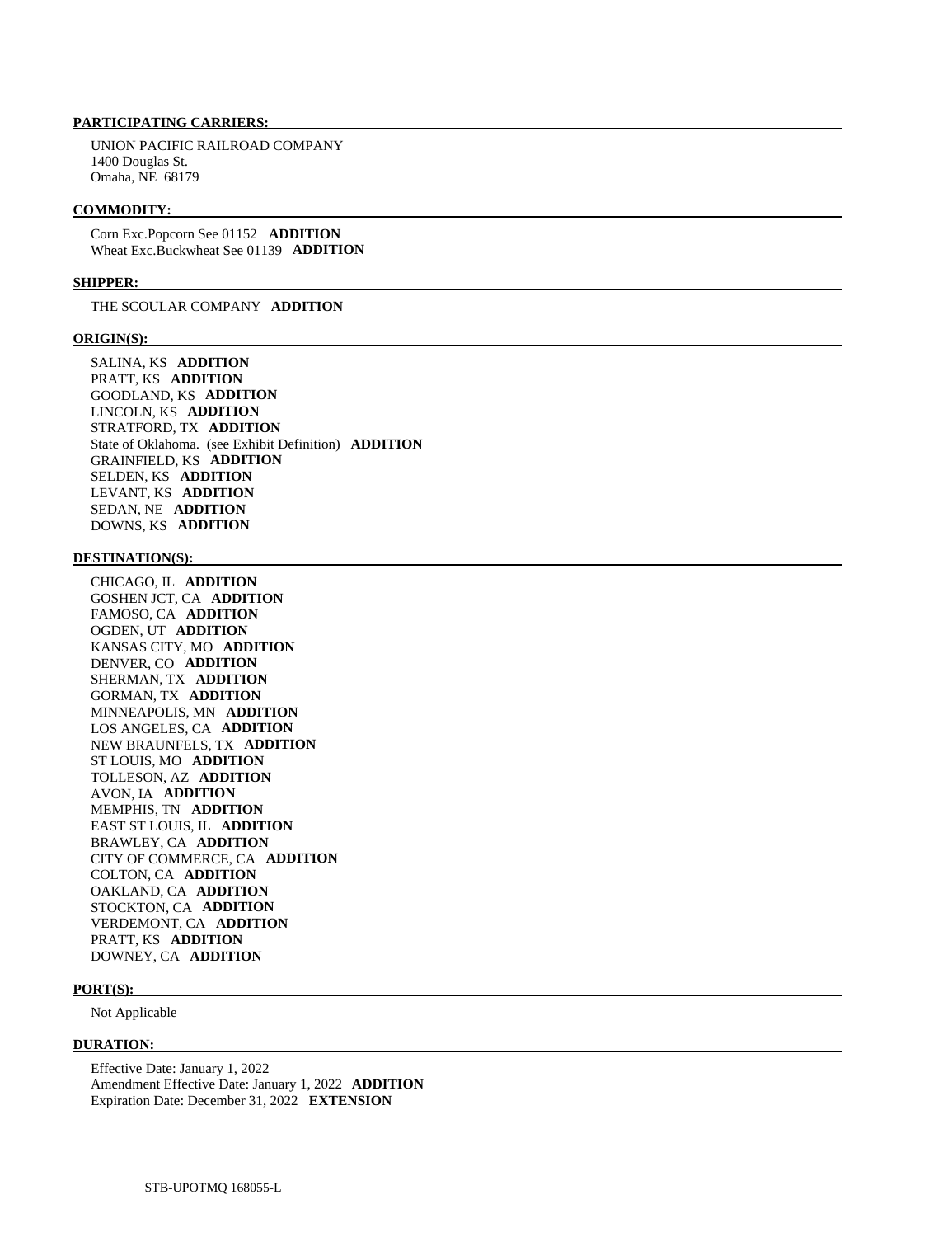UNION PACIFIC RAILROAD COMPANY 1400 Douglas St. Omaha, NE 68179

#### **COMMODITY:**

 Corn Exc.Popcorn See 01152 **ADDITION**  Wheat Exc.Buckwheat See 01139 **ADDITION** 

### **SHIPPER:**

THE SCOULAR COMPANY **ADDITION** 

#### **ORIGIN(S):**

 SALINA, KS **ADDITION**  PRATT, KS **ADDITION**  GOODLAND, KS **ADDITION**  LINCOLN, KS **ADDITION**  STRATFORD, TX **ADDITION**  State of Oklahoma. (see Exhibit Definition) **ADDITION**  GRAINFIELD, KS **ADDITION**  SELDEN, KS **ADDITION**  LEVANT, KS **ADDITION**  SEDAN, NE **ADDITION**  DOWNS, KS **ADDITION** 

## **DESTINATION(S):**

 CHICAGO, IL **ADDITION**  GOSHEN JCT, CA **ADDITION**  FAMOSO, CA **ADDITION**  OGDEN, UT **ADDITION**  KANSAS CITY, MO **ADDITION**  DENVER, CO **ADDITION**  SHERMAN, TX **ADDITION**  GORMAN, TX **ADDITION**  MINNEAPOLIS, MN **ADDITION**  LOS ANGELES, CA **ADDITION**  NEW BRAUNFELS, TX **ADDITION**  ST LOUIS, MO **ADDITION**  TOLLESON, AZ **ADDITION**  AVON, IA **ADDITION**  MEMPHIS, TN **ADDITION**  EAST ST LOUIS, IL **ADDITION**  BRAWLEY, CA **ADDITION**  CITY OF COMMERCE, CA **ADDITION**  COLTON, CA **ADDITION**  OAKLAND, CA **ADDITION**  STOCKTON, CA **ADDITION**  VERDEMONT, CA **ADDITION**  PRATT, KS **ADDITION**  DOWNEY, CA **ADDITION** 

#### **PORT(S):**

Not Applicable

### **DURATION:**

 Effective Date: January 1, 2022 Amendment Effective Date: January 1, 2022 **ADDITION**  Expiration Date: December 31, 2022 **EXTENSION**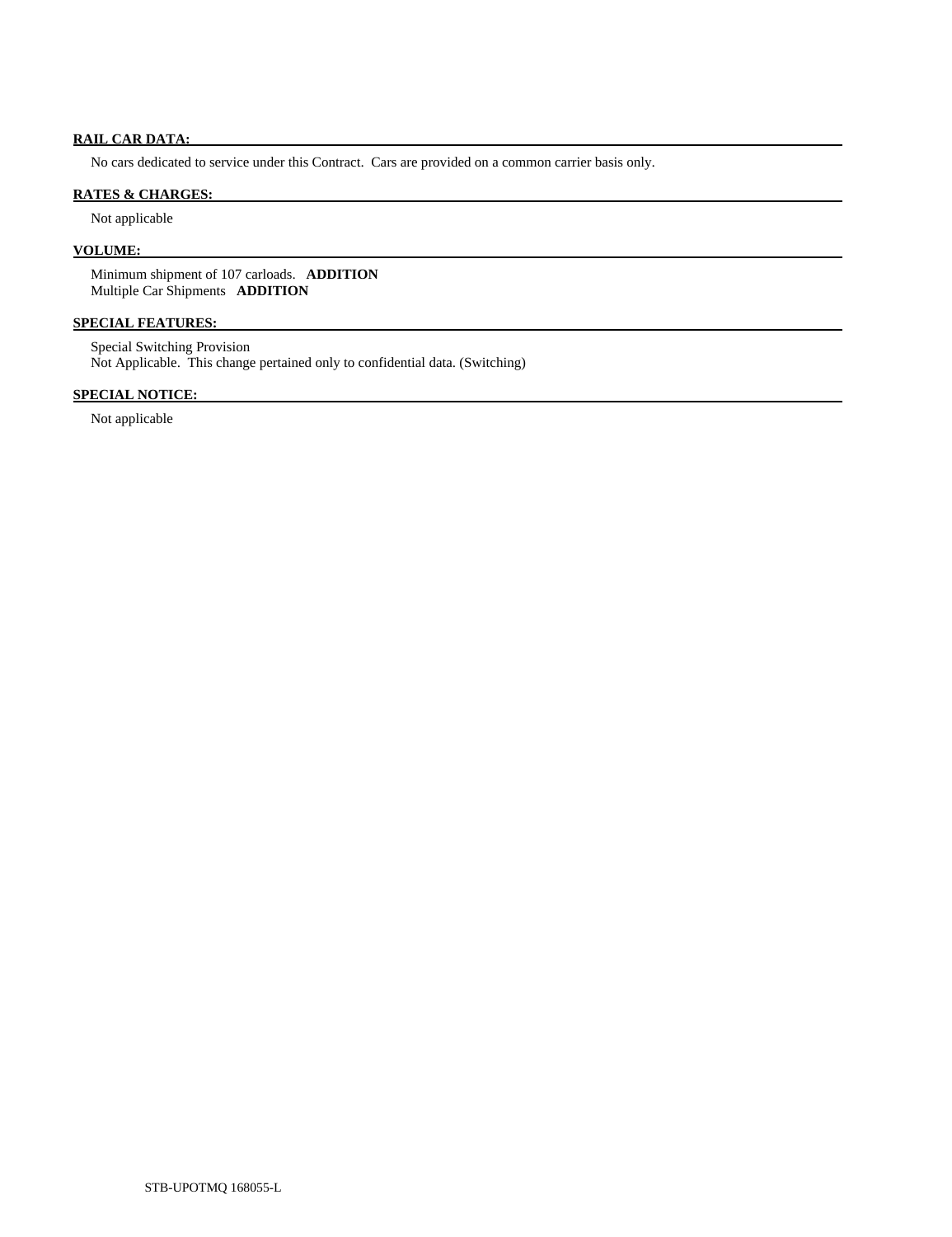# **RAIL CAR DATA:**

No cars dedicated to service under this Contract. Cars are provided on a common carrier basis only.

# **RATES & CHARGES:**

Not applicable

# **VOLUME:**

 Minimum shipment of 107 carloads. **ADDITION**  Multiple Car Shipments **ADDITION** 

# **SPECIAL FEATURES:**

 Special Switching Provision Not Applicable. This change pertained only to confidential data. (Switching)

# **SPECIAL NOTICE:**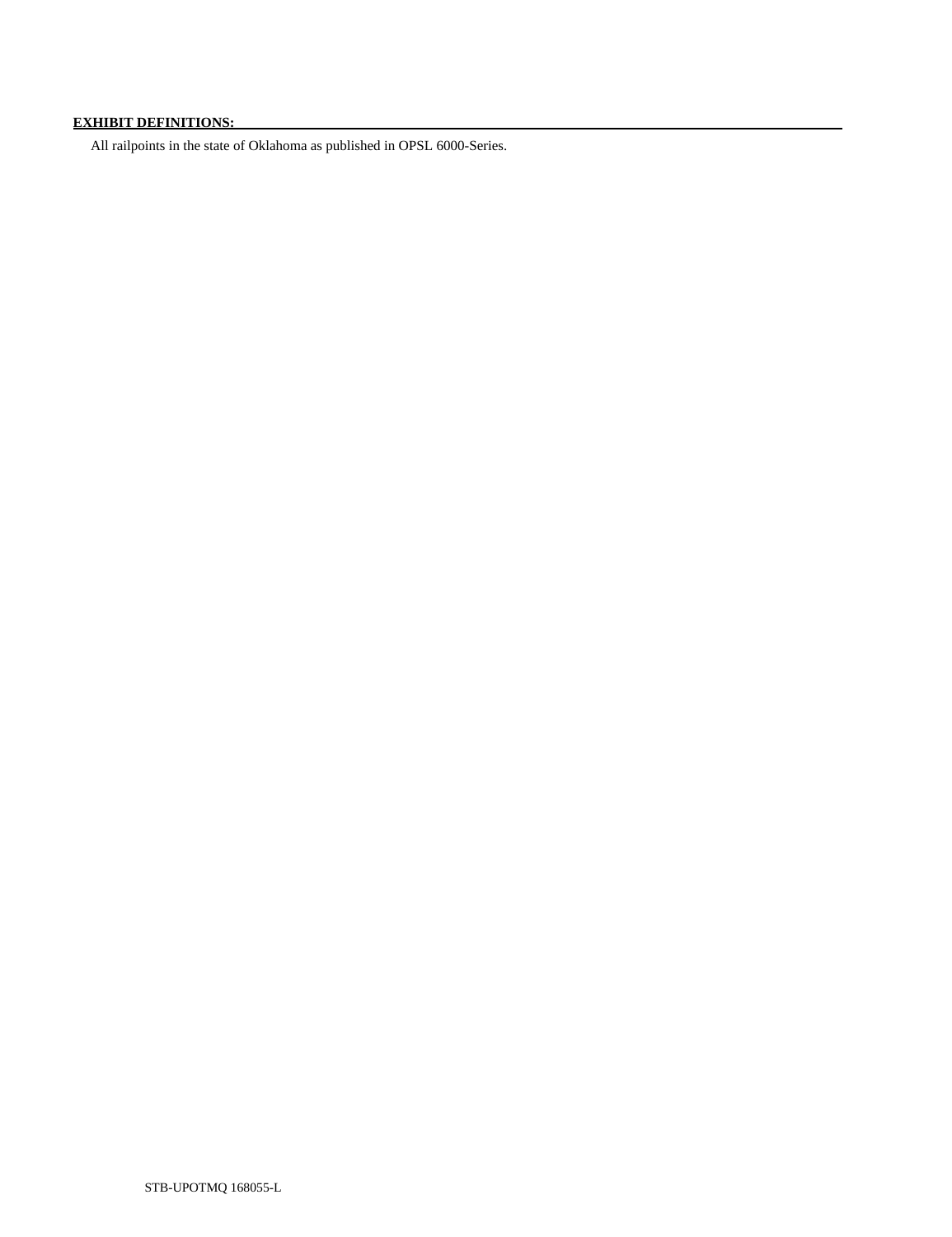# **EXHIBIT DEFINITIONS:**

All railpoints in the state of Oklahoma as published in OPSL 6000-Series.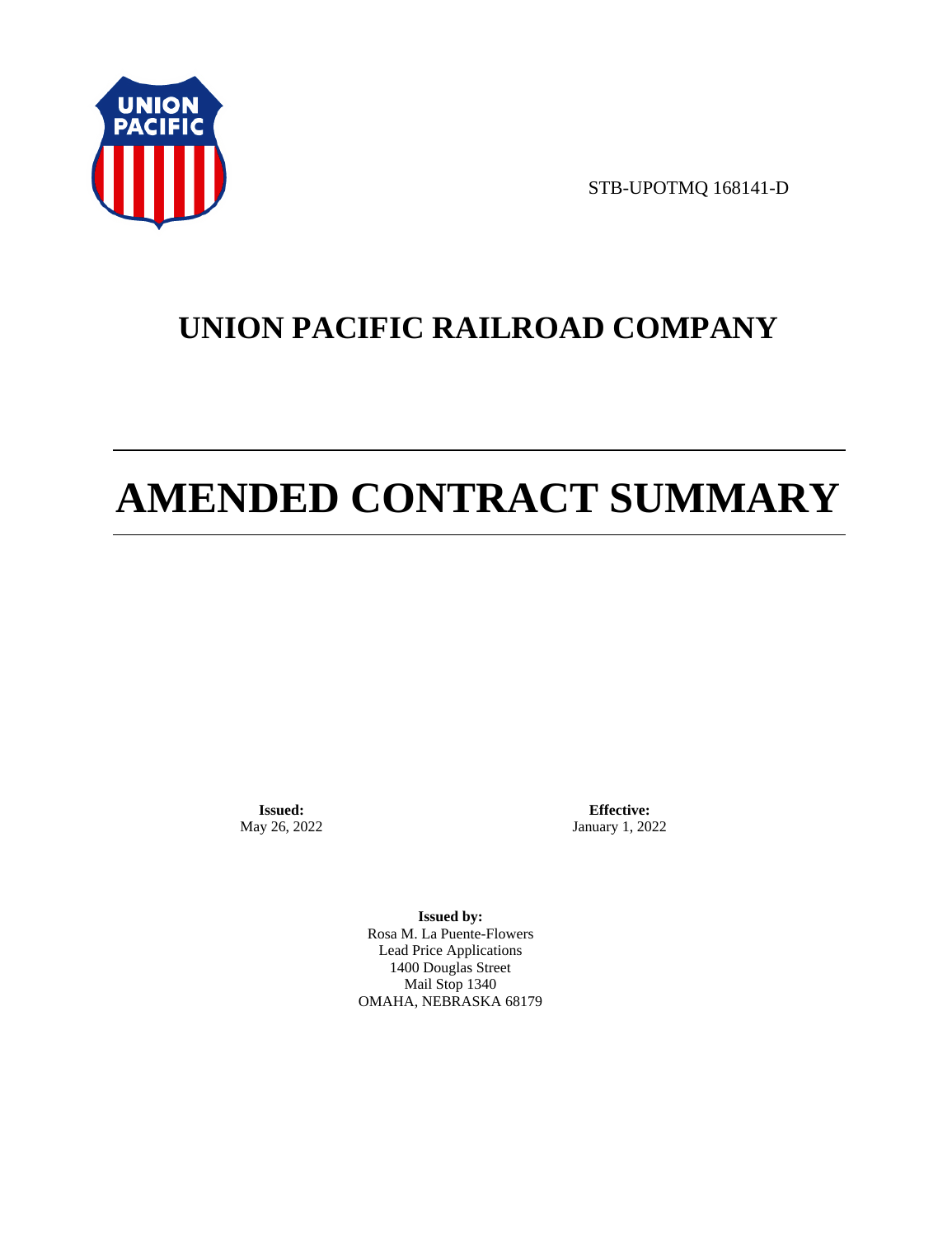

STB-UPOTMQ 168141-D

# **UNION PACIFIC RAILROAD COMPANY**

# **AMENDED CONTRACT SUMMARY**

**Issued:**  May 26, 2022

**Effective:** January 1, 2022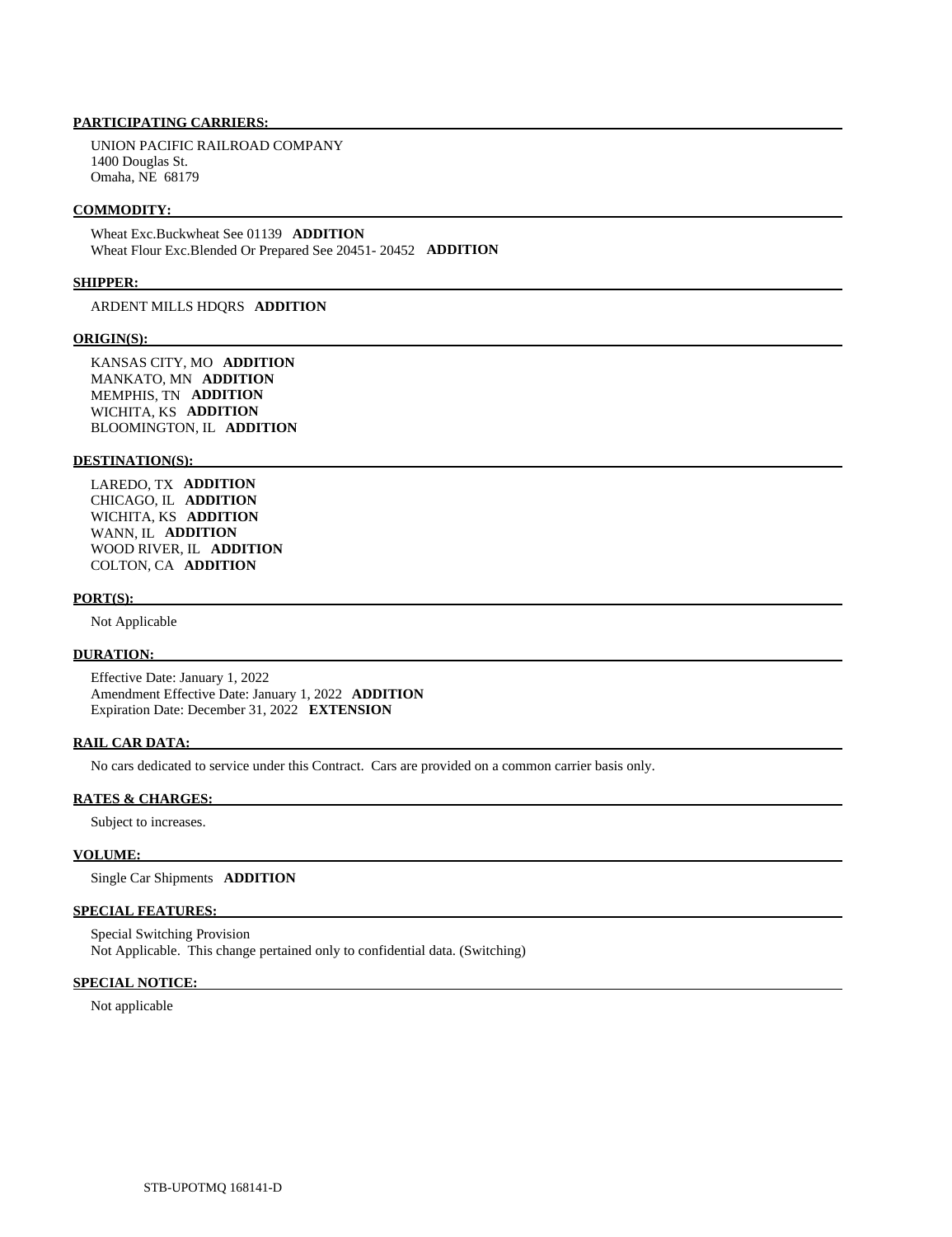UNION PACIFIC RAILROAD COMPANY 1400 Douglas St. Omaha, NE 68179

### **COMMODITY:**

 Wheat Exc.Buckwheat See 01139 **ADDITION**  Wheat Flour Exc.Blended Or Prepared See 20451- 20452 **ADDITION** 

# **SHIPPER:**

ARDENT MILLS HDQRS **ADDITION** 

### **ORIGIN(S):**

 KANSAS CITY, MO **ADDITION**  MANKATO, MN **ADDITION**  MEMPHIS, TN **ADDITION**  WICHITA, KS **ADDITION**  BLOOMINGTON, IL **ADDITION** 

#### **DESTINATION(S):**

 LAREDO, TX **ADDITION**  CHICAGO, IL **ADDITION**  WICHITA, KS **ADDITION**  WANN, IL **ADDITION**  WOOD RIVER, IL **ADDITION**  COLTON, CA **ADDITION** 

### **PORT(S):**

Not Applicable

# **DURATION:**

 Effective Date: January 1, 2022 Amendment Effective Date: January 1, 2022 **ADDITION**  Expiration Date: December 31, 2022 **EXTENSION** 

# **RAIL CAR DATA:**

No cars dedicated to service under this Contract. Cars are provided on a common carrier basis only.

#### **RATES & CHARGES:**

Subject to increases.

# **VOLUME:**

Single Car Shipments **ADDITION** 

# **SPECIAL FEATURES:**

 Special Switching Provision Not Applicable. This change pertained only to confidential data. (Switching)

# **SPECIAL NOTICE:**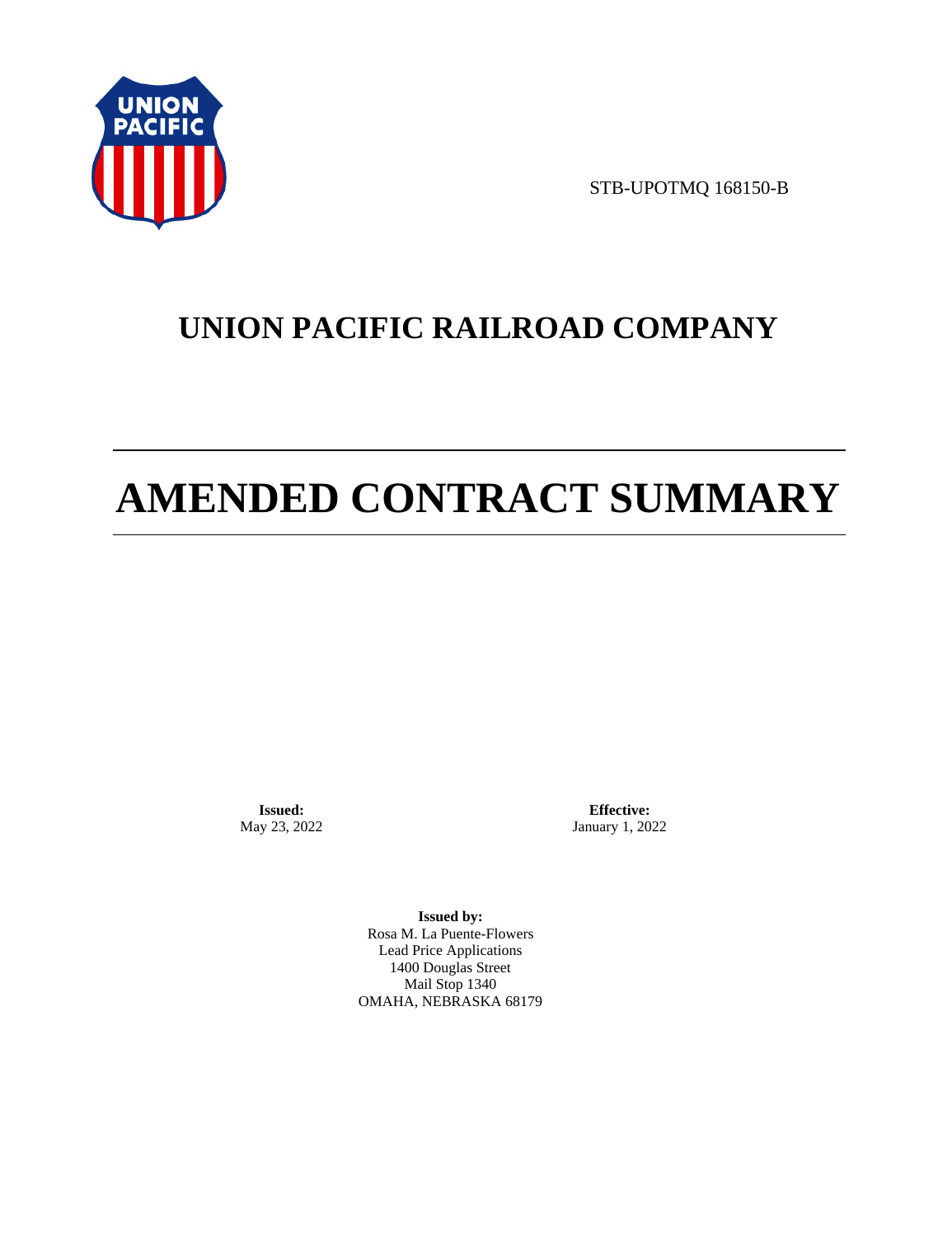

STB-UPOTMQ 168150-B

# **UNION PACIFIC RAILROAD COMPANY**

# **AMENDED CONTRACT SUMMARY**

**Issued:**  May 23, 2022

**Effective:** January 1, 2022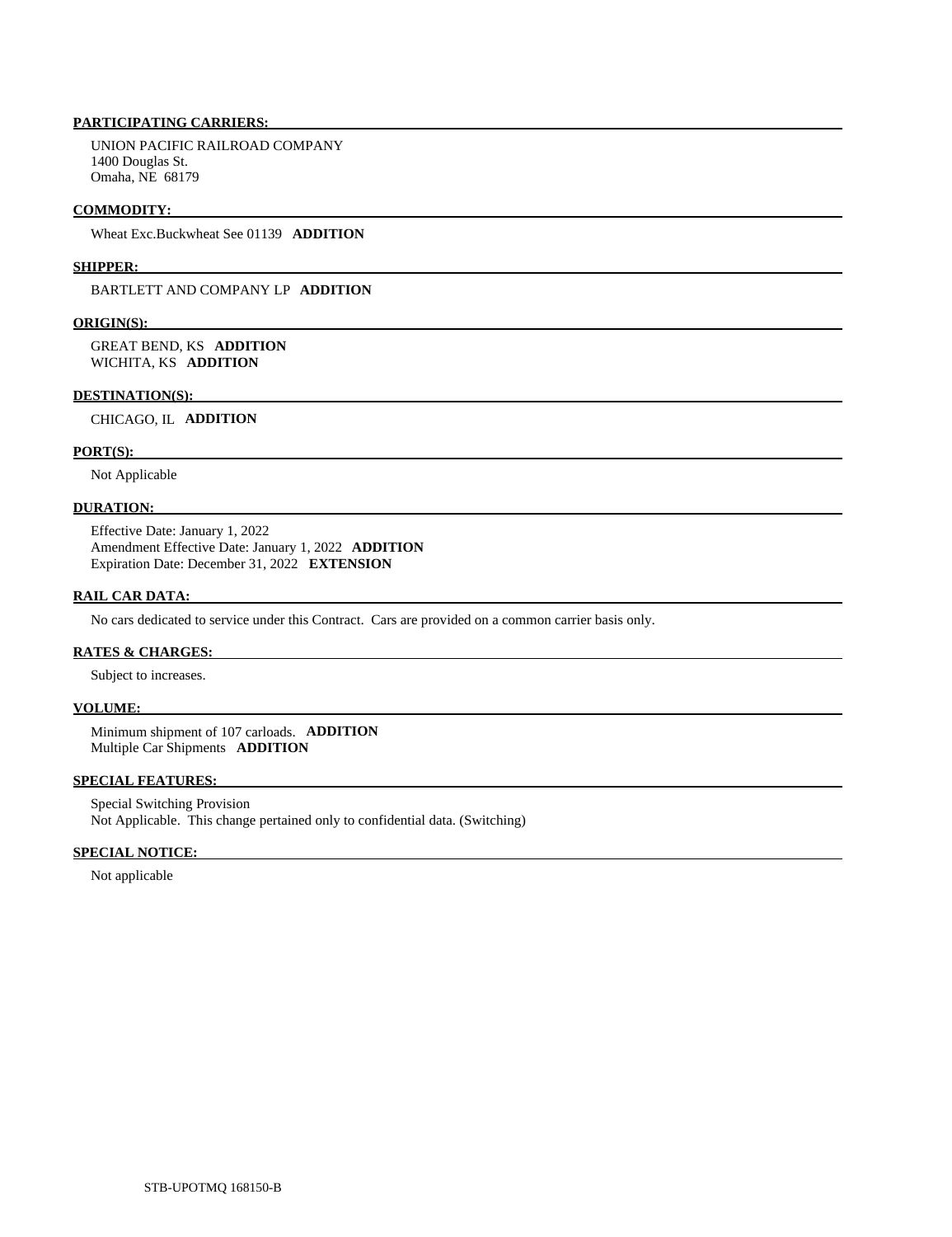UNION PACIFIC RAILROAD COMPANY 1400 Douglas St. Omaha, NE 68179

### **COMMODITY:**

Wheat Exc.Buckwheat See 01139 **ADDITION** 

#### **SHIPPER:**

BARTLETT AND COMPANY LP **ADDITION** 

## **ORIGIN(S):**

 GREAT BEND, KS **ADDITION**  WICHITA, KS **ADDITION** 

#### **DESTINATION(S):**

CHICAGO, IL **ADDITION** 

# **PORT(S):**

Not Applicable

# **DURATION:**

 Effective Date: January 1, 2022 Amendment Effective Date: January 1, 2022 **ADDITION**  Expiration Date: December 31, 2022 **EXTENSION** 

# **RAIL CAR DATA:**

No cars dedicated to service under this Contract. Cars are provided on a common carrier basis only.

## **RATES & CHARGES:**

Subject to increases.

# **VOLUME:**

 Minimum shipment of 107 carloads. **ADDITION**  Multiple Car Shipments **ADDITION** 

# **SPECIAL FEATURES:**

 Special Switching Provision Not Applicable. This change pertained only to confidential data. (Switching)

# **SPECIAL NOTICE:**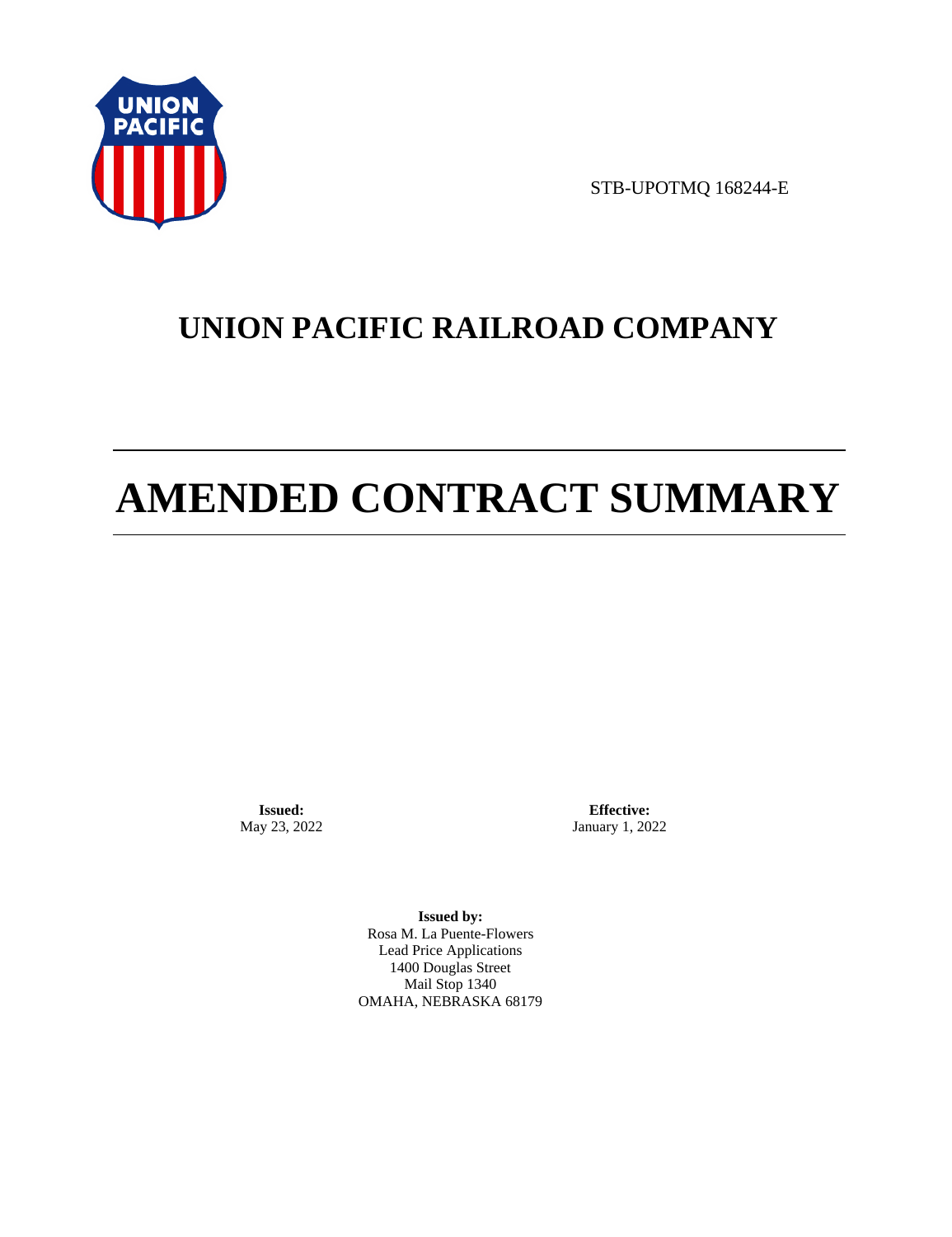

STB-UPOTMQ 168244-E

# **UNION PACIFIC RAILROAD COMPANY**

# **AMENDED CONTRACT SUMMARY**

**Issued:**  May 23, 2022

**Effective:** January 1, 2022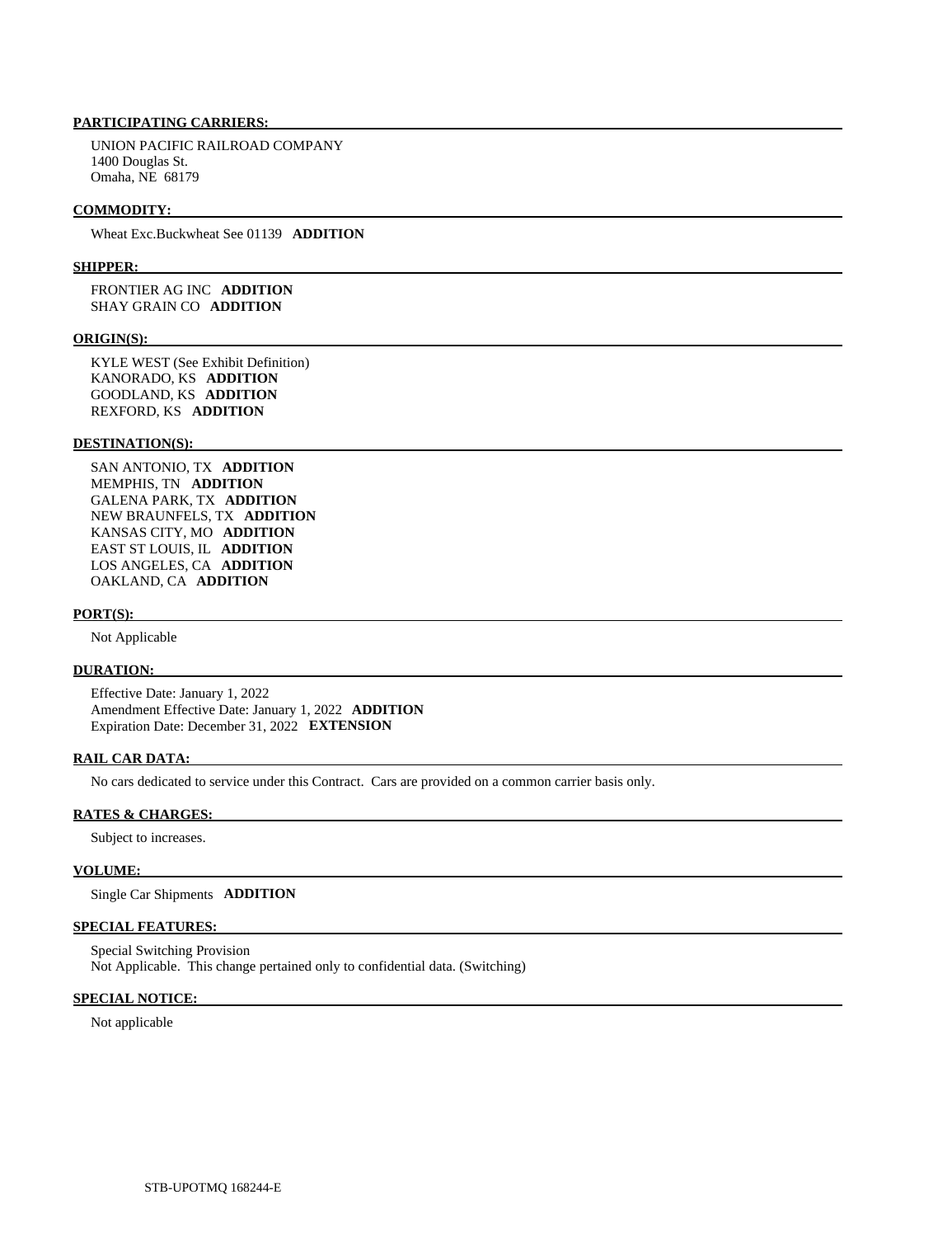UNION PACIFIC RAILROAD COMPANY 1400 Douglas St. Omaha, NE 68179

#### **COMMODITY:**

Wheat Exc.Buckwheat See 01139 **ADDITION** 

#### **SHIPPER:**

 FRONTIER AG INC **ADDITION**  SHAY GRAIN CO **ADDITION** 

## **ORIGIN(S):**

 KYLE WEST (See Exhibit Definition) KANORADO, KS **ADDITION**  GOODLAND, KS **ADDITION**  REXFORD, KS **ADDITION** 

# **DESTINATION(S):**

 SAN ANTONIO, TX **ADDITION**  MEMPHIS, TN **ADDITION**  GALENA PARK, TX **ADDITION**  NEW BRAUNFELS, TX **ADDITION**  KANSAS CITY, MO **ADDITION**  EAST ST LOUIS, IL **ADDITION**  LOS ANGELES, CA **ADDITION**  OAKLAND, CA **ADDITION** 

#### **PORT(S):**

Not Applicable

#### **DURATION:**

 Effective Date: January 1, 2022 Amendment Effective Date: January 1, 2022 **ADDITION**  Expiration Date: December 31, 2022 **EXTENSION** 

# **RAIL CAR DATA:**

No cars dedicated to service under this Contract. Cars are provided on a common carrier basis only.

#### **RATES & CHARGES:**

Subject to increases.

# **VOLUME:**

Single Car Shipments **ADDITION** 

# **SPECIAL FEATURES:**

 Special Switching Provision Not Applicable. This change pertained only to confidential data. (Switching)

# **SPECIAL NOTICE:**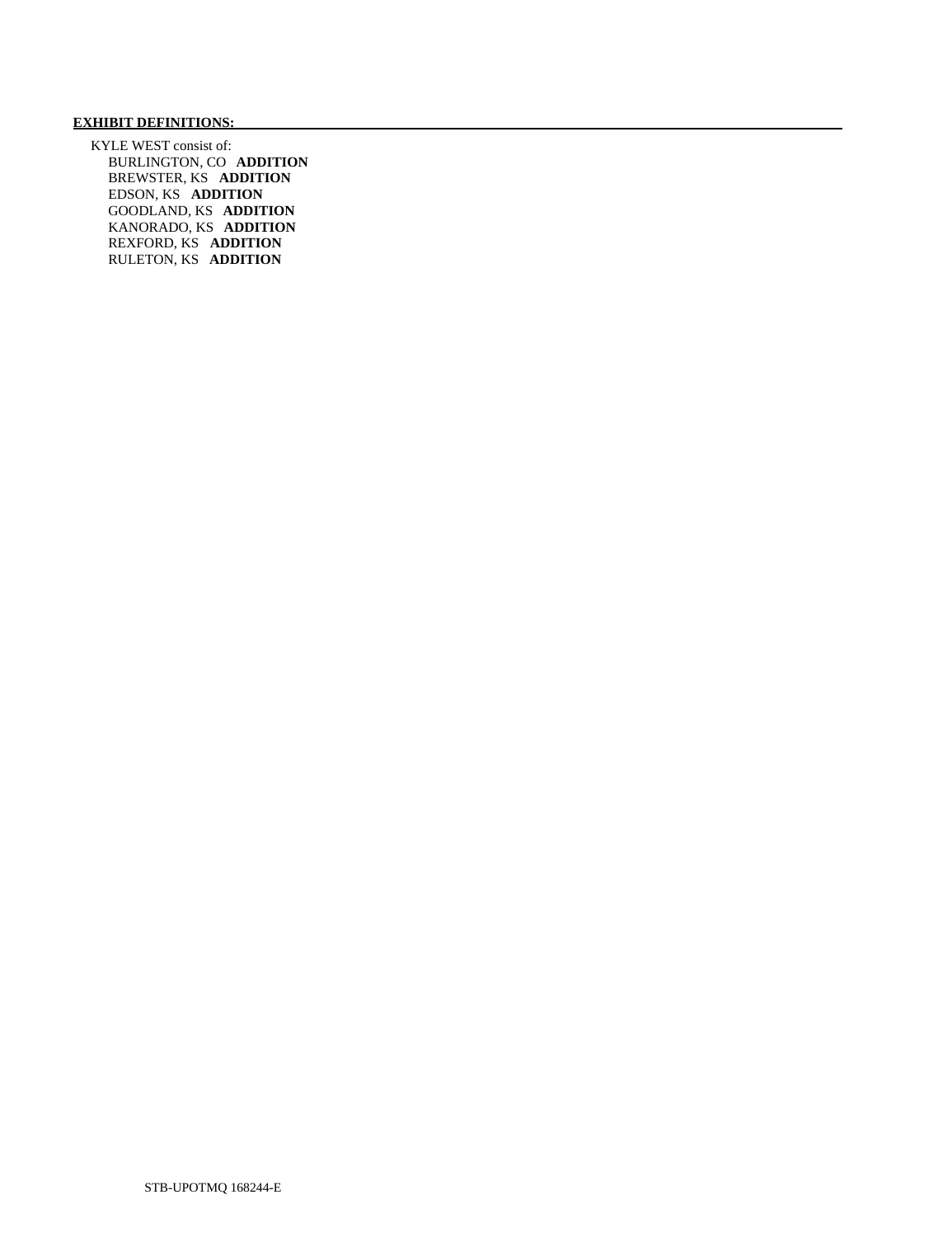# **EXHIBIT DEFINITIONS:**

 KYLE WEST consist of: BURLINGTON, CO **ADDITION**  BREWSTER, KS **ADDITION**  EDSON, KS **ADDITION**  GOODLAND, KS **ADDITION**  KANORADO, KS **ADDITION**  REXFORD, KS **ADDITION**  RULETON, KS **ADDITION**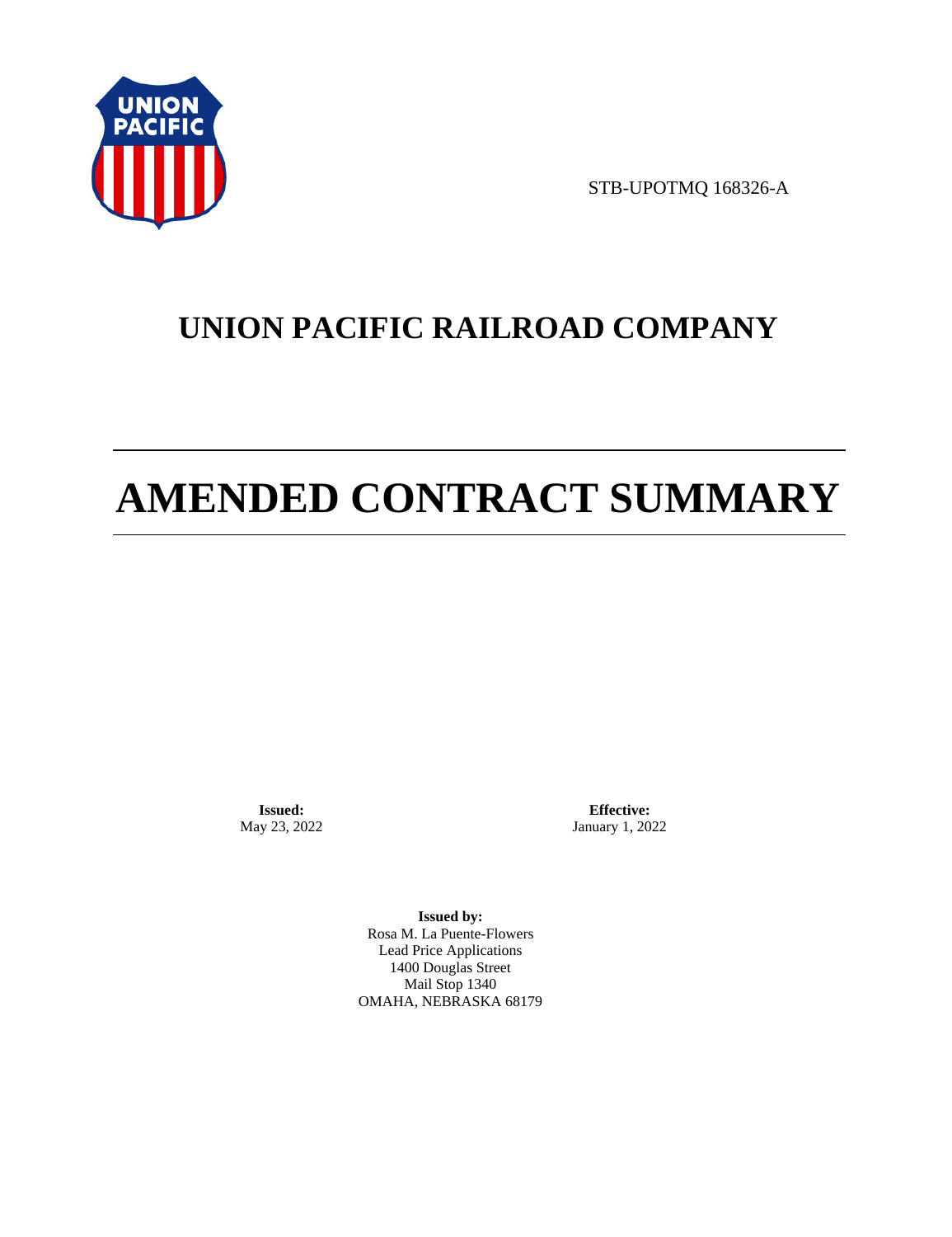

STB-UPOTMQ 168326-A

## **UNION PACIFIC RAILROAD COMPANY**

# **AMENDED CONTRACT SUMMARY**

**Issued:**  May 23, 2022

**Effective:** January 1, 2022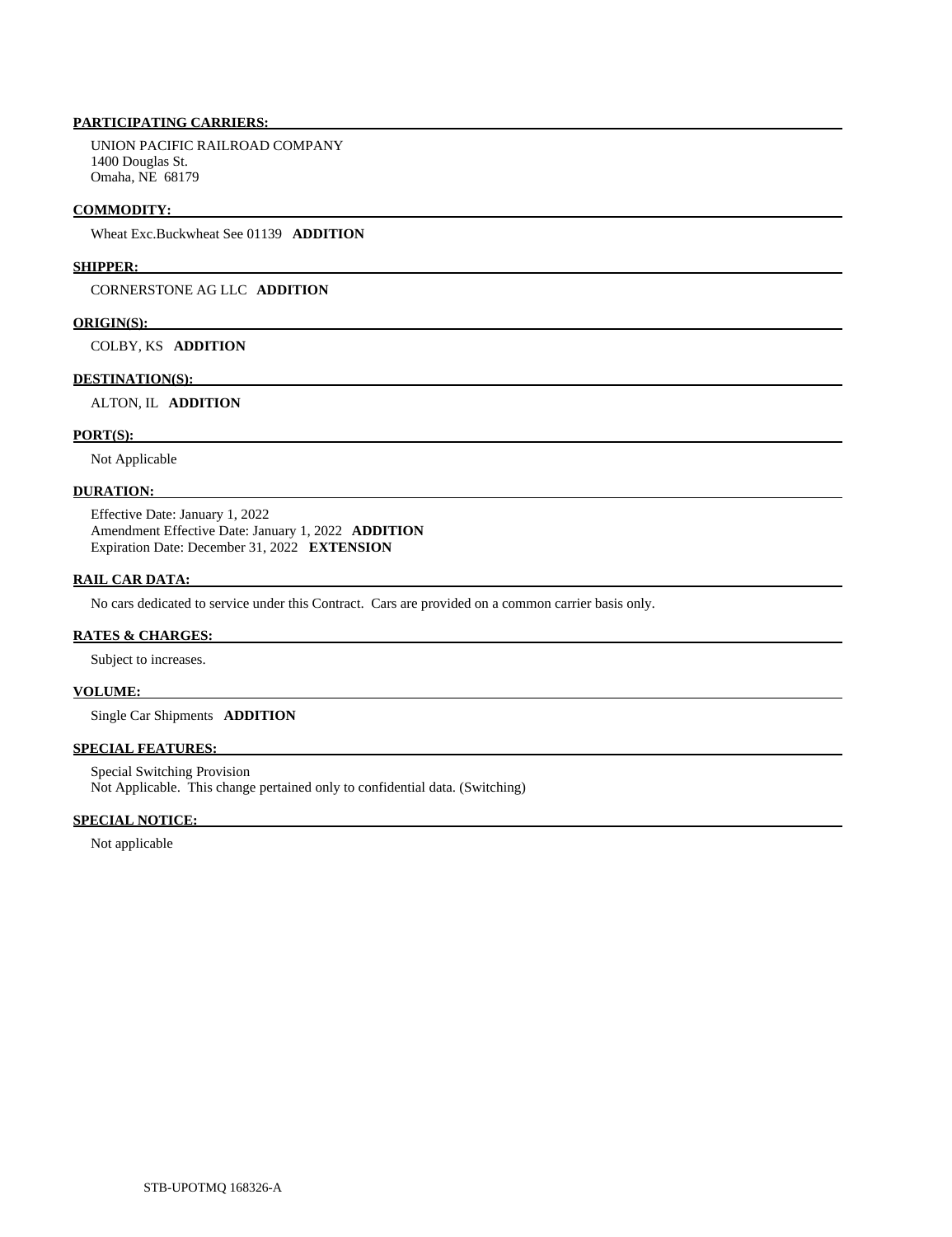UNION PACIFIC RAILROAD COMPANY 1400 Douglas St. Omaha, NE 68179

## **COMMODITY:**

Wheat Exc.Buckwheat See 01139 **ADDITION** 

## **SHIPPER:**

CORNERSTONE AG LLC **ADDITION** 

## **ORIGIN(S):**

COLBY, KS **ADDITION** 

## **DESTINATION(S):**

ALTON, IL **ADDITION** 

## **PORT(S):**

Not Applicable

## **DURATION:**

 Effective Date: January 1, 2022 Amendment Effective Date: January 1, 2022 **ADDITION**  Expiration Date: December 31, 2022 **EXTENSION** 

## **RAIL CAR DATA:**

No cars dedicated to service under this Contract. Cars are provided on a common carrier basis only.

## **RATES & CHARGES:**

Subject to increases.

## **VOLUME:**

Single Car Shipments **ADDITION** 

## **SPECIAL FEATURES:**

 Special Switching Provision Not Applicable. This change pertained only to confidential data. (Switching)

## **SPECIAL NOTICE:**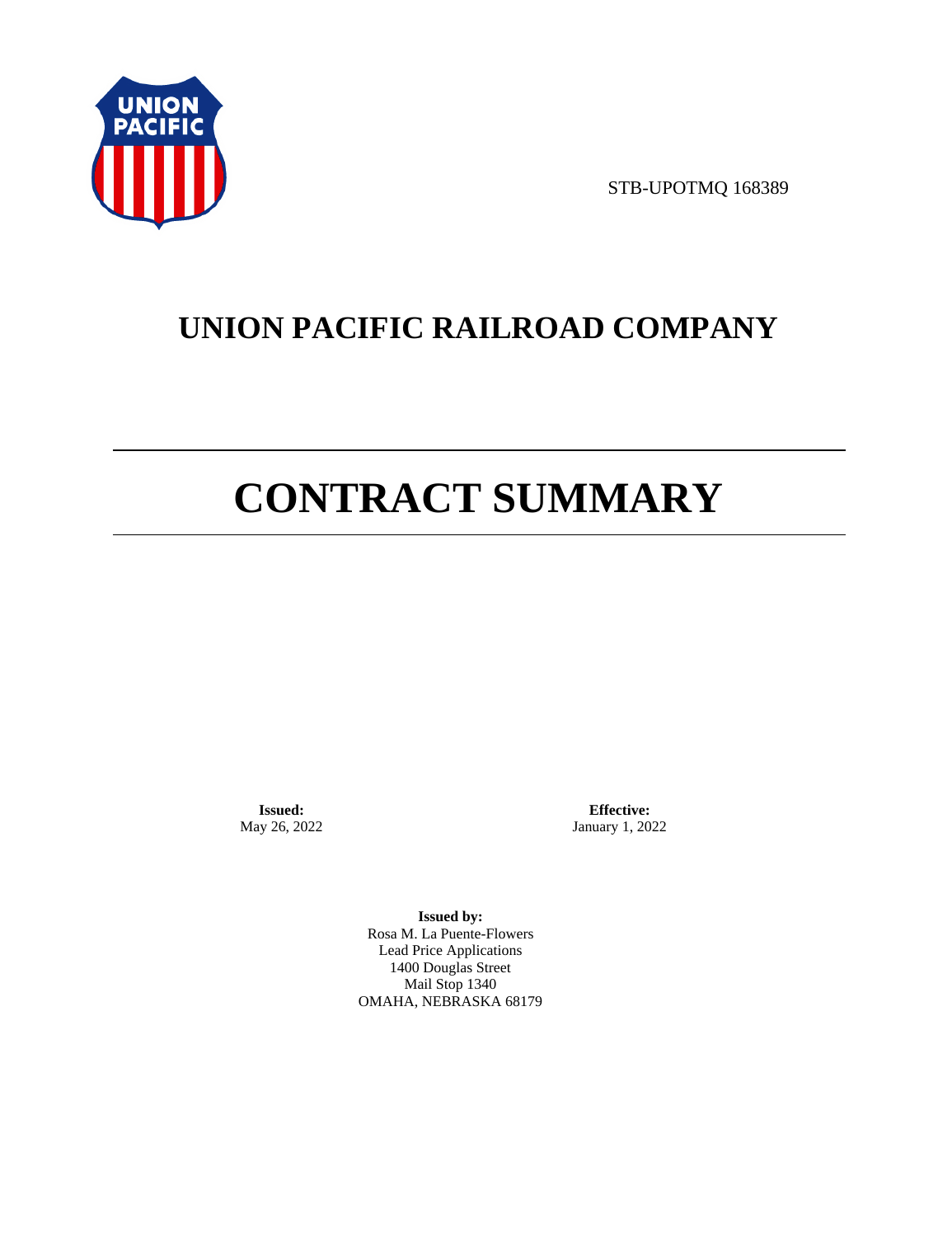

STB-UPOTMQ 168389

## **UNION PACIFIC RAILROAD COMPANY**

# **CONTRACT SUMMARY**

**Issued:**  May 26, 2022

**Effective:** January 1, 2022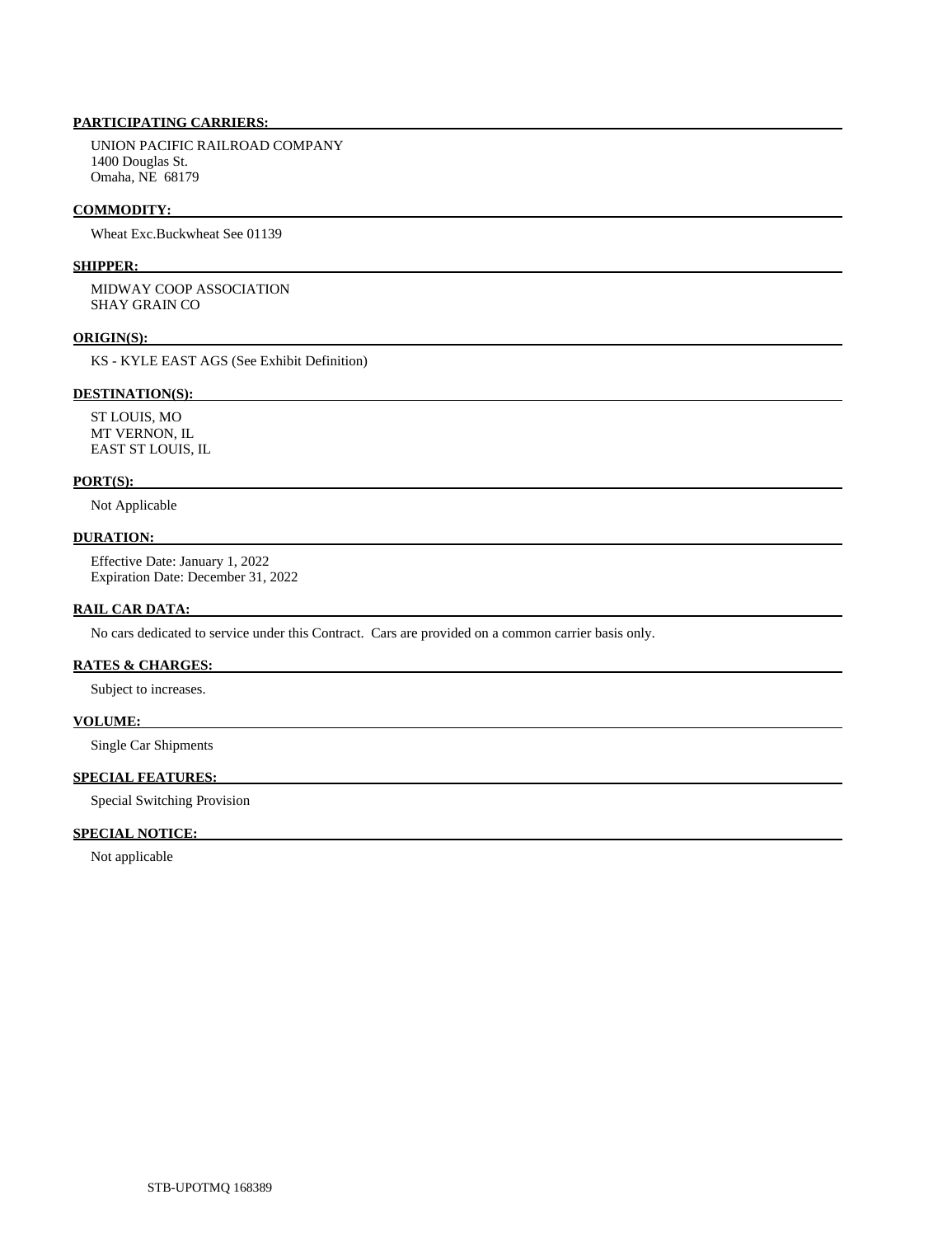UNION PACIFIC RAILROAD COMPANY 1400 Douglas St. Omaha, NE 68179

## **COMMODITY:**

Wheat Exc.Buckwheat See 01139

### **SHIPPER:**

 MIDWAY COOP ASSOCIATION SHAY GRAIN CO

#### **ORIGIN(S):**

KS - KYLE EAST AGS (See Exhibit Definition)

## **DESTINATION(S):**

 ST LOUIS, MO MT VERNON, IL EAST ST LOUIS, IL

#### **PORT(S):**

Not Applicable

## **DURATION:**

 Effective Date: January 1, 2022 Expiration Date: December 31, 2022

## **RAIL CAR DATA:**

No cars dedicated to service under this Contract. Cars are provided on a common carrier basis only.

## **RATES & CHARGES:**

Subject to increases.

## **VOLUME:**

Single Car Shipments

## **SPECIAL FEATURES:**

Special Switching Provision

## **SPECIAL NOTICE:**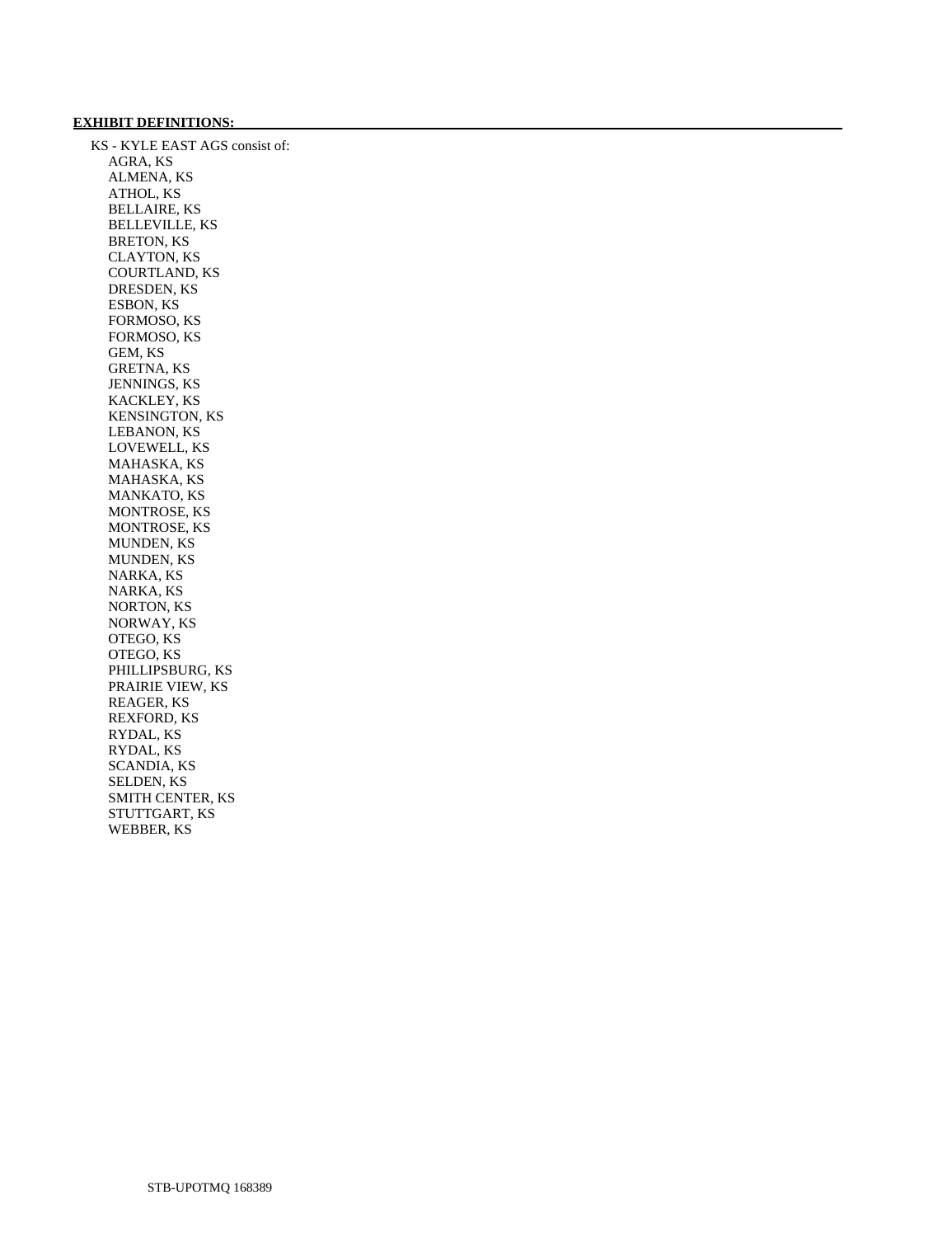## **EXHIBIT DEFINITIONS:**

 KS - KYLE EAST AGS consist of: AGRA, KS ALMENA, KS ATHOL, KS BELLAIRE, KS BELLEVILLE, KS BRETON, KS CLAYTON, KS COURTLAND, KS DRESDEN, KS ESBON, KS FORMOSO, KS FORMOSO, KS GEM, KS GRETNA, KS JENNINGS, KS KACKLEY, KS KENSINGTON, KS LEBANON, KS LOVEWELL, KS MAHASKA, KS MAHASKA, KS MANKATO, KS MONTROSE, KS MONTROSE, KS MUNDEN, KS MUNDEN, KS NARKA, KS NARKA, KS NORTON, KS NORWAY, KS OTEGO, KS OTEGO, KS PHILLIPSBURG, KS PRAIRIE VIEW, KS REAGER, KS REXFORD, KS RYDAL, KS RYDAL, KS SCANDIA, KS SELDEN, KS SMITH CENTER, KS STUTTGART, KS WEBBER, KS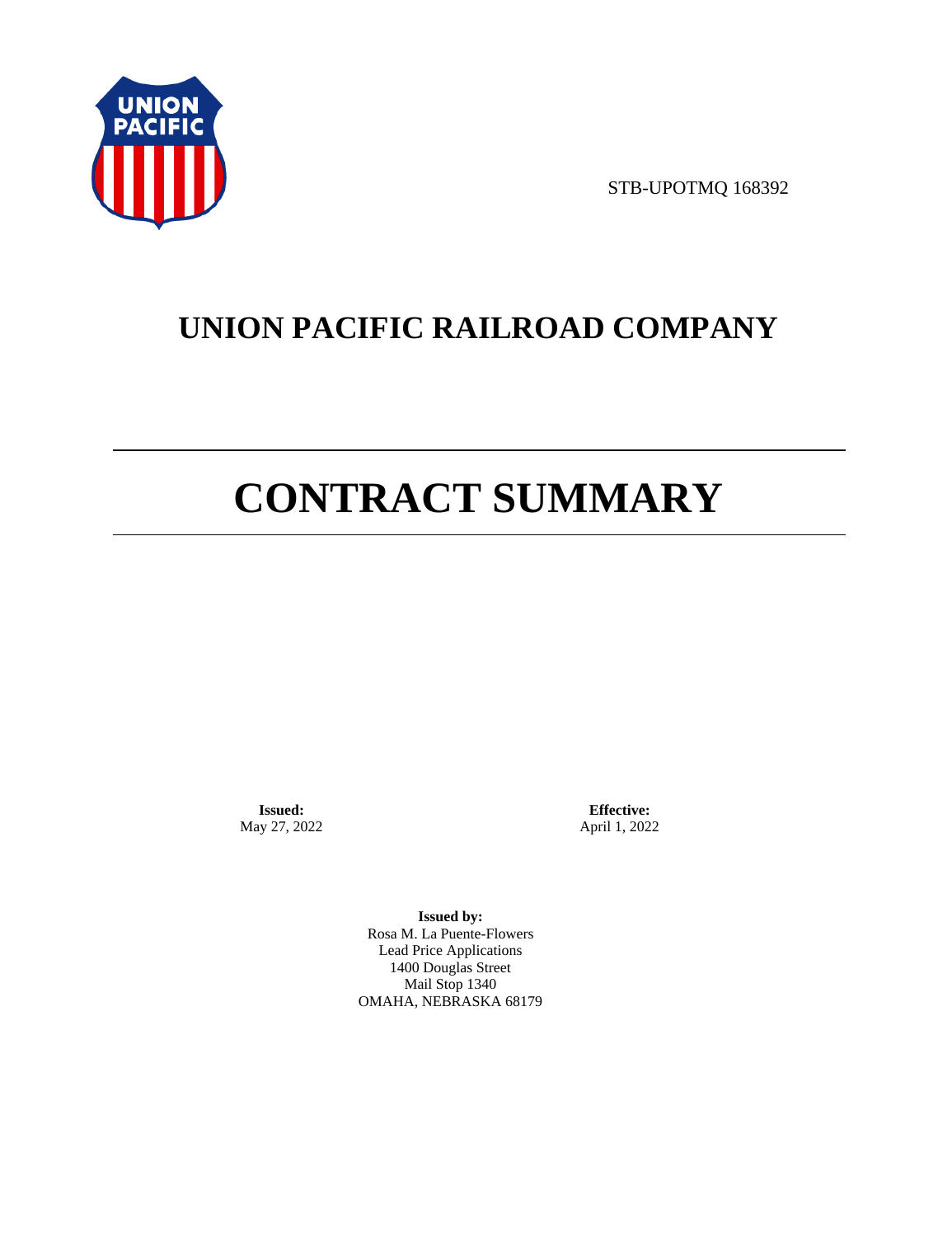

STB-UPOTMQ 168392

## **UNION PACIFIC RAILROAD COMPANY**

# **CONTRACT SUMMARY**

**Issued:**  May 27, 2022

**Effective:** April 1, 2022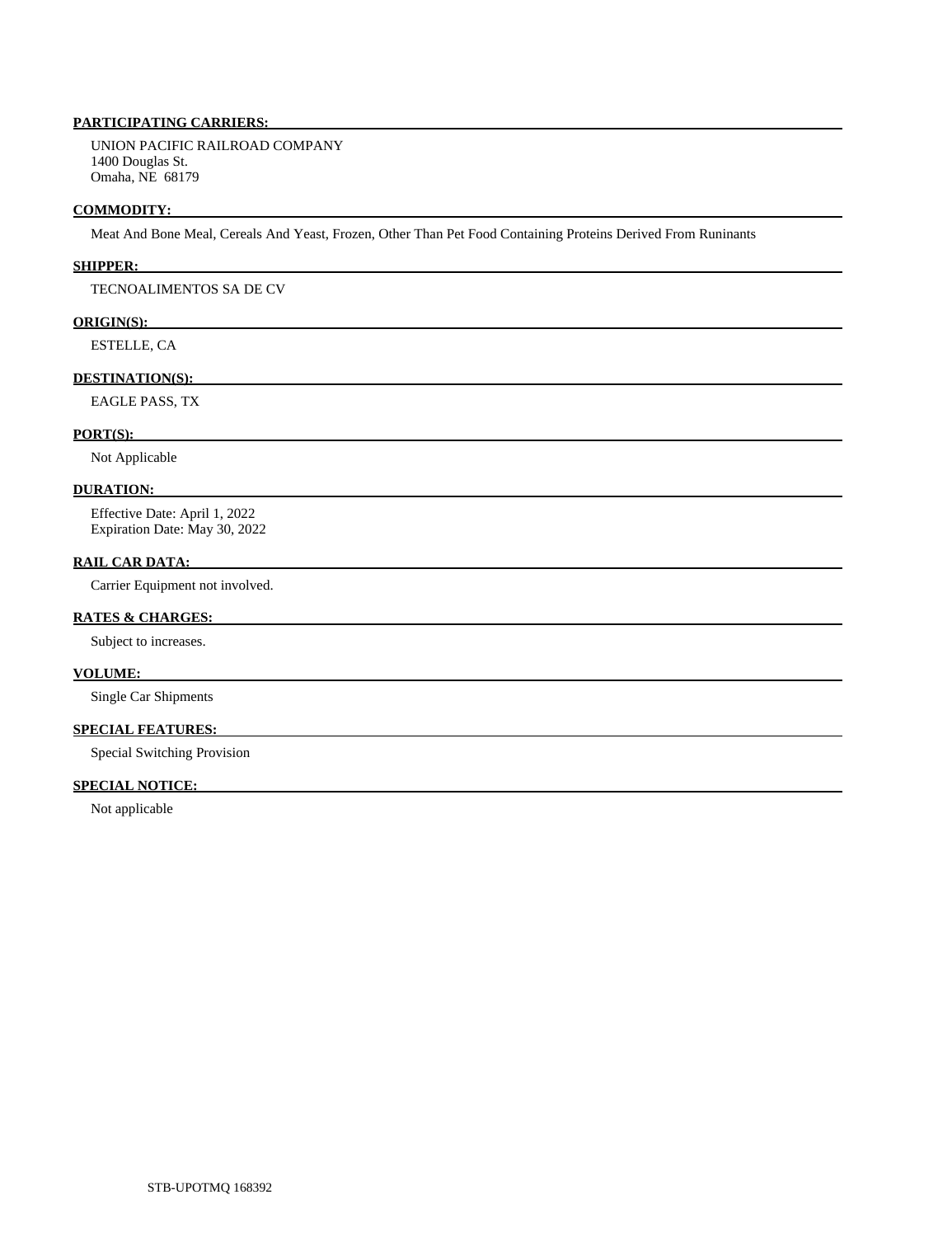UNION PACIFIC RAILROAD COMPANY 1400 Douglas St. Omaha, NE 68179

## **COMMODITY:**

Meat And Bone Meal, Cereals And Yeast, Frozen, Other Than Pet Food Containing Proteins Derived From Runinants

## **SHIPPER:**

## TECNOALIMENTOS SA DE CV

## **ORIGIN(S):**

ESTELLE, CA

## **DESTINATION(S):**

EAGLE PASS, TX

## **PORT(S):**

Not Applicable

## **DURATION:**

 Effective Date: April 1, 2022 Expiration Date: May 30, 2022

## **RAIL CAR DATA:**

Carrier Equipment not involved.

## **RATES & CHARGES:**

Subject to increases.

## **VOLUME:**

Single Car Shipments

## **SPECIAL FEATURES:**

Special Switching Provision

## **SPECIAL NOTICE:**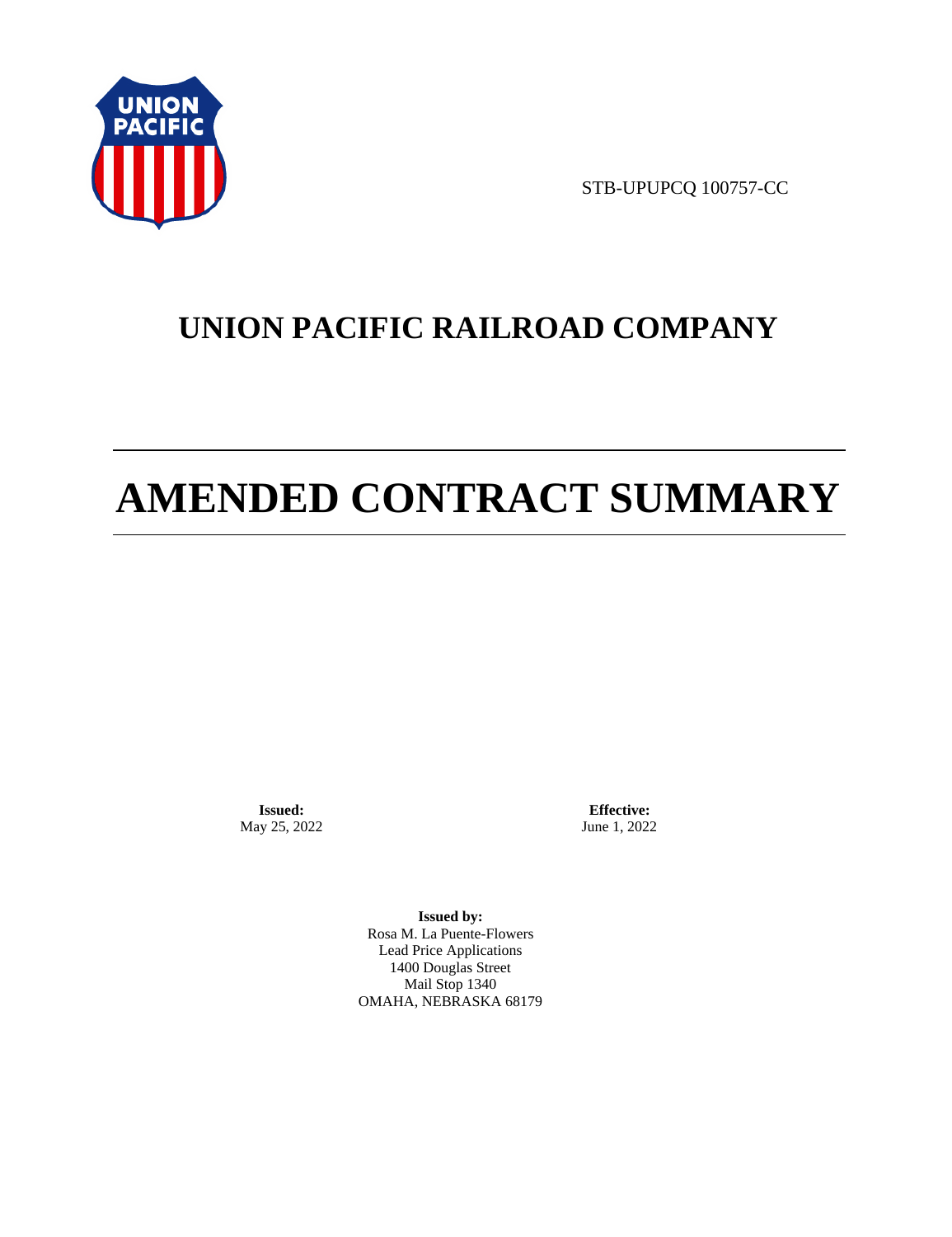

STB-UPUPCQ 100757-CC

## **UNION PACIFIC RAILROAD COMPANY**

# **AMENDED CONTRACT SUMMARY**

**Issued:**  May 25, 2022

**Effective:** June 1, 2022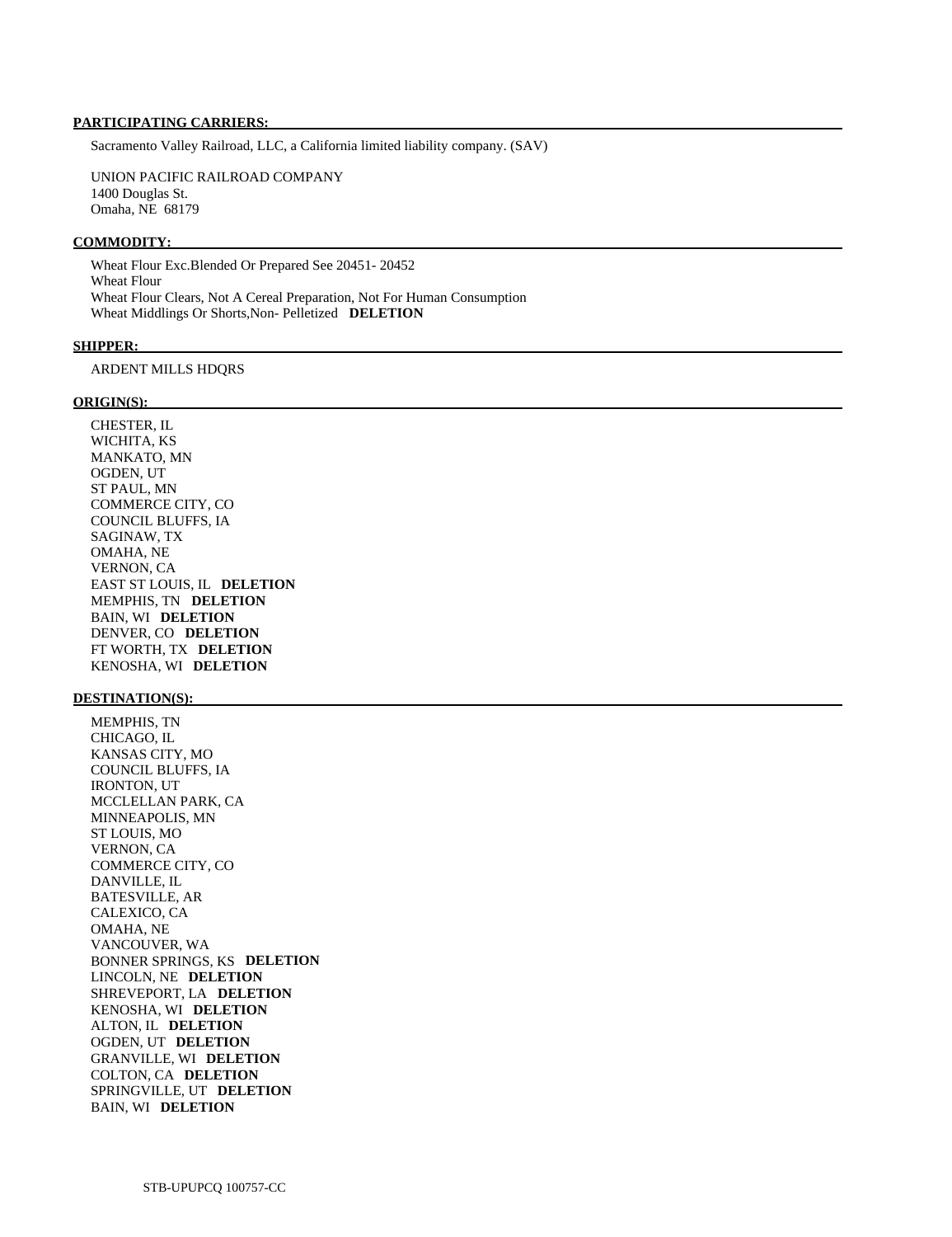Sacramento Valley Railroad, LLC, a California limited liability company. (SAV)

 UNION PACIFIC RAILROAD COMPANY 1400 Douglas St. Omaha, NE 68179

### **COMMODITY:**

 Wheat Flour Exc.Blended Or Prepared See 20451- 20452 Wheat Flour Wheat Flour Clears, Not A Cereal Preparation, Not For Human Consumption Wheat Middlings Or Shorts,Non- Pelletized **DELETION** 

#### **SHIPPER:**

## ARDENT MILLS HDQRS

## **ORIGIN(S):**

 CHESTER, IL WICHITA, KS MANKATO, MN OGDEN, UT ST PAUL, MN COMMERCE CITY, CO COUNCIL BLUFFS, IA SAGINAW, TX OMAHA, NE VERNON, CA EAST ST LOUIS, IL **DELETION**  MEMPHIS, TN **DELETION**  BAIN, WI **DELETION**  DENVER, CO **DELETION**  FT WORTH, TX **DELETION**  KENOSHA, WI **DELETION** 

## **DESTINATION(S):**

 MEMPHIS, TN CHICAGO, IL KANSAS CITY, MO COUNCIL BLUFFS, IA IRONTON, UT MCCLELLAN PARK, CA MINNEAPOLIS, MN ST LOUIS, MO VERNON, CA COMMERCE CITY, CO DANVILLE, IL BATESVILLE, AR CALEXICO, CA OMAHA, NE VANCOUVER, WA BONNER SPRINGS, KS **DELETION**  LINCOLN, NE **DELETION**  SHREVEPORT, LA **DELETION**  KENOSHA, WI **DELETION**  ALTON, IL **DELETION**  OGDEN, UT **DELETION**  GRANVILLE, WI **DELETION**  COLTON, CA **DELETION**  SPRINGVILLE, UT **DELETION**  BAIN, WI **DELETION**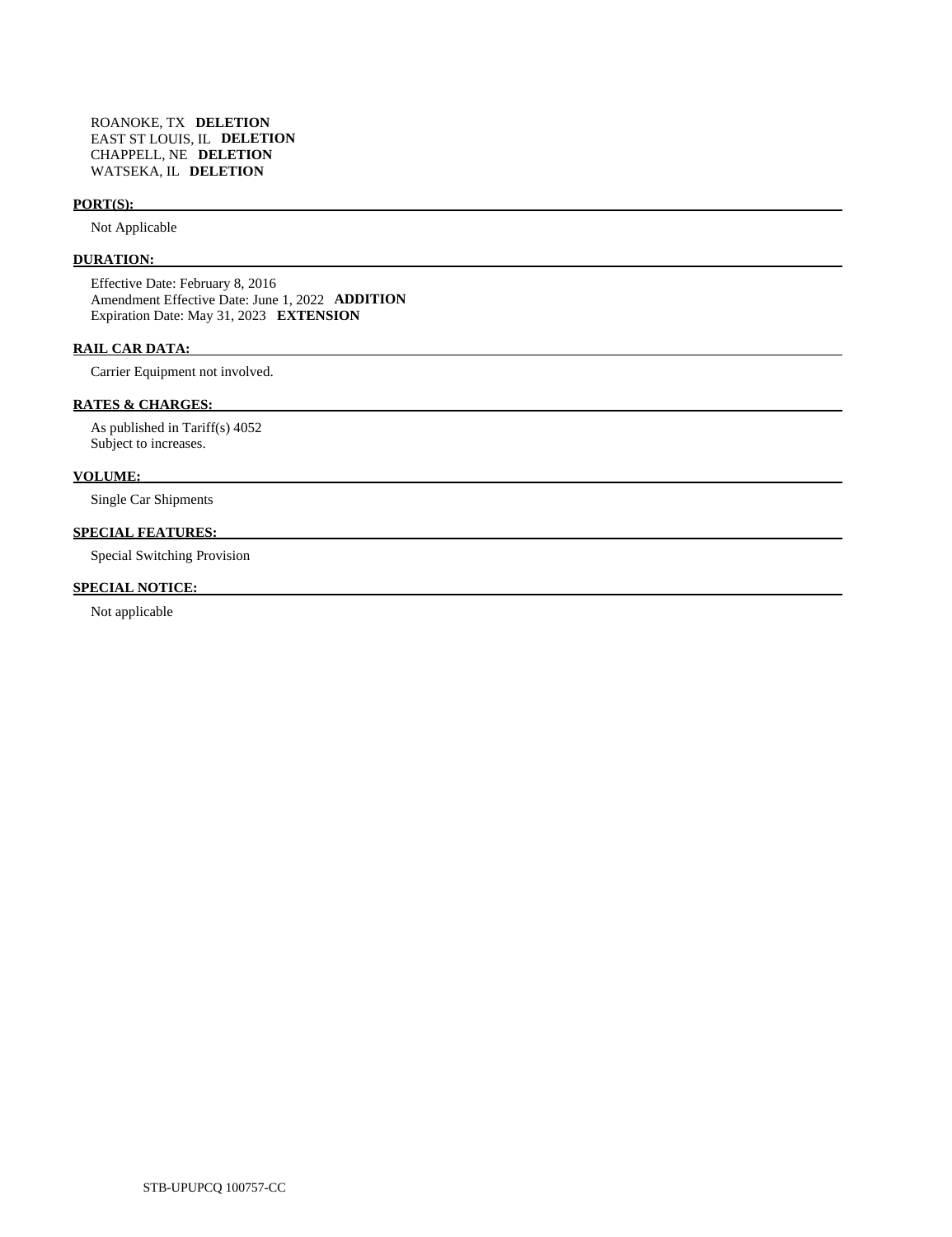## **PORT(S):**

Not Applicable

## **DURATION:**

 Effective Date: February 8, 2016 Amendment Effective Date: June 1, 2022 **ADDITION**  Expiration Date: May 31, 2023 **EXTENSION** 

## **RAIL CAR DATA:**

Carrier Equipment not involved.

## **RATES & CHARGES:**

 As published in Tariff(s) 4052 Subject to increases.

## **VOLUME:**

Single Car Shipments

## **SPECIAL FEATURES:**

Special Switching Provision

## **SPECIAL NOTICE:**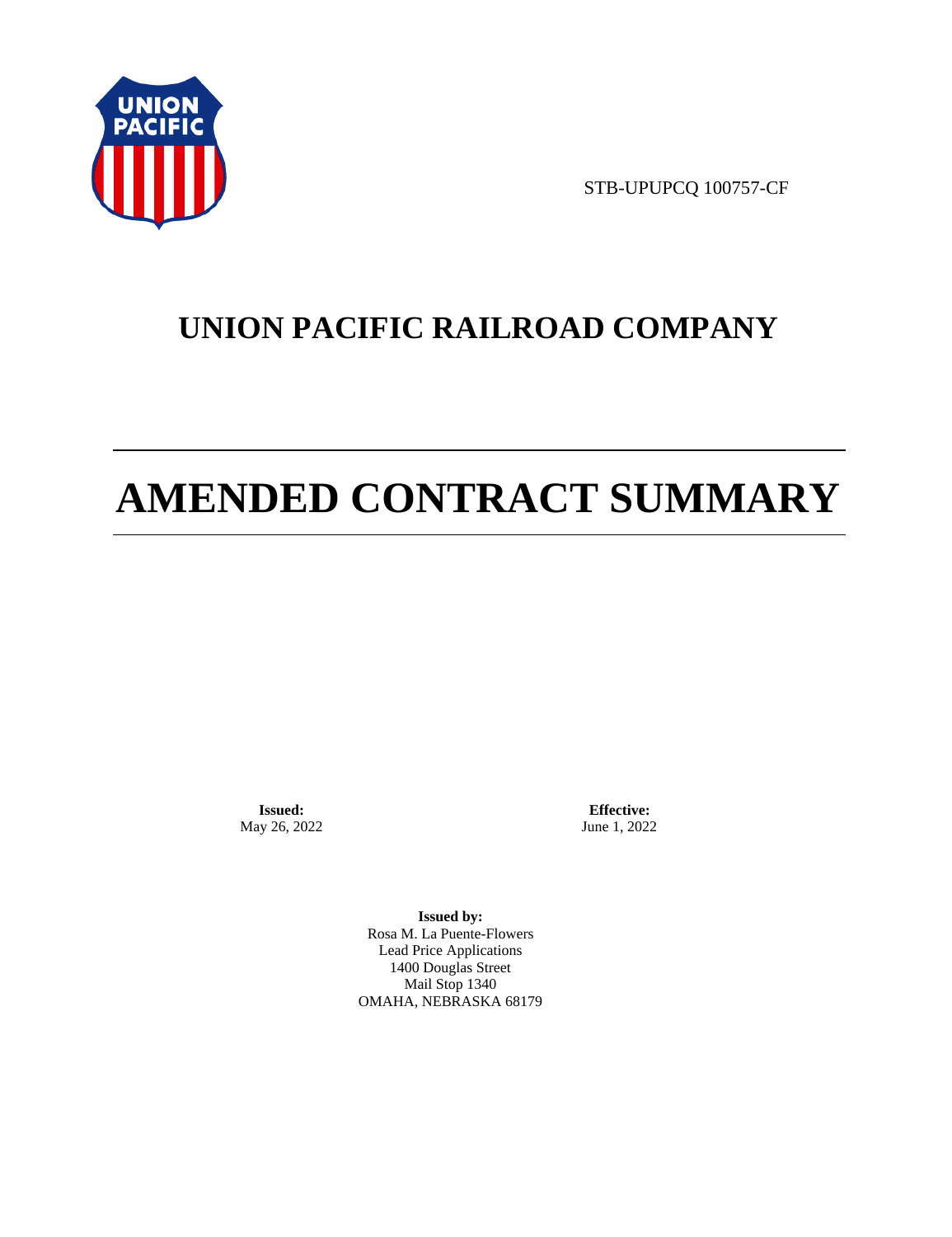

STB-UPUPCQ 100757-CF

## **UNION PACIFIC RAILROAD COMPANY**

# **AMENDED CONTRACT SUMMARY**

**Issued:**  May 26, 2022

**Effective:** June 1, 2022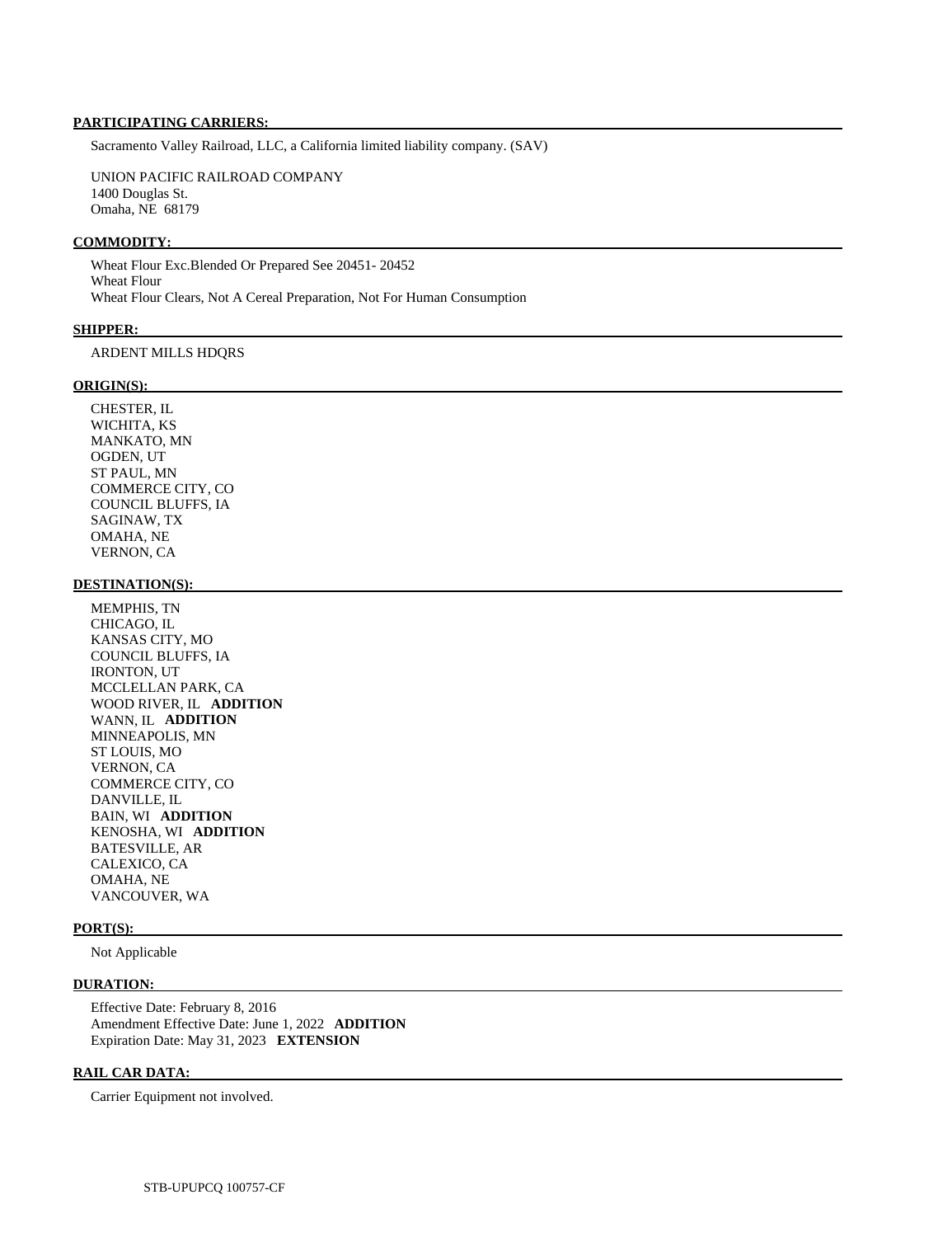Sacramento Valley Railroad, LLC, a California limited liability company. (SAV)

 UNION PACIFIC RAILROAD COMPANY 1400 Douglas St. Omaha, NE 68179

### **COMMODITY:**

 Wheat Flour Exc.Blended Or Prepared See 20451- 20452 Wheat Flour Wheat Flour Clears, Not A Cereal Preparation, Not For Human Consumption

#### **SHIPPER:**

## ARDENT MILLS HDQRS

### **ORIGIN(S):**

 CHESTER, IL WICHITA, KS MANKATO, MN OGDEN, UT ST PAUL, MN COMMERCE CITY, CO COUNCIL BLUFFS, IA SAGINAW, TX OMAHA, NE VERNON, CA

### **DESTINATION(S):**

 MEMPHIS, TN CHICAGO, IL KANSAS CITY, MO COUNCIL BLUFFS, IA IRONTON, UT MCCLELLAN PARK, CA WOOD RIVER, IL **ADDITION**  WANN, IL **ADDITION**  MINNEAPOLIS, MN ST LOUIS, MO VERNON, CA COMMERCE CITY, CO DANVILLE, IL BAIN, WI **ADDITION**  KENOSHA, WI **ADDITION**  BATESVILLE, AR CALEXICO, CA OMAHA, NE VANCOUVER, WA

## **PORT(S):**

Not Applicable

## **DURATION:**

 Effective Date: February 8, 2016 Amendment Effective Date: June 1, 2022 **ADDITION**  Expiration Date: May 31, 2023 **EXTENSION** 

## **RAIL CAR DATA:**

Carrier Equipment not involved.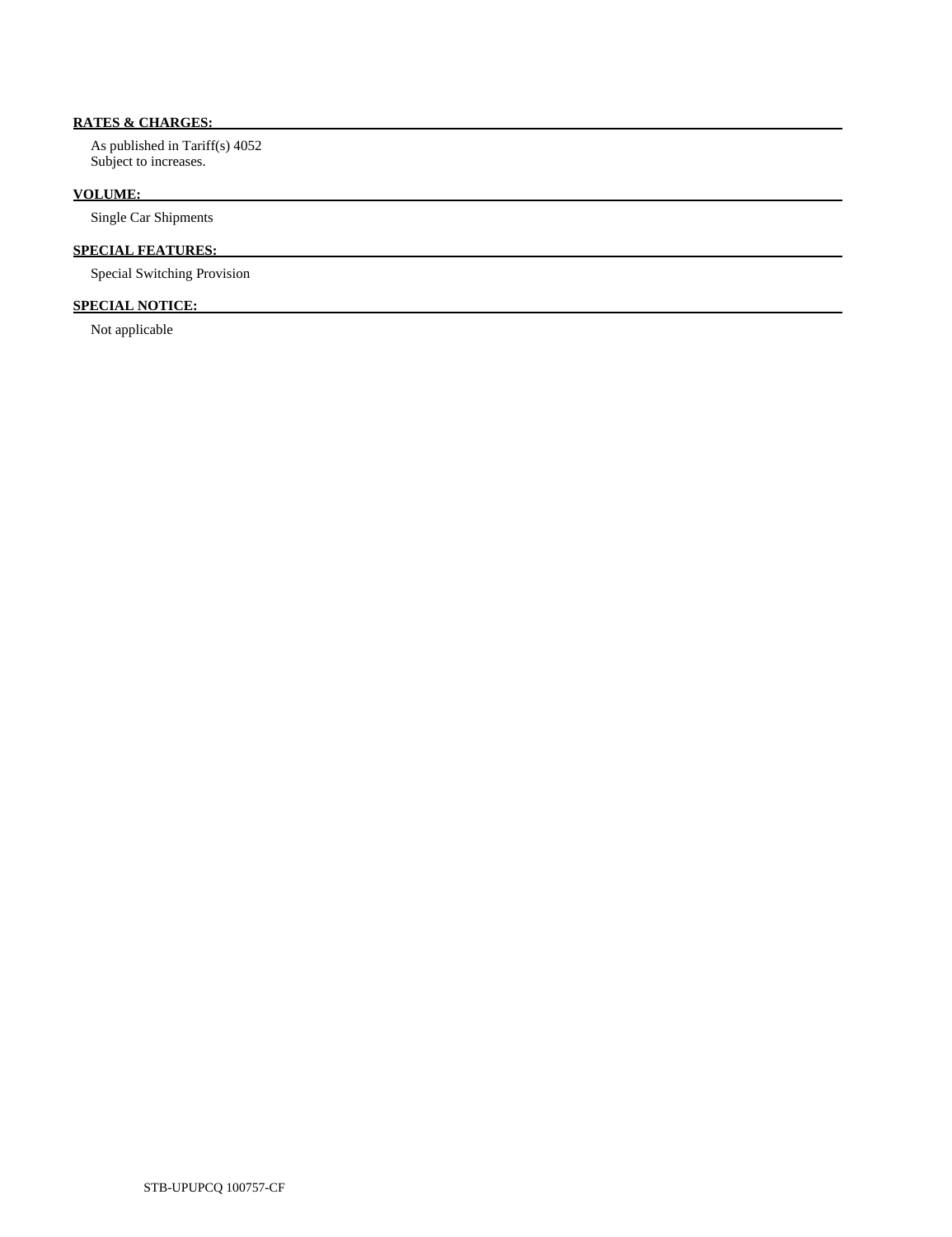## **RATES & CHARGES:**

 As published in Tariff(s) 4052 Subject to increases.

## **VOLUME:**

Single Car Shipments

## **SPECIAL FEATURES:**

Special Switching Provision

## **SPECIAL NOTICE:**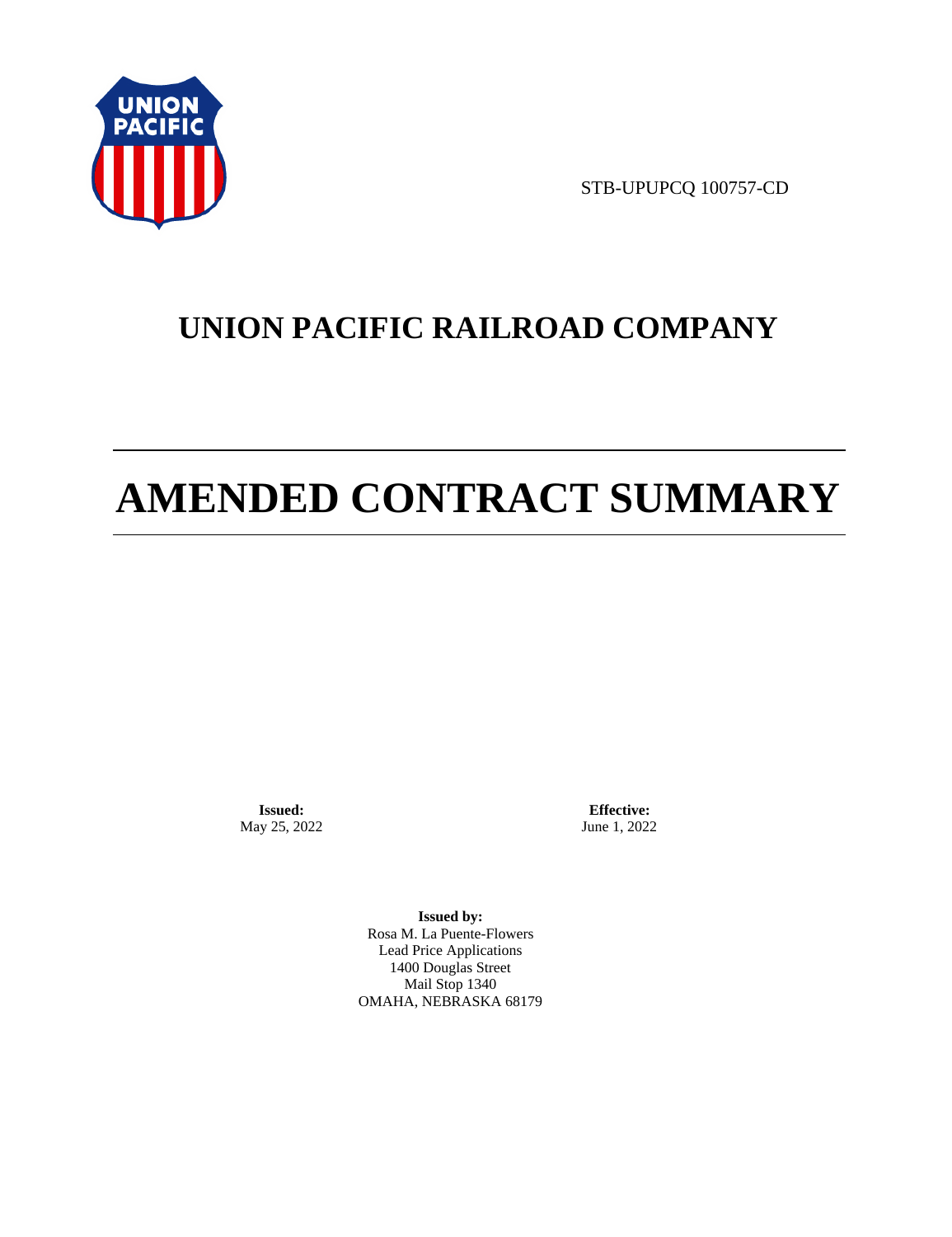

STB-UPUPCQ 100757-CD

## **UNION PACIFIC RAILROAD COMPANY**

# **AMENDED CONTRACT SUMMARY**

**Issued:**  May 25, 2022

**Effective:** June 1, 2022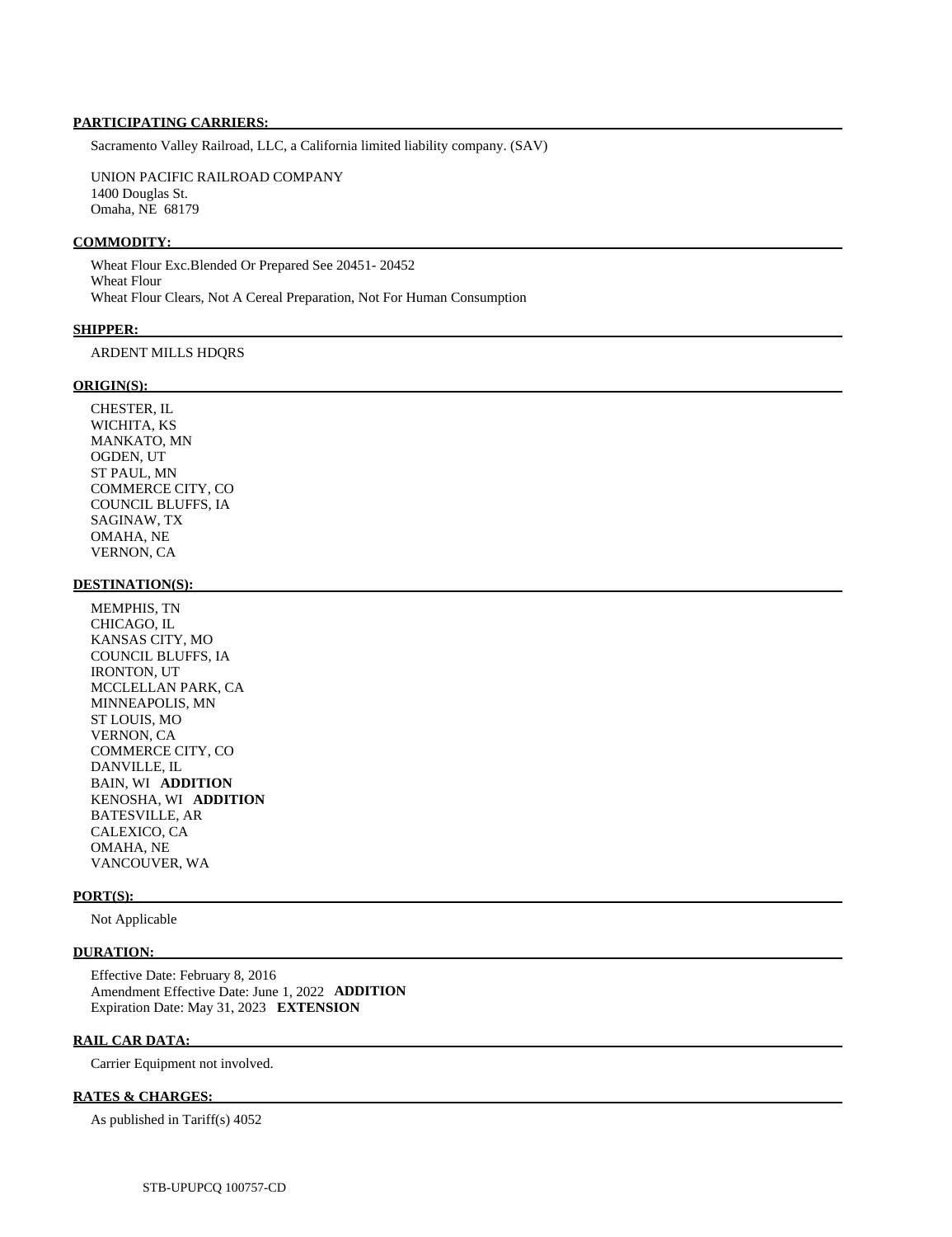Sacramento Valley Railroad, LLC, a California limited liability company. (SAV)

 UNION PACIFIC RAILROAD COMPANY 1400 Douglas St. Omaha, NE 68179

## **COMMODITY:**

 Wheat Flour Exc.Blended Or Prepared See 20451- 20452 Wheat Flour Wheat Flour Clears, Not A Cereal Preparation, Not For Human Consumption

#### **SHIPPER:**

## ARDENT MILLS HDQRS

### **ORIGIN(S):**

 CHESTER, IL WICHITA, KS MANKATO, MN OGDEN, UT ST PAUL, MN COMMERCE CITY, CO COUNCIL BLUFFS, IA SAGINAW, TX OMAHA, NE VERNON, CA

### **DESTINATION(S):**

 MEMPHIS, TN CHICAGO, IL KANSAS CITY, MO COUNCIL BLUFFS, IA IRONTON, UT MCCLELLAN PARK, CA MINNEAPOLIS, MN ST LOUIS, MO VERNON, CA COMMERCE CITY, CO DANVILLE, IL BAIN, WI **ADDITION**  KENOSHA, WI **ADDITION**  BATESVILLE, AR CALEXICO, CA OMAHA, NE VANCOUVER, WA

## **PORT(S):**

Not Applicable

## **DURATION:**

 Effective Date: February 8, 2016 Amendment Effective Date: June 1, 2022 **ADDITION**  Expiration Date: May 31, 2023 **EXTENSION** 

## **RAIL CAR DATA:**

Carrier Equipment not involved.

#### **RATES & CHARGES:**

As published in Tariff(s) 4052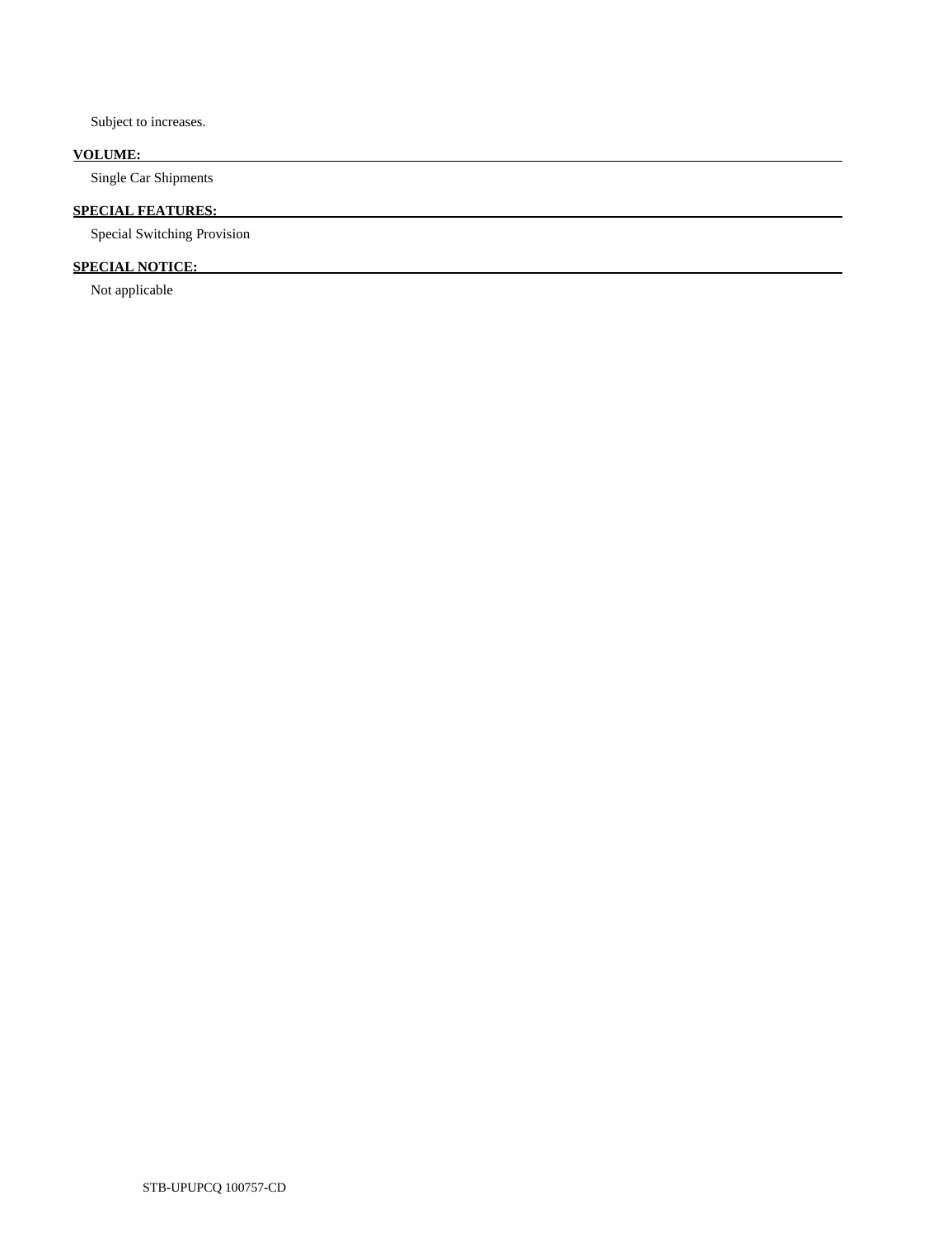Subject to increases.

## **VOLUME:**

Single Car Shipments

## **SPECIAL FEATURES:**

Special Switching Provision

## **SPECIAL NOTICE:**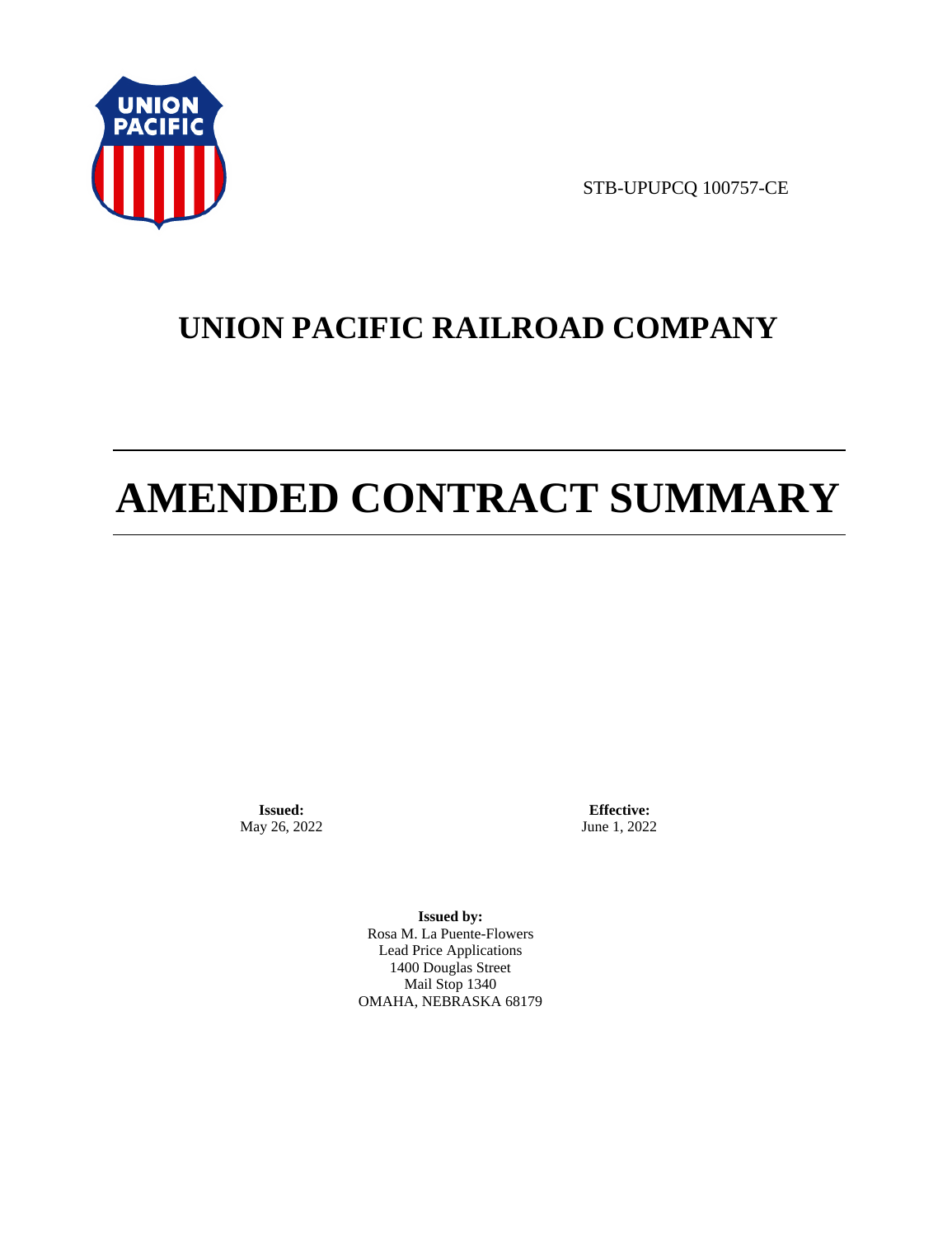

STB-UPUPCQ 100757-CE

## **UNION PACIFIC RAILROAD COMPANY**

# **AMENDED CONTRACT SUMMARY**

**Issued:**  May 26, 2022

**Effective:** June 1, 2022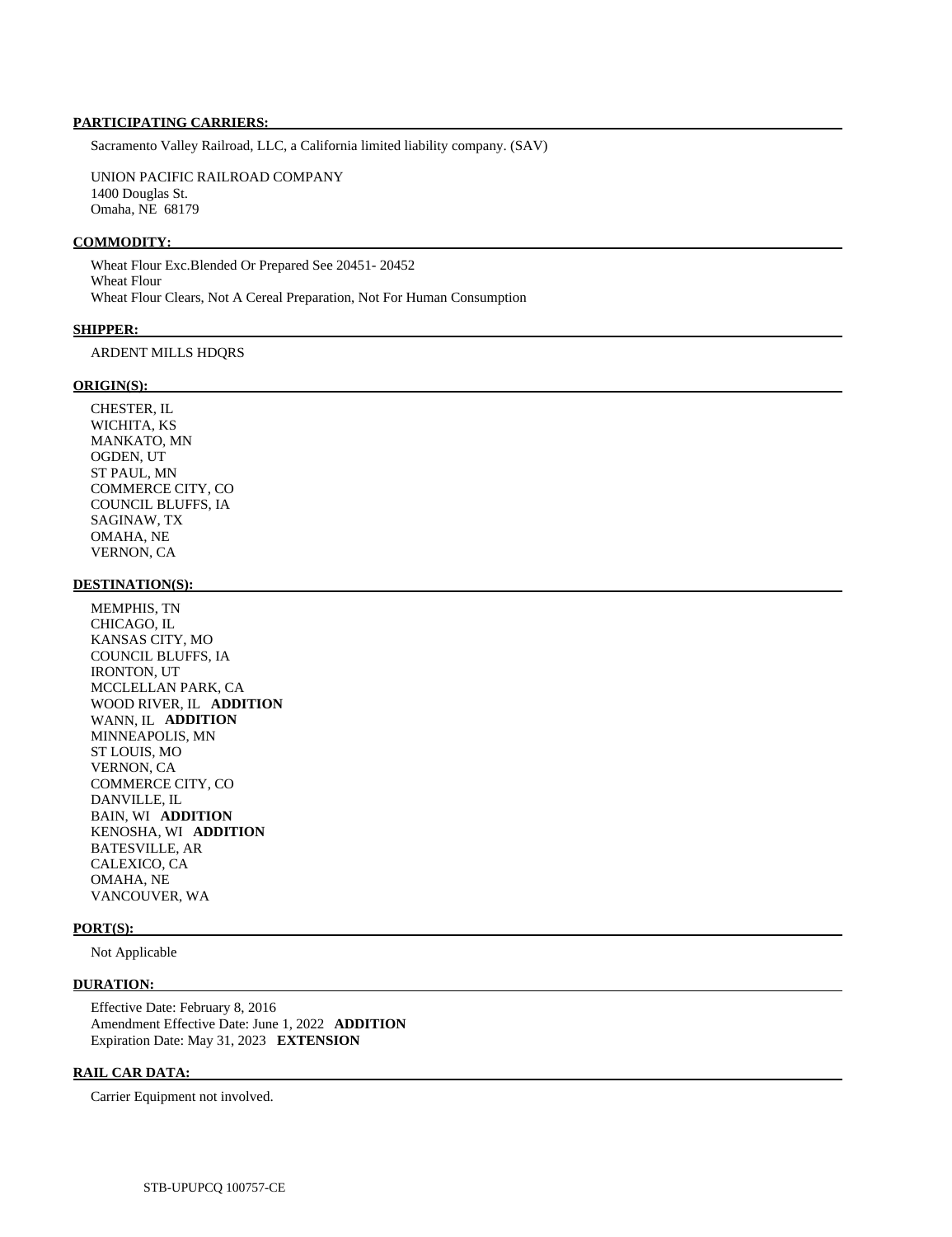Sacramento Valley Railroad, LLC, a California limited liability company. (SAV)

 UNION PACIFIC RAILROAD COMPANY 1400 Douglas St. Omaha, NE 68179

### **COMMODITY:**

 Wheat Flour Exc.Blended Or Prepared See 20451- 20452 Wheat Flour Wheat Flour Clears, Not A Cereal Preparation, Not For Human Consumption

#### **SHIPPER:**

## ARDENT MILLS HDQRS

### **ORIGIN(S):**

 CHESTER, IL WICHITA, KS MANKATO, MN OGDEN, UT ST PAUL, MN COMMERCE CITY, CO COUNCIL BLUFFS, IA SAGINAW, TX OMAHA, NE VERNON, CA

### **DESTINATION(S):**

 MEMPHIS, TN CHICAGO, IL KANSAS CITY, MO COUNCIL BLUFFS, IA IRONTON, UT MCCLELLAN PARK, CA WOOD RIVER, IL **ADDITION**  WANN, IL **ADDITION**  MINNEAPOLIS, MN ST LOUIS, MO VERNON, CA COMMERCE CITY, CO DANVILLE, IL BAIN, WI **ADDITION**  KENOSHA, WI **ADDITION**  BATESVILLE, AR CALEXICO, CA OMAHA, NE VANCOUVER, WA

## **PORT(S):**

Not Applicable

## **DURATION:**

 Effective Date: February 8, 2016 Amendment Effective Date: June 1, 2022 **ADDITION**  Expiration Date: May 31, 2023 **EXTENSION** 

## **RAIL CAR DATA:**

Carrier Equipment not involved.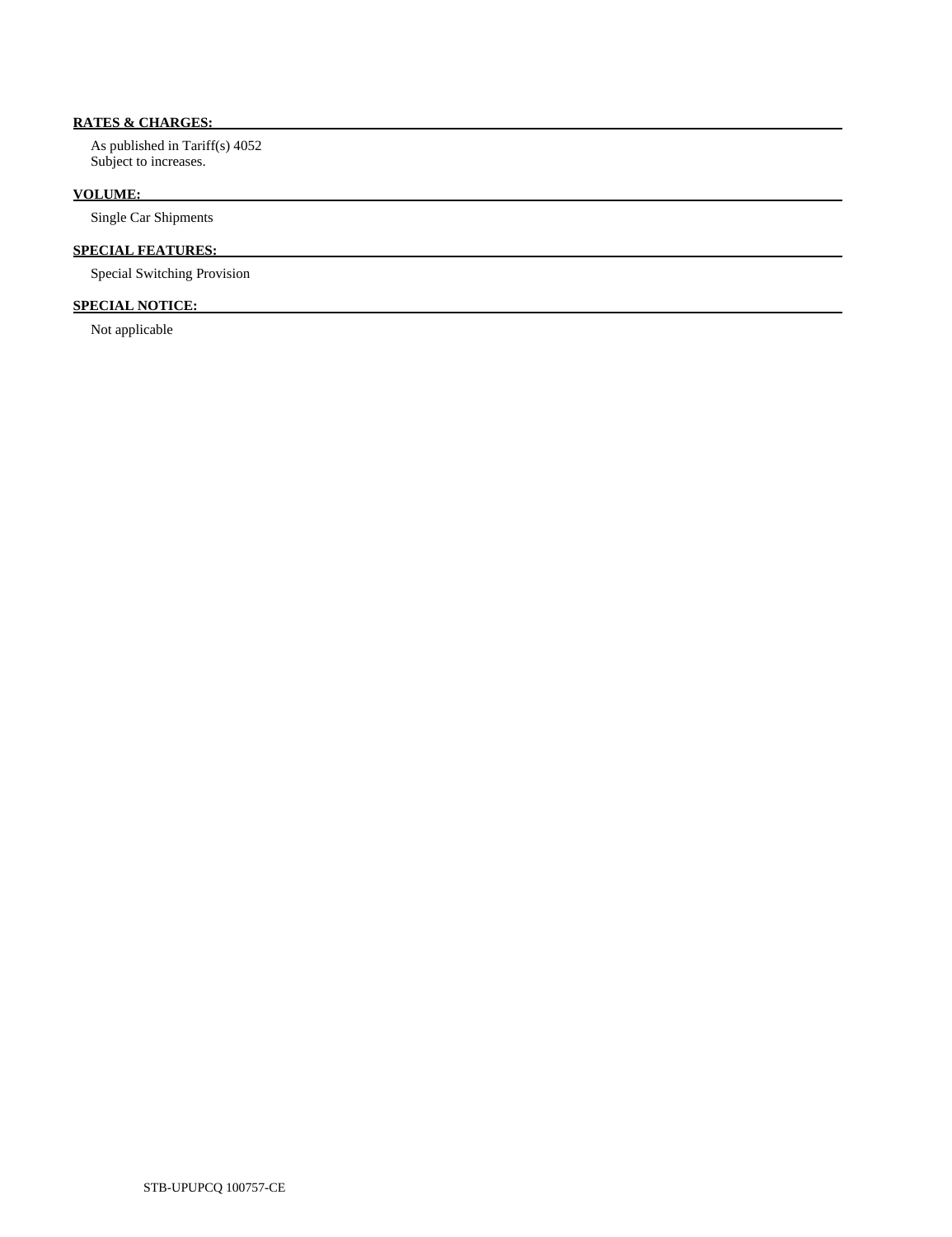## **RATES & CHARGES:**

 As published in Tariff(s) 4052 Subject to increases.

## **VOLUME:**

Single Car Shipments

## **SPECIAL FEATURES:**

Special Switching Provision

## **SPECIAL NOTICE:**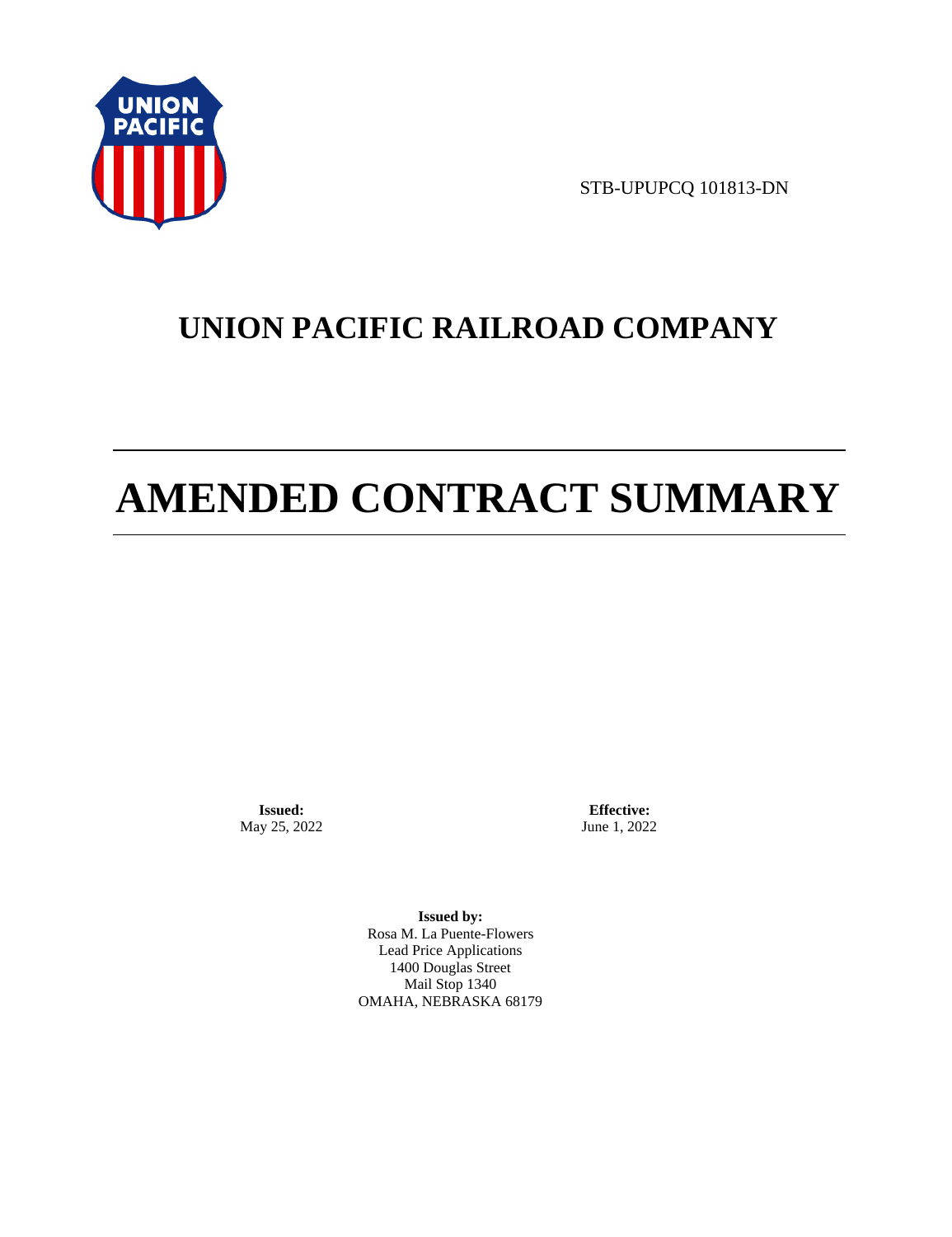

STB-UPUPCQ 101813-DN

## **UNION PACIFIC RAILROAD COMPANY**

# **AMENDED CONTRACT SUMMARY**

**Issued:**  May 25, 2022

**Effective:** June 1, 2022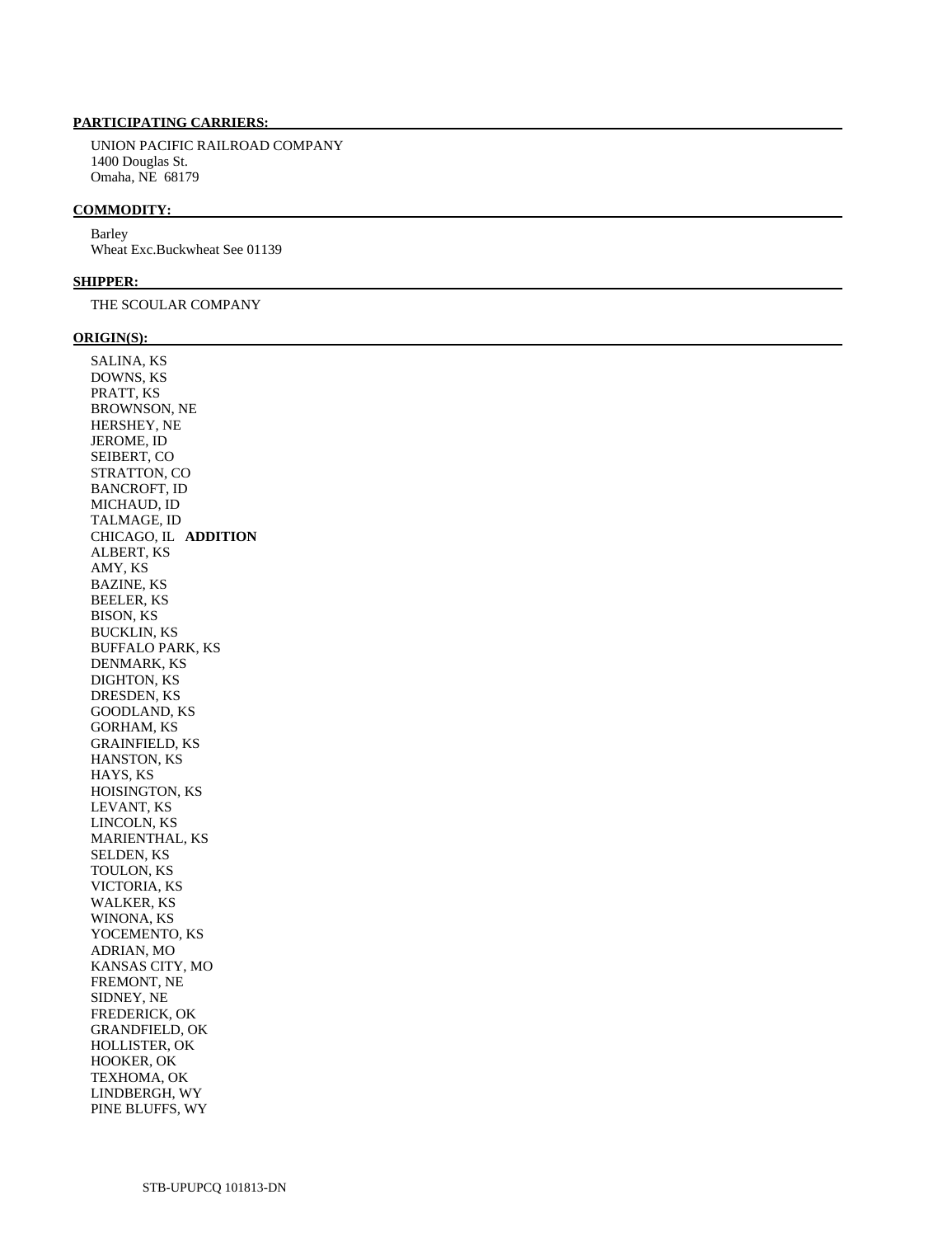UNION PACIFIC RAILROAD COMPANY 1400 Douglas St. Omaha, NE 68179

#### **COMMODITY:**

 Barley Wheat Exc.Buckwheat See 01139

## **SHIPPER:**

THE SCOULAR COMPANY

#### **ORIGIN(S):**

 SALINA, KS DOWNS, KS PRATT, KS BROWNSON, NE HERSHEY, NE JEROME, ID SEIBERT, CO STRATTON, CO BANCROFT, ID MICHAUD, ID TALMAGE, ID CHICAGO, IL **ADDITION**  ALBERT, KS AMY, KS BAZINE, KS BEELER, KS BISON, KS BUCKLIN, KS BUFFALO PARK, KS DENMARK, KS DIGHTON, KS DRESDEN, KS GOODLAND, KS GORHAM, KS GRAINFIELD, KS HANSTON, KS HAYS, KS HOISINGTON, KS LEVANT, KS LINCOLN, KS MARIENTHAL, KS SELDEN, KS TOULON, KS VICTORIA, KS WALKER, KS WINONA, KS YOCEMENTO, KS ADRIAN, MO KANSAS CITY, MO FREMONT, NE SIDNEY, NE FREDERICK, OK GRANDFIELD, OK HOLLISTER, OK HOOKER, OK TEXHOMA, OK LINDBERGH, WY PINE BLUFFS, WY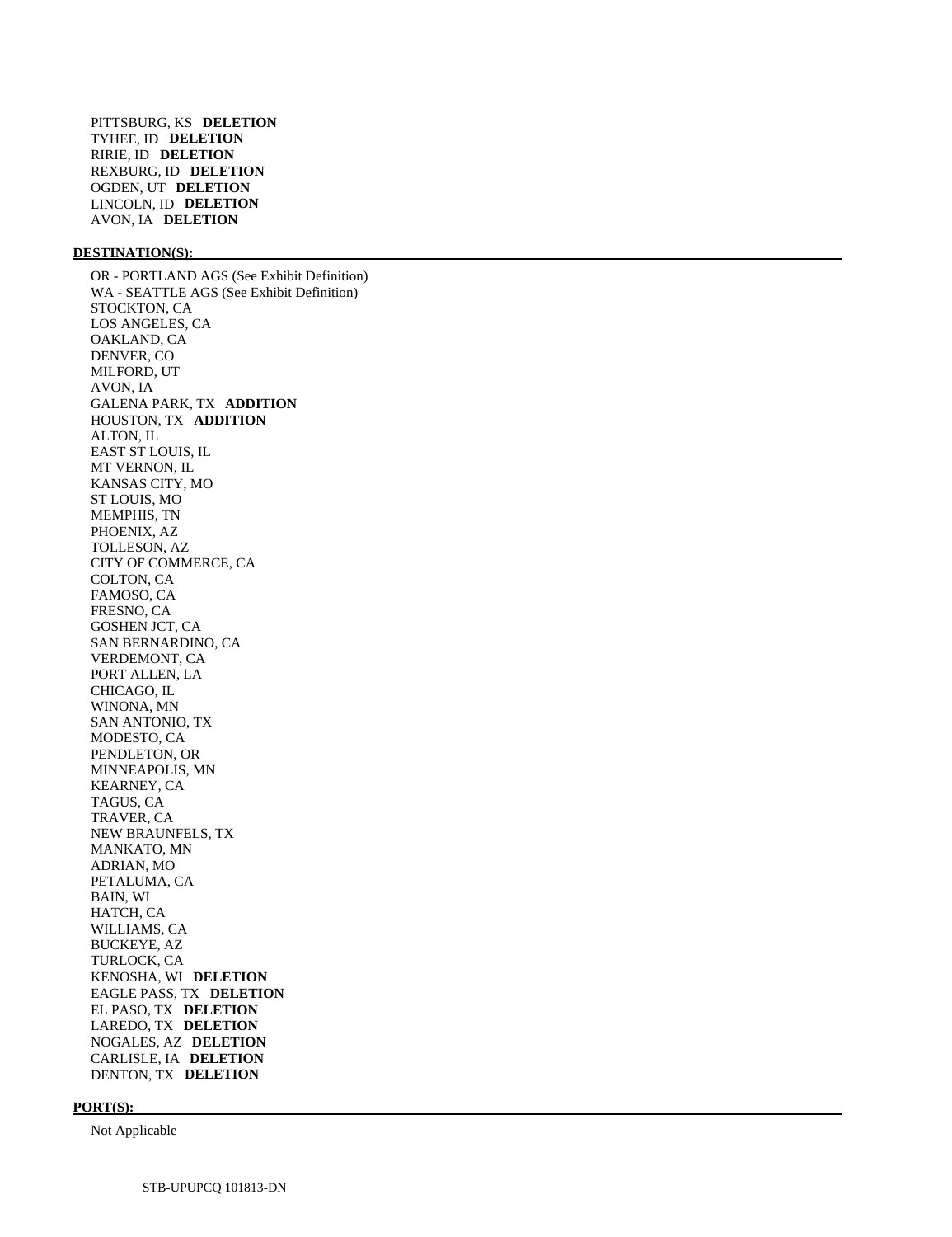#### **DESTINATION(S):**

 OR - PORTLAND AGS (See Exhibit Definition) WA - SEATTLE AGS (See Exhibit Definition) STOCKTON, CA LOS ANGELES, CA OAKLAND, CA DENVER, CO MILFORD, UT AVON, IA GALENA PARK, TX **ADDITION**  HOUSTON, TX **ADDITION**  ALTON, IL EAST ST LOUIS, IL MT VERNON, IL KANSAS CITY, MO ST LOUIS, MO MEMPHIS, TN PHOENIX, AZ TOLLESON, AZ CITY OF COMMERCE, CA COLTON, CA FAMOSO, CA FRESNO, CA GOSHEN JCT, CA SAN BERNARDINO, CA VERDEMONT, CA PORT ALLEN, LA CHICAGO, IL WINONA, MN SAN ANTONIO, TX MODESTO, CA PENDLETON, OR MINNEAPOLIS, MN KEARNEY, CA TAGUS, CA TRAVER, CA NEW BRAUNFELS, TX MANKATO, MN ADRIAN, MO PETALUMA, CA BAIN, WI HATCH, CA WILLIAMS, CA BUCKEYE, AZ TURLOCK, CA KENOSHA, WI **DELETION**  EAGLE PASS, TX **DELETION**  EL PASO, TX **DELETION**  LAREDO, TX **DELETION**  NOGALES, AZ **DELETION**  CARLISLE, IA **DELETION**  DENTON, TX **DELETION** 

## **PORT(S):**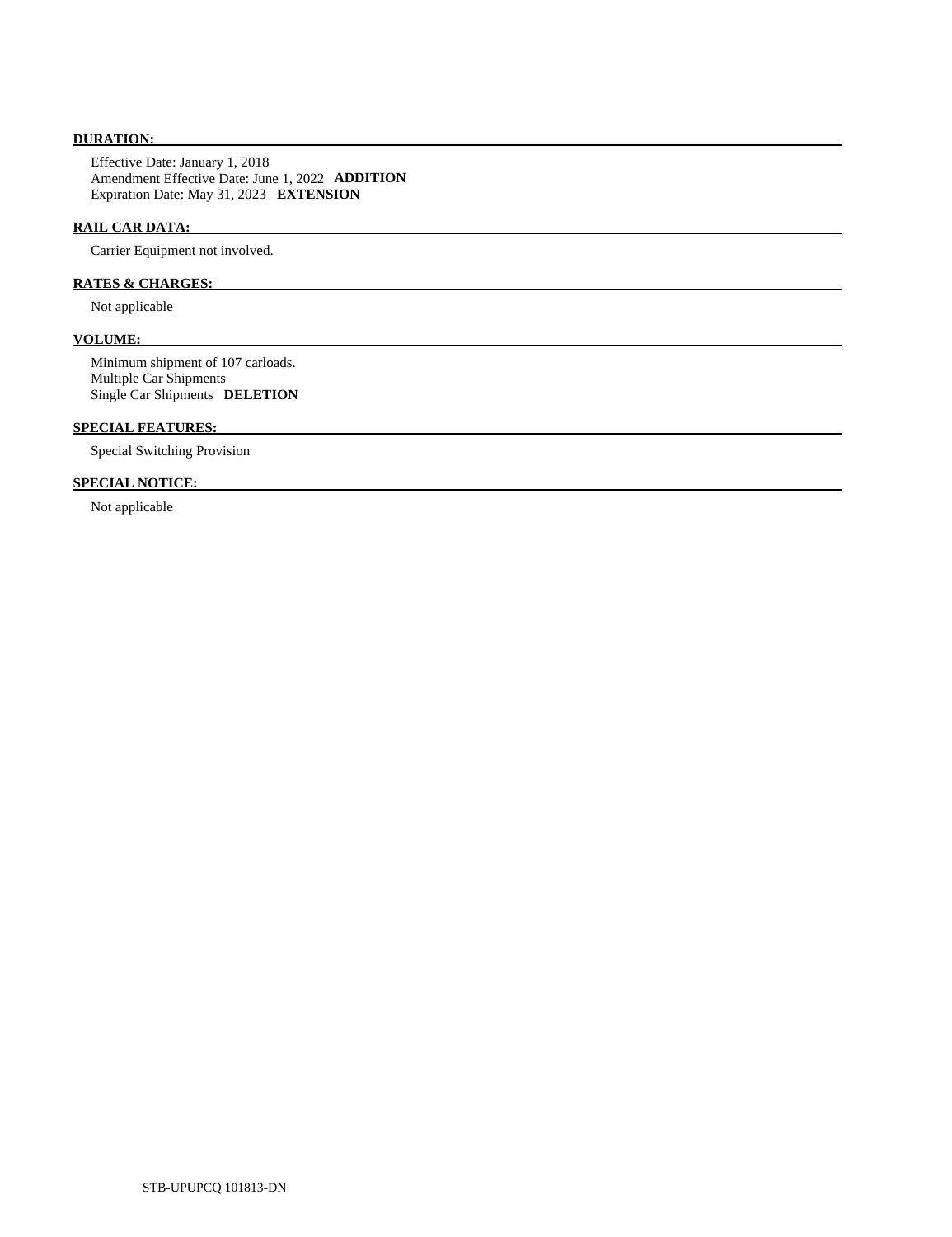## **DURATION:**

 Effective Date: January 1, 2018 Amendment Effective Date: June 1, 2022 **ADDITION**  Expiration Date: May 31, 2023 **EXTENSION** 

## **RAIL CAR DATA:**

Carrier Equipment not involved.

## **RATES & CHARGES:**

Not applicable

## **VOLUME:**

 Minimum shipment of 107 carloads. Multiple Car Shipments Single Car Shipments **DELETION** 

## **SPECIAL FEATURES:**

Special Switching Provision

## **SPECIAL NOTICE:**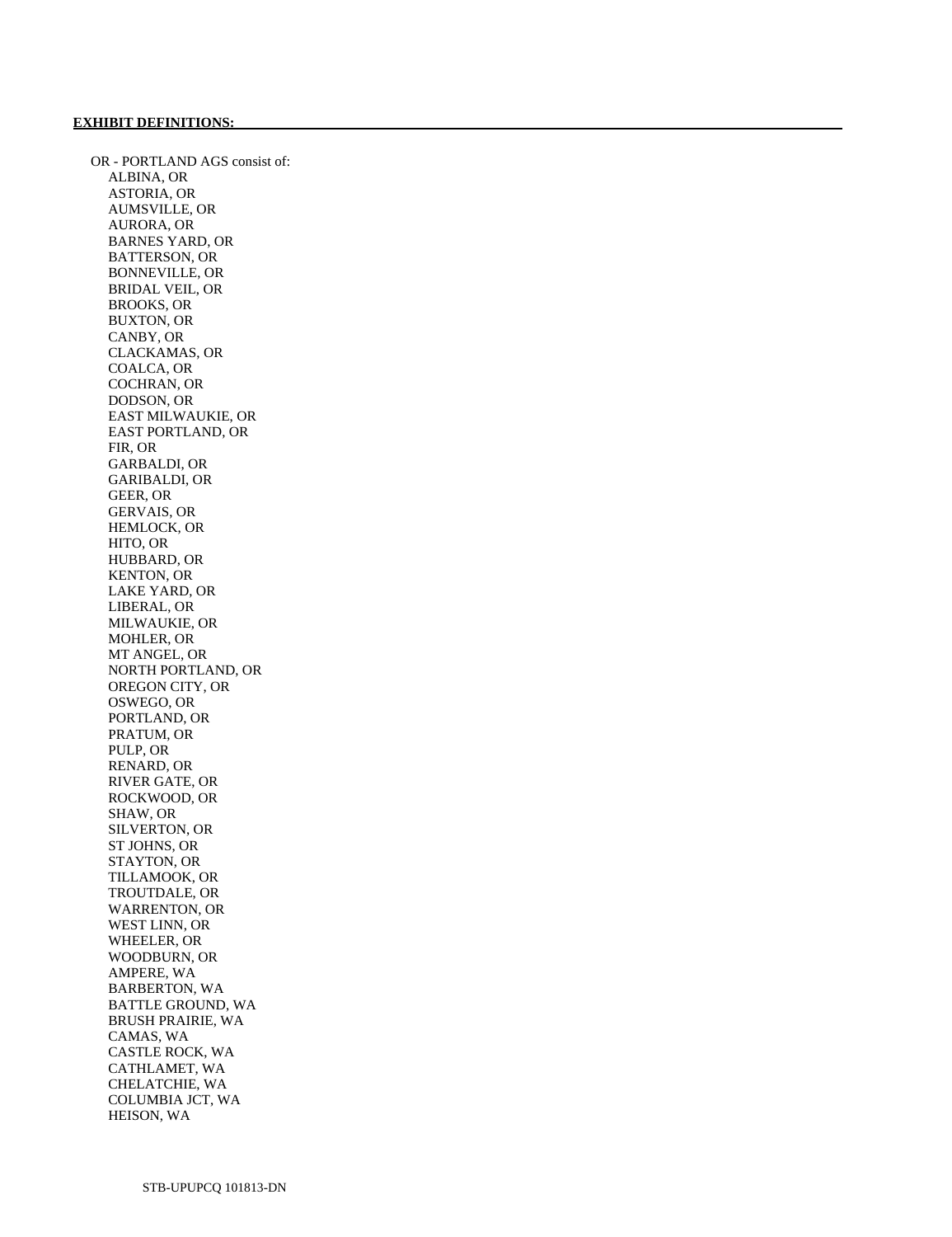OR - PORTLAND AGS consist of: ALBINA, OR ASTORIA, OR AUMSVILLE, OR AURORA, OR BARNES YARD, OR BATTERSON, OR BONNEVILLE, OR BRIDAL VEIL, OR BROOKS, OR BUXTON, OR CANBY, OR CLACKAMAS, OR COALCA, OR COCHRAN, OR DODSON, OR EAST MILWAUKIE, OR EAST PORTLAND, OR FIR, OR GARBALDI, OR GARIBALDI, OR GEER, OR GERVAIS, OR HEMLOCK, OR HITO, OR HUBBARD, OR KENTON, OR LAKE YARD, OR LIBERAL, OR MILWAUKIE, OR MOHLER, OR MT ANGEL, OR NORTH PORTLAND, OR OREGON CITY, OR OSWEGO, OR PORTLAND, OR PRATUM, OR PULP, OR RENARD, OR RIVER GATE, OR ROCKWOOD, OR SHAW, OR SILVERTON, OR ST JOHNS, OR STAYTON, OR TILLAMOOK, OR TROUTDALE, OR WARRENTON, OR WEST LINN, OR WHEELER, OR WOODBURN, OR AMPERE, WA BARBERTON, WA BATTLE GROUND, WA BRUSH PRAIRIE, WA CAMAS, WA CASTLE ROCK, WA CATHLAMET, WA CHELATCHIE, WA COLUMBIA JCT, WA HEISON, WA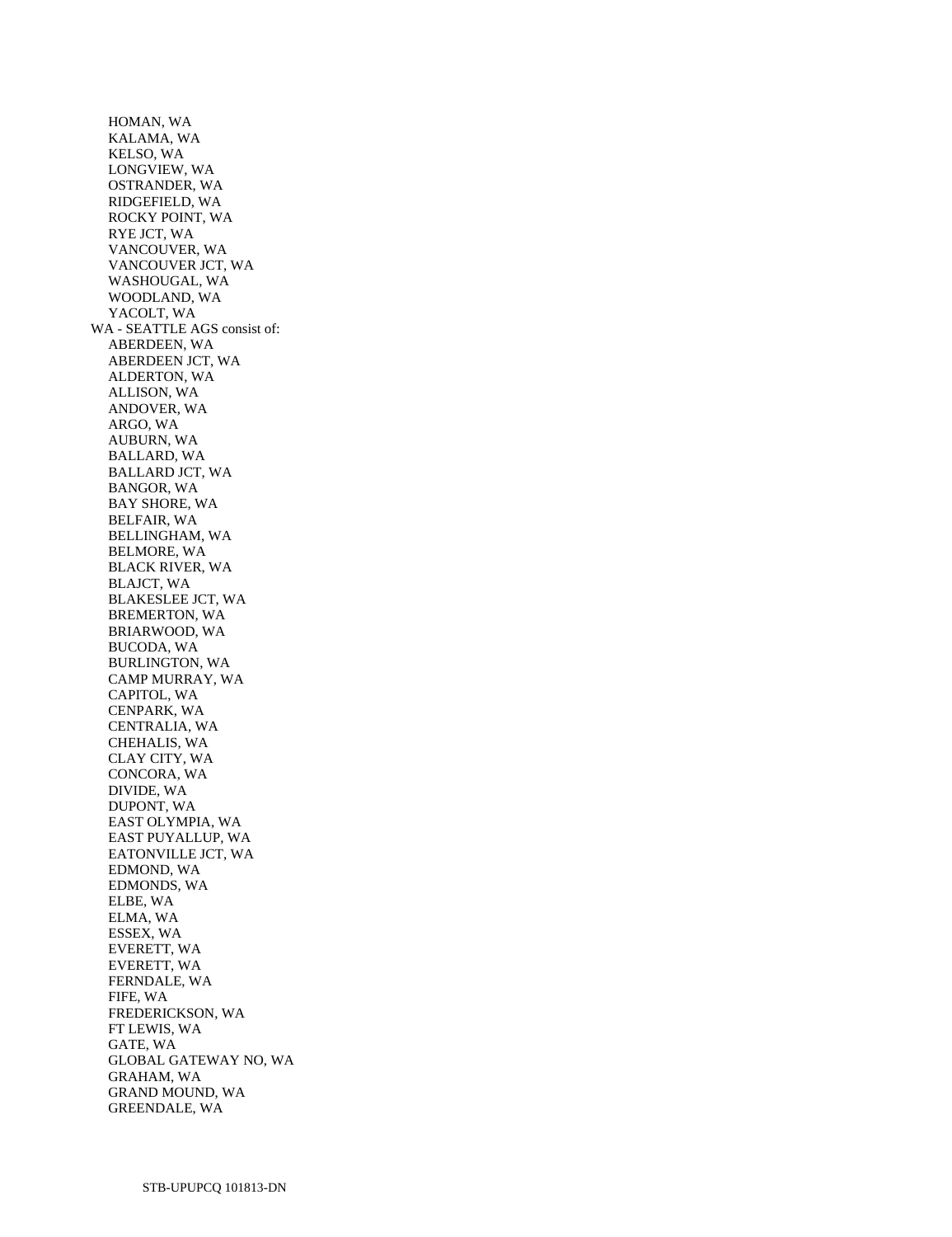HOMAN, WA KALAMA, WA KELSO, WA LONGVIEW, WA OSTRANDER, WA RIDGEFIELD, WA ROCKY POINT, WA RYE JCT, WA VANCOUVER, WA VANCOUVER JCT, WA WASHOUGAL, WA WOODLAND, WA YACOLT, WA WA - SEATTLE AGS consist of: ABERDEEN, WA ABERDEEN JCT, WA ALDERTON, WA ALLISON, WA ANDOVER, WA ARGO, WA AUBURN, WA BALLARD, WA BALLARD JCT, WA BANGOR, WA BAY SHORE, WA BELFAIR, WA BELLINGHAM, WA BELMORE, WA BLACK RIVER, WA BLAJCT, WA BLAKESLEE JCT, WA BREMERTON, WA BRIARWOOD, WA BUCODA, WA BURLINGTON, WA CAMP MURRAY, WA CAPITOL, WA CENPARK, WA CENTRALIA, WA CHEHALIS, WA CLAY CITY, WA CONCORA, WA DIVIDE, WA DUPONT, WA EAST OLYMPIA, WA EAST PUYALLUP, WA EATONVILLE JCT, WA EDMOND, WA EDMONDS, WA ELBE, WA ELMA, WA ESSEX, WA EVERETT, WA EVERETT, WA FERNDALE, WA FIFE, WA FREDERICKSON, WA FT LEWIS, WA GATE, WA GLOBAL GATEWAY NO, WA GRAHAM, WA GRAND MOUND, WA GREENDALE, WA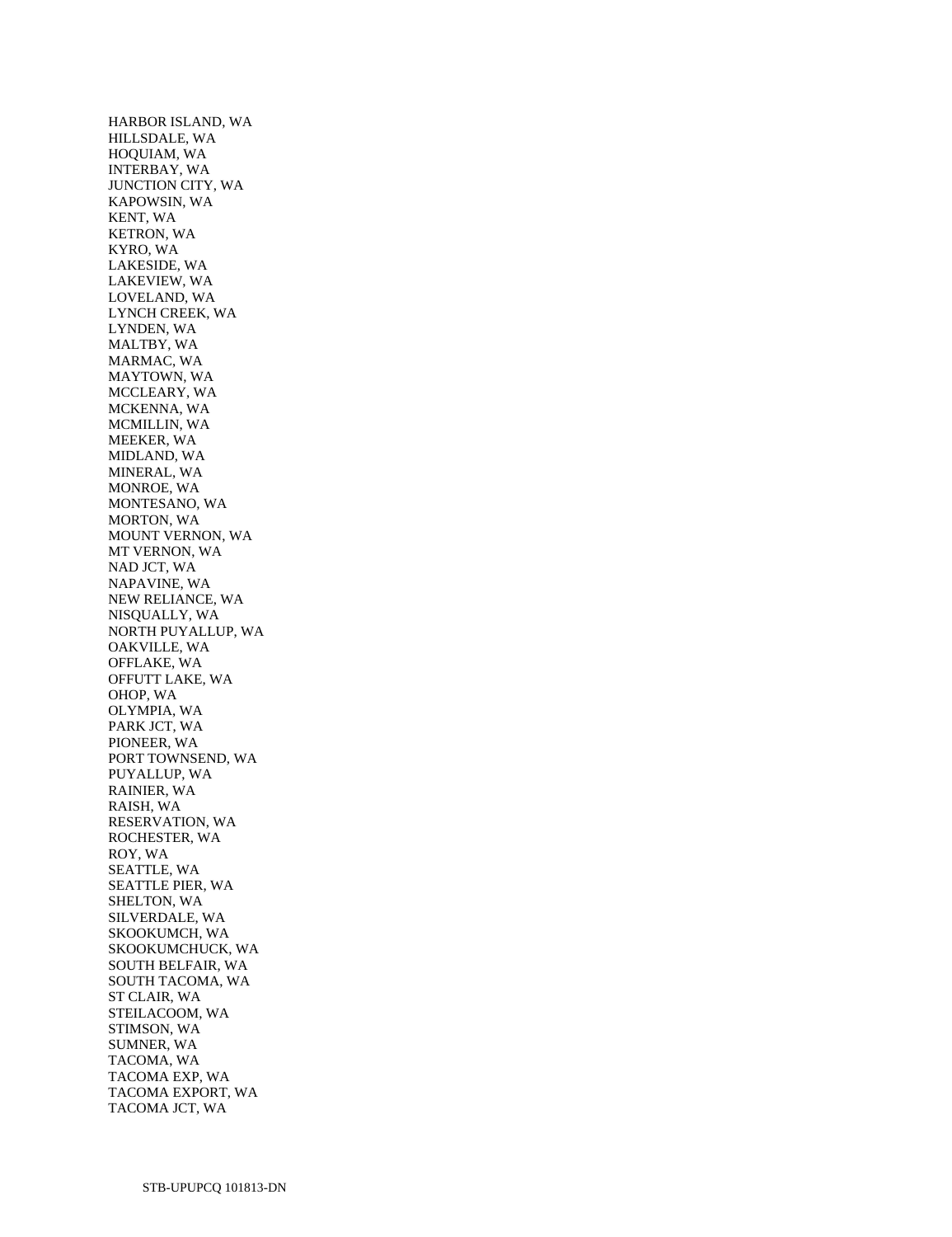HARBOR ISLAND, WA HILLSDALE, WA HOQUIAM, WA INTERBAY, WA JUNCTION CITY, WA KAPOWSIN, WA KENT, WA KETRON, WA KYRO, WA LAKESIDE, WA LAKEVIEW, WA LOVELAND, WA LYNCH CREEK, WA LYNDEN, WA MALTBY, WA MARMAC, WA MAYTOWN, WA MCCLEARY, WA MCKENNA, WA MCMILLIN, WA MEEKER, WA MIDLAND, WA MINERAL, WA MONROE, WA MONTESANO, WA MORTON, WA MOUNT VERNON, WA MT VERNON, WA NAD JCT, WA NAPAVINE, WA NEW RELIANCE, WA NISQUALLY, WA NORTH PUYALLUP, WA OAKVILLE, WA OFFLAKE, WA OFFUTT LAKE, WA OHOP, WA OLYMPIA, WA PARK JCT, WA PIONEER, WA PORT TOWNSEND, WA PUYALLUP, WA RAINIER, WA RAISH, WA RESERVATION, WA ROCHESTER, WA ROY, WA SEATTLE, WA SEATTLE PIER, WA SHELTON, WA SILVERDALE, WA SKOOKUMCH, WA SKOOKUMCHUCK, WA SOUTH BELFAIR, WA SOUTH TACOMA, WA ST CLAIR, WA STEILACOOM, WA STIMSON, WA SUMNER, WA TACOMA, WA TACOMA EXP, WA TACOMA EXPORT, WA TACOMA JCT, WA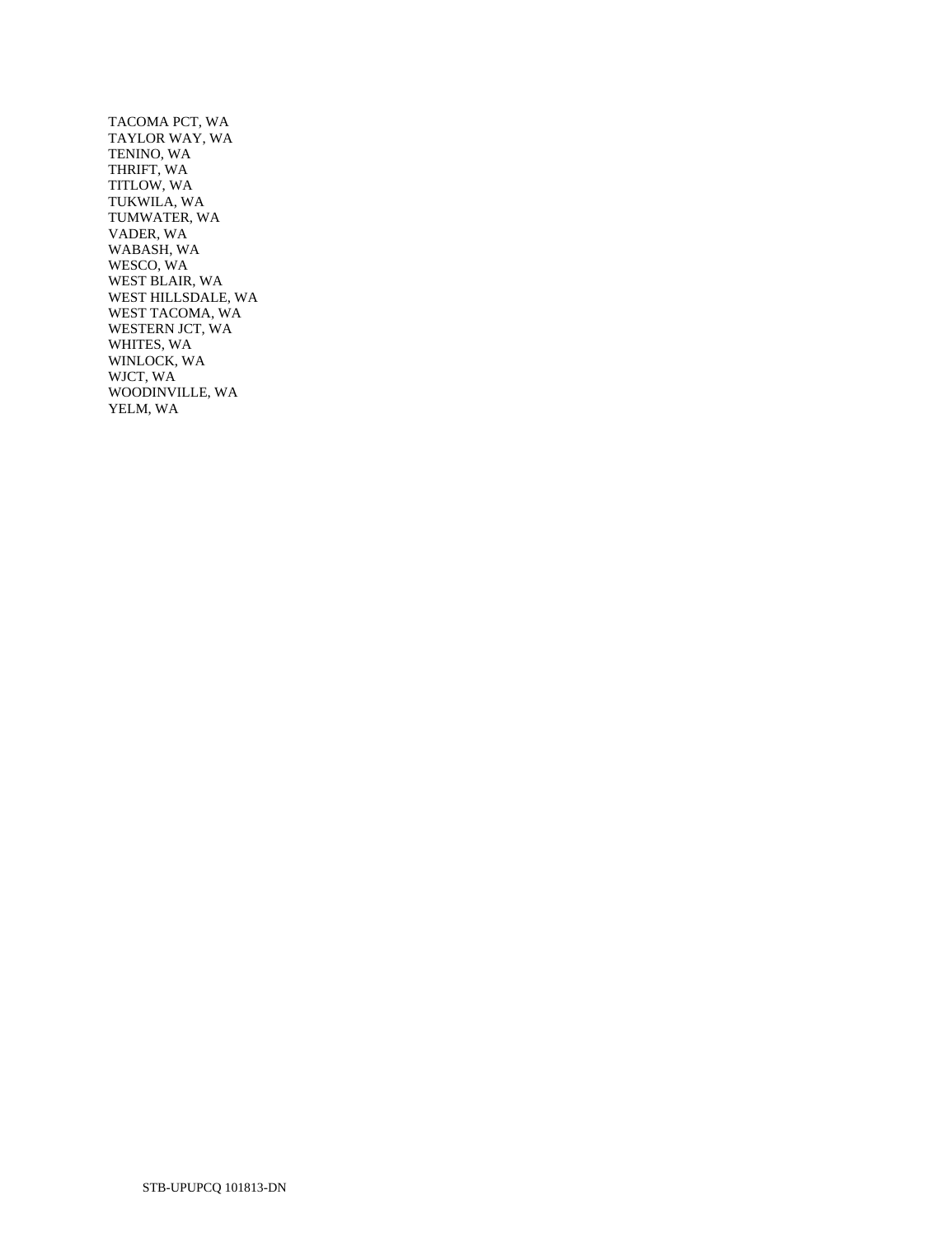TACOMA PCT, WA TAYLOR WAY, WA TENINO, WA THRIFT, WA TITLOW, WA TUKWILA, WA TUMWATER, WA VADER, WA WABASH, WA WESCO, WA WEST BLAIR, WA WEST HILLSDALE, WA WEST TACOMA, WA WESTERN JCT, WA WHITES, WA WINLOCK, WA WJCT, WA WOODINVILLE, WA YELM, WA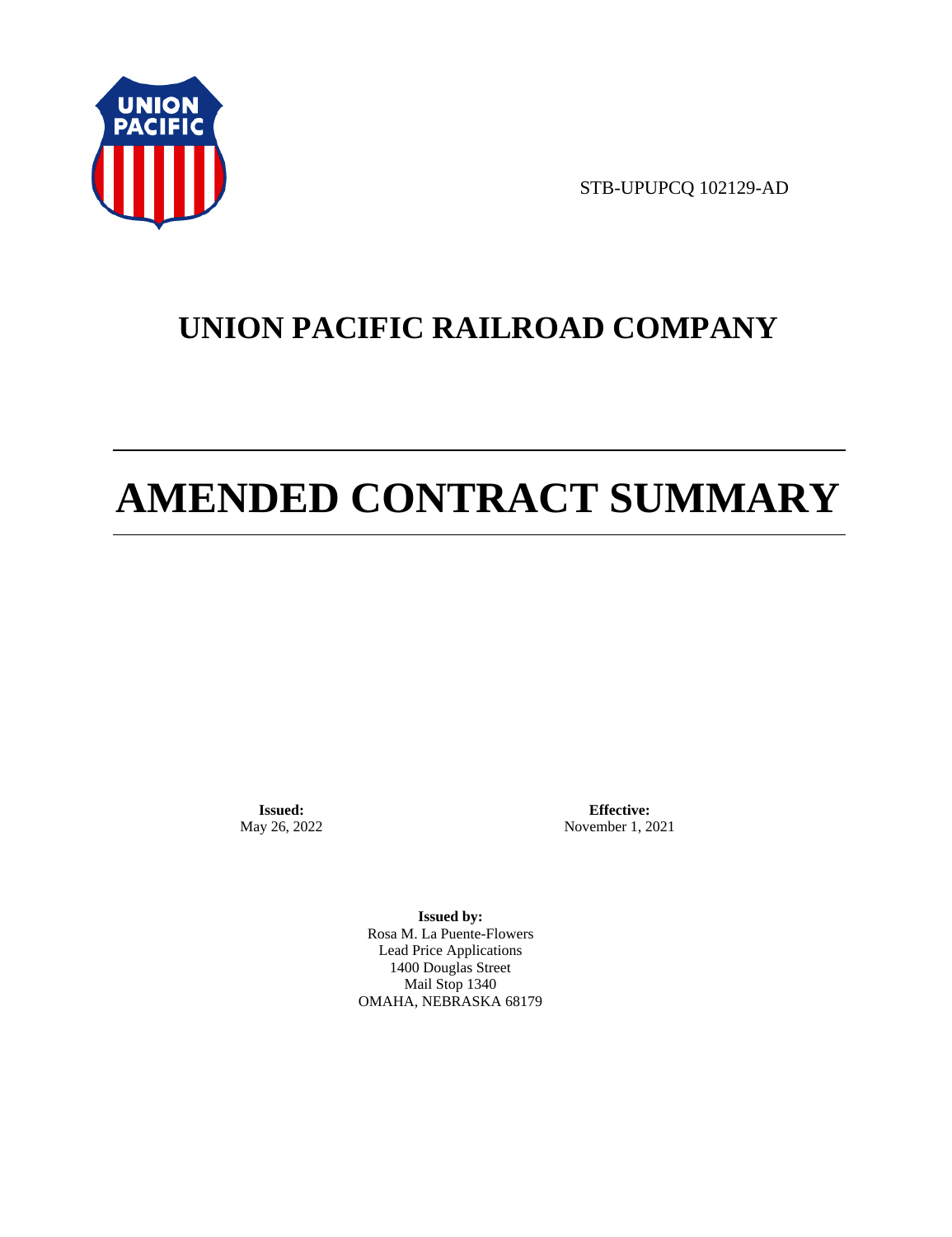

STB-UPUPCQ 102129-AD

## **UNION PACIFIC RAILROAD COMPANY**

# **AMENDED CONTRACT SUMMARY**

**Issued:**  May 26, 2022

**Effective:** November 1, 2021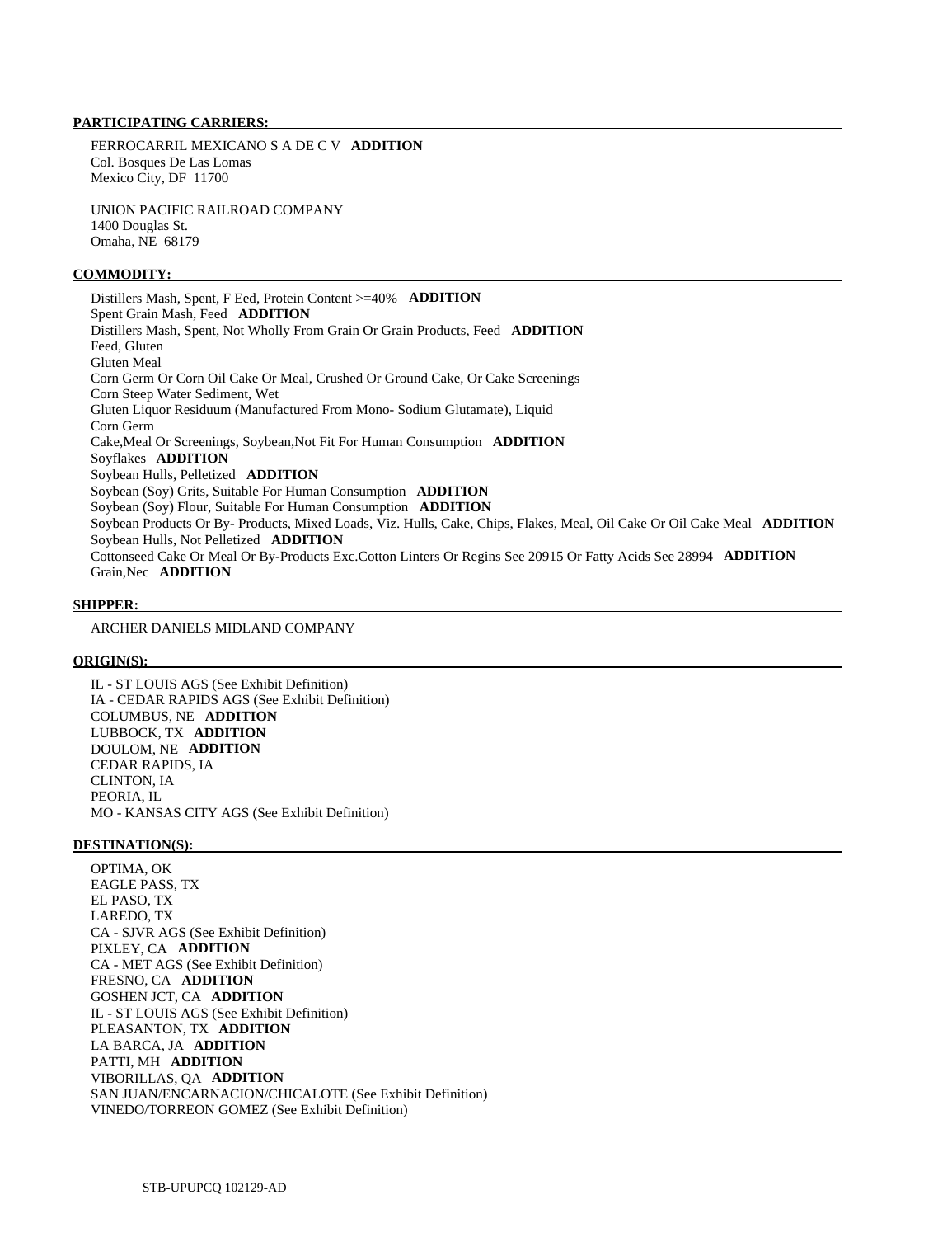FERROCARRIL MEXICANO S A DE C V **ADDITION**  Col. Bosques De Las Lomas Mexico City, DF 11700

 UNION PACIFIC RAILROAD COMPANY 1400 Douglas St. Omaha, NE 68179

## **COMMODITY:**

 Distillers Mash, Spent, F Eed, Protein Content >=40% **ADDITION**  Spent Grain Mash, Feed **ADDITION**  Distillers Mash, Spent, Not Wholly From Grain Or Grain Products, Feed **ADDITION**  Feed, Gluten Gluten Meal Corn Germ Or Corn Oil Cake Or Meal, Crushed Or Ground Cake, Or Cake Screenings Corn Steep Water Sediment, Wet Gluten Liquor Residuum (Manufactured From Mono- Sodium Glutamate), Liquid Corn Germ Cake,Meal Or Screenings, Soybean,Not Fit For Human Consumption **ADDITION**  Soyflakes **ADDITION**  Soybean Hulls, Pelletized **ADDITION**  Soybean (Soy) Grits, Suitable For Human Consumption **ADDITION**  Soybean (Soy) Flour, Suitable For Human Consumption **ADDITION**  Soybean Products Or By- Products, Mixed Loads, Viz. Hulls, Cake, Chips, Flakes, Meal, Oil Cake Or Oil Cake Meal **ADDITION**  Soybean Hulls, Not Pelletized **ADDITION**  Cottonseed Cake Or Meal Or By-Products Exc.Cotton Linters Or Regins See 20915 Or Fatty Acids See 28994 **ADDITION**  Grain,Nec **ADDITION** 

#### **SHIPPER:**

ARCHER DANIELS MIDLAND COMPANY

#### **ORIGIN(S):**

 IL - ST LOUIS AGS (See Exhibit Definition) IA - CEDAR RAPIDS AGS (See Exhibit Definition) COLUMBUS, NE **ADDITION**  LUBBOCK, TX **ADDITION**  DOULOM, NE **ADDITION**  CEDAR RAPIDS, IA CLINTON, IA PEORIA, IL MO - KANSAS CITY AGS (See Exhibit Definition)

#### **DESTINATION(S):**

 OPTIMA, OK EAGLE PASS, TX EL PASO, TX LAREDO, TX CA - SJVR AGS (See Exhibit Definition) PIXLEY, CA **ADDITION**  CA - MET AGS (See Exhibit Definition) FRESNO, CA **ADDITION**  GOSHEN JCT, CA **ADDITION**  IL - ST LOUIS AGS (See Exhibit Definition) PLEASANTON, TX **ADDITION**  LA BARCA, JA **ADDITION**  PATTI, MH **ADDITION**  VIBORILLAS, QA **ADDITION**  SAN JUAN/ENCARNACION/CHICALOTE (See Exhibit Definition) VINEDO/TORREON GOMEZ (See Exhibit Definition)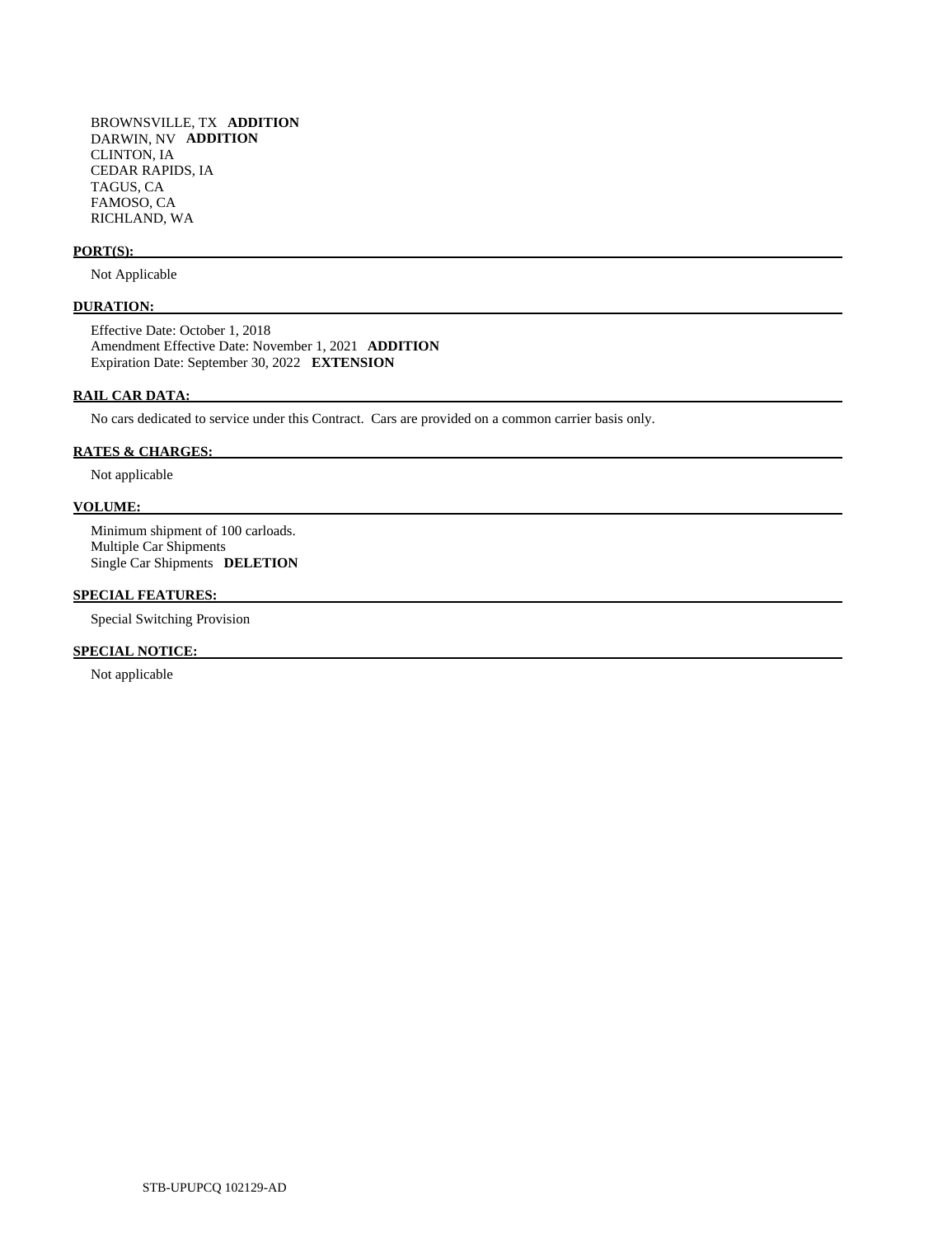BROWNSVILLE, TX **ADDITION**  DARWIN, NV **ADDITION**  CLINTON, IA CEDAR RAPIDS, IA TAGUS, CA FAMOSO, CA RICHLAND, WA

## **PORT(S):**

Not Applicable

## **DURATION:**

 Effective Date: October 1, 2018 Amendment Effective Date: November 1, 2021 **ADDITION**  Expiration Date: September 30, 2022 **EXTENSION** 

## **RAIL CAR DATA:**

No cars dedicated to service under this Contract. Cars are provided on a common carrier basis only.

## **RATES & CHARGES:**

Not applicable

## **VOLUME:**

 Minimum shipment of 100 carloads. Multiple Car Shipments Single Car Shipments **DELETION** 

## **SPECIAL FEATURES:**

Special Switching Provision

## **SPECIAL NOTICE:**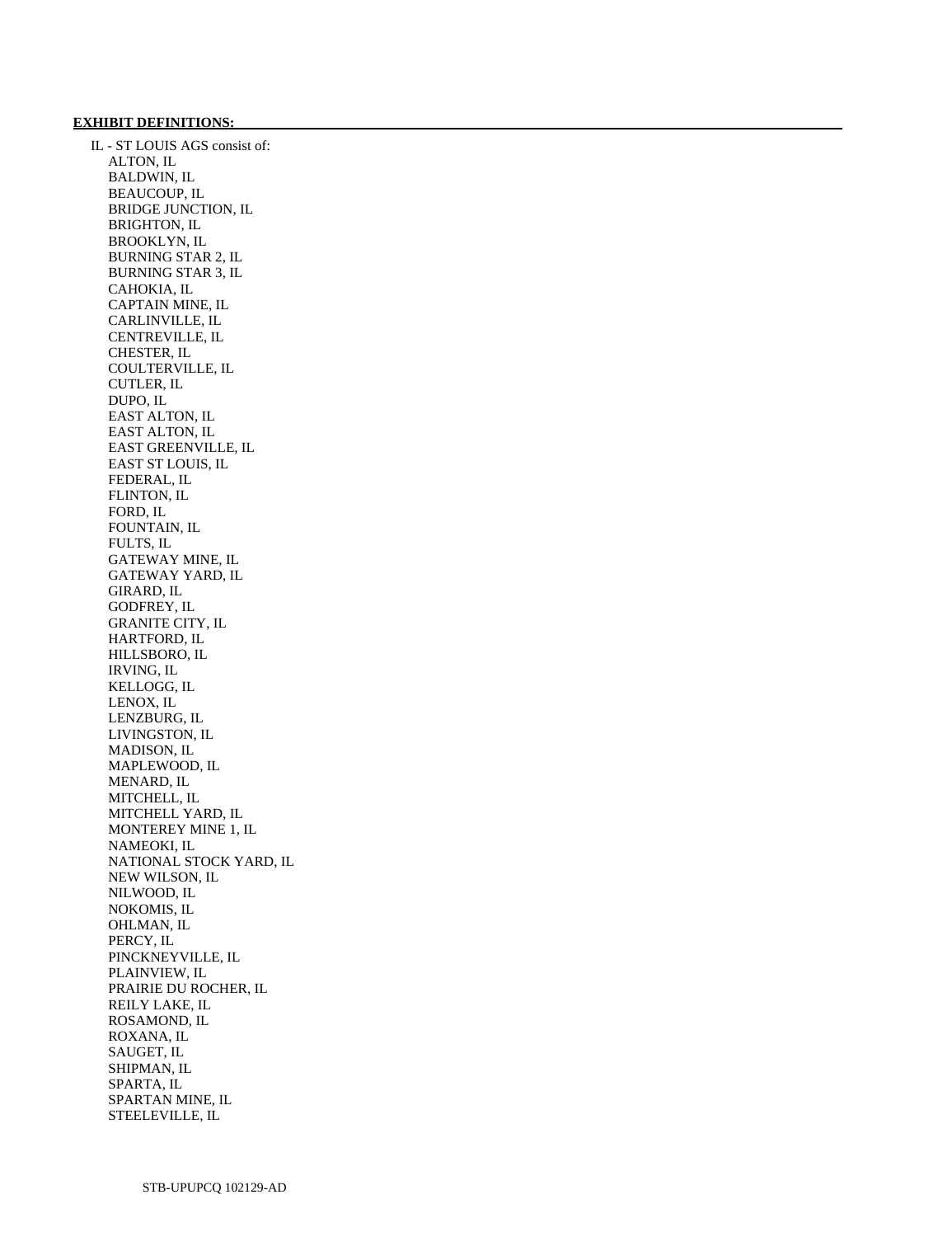## **EXHIBIT DEFINITIONS:**

 IL - ST LOUIS AGS consist of: ALTON, IL BALDWIN, IL BEAUCOUP, IL BRIDGE JUNCTION, IL BRIGHTON, IL BROOKLYN, IL BURNING STAR 2, IL BURNING STAR 3, IL CAHOKIA, IL CAPTAIN MINE, IL CARLINVILLE, IL CENTREVILLE, IL CHESTER, IL COULTERVILLE, IL CUTLER, IL DUPO, IL EAST ALTON, IL EAST ALTON, IL EAST GREENVILLE, IL EAST ST LOUIS, IL FEDERAL, IL FLINTON, IL FORD, IL FOUNTAIN, IL FULTS, IL GATEWAY MINE, IL GATEWAY YARD, IL GIRARD, IL GODFREY, IL GRANITE CITY, IL HARTFORD, IL HILLSBORO, IL IRVING, IL KELLOGG, IL LENOX, IL LENZBURG, IL LIVINGSTON, IL MADISON, IL MAPLEWOOD, IL MENARD, IL MITCHELL, IL MITCHELL YARD, IL MONTEREY MINE 1, IL NAMEOKI, IL NATIONAL STOCK YARD, IL NEW WILSON, IL NILWOOD, IL NOKOMIS, IL OHLMAN, IL PERCY, IL PINCKNEYVILLE, IL PLAINVIEW, IL PRAIRIE DU ROCHER, IL REILY LAKE, IL ROSAMOND, IL ROXANA, IL SAUGET, IL SHIPMAN, IL SPARTA, IL SPARTAN MINE, IL STEELEVILLE, IL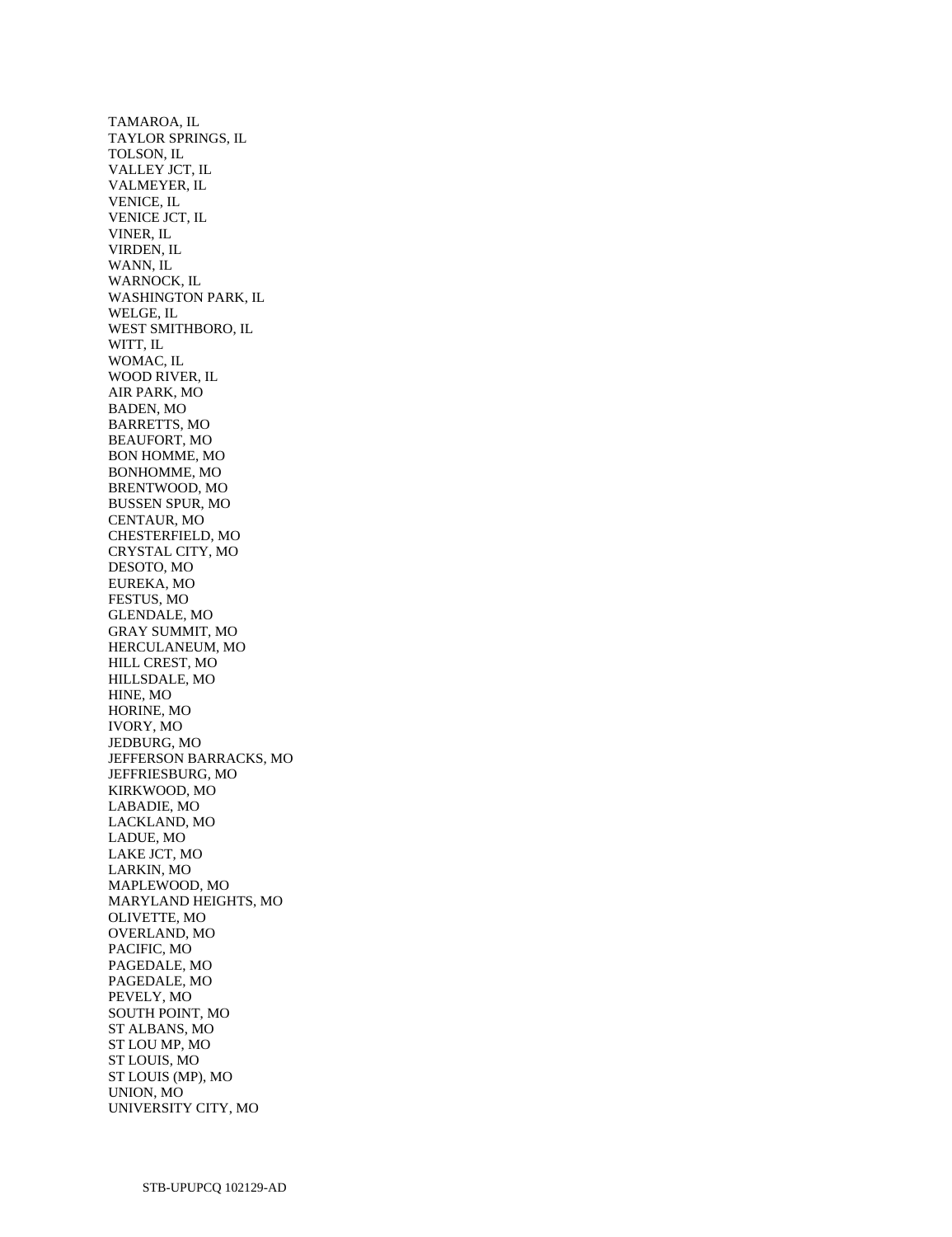TAMAROA, IL TAYLOR SPRINGS, IL TOLSON, IL VALLEY JCT, IL VALMEYER, IL VENICE, IL VENICE JCT, IL VINER, IL VIRDEN, IL WANN, IL WARNOCK, IL WASHINGTON PARK, IL WELGE, IL WEST SMITHBORO, IL WITT, IL WOMAC, IL WOOD RIVER, IL AIR PARK, MO BADEN, MO BARRETTS, MO BEAUFORT, MO BON HOMME, MO BONHOMME, MO BRENTWOOD, MO BUSSEN SPUR, MO CENTAUR, MO CHESTERFIELD, MO CRYSTAL CITY, MO DESOTO, MO EUREKA, MO FESTUS, MO GLENDALE, MO GRAY SUMMIT, MO HERCULANEUM, MO HILL CREST, MO HILLSDALE, MO HINE, MO HORINE, MO IVORY, MO JEDBURG, MO JEFFERSON BARRACKS, MO JEFFRIESBURG, MO KIRKWOOD, MO LABADIE, MO LACKLAND, MO LADUE, MO LAKE JCT, MO LARKIN, MO MAPLEWOOD, MO MARYLAND HEIGHTS, MO OLIVETTE, MO OVERLAND, MO PACIFIC, MO PAGEDALE, MO PAGEDALE, MO PEVELY, MO SOUTH POINT, MO ST ALBANS, MO ST LOU MP, MO ST LOUIS, MO ST LOUIS (MP), MO UNION, MO UNIVERSITY CITY, MO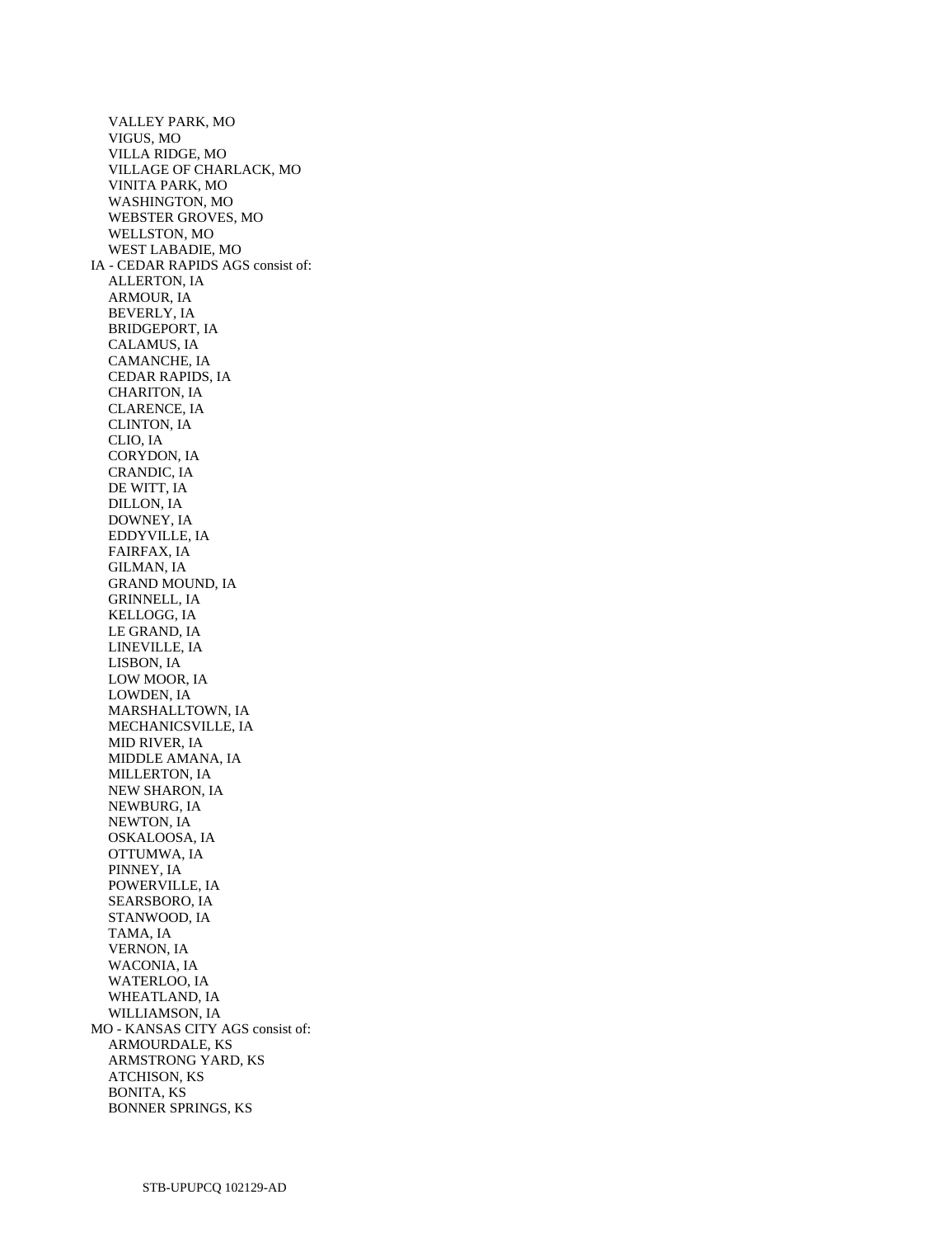VALLEY PARK, MO VIGUS, MO VILLA RIDGE, MO VILLAGE OF CHARLACK, MO VINITA PARK, MO WASHINGTON, MO WEBSTER GROVES, MO WELLSTON, MO WEST LABADIE, MO IA - CEDAR RAPIDS AGS consist of: ALLERTON, IA ARMOUR, IA BEVERLY, IA BRIDGEPORT, IA CALAMUS, IA CAMANCHE, IA CEDAR RAPIDS, IA CHARITON, IA CLARENCE, IA CLINTON, IA CLIO, IA CORYDON, IA CRANDIC, IA DE WITT, IA DILLON, IA DOWNEY, IA EDDYVILLE, IA FAIRFAX, IA GILMAN, IA GRAND MOUND, IA GRINNELL, IA KELLOGG, IA LE GRAND, IA LINEVILLE, IA LISBON, IA LOW MOOR, IA LOWDEN, IA MARSHALLTOWN, IA MECHANICSVILLE, IA MID RIVER, IA MIDDLE AMANA, IA MILLERTON, IA NEW SHARON, IA NEWBURG, IA NEWTON, IA OSKALOOSA, IA OTTUMWA, IA PINNEY, IA POWERVILLE, IA SEARSBORO, IA STANWOOD, IA TAMA, IA VERNON, IA WACONIA, IA WATERLOO, IA WHEATLAND, IA WILLIAMSON, IA MO - KANSAS CITY AGS consist of: ARMOURDALE, KS ARMSTRONG YARD, KS ATCHISON, KS BONITA, KS BONNER SPRINGS, KS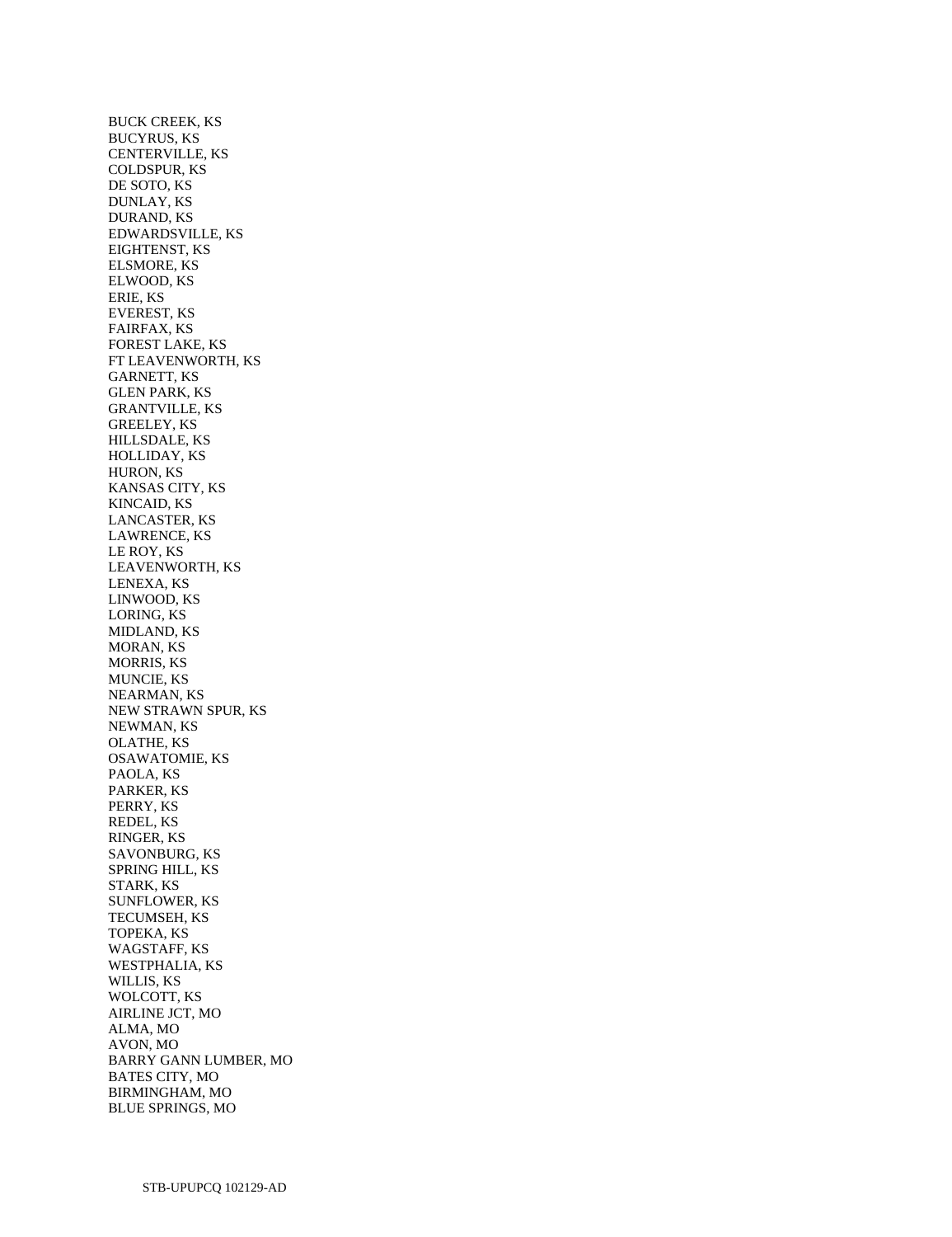BUCK CREEK, KS BUCYRUS, KS CENTERVILLE, KS COLDSPUR, KS DE SOTO, KS DUNLAY, KS DURAND, KS EDWARDSVILLE, KS EIGHTENST, KS ELSMORE, KS ELWOOD, KS ERIE, KS EVEREST, KS FAIRFAX, KS FOREST LAKE, KS FT LEAVENWORTH, KS GARNETT, KS GLEN PARK, KS GRANTVILLE, KS GREELEY, KS HILLSDALE, KS HOLLIDAY, KS HURON, KS KANSAS CITY, KS KINCAID, KS LANCASTER, KS LAWRENCE, KS LE ROY, KS LEAVENWORTH, KS LENEXA, KS LINWOOD, KS LORING, KS MIDLAND, KS MORAN, KS MORRIS, KS MUNCIE, KS NEARMAN, KS NEW STRAWN SPUR, KS NEWMAN, KS OLATHE, KS OSAWATOMIE, KS PAOLA, KS PARKER, KS PERRY, KS REDEL, KS RINGER, KS SAVONBURG, KS SPRING HILL, KS STARK, KS SUNFLOWER, KS TECUMSEH, KS TOPEKA, KS WAGSTAFF, KS WESTPHALIA, KS WILLIS, KS WOLCOTT, KS AIRLINE JCT, MO ALMA, MO AVON, MO BARRY GANN LUMBER, MO BATES CITY, MO BIRMINGHAM, MO BLUE SPRINGS, MO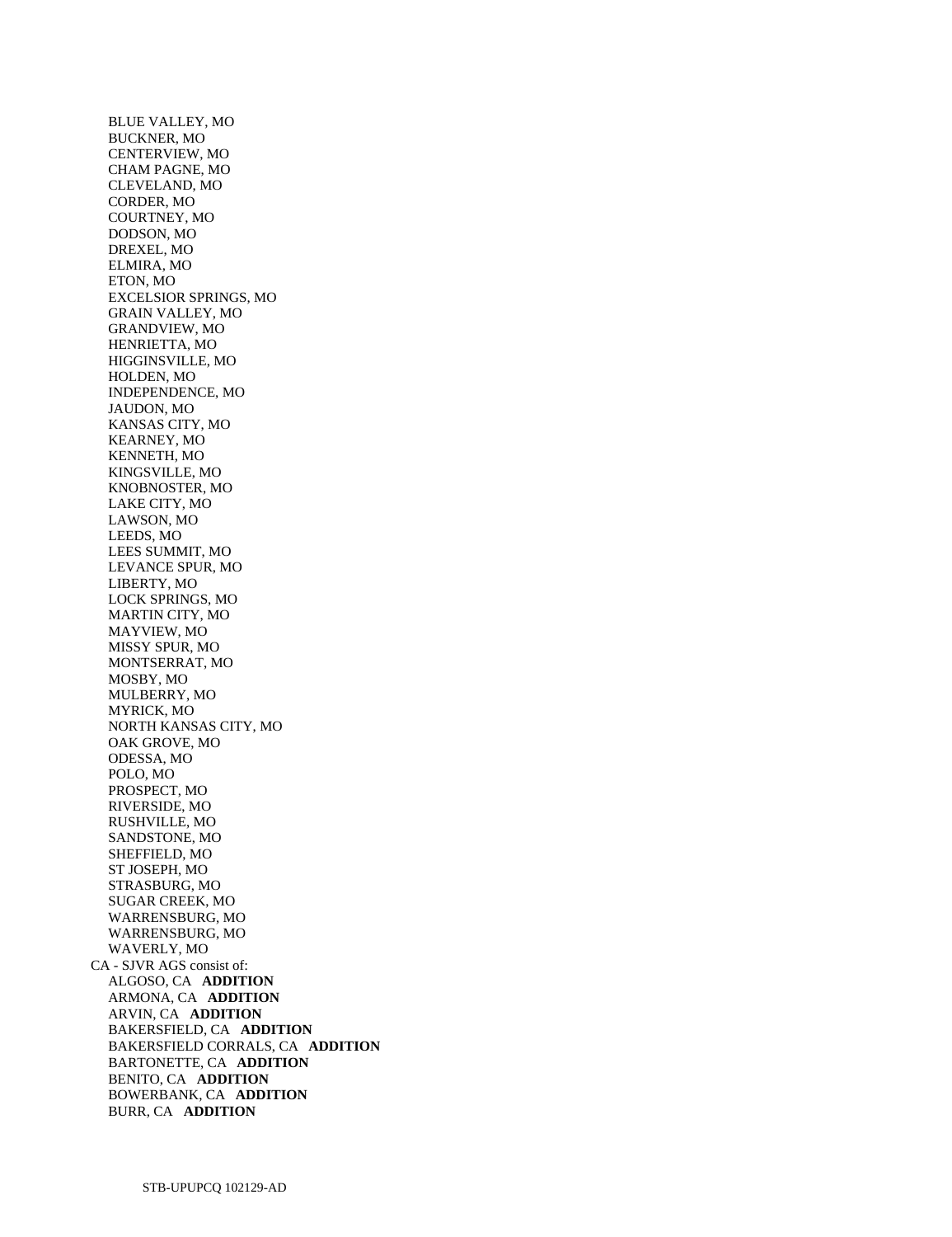BLUE VALLEY, MO BUCKNER, MO CENTERVIEW, MO CHAM PAGNE, MO CLEVELAND, MO CORDER, MO COURTNEY, MO DODSON, MO DREXEL, MO ELMIRA, MO ETON, MO EXCELSIOR SPRINGS, MO GRAIN VALLEY, MO GRANDVIEW, MO HENRIETTA, MO HIGGINSVILLE, MO HOLDEN, MO INDEPENDENCE, MO JAUDON, MO KANSAS CITY, MO KEARNEY, MO KENNETH, MO KINGSVILLE, MO KNOBNOSTER, MO LAKE CITY, MO LAWSON, MO LEEDS, MO LEES SUMMIT, MO LEVANCE SPUR, MO LIBERTY, MO LOCK SPRINGS, MO MARTIN CITY, MO MAYVIEW, MO MISSY SPUR, MO MONTSERRAT, MO MOSBY, MO MULBERRY, MO MYRICK, MO NORTH KANSAS CITY, MO OAK GROVE, MO ODESSA, MO POLO, MO PROSPECT, MO RIVERSIDE, MO RUSHVILLE, MO SANDSTONE, MO SHEFFIELD, MO ST JOSEPH, MO STRASBURG, MO SUGAR CREEK, MO WARRENSBURG, MO WARRENSBURG, MO WAVERLY, MO CA - SJVR AGS consist of: ALGOSO, CA **ADDITION**  ARMONA, CA **ADDITION**  ARVIN, CA **ADDITION**  BAKERSFIELD, CA **ADDITION**  BAKERSFIELD CORRALS, CA **ADDITION**  BARTONETTE, CA **ADDITION**  BENITO, CA **ADDITION**  BOWERBANK, CA **ADDITION**  BURR, CA **ADDITION**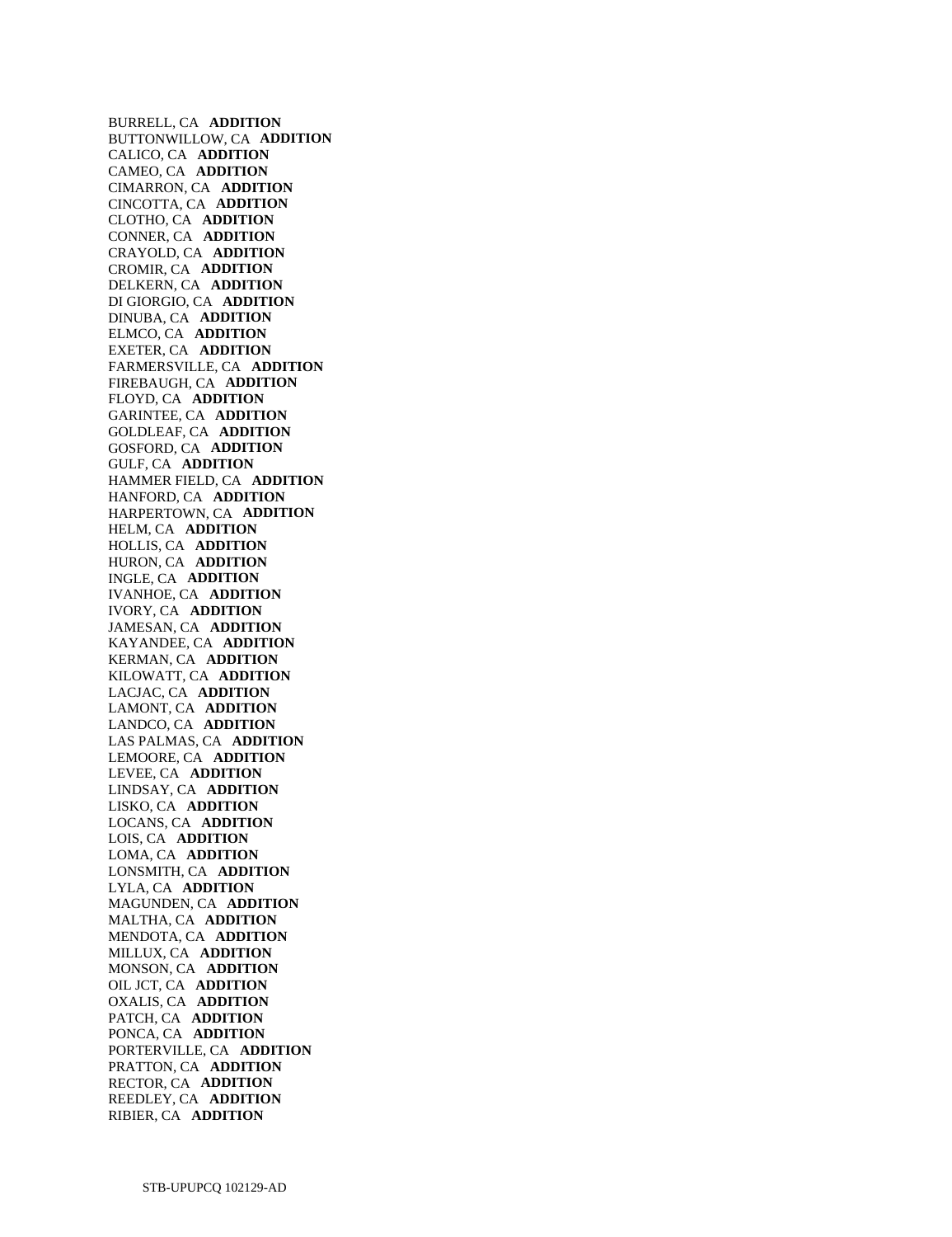BURRELL, CA **ADDITION**  BUTTONWILLOW, CA **ADDITION**  CALICO, CA **ADDITION**  CAMEO, CA **ADDITION**  CIMARRON, CA **ADDITION**  CINCOTTA, CA **ADDITION**  CLOTHO, CA **ADDITION**  CONNER, CA **ADDITION**  CRAYOLD, CA **ADDITION**  CROMIR, CA **ADDITION**  DELKERN, CA **ADDITION**  DI GIORGIO, CA **ADDITION**  DINUBA, CA **ADDITION**  ELMCO, CA **ADDITION**  EXETER, CA **ADDITION**  FARMERSVILLE, CA **ADDITION**  FIREBAUGH, CA **ADDITION**  FLOYD, CA **ADDITION**  GARINTEE, CA **ADDITION**  GOLDLEAF, CA **ADDITION**  GOSFORD, CA **ADDITION**  GULF, CA **ADDITION**  HAMMER FIELD, CA **ADDITION**  HANFORD, CA **ADDITION**  HARPERTOWN, CA **ADDITION**  HELM, CA **ADDITION**  HOLLIS, CA **ADDITION**  HURON, CA **ADDITION**  INGLE, CA **ADDITION**  IVANHOE, CA **ADDITION**  IVORY, CA **ADDITION**  JAMESAN, CA **ADDITION**  KAYANDEE, CA **ADDITION**  KERMAN, CA **ADDITION**  KILOWATT, CA **ADDITION**  LACJAC, CA **ADDITION**  LAMONT, CA **ADDITION**  LANDCO, CA **ADDITION**  LAS PALMAS, CA **ADDITION**  LEMOORE, CA **ADDITION**  LEVEE, CA **ADDITION**  LINDSAY, CA **ADDITION**  LISKO, CA **ADDITION**  LOCANS, CA **ADDITION**  LOIS, CA **ADDITION**  LOMA, CA **ADDITION**  LONSMITH, CA **ADDITION**  LYLA, CA **ADDITION**  MAGUNDEN, CA **ADDITION**  MALTHA, CA **ADDITION**  MENDOTA, CA **ADDITION**  MILLUX, CA **ADDITION**  MONSON, CA **ADDITION**  OIL JCT, CA **ADDITION**  OXALIS, CA **ADDITION**  PATCH, CA **ADDITION**  PONCA, CA **ADDITION**  PORTERVILLE, CA **ADDITION**  PRATTON, CA **ADDITION**  RECTOR, CA **ADDITION**  REEDLEY, CA **ADDITION**  RIBIER, CA **ADDITION**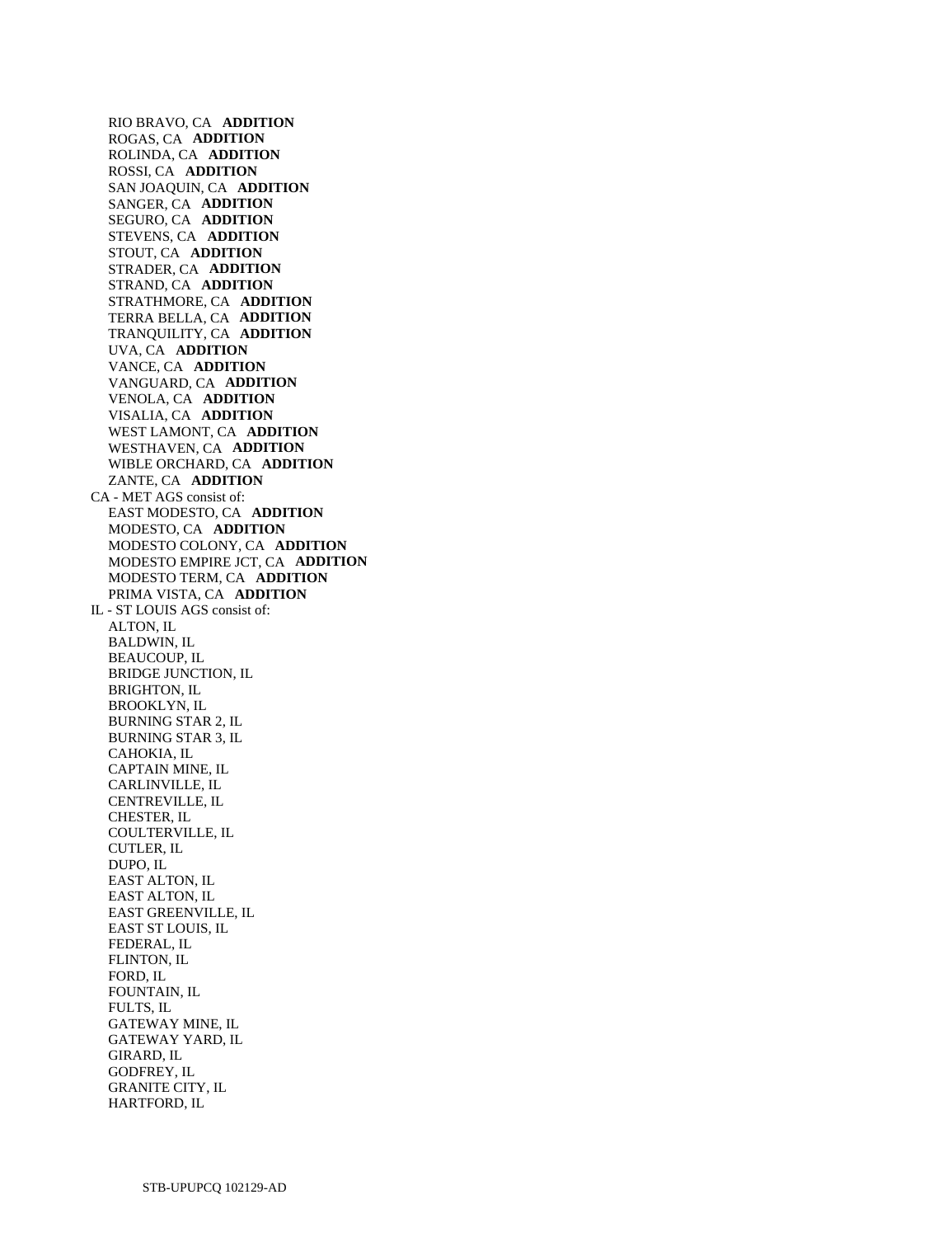RIO BRAVO, CA **ADDITION**  ROGAS, CA **ADDITION**  ROLINDA, CA **ADDITION**  ROSSI, CA **ADDITION**  SAN JOAQUIN, CA **ADDITION**  SANGER, CA **ADDITION**  SEGURO, CA **ADDITION**  STEVENS, CA **ADDITION**  STOUT, CA **ADDITION**  STRADER, CA **ADDITION**  STRAND, CA **ADDITION**  STRATHMORE, CA **ADDITION**  TERRA BELLA, CA **ADDITION**  TRANQUILITY, CA **ADDITION**  UVA, CA **ADDITION**  VANCE, CA **ADDITION**  VANGUARD, CA **ADDITION**  VENOLA, CA **ADDITION**  VISALIA, CA **ADDITION**  WEST LAMONT, CA **ADDITION**  WESTHAVEN, CA **ADDITION**  WIBLE ORCHARD, CA **ADDITION**  ZANTE, CA **ADDITION**  CA - MET AGS consist of: EAST MODESTO, CA **ADDITION**  MODESTO, CA **ADDITION**  MODESTO COLONY, CA **ADDITION**  MODESTO EMPIRE JCT, CA **ADDITION**  MODESTO TERM, CA **ADDITION**  PRIMA VISTA, CA **ADDITION**  IL - ST LOUIS AGS consist of: ALTON, IL BALDWIN, IL BEAUCOUP, IL BRIDGE JUNCTION, IL BRIGHTON, IL BROOKLYN, IL BURNING STAR 2, IL BURNING STAR 3, IL CAHOKIA, IL CAPTAIN MINE, IL CARLINVILLE, IL CENTREVILLE, IL CHESTER, IL COULTERVILLE, IL CUTLER, IL DUPO, IL EAST ALTON, IL EAST ALTON, IL EAST GREENVILLE, IL EAST ST LOUIS, IL FEDERAL, IL FLINTON, IL FORD, IL FOUNTAIN, IL FULTS, IL GATEWAY MINE, IL GATEWAY YARD, IL GIRARD, IL GODFREY, IL GRANITE CITY, IL

HARTFORD, IL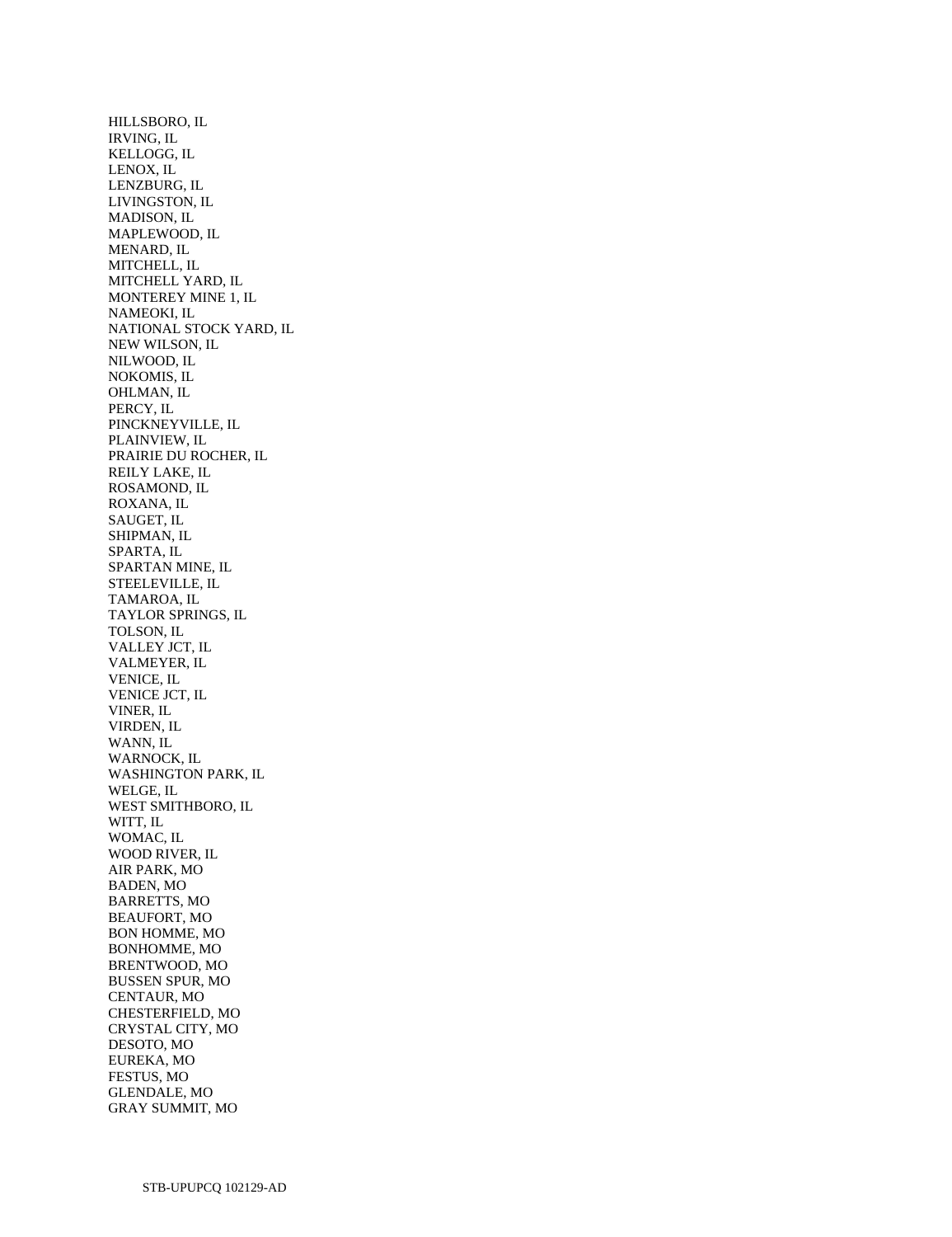HILLSBORO, IL IRVING, IL KELLOGG, IL LENOX, IL LENZBURG, IL LIVINGSTON, IL MADISON, IL MAPLEWOOD, IL MENARD, IL MITCHELL, IL MITCHELL YARD, IL MONTEREY MINE 1, IL NAMEOKI, IL NATIONAL STOCK YARD, IL NEW WILSON, IL NILWOOD, IL NOKOMIS, IL OHLMAN, IL PERCY, IL PINCKNEYVILLE, IL PLAINVIEW, IL PRAIRIE DU ROCHER, IL REILY LAKE, IL ROSAMOND, IL ROXANA, IL SAUGET, IL SHIPMAN, IL SPARTA, IL SPARTAN MINE, IL STEELEVILLE, IL TAMAROA, IL TAYLOR SPRINGS, IL TOLSON, IL VALLEY JCT, IL VALMEYER, IL VENICE, IL VENICE JCT, IL VINER, IL VIRDEN, IL WANN, IL WARNOCK, IL WASHINGTON PARK, IL WELGE, IL WEST SMITHBORO, IL WITT, IL WOMAC, IL WOOD RIVER, IL AIR PARK, MO BADEN, MO BARRETTS, MO BEAUFORT, MO BON HOMME, MO BONHOMME, MO BRENTWOOD, MO BUSSEN SPUR, MO CENTAUR, MO CHESTERFIELD, MO CRYSTAL CITY, MO DESOTO, MO EUREKA, MO FESTUS, MO GLENDALE, MO GRAY SUMMIT, MO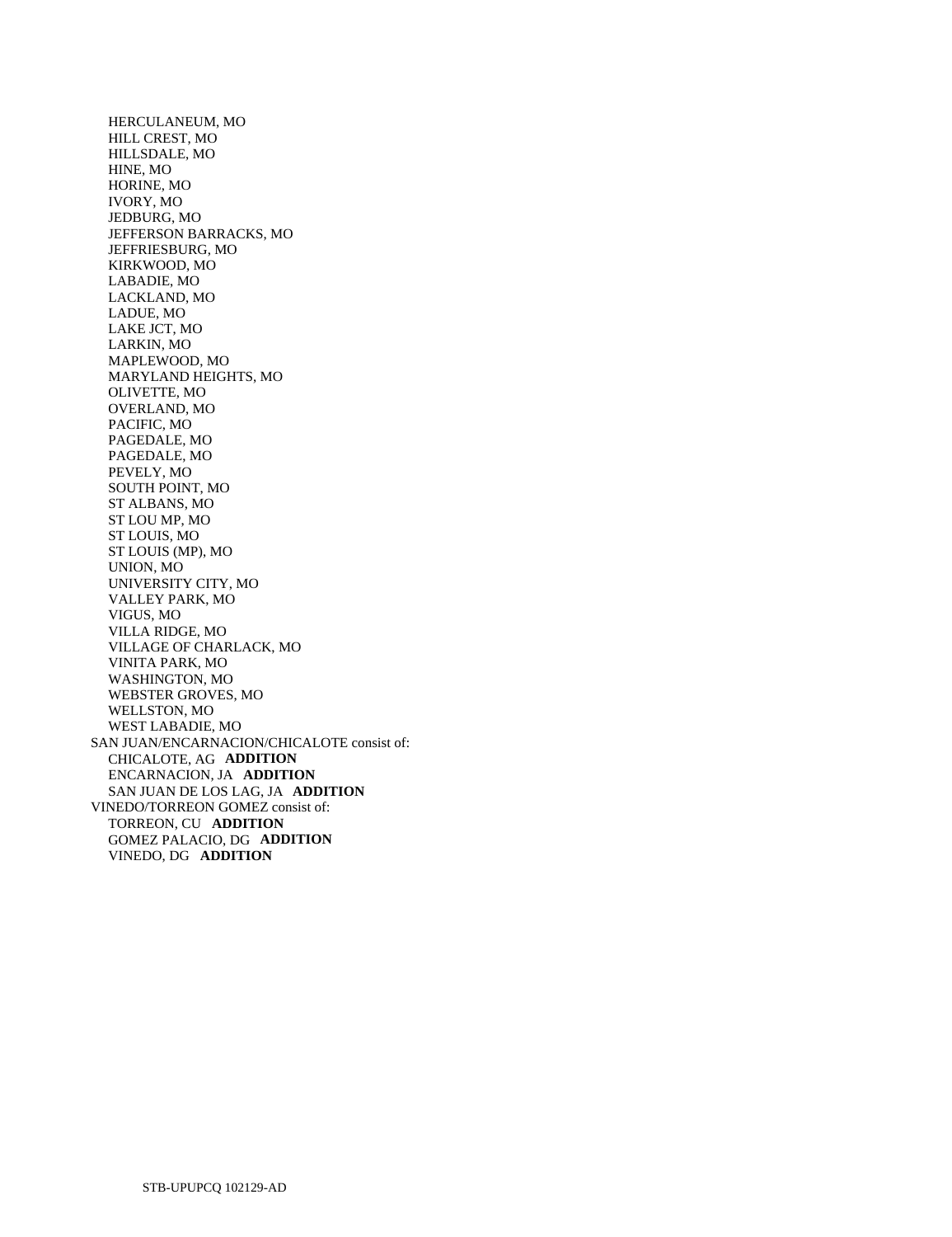HERCULANEUM, MO HILL CREST, MO HILLSDALE, MO HINE, MO HORINE, MO IVORY, MO JEDBURG, MO JEFFERSON BARRACKS, MO JEFFRIESBURG, MO KIRKWOOD, MO LABADIE, MO LACKLAND, MO LADUE, MO LAKE JCT, MO LARKIN, MO MAPLEWOOD, MO MARYLAND HEIGHTS, MO OLIVETTE, MO OVERLAND, MO PACIFIC, MO PAGEDALE, MO PAGEDALE, MO PEVELY, MO SOUTH POINT, MO ST ALBANS, MO ST LOU MP, MO ST LOUIS, MO ST LOUIS (MP), MO UNION, MO UNIVERSITY CITY, MO VALLEY PARK, MO VIGUS, MO VILLA RIDGE, MO VILLAGE OF CHARLACK, MO VINITA PARK, MO WASHINGTON, MO WEBSTER GROVES, MO WELLSTON, MO WEST LABADIE, MO SAN JUAN/ENCARNACION/CHICALOTE consist of: CHICALOTE, AG **ADDITION**  ENCARNACION, JA **ADDITION**  SAN JUAN DE LOS LAG, JA **ADDITION**  VINEDO/TORREON GOMEZ consist of: TORREON, CU **ADDITION**  GOMEZ PALACIO, DG **ADDITION**  VINEDO, DG **ADDITION**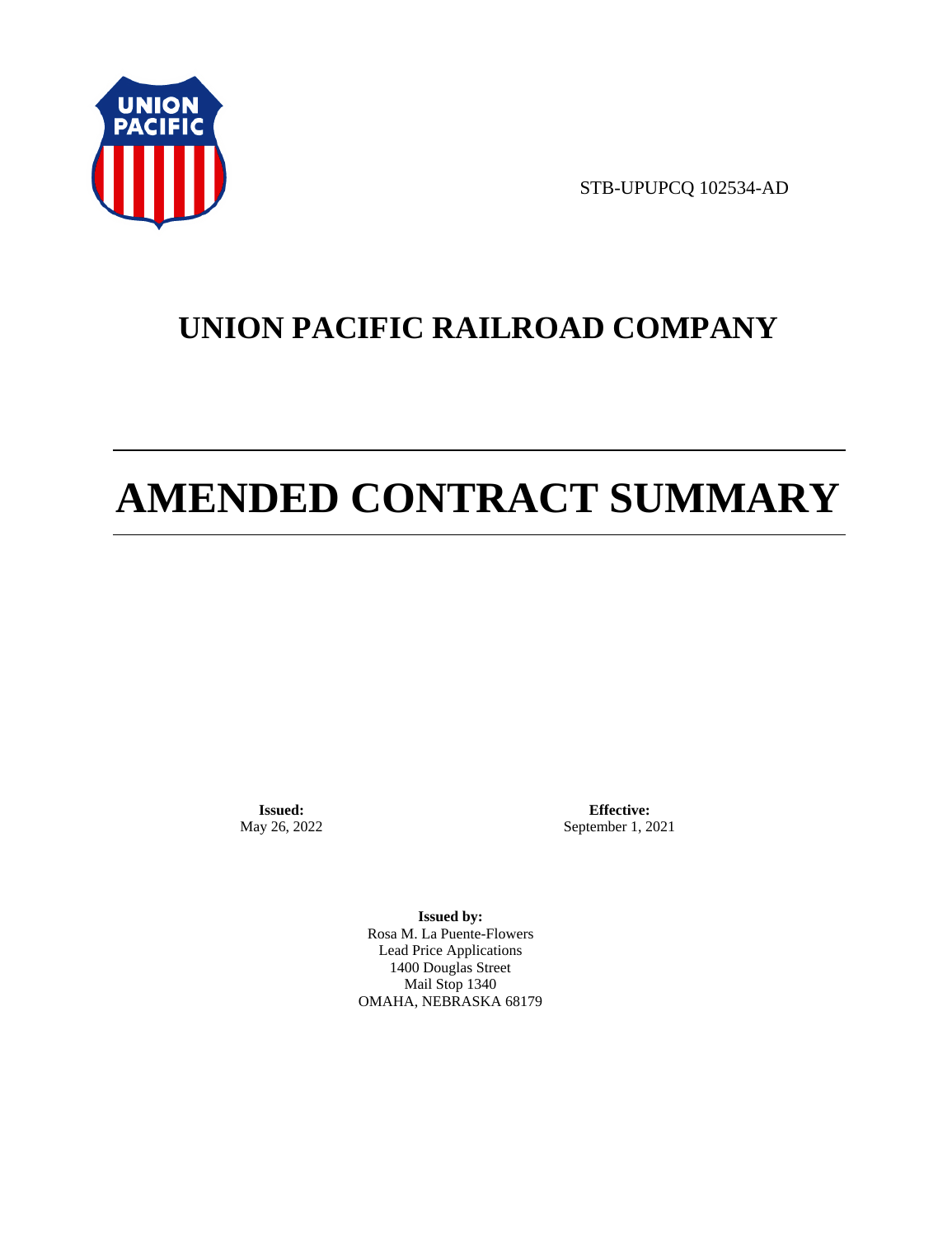

STB-UPUPCQ 102534-AD

# **UNION PACIFIC RAILROAD COMPANY**

# **AMENDED CONTRACT SUMMARY**

**Issued:**  May 26, 2022

**Effective:** September 1, 2021

**Issued by:**  Rosa M. La Puente-Flowers Lead Price Applications 1400 Douglas Street Mail Stop 1340 OMAHA, NEBRASKA 68179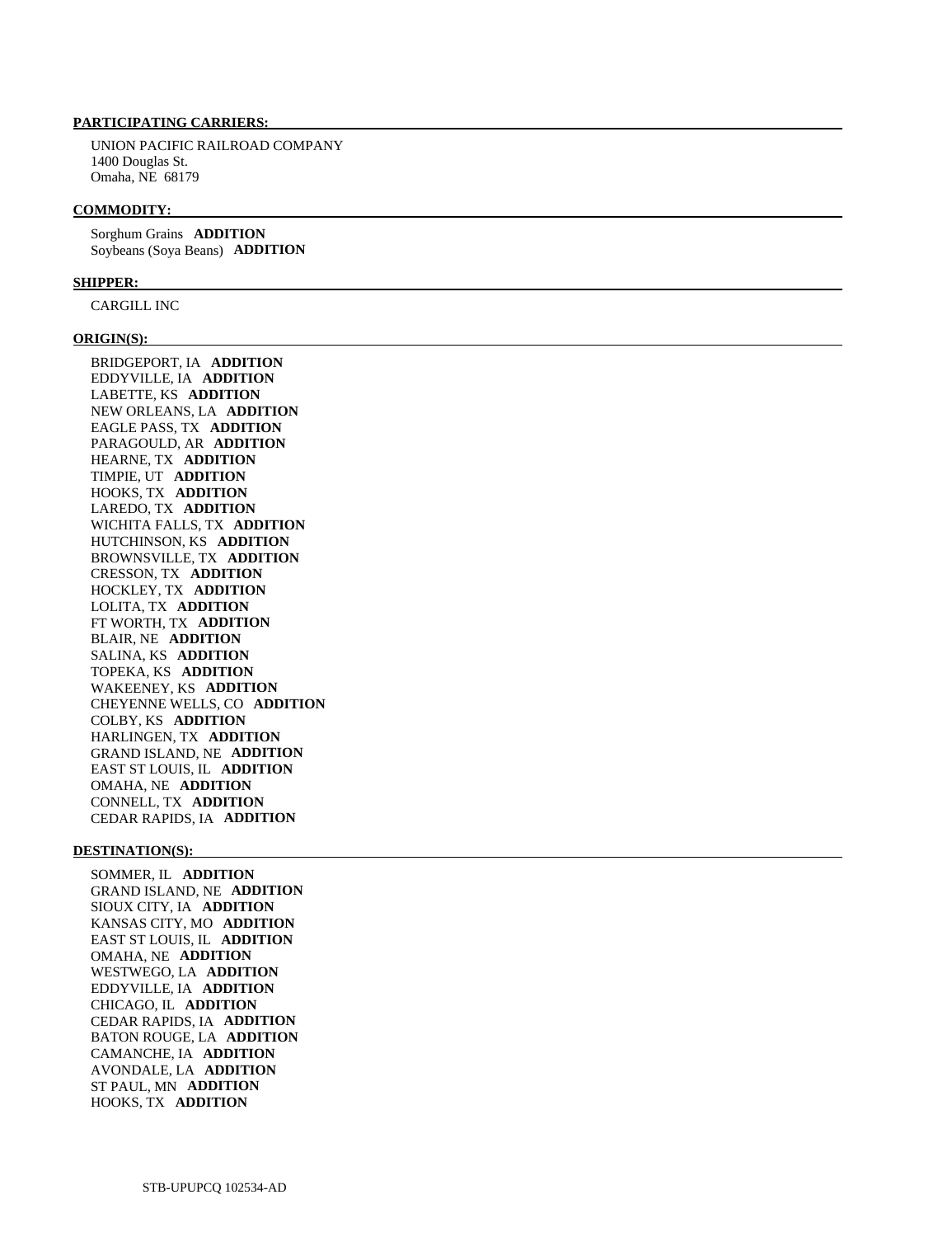# **PARTICIPATING CARRIERS:**

 UNION PACIFIC RAILROAD COMPANY 1400 Douglas St. Omaha, NE 68179

#### **COMMODITY:**

 Sorghum Grains **ADDITION**  Soybeans (Soya Beans) **ADDITION** 

### **SHIPPER:**

CARGILL INC

### **ORIGIN(S):**

 BRIDGEPORT, IA **ADDITION**  EDDYVILLE, IA **ADDITION**  LABETTE, KS **ADDITION**  NEW ORLEANS, LA **ADDITION**  EAGLE PASS, TX **ADDITION**  PARAGOULD, AR **ADDITION**  HEARNE, TX **ADDITION**  TIMPIE, UT **ADDITION**  HOOKS, TX **ADDITION**  LAREDO, TX **ADDITION**  WICHITA FALLS, TX **ADDITION**  HUTCHINSON, KS **ADDITION**  BROWNSVILLE, TX **ADDITION**  CRESSON, TX **ADDITION**  HOCKLEY, TX **ADDITION**  LOLITA, TX **ADDITION**  FT WORTH, TX **ADDITION**  BLAIR, NE **ADDITION**  SALINA, KS **ADDITION**  TOPEKA, KS **ADDITION**  WAKEENEY, KS **ADDITION**  CHEYENNE WELLS, CO **ADDITION**  COLBY, KS **ADDITION**  HARLINGEN, TX **ADDITION**  GRAND ISLAND, NE **ADDITION**  EAST ST LOUIS, IL **ADDITION**  OMAHA, NE **ADDITION**  CONNELL, TX **ADDITION**  CEDAR RAPIDS, IA **ADDITION** 

### **DESTINATION(S):**

 SOMMER, IL **ADDITION**  GRAND ISLAND, NE **ADDITION**  SIOUX CITY, IA **ADDITION**  KANSAS CITY, MO **ADDITION**  EAST ST LOUIS, IL **ADDITION**  OMAHA, NE **ADDITION**  WESTWEGO, LA **ADDITION**  EDDYVILLE, IA **ADDITION**  CHICAGO, IL **ADDITION**  CEDAR RAPIDS, IA **ADDITION**  BATON ROUGE, LA **ADDITION**  CAMANCHE, IA **ADDITION**  AVONDALE, LA **ADDITION**  ST PAUL, MN **ADDITION**  HOOKS, TX **ADDITION**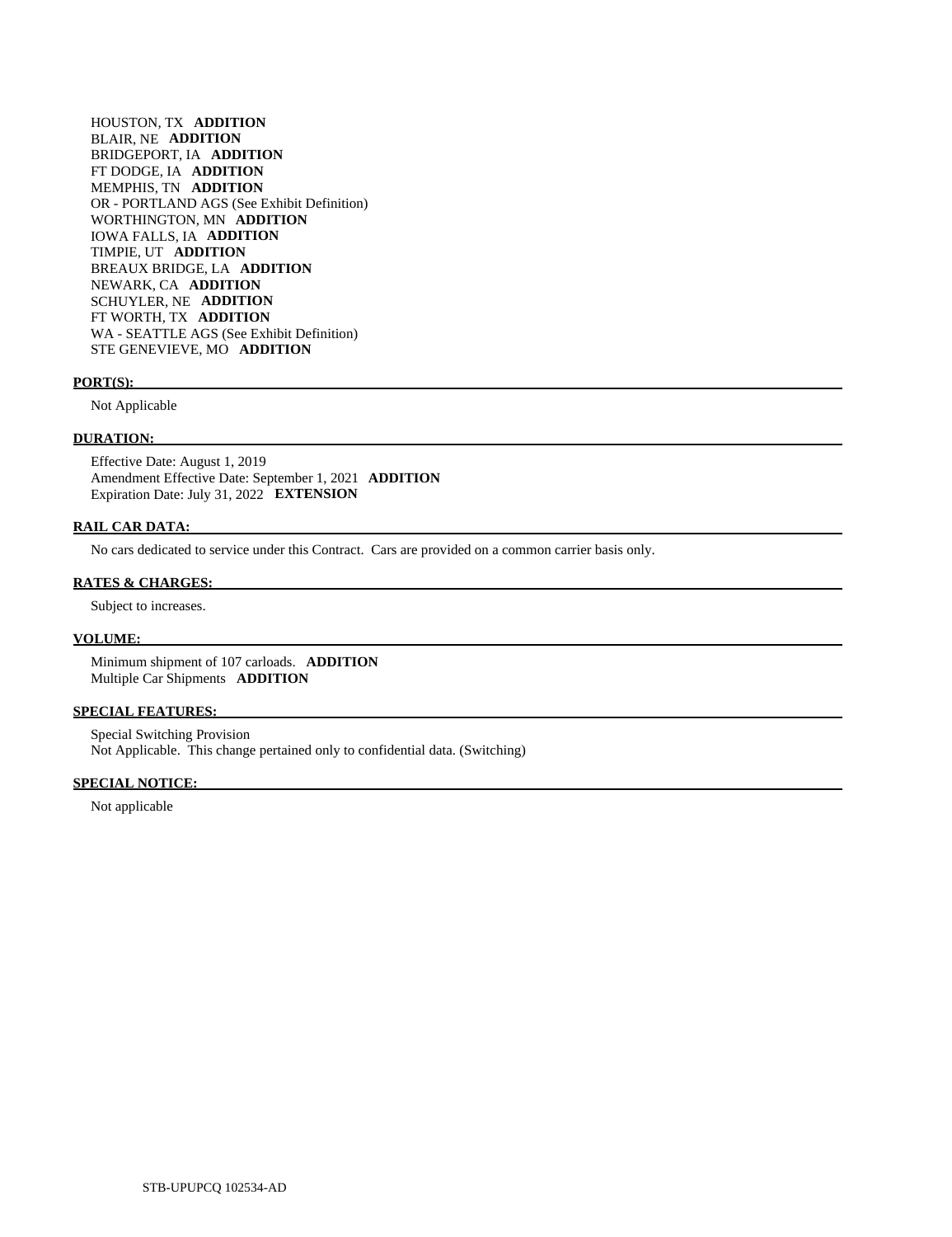HOUSTON, TX **ADDITION**  BLAIR, NE **ADDITION**  BRIDGEPORT, IA **ADDITION**  FT DODGE, IA **ADDITION**  MEMPHIS, TN **ADDITION**  OR - PORTLAND AGS (See Exhibit Definition) WORTHINGTON, MN **ADDITION**  IOWA FALLS, IA **ADDITION**  TIMPIE, UT **ADDITION**  BREAUX BRIDGE, LA **ADDITION**  NEWARK, CA **ADDITION**  SCHUYLER, NE **ADDITION**  FT WORTH, TX **ADDITION**  WA - SEATTLE AGS (See Exhibit Definition) STE GENEVIEVE, MO **ADDITION** 

### **PORT(S):**

Not Applicable

### **DURATION:**

 Effective Date: August 1, 2019 Amendment Effective Date: September 1, 2021 **ADDITION**  Expiration Date: July 31, 2022 **EXTENSION** 

### **RAIL CAR DATA:**

No cars dedicated to service under this Contract. Cars are provided on a common carrier basis only.

### **RATES & CHARGES:**

Subject to increases.

### **VOLUME:**

 Minimum shipment of 107 carloads. **ADDITION**  Multiple Car Shipments **ADDITION** 

### **SPECIAL FEATURES:**

 Special Switching Provision Not Applicable. This change pertained only to confidential data. (Switching)

### **SPECIAL NOTICE:**

Not applicable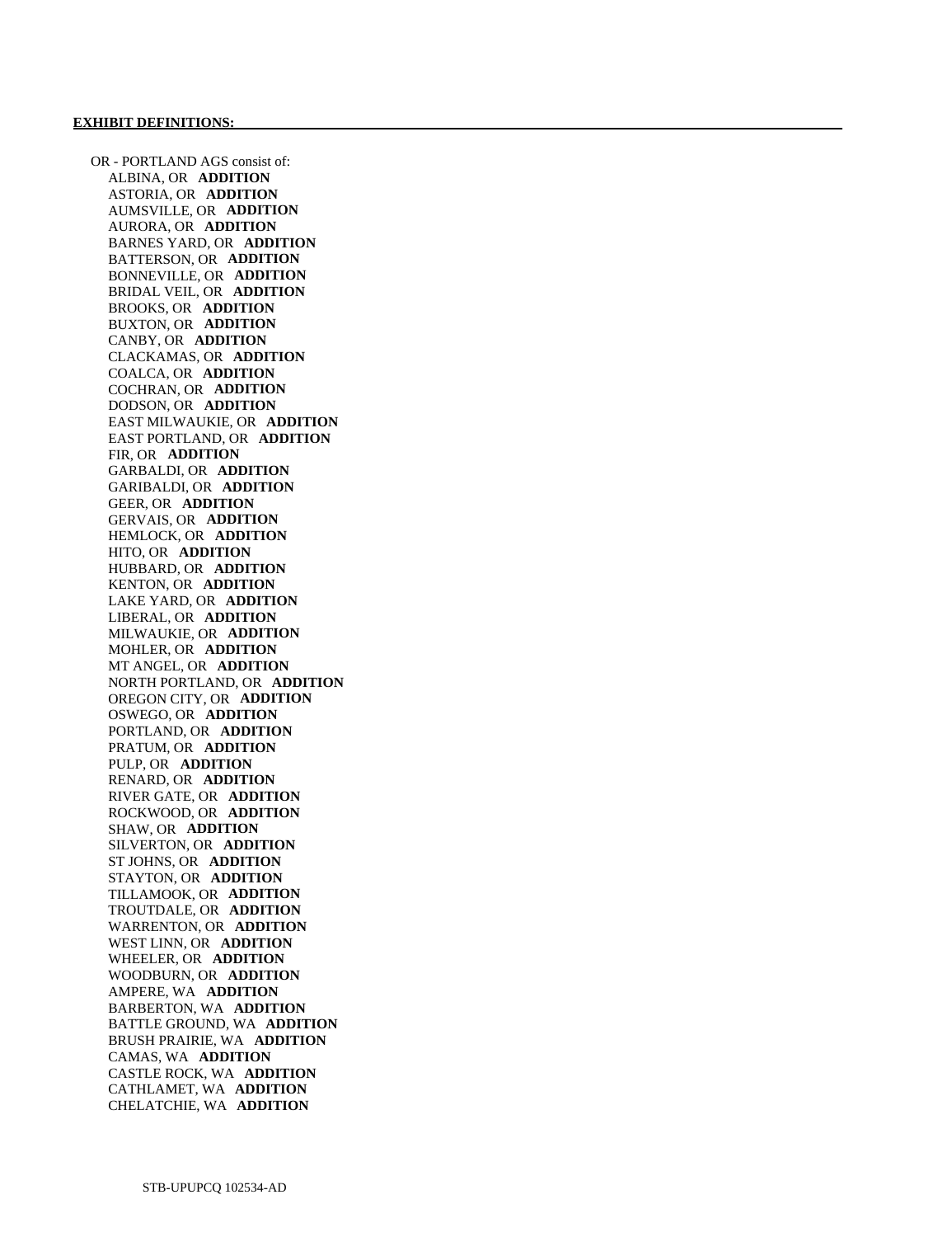OR - PORTLAND AGS consist of: ALBINA, OR **ADDITION**  ASTORIA, OR **ADDITION**  AUMSVILLE, OR **ADDITION**  AURORA, OR **ADDITION**  BARNES YARD, OR **ADDITION**  BATTERSON, OR **ADDITION**  BONNEVILLE, OR **ADDITION**  BRIDAL VEIL, OR **ADDITION**  BROOKS, OR **ADDITION**  BUXTON, OR **ADDITION**  CANBY, OR **ADDITION**  CLACKAMAS, OR **ADDITION**  COALCA, OR **ADDITION**  COCHRAN, OR **ADDITION**  DODSON, OR **ADDITION**  EAST MILWAUKIE, OR **ADDITION**  EAST PORTLAND, OR **ADDITION**  FIR, OR **ADDITION**  GARBALDI, OR **ADDITION**  GARIBALDI, OR **ADDITION**  GEER, OR **ADDITION**  GERVAIS, OR **ADDITION**  HEMLOCK, OR **ADDITION**  HITO, OR **ADDITION**  HUBBARD, OR **ADDITION**  KENTON, OR **ADDITION**  LAKE YARD, OR **ADDITION**  LIBERAL, OR **ADDITION**  MILWAUKIE, OR **ADDITION**  MOHLER, OR **ADDITION**  MT ANGEL, OR **ADDITION**  NORTH PORTLAND, OR **ADDITION**  OREGON CITY, OR **ADDITION**  OSWEGO, OR **ADDITION**  PORTLAND, OR **ADDITION**  PRATUM, OR **ADDITION**  PULP, OR **ADDITION**  RENARD, OR **ADDITION**  RIVER GATE, OR **ADDITION**  ROCKWOOD, OR **ADDITION**  SHAW, OR **ADDITION**  SILVERTON, OR **ADDITION**  ST JOHNS, OR **ADDITION**  STAYTON, OR **ADDITION**  TILLAMOOK, OR **ADDITION**  TROUTDALE, OR **ADDITION**  WARRENTON, OR **ADDITION**  WEST LINN, OR **ADDITION**  WHEELER, OR **ADDITION**  WOODBURN, OR **ADDITION**  AMPERE, WA **ADDITION**  BARBERTON, WA **ADDITION**  BATTLE GROUND, WA **ADDITION**  BRUSH PRAIRIE, WA **ADDITION**  CAMAS, WA **ADDITION**  CASTLE ROCK, WA **ADDITION**  CATHLAMET, WA **ADDITION**  CHELATCHIE, WA **ADDITION**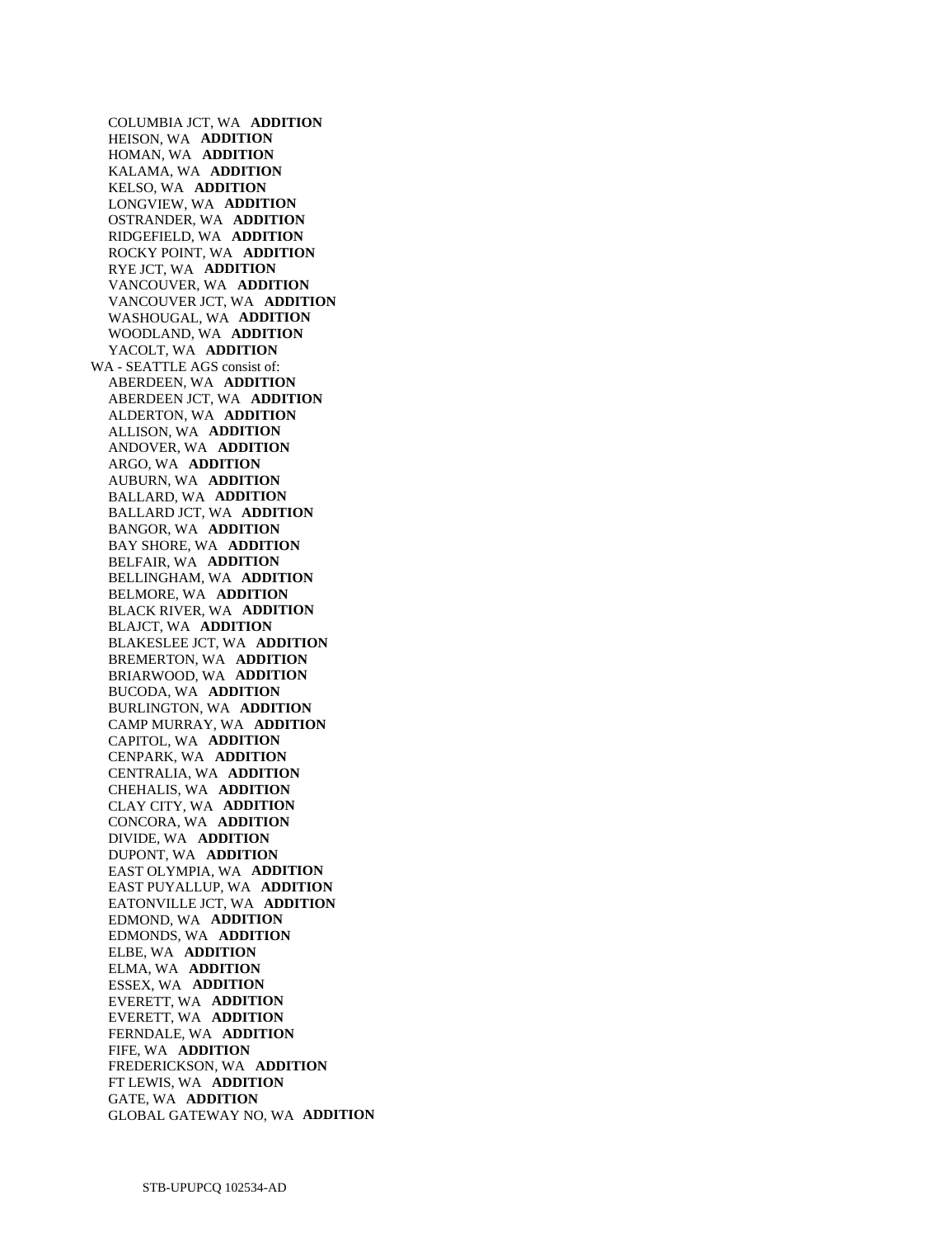COLUMBIA JCT, WA **ADDITION**  HEISON, WA **ADDITION**  HOMAN, WA **ADDITION**  KALAMA, WA **ADDITION**  KELSO, WA **ADDITION**  LONGVIEW, WA **ADDITION**  OSTRANDER, WA **ADDITION**  RIDGEFIELD, WA **ADDITION**  ROCKY POINT, WA **ADDITION**  RYE JCT, WA **ADDITION**  VANCOUVER, WA **ADDITION**  VANCOUVER JCT, WA **ADDITION**  WASHOUGAL, WA **ADDITION**  WOODLAND, WA **ADDITION**  YACOLT, WA **ADDITION**  WA - SEATTLE AGS consist of: ABERDEEN, WA **ADDITION**  ABERDEEN JCT, WA **ADDITION**  ALDERTON, WA **ADDITION**  ALLISON, WA **ADDITION**  ANDOVER, WA **ADDITION**  ARGO, WA **ADDITION**  AUBURN, WA **ADDITION**  BALLARD, WA **ADDITION**  BALLARD JCT, WA **ADDITION**  BANGOR, WA **ADDITION**  BAY SHORE, WA **ADDITION**  BELFAIR, WA **ADDITION**  BELLINGHAM, WA **ADDITION**  BELMORE, WA **ADDITION**  BLACK RIVER, WA **ADDITION**  BLAJCT, WA **ADDITION**  BLAKESLEE JCT, WA **ADDITION**  BREMERTON, WA **ADDITION**  BRIARWOOD, WA **ADDITION**  BUCODA, WA **ADDITION**  BURLINGTON, WA **ADDITION**  CAMP MURRAY, WA **ADDITION**  CAPITOL, WA **ADDITION**  CENPARK, WA **ADDITION**  CENTRALIA, WA **ADDITION**  CHEHALIS, WA **ADDITION**  CLAY CITY, WA **ADDITION**  CONCORA, WA **ADDITION**  DIVIDE, WA **ADDITION**  DUPONT, WA **ADDITION**  EAST OLYMPIA, WA **ADDITION**  EAST PUYALLUP, WA **ADDITION**  EATONVILLE JCT, WA **ADDITION**  EDMOND, WA **ADDITION**  EDMONDS, WA **ADDITION**  ELBE, WA **ADDITION**  ELMA, WA **ADDITION**  ESSEX, WA **ADDITION**  EVERETT, WA **ADDITION**  EVERETT, WA **ADDITION**  FERNDALE, WA **ADDITION**  FIFE, WA **ADDITION**  FREDERICKSON, WA **ADDITION**  FT LEWIS, WA **ADDITION**  GATE, WA **ADDITION**  GLOBAL GATEWAY NO, WA **ADDITION**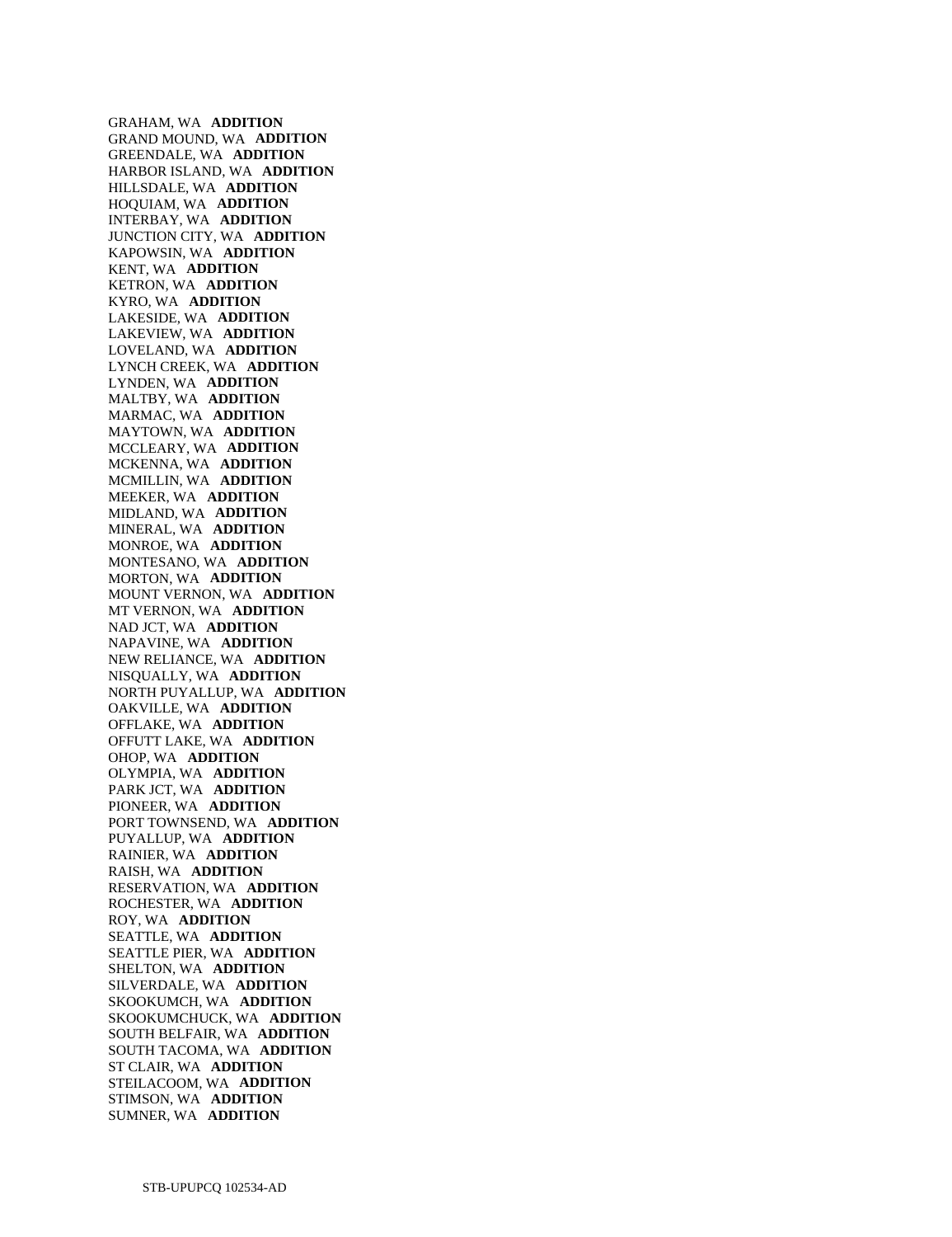GRAHAM, WA **ADDITION**  GRAND MOUND, WA **ADDITION**  GREENDALE, WA **ADDITION**  HARBOR ISLAND, WA **ADDITION**  HILLSDALE, WA **ADDITION**  HOQUIAM, WA **ADDITION**  INTERBAY, WA **ADDITION**  JUNCTION CITY, WA **ADDITION**  KAPOWSIN, WA **ADDITION**  KENT, WA **ADDITION**  KETRON, WA **ADDITION**  KYRO, WA **ADDITION**  LAKESIDE, WA **ADDITION**  LAKEVIEW, WA **ADDITION**  LOVELAND, WA **ADDITION**  LYNCH CREEK, WA **ADDITION**  LYNDEN, WA **ADDITION**  MALTBY, WA **ADDITION**  MARMAC, WA **ADDITION**  MAYTOWN, WA **ADDITION**  MCCLEARY, WA **ADDITION**  MCKENNA, WA **ADDITION**  MCMILLIN, WA **ADDITION**  MEEKER, WA **ADDITION**  MIDLAND, WA **ADDITION**  MINERAL, WA **ADDITION**  MONROE, WA **ADDITION**  MONTESANO, WA **ADDITION**  MORTON, WA **ADDITION**  MOUNT VERNON, WA **ADDITION**  MT VERNON, WA **ADDITION**  NAD JCT, WA **ADDITION**  NAPAVINE, WA **ADDITION**  NEW RELIANCE, WA **ADDITION**  NISQUALLY, WA **ADDITION**  NORTH PUYALLUP, WA **ADDITION**  OAKVILLE, WA **ADDITION**  OFFLAKE, WA **ADDITION**  OFFUTT LAKE, WA **ADDITION**  OHOP, WA **ADDITION**  OLYMPIA, WA **ADDITION**  PARK JCT, WA **ADDITION**  PIONEER, WA **ADDITION**  PORT TOWNSEND, WA **ADDITION**  PUYALLUP, WA **ADDITION**  RAINIER, WA **ADDITION**  RAISH, WA **ADDITION**  RESERVATION, WA **ADDITION**  ROCHESTER, WA **ADDITION**  ROY, WA **ADDITION**  SEATTLE, WA **ADDITION**  SEATTLE PIER, WA **ADDITION**  SHELTON, WA **ADDITION**  SILVERDALE, WA **ADDITION**  SKOOKUMCH, WA **ADDITION**  SKOOKUMCHUCK, WA **ADDITION**  SOUTH BELFAIR, WA **ADDITION**  SOUTH TACOMA, WA **ADDITION**  ST CLAIR, WA **ADDITION**  STEILACOOM, WA **ADDITION**  STIMSON, WA **ADDITION**  SUMNER, WA **ADDITION**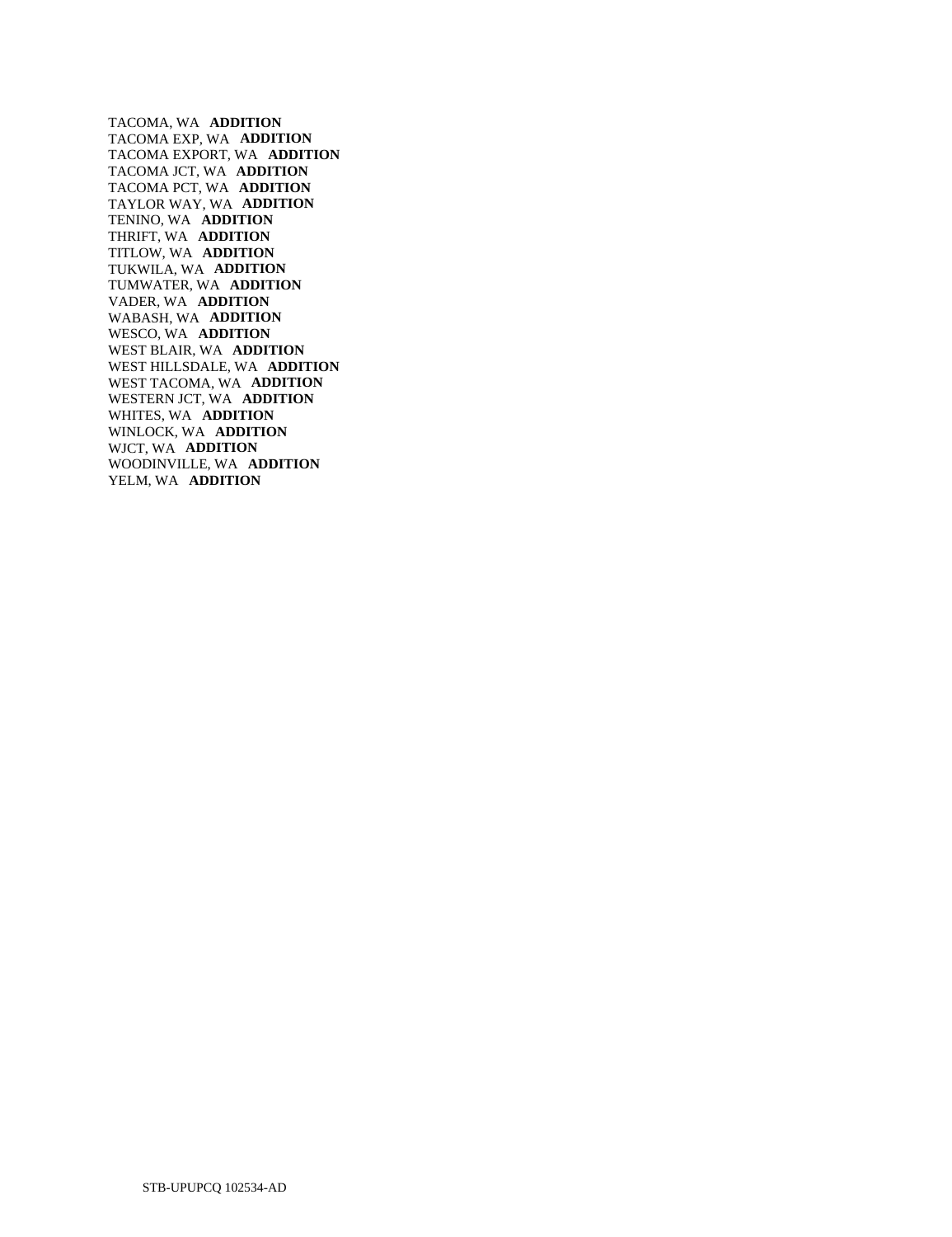TACOMA, WA **ADDITION**  TACOMA EXP, WA **ADDITION**  TACOMA EXPORT, WA **ADDITION**  TACOMA JCT, WA **ADDITION**  TACOMA PCT, WA **ADDITION**  TAYLOR WAY, WA **ADDITION**  TENINO, WA **ADDITION**  THRIFT, WA **ADDITION**  TITLOW, WA **ADDITION**  TUKWILA, WA **ADDITION**  TUMWATER, WA **ADDITION**  VADER, WA **ADDITION**  WABASH, WA **ADDITION**  WESCO, WA **ADDITION**  WEST BLAIR, WA **ADDITION**  WEST HILLSDALE, WA **ADDITION**  WEST TACOMA, WA **ADDITION**  WESTERN JCT, WA **ADDITION**  WHITES, WA **ADDITION**  WINLOCK, WA **ADDITION**  WJCT, WA **ADDITION**  WOODINVILLE, WA **ADDITION**  YELM, WA **ADDITION**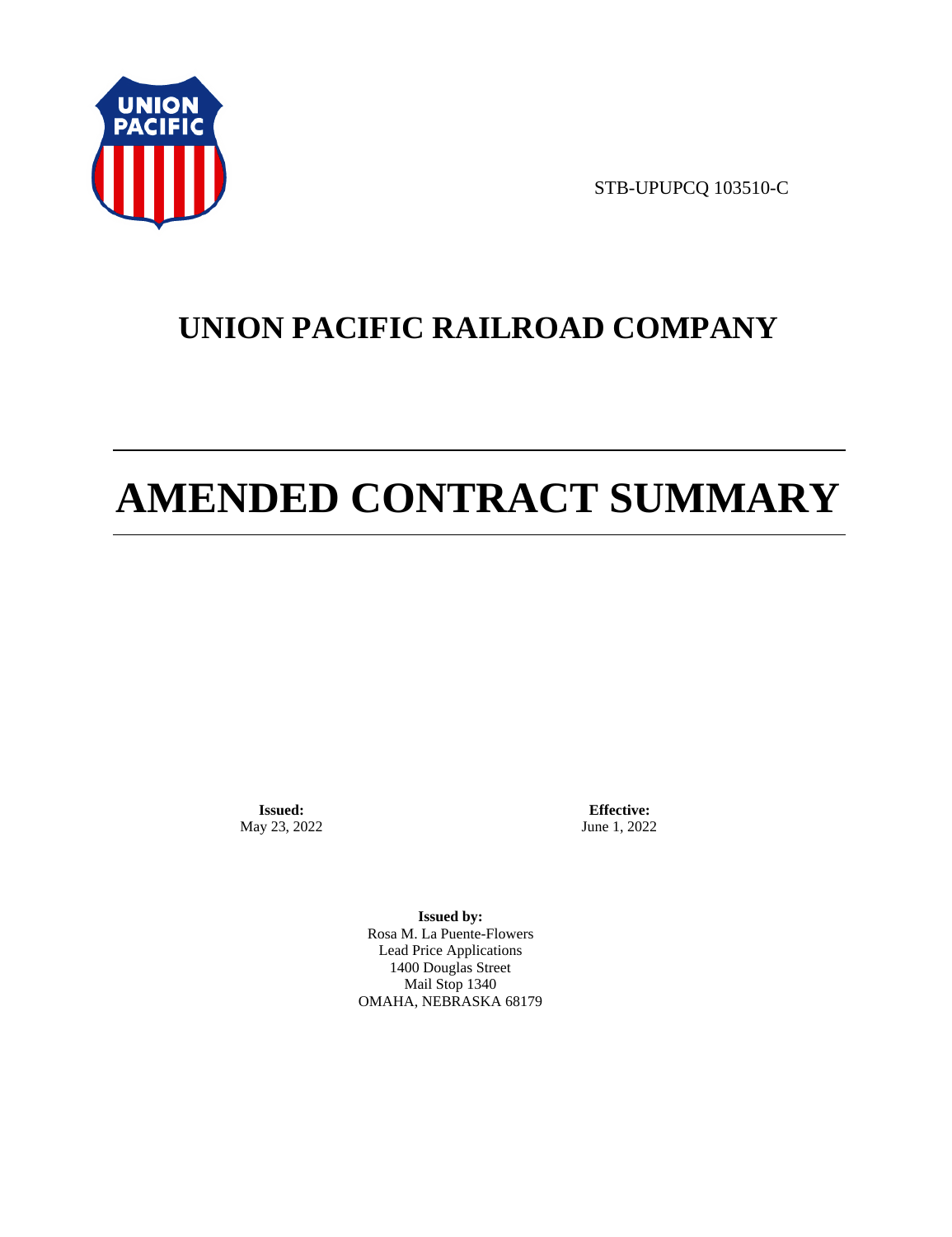

STB-UPUPCQ 103510-C

# **UNION PACIFIC RAILROAD COMPANY**

# **AMENDED CONTRACT SUMMARY**

**Issued:**  May 23, 2022

**Effective:** June 1, 2022

**Issued by:**  Rosa M. La Puente-Flowers Lead Price Applications 1400 Douglas Street Mail Stop 1340 OMAHA, NEBRASKA 68179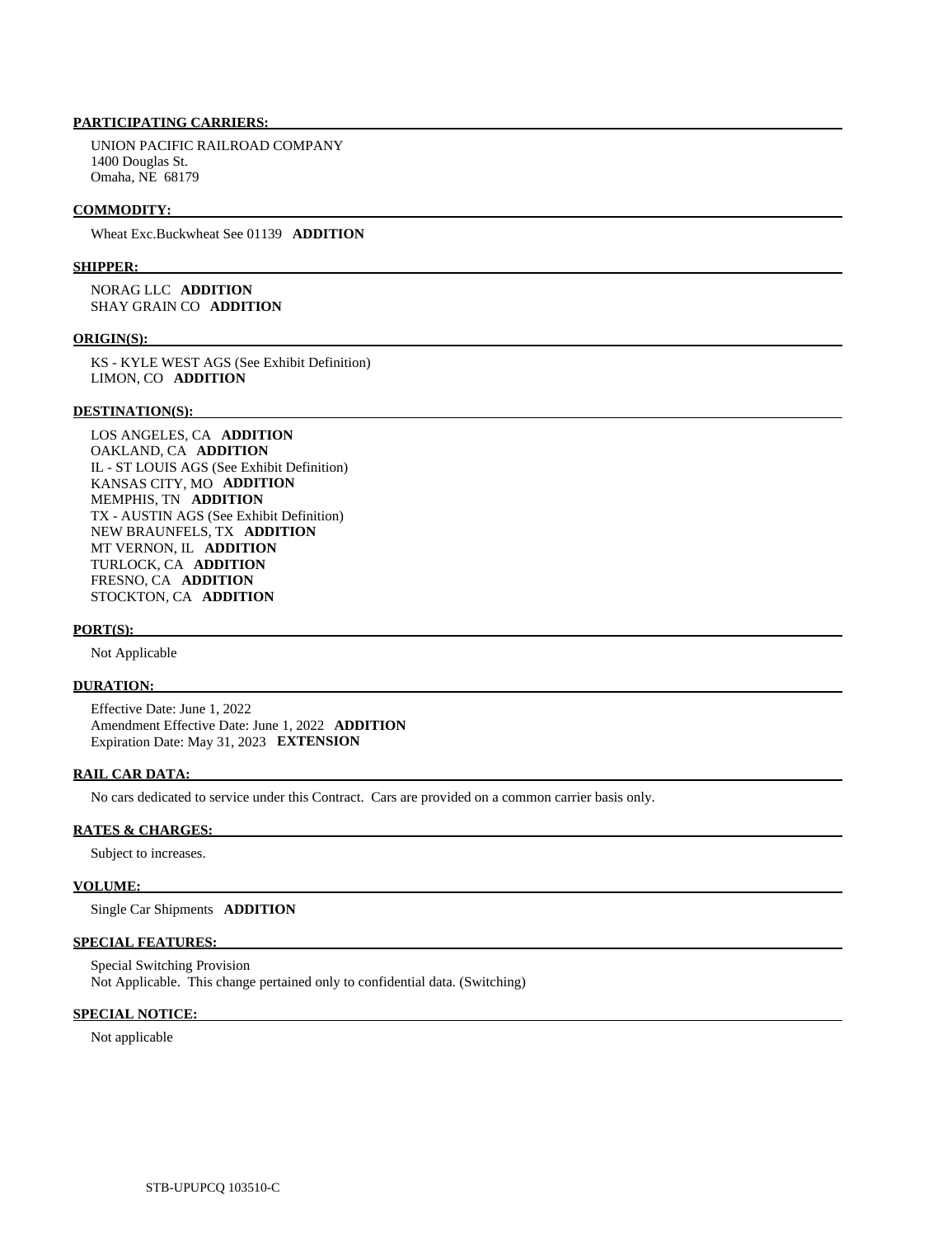# **PARTICIPATING CARRIERS:**

 UNION PACIFIC RAILROAD COMPANY 1400 Douglas St. Omaha, NE 68179

### **COMMODITY:**

Wheat Exc.Buckwheat See 01139 **ADDITION** 

### **SHIPPER:**

 NORAG LLC **ADDITION**  SHAY GRAIN CO **ADDITION** 

### **ORIGIN(S):**

 KS - KYLE WEST AGS (See Exhibit Definition) LIMON, CO **ADDITION** 

### **DESTINATION(S):**

 LOS ANGELES, CA **ADDITION**  OAKLAND, CA **ADDITION**  IL - ST LOUIS AGS (See Exhibit Definition) KANSAS CITY, MO **ADDITION**  MEMPHIS, TN **ADDITION**  TX - AUSTIN AGS (See Exhibit Definition) NEW BRAUNFELS, TX **ADDITION**  MT VERNON, IL **ADDITION**  TURLOCK, CA **ADDITION**  FRESNO, CA **ADDITION**  STOCKTON, CA **ADDITION** 

#### **PORT(S):**

Not Applicable

### **DURATION:**

 Effective Date: June 1, 2022 Amendment Effective Date: June 1, 2022 **ADDITION**  Expiration Date: May 31, 2023 **EXTENSION** 

### **RAIL CAR DATA:**

No cars dedicated to service under this Contract. Cars are provided on a common carrier basis only.

## **RATES & CHARGES:**

Subject to increases.

### **VOLUME:**

Single Car Shipments **ADDITION** 

### **SPECIAL FEATURES:**

 Special Switching Provision Not Applicable. This change pertained only to confidential data. (Switching)

## **SPECIAL NOTICE:**

Not applicable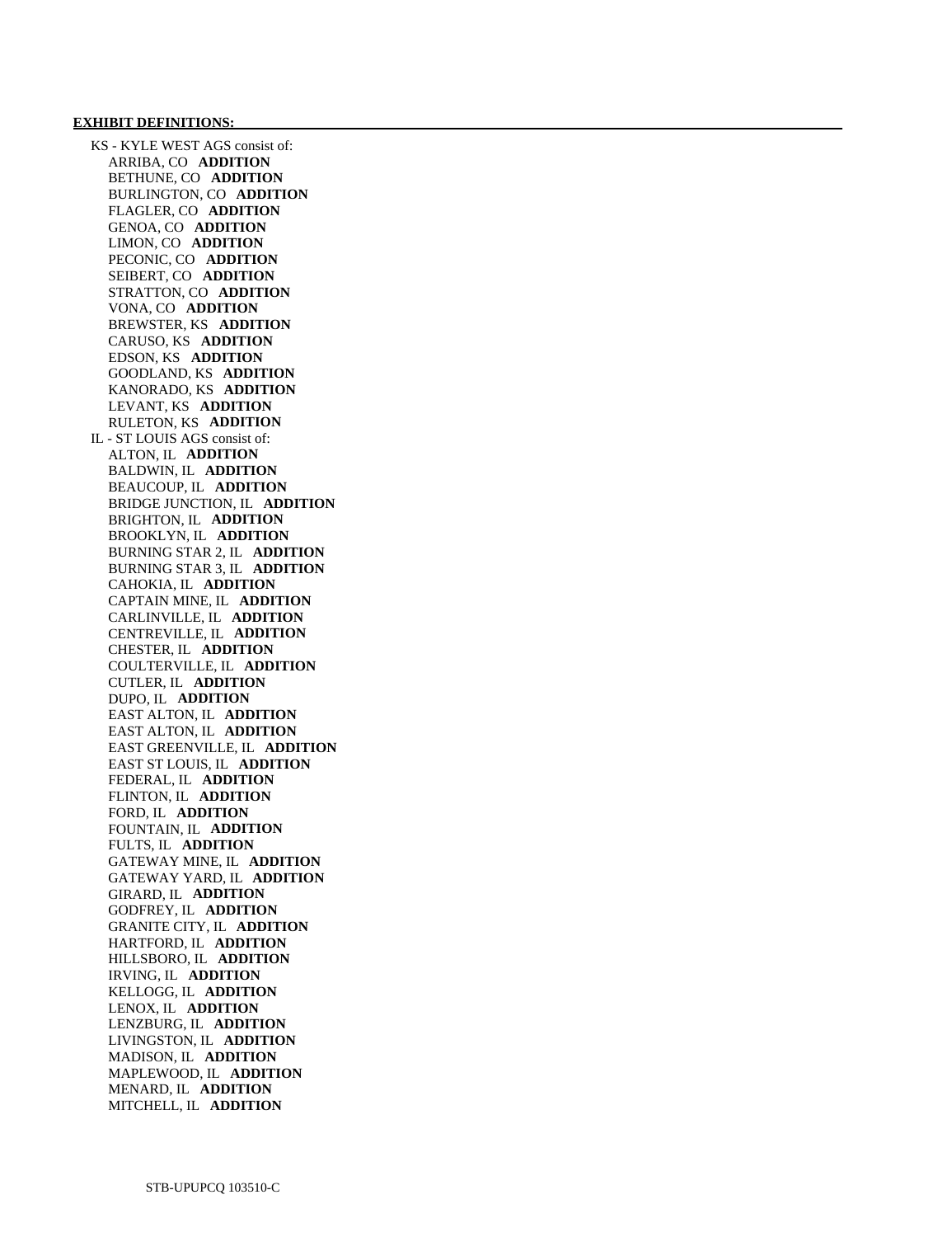### **EXHIBIT DEFINITIONS:**

 KS - KYLE WEST AGS consist of: ARRIBA, CO **ADDITION**  BETHUNE, CO **ADDITION**  BURLINGTON, CO **ADDITION**  FLAGLER, CO **ADDITION**  GENOA, CO **ADDITION**  LIMON, CO **ADDITION**  PECONIC, CO **ADDITION**  SEIBERT, CO **ADDITION**  STRATTON, CO **ADDITION**  VONA, CO **ADDITION**  BREWSTER, KS **ADDITION**  CARUSO, KS **ADDITION**  EDSON, KS **ADDITION**  GOODLAND, KS **ADDITION**  KANORADO, KS **ADDITION**  LEVANT, KS **ADDITION**  RULETON, KS **ADDITION**  IL - ST LOUIS AGS consist of: ALTON, IL **ADDITION**  BALDWIN, IL **ADDITION**  BEAUCOUP, IL **ADDITION**  BRIDGE JUNCTION, IL **ADDITION**  BRIGHTON, IL **ADDITION**  BROOKLYN, IL **ADDITION**  BURNING STAR 2, IL **ADDITION**  BURNING STAR 3, IL **ADDITION**  CAHOKIA, IL **ADDITION**  CAPTAIN MINE, IL **ADDITION**  CARLINVILLE, IL **ADDITION**  CENTREVILLE, IL **ADDITION**  CHESTER, IL **ADDITION**  COULTERVILLE, IL **ADDITION**  CUTLER, IL **ADDITION**  DUPO, IL **ADDITION**  EAST ALTON, IL **ADDITION**  EAST ALTON, IL **ADDITION**  EAST GREENVILLE, IL **ADDITION**  EAST ST LOUIS, IL **ADDITION**  FEDERAL, IL **ADDITION**  FLINTON, IL **ADDITION**  FORD, IL **ADDITION**  FOUNTAIN, IL **ADDITION**  FULTS, IL **ADDITION**  GATEWAY MINE, IL **ADDITION**  GATEWAY YARD, IL **ADDITION**  GIRARD, IL **ADDITION**  GODFREY, IL **ADDITION**  GRANITE CITY, IL **ADDITION**  HARTFORD, IL **ADDITION**  HILLSBORO, IL **ADDITION**  IRVING, IL **ADDITION**  KELLOGG, IL **ADDITION**  LENOX, IL **ADDITION**  LENZBURG, IL **ADDITION**  LIVINGSTON, IL **ADDITION**  MADISON, IL **ADDITION**  MAPLEWOOD, IL **ADDITION**  MENARD, IL **ADDITION**  MITCHELL, IL **ADDITION**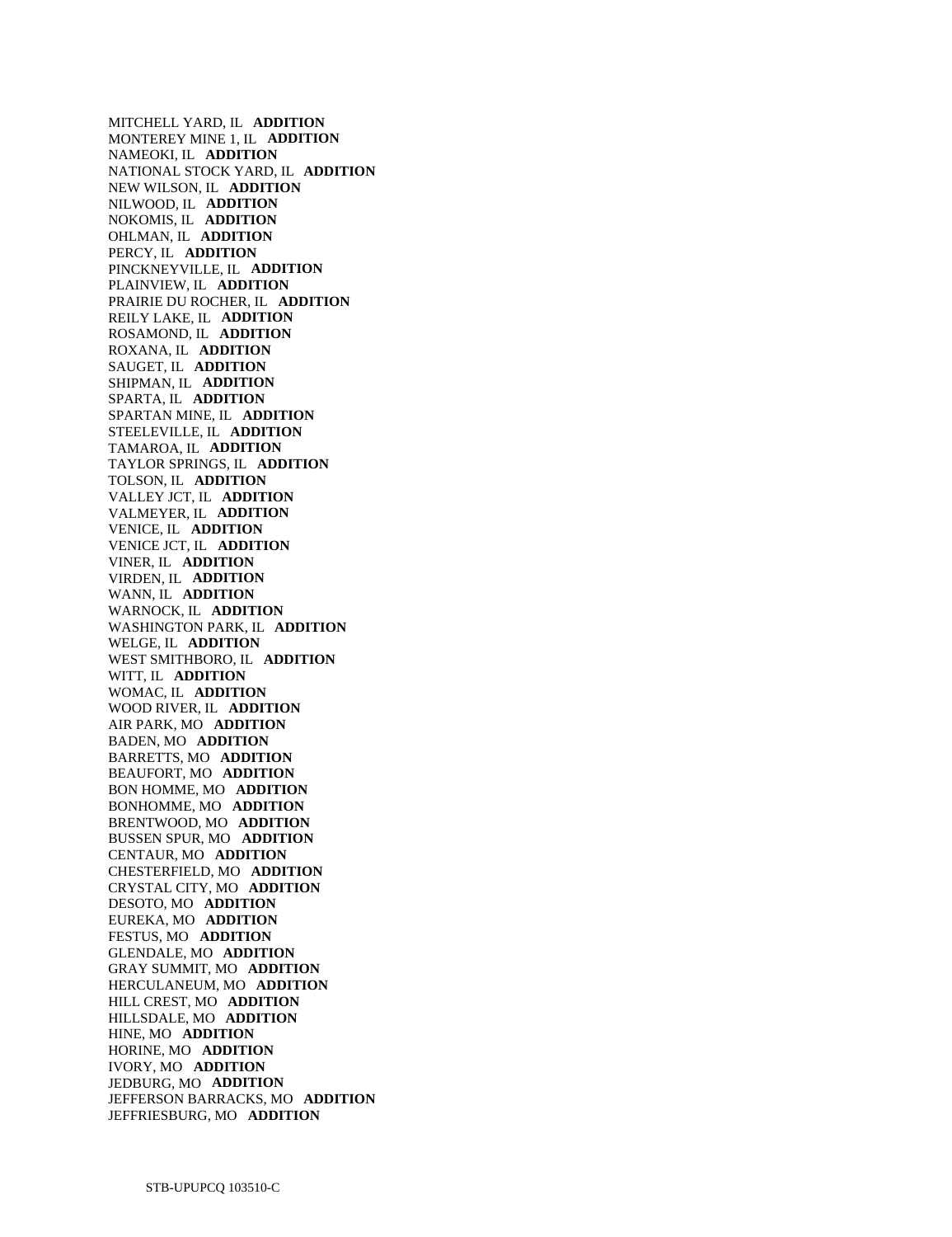MITCHELL YARD, IL **ADDITION**  MONTEREY MINE 1, IL **ADDITION**  NAMEOKI, IL **ADDITION**  NATIONAL STOCK YARD, IL **ADDITION**  NEW WILSON, IL **ADDITION**  NILWOOD, IL **ADDITION**  NOKOMIS, IL **ADDITION**  OHLMAN, IL **ADDITION**  PERCY, IL **ADDITION**  PINCKNEYVILLE, IL **ADDITION**  PLAINVIEW, IL **ADDITION**  PRAIRIE DU ROCHER, IL **ADDITION**  REILY LAKE, IL **ADDITION**  ROSAMOND, IL **ADDITION**  ROXANA, IL **ADDITION**  SAUGET, IL **ADDITION**  SHIPMAN, IL **ADDITION**  SPARTA, IL **ADDITION**  SPARTAN MINE, IL **ADDITION**  STEELEVILLE, IL **ADDITION**  TAMAROA, IL **ADDITION**  TAYLOR SPRINGS, IL **ADDITION**  TOLSON, IL **ADDITION**  VALLEY JCT, IL **ADDITION**  VALMEYER, IL **ADDITION**  VENICE, IL **ADDITION**  VENICE JCT, IL **ADDITION**  VINER, IL **ADDITION**  VIRDEN, IL **ADDITION**  WANN, IL **ADDITION**  WARNOCK, IL **ADDITION**  WASHINGTON PARK, IL **ADDITION**  WELGE, IL **ADDITION**  WEST SMITHBORO, IL **ADDITION**  WITT, IL **ADDITION**  WOMAC, IL **ADDITION**  WOOD RIVER, IL **ADDITION**  AIR PARK, MO **ADDITION**  BADEN, MO **ADDITION**  BARRETTS, MO **ADDITION**  BEAUFORT, MO **ADDITION**  BON HOMME, MO **ADDITION**  BONHOMME, MO **ADDITION**  BRENTWOOD, MO **ADDITION**  BUSSEN SPUR, MO **ADDITION**  CENTAUR, MO **ADDITION**  CHESTERFIELD, MO **ADDITION**  CRYSTAL CITY, MO **ADDITION**  DESOTO, MO **ADDITION**  EUREKA, MO **ADDITION**  FESTUS, MO **ADDITION**  GLENDALE, MO **ADDITION**  GRAY SUMMIT, MO **ADDITION**  HERCULANEUM, MO **ADDITION**  HILL CREST, MO **ADDITION**  HILLSDALE, MO **ADDITION**  HINE, MO **ADDITION**  HORINE, MO **ADDITION**  IVORY, MO **ADDITION**  JEDBURG, MO **ADDITION**  JEFFERSON BARRACKS, MO **ADDITION**  JEFFRIESBURG, MO **ADDITION**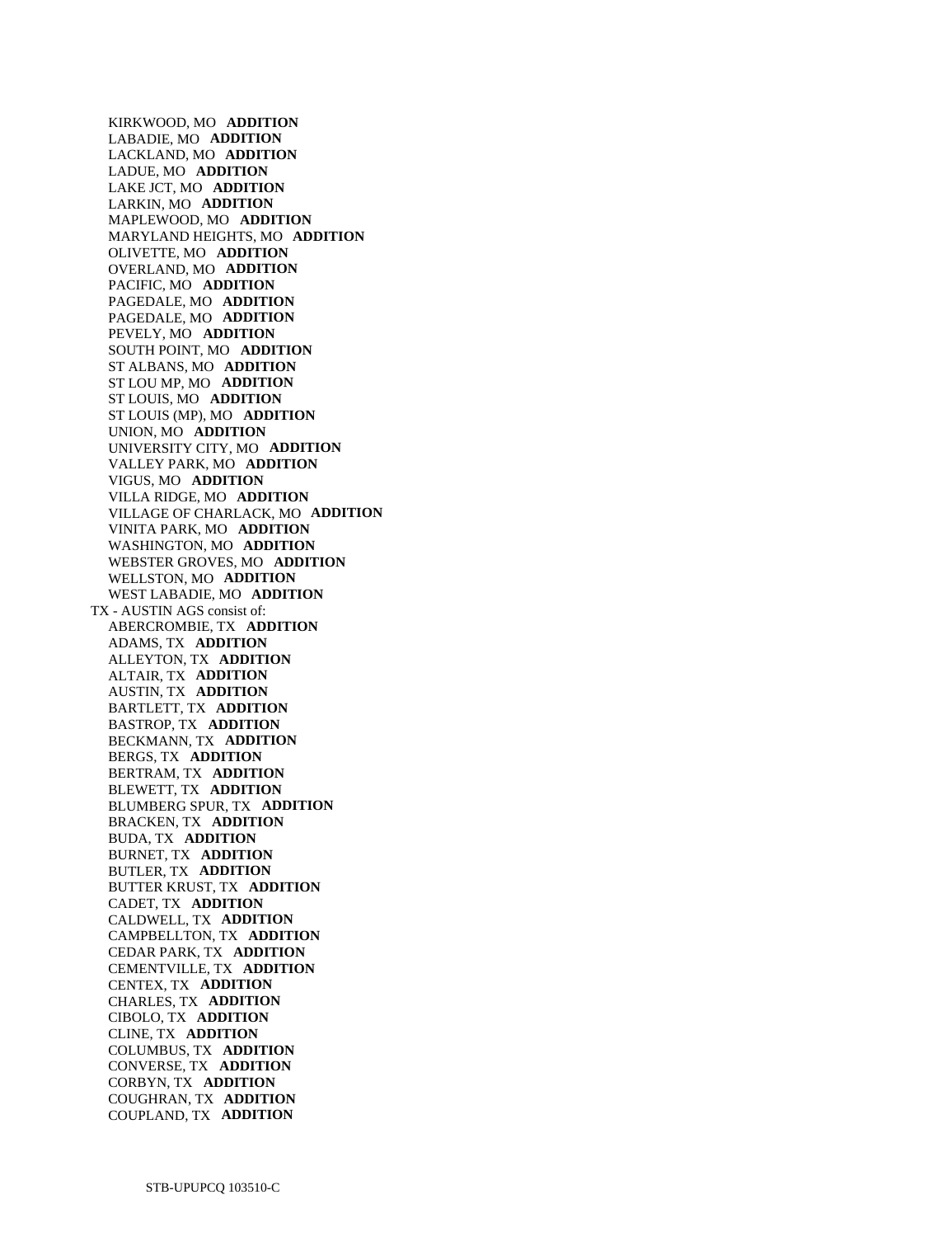KIRKWOOD, MO **ADDITION**  LABADIE, MO **ADDITION**  LACKLAND, MO **ADDITION**  LADUE, MO **ADDITION**  LAKE JCT, MO **ADDITION**  LARKIN, MO **ADDITION**  MAPLEWOOD, MO **ADDITION**  MARYLAND HEIGHTS, MO **ADDITION**  OLIVETTE, MO **ADDITION**  OVERLAND, MO **ADDITION**  PACIFIC, MO **ADDITION**  PAGEDALE, MO **ADDITION**  PAGEDALE, MO **ADDITION**  PEVELY, MO **ADDITION**  SOUTH POINT, MO **ADDITION**  ST ALBANS, MO **ADDITION**  ST LOU MP, MO **ADDITION**  ST LOUIS, MO **ADDITION**  ST LOUIS (MP), MO **ADDITION**  UNION, MO **ADDITION**  UNIVERSITY CITY, MO **ADDITION**  VALLEY PARK, MO **ADDITION**  VIGUS, MO **ADDITION**  VILLA RIDGE, MO **ADDITION**  VILLAGE OF CHARLACK, MO **ADDITION**  VINITA PARK, MO **ADDITION**  WASHINGTON, MO **ADDITION**  WEBSTER GROVES, MO **ADDITION**  WELLSTON, MO **ADDITION**  WEST LABADIE, MO **ADDITION**  TX - AUSTIN AGS consist of: ABERCROMBIE, TX **ADDITION**  ADAMS, TX **ADDITION**  ALLEYTON, TX **ADDITION**  ALTAIR, TX **ADDITION**  AUSTIN, TX **ADDITION**  BARTLETT, TX **ADDITION**  BASTROP, TX **ADDITION**  BECKMANN, TX **ADDITION**  BERGS, TX **ADDITION**  BERTRAM, TX **ADDITION**  BLEWETT, TX **ADDITION**  BLUMBERG SPUR, TX **ADDITION**  BRACKEN, TX **ADDITION**  BUDA, TX **ADDITION**  BURNET, TX **ADDITION**  BUTLER, TX **ADDITION**  BUTTER KRUST, TX **ADDITION**  CADET, TX **ADDITION**  CALDWELL, TX **ADDITION**  CAMPBELLTON, TX **ADDITION**  CEDAR PARK, TX **ADDITION**  CEMENTVILLE, TX **ADDITION**  CENTEX, TX **ADDITION**  CHARLES, TX **ADDITION**  CIBOLO, TX **ADDITION**  CLINE, TX **ADDITION**  COLUMBUS, TX **ADDITION**  CONVERSE, TX **ADDITION**  CORBYN, TX **ADDITION**  COUGHRAN, TX **ADDITION**  COUPLAND, TX **ADDITION**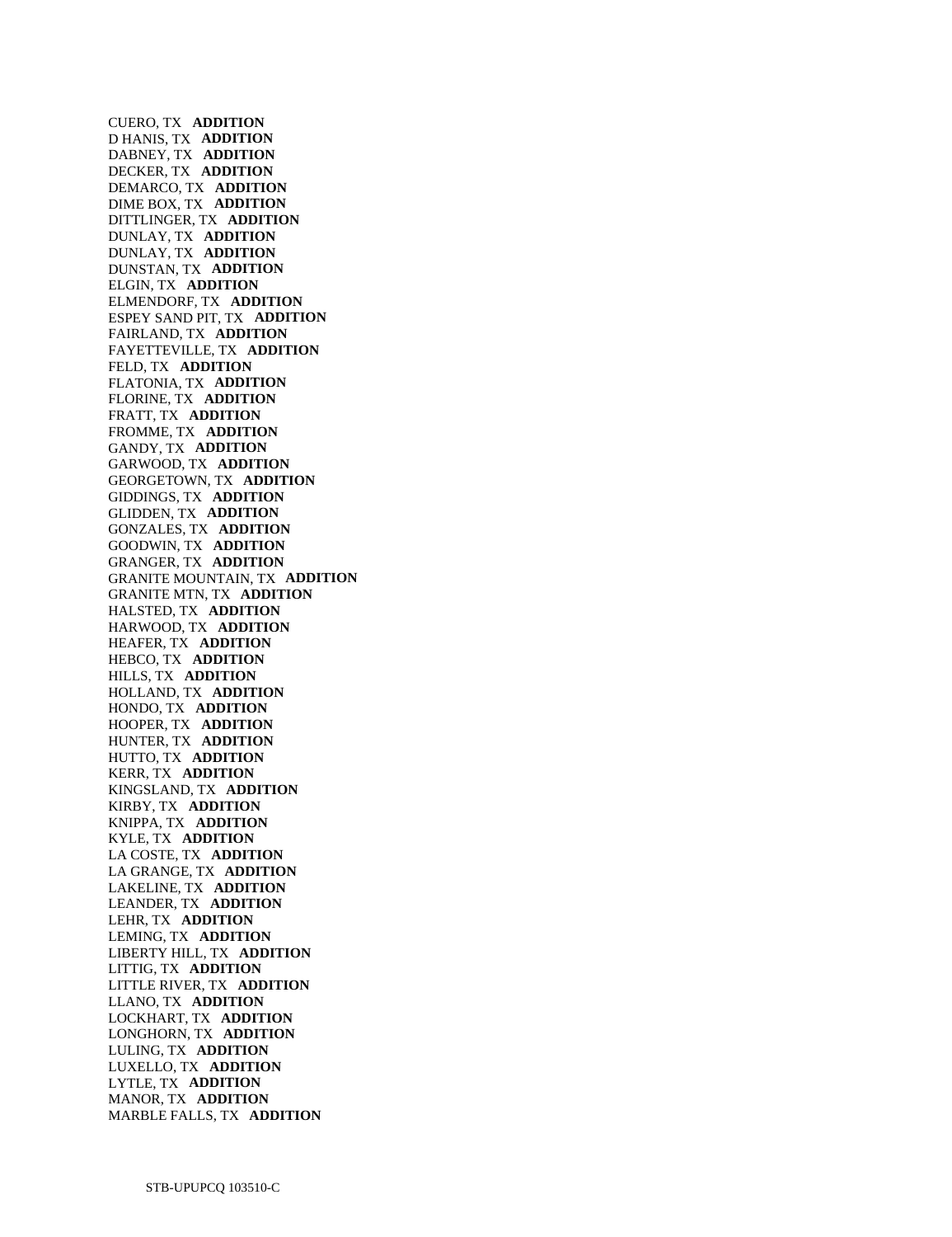CUERO, TX **ADDITION**  D HANIS, TX **ADDITION**  DABNEY, TX **ADDITION**  DECKER, TX **ADDITION**  DEMARCO, TX **ADDITION**  DIME BOX, TX **ADDITION**  DITTLINGER, TX **ADDITION**  DUNLAY, TX **ADDITION**  DUNLAY, TX **ADDITION**  DUNSTAN, TX **ADDITION**  ELGIN, TX **ADDITION**  ELMENDORF, TX **ADDITION**  ESPEY SAND PIT, TX **ADDITION**  FAIRLAND, TX **ADDITION**  FAYETTEVILLE, TX **ADDITION**  FELD, TX **ADDITION**  FLATONIA, TX **ADDITION**  FLORINE, TX **ADDITION**  FRATT, TX **ADDITION**  FROMME, TX **ADDITION**  GANDY, TX **ADDITION**  GARWOOD, TX **ADDITION**  GEORGETOWN, TX **ADDITION**  GIDDINGS, TX **ADDITION**  GLIDDEN, TX **ADDITION**  GONZALES, TX **ADDITION**  GOODWIN, TX **ADDITION**  GRANGER, TX **ADDITION**  GRANITE MOUNTAIN, TX **ADDITION**  GRANITE MTN, TX **ADDITION**  HALSTED, TX **ADDITION**  HARWOOD, TX **ADDITION**  HEAFER, TX **ADDITION**  HEBCO, TX **ADDITION**  HILLS, TX **ADDITION**  HOLLAND, TX **ADDITION**  HONDO, TX **ADDITION**  HOOPER, TX **ADDITION**  HUNTER, TX **ADDITION**  HUTTO, TX **ADDITION**  KERR, TX **ADDITION**  KINGSLAND, TX **ADDITION**  KIRBY, TX **ADDITION**  KNIPPA, TX **ADDITION**  KYLE, TX **ADDITION**  LA COSTE, TX **ADDITION**  LA GRANGE, TX **ADDITION**  LAKELINE, TX **ADDITION**  LEANDER, TX **ADDITION**  LEHR, TX **ADDITION**  LEMING, TX **ADDITION**  LIBERTY HILL, TX **ADDITION**  LITTIG, TX **ADDITION**  LITTLE RIVER, TX **ADDITION**  LLANO, TX **ADDITION**  LOCKHART, TX **ADDITION**  LONGHORN, TX **ADDITION**  LULING, TX **ADDITION**  LUXELLO, TX **ADDITION**  LYTLE, TX **ADDITION**  MANOR, TX **ADDITION**  MARBLE FALLS, TX **ADDITION**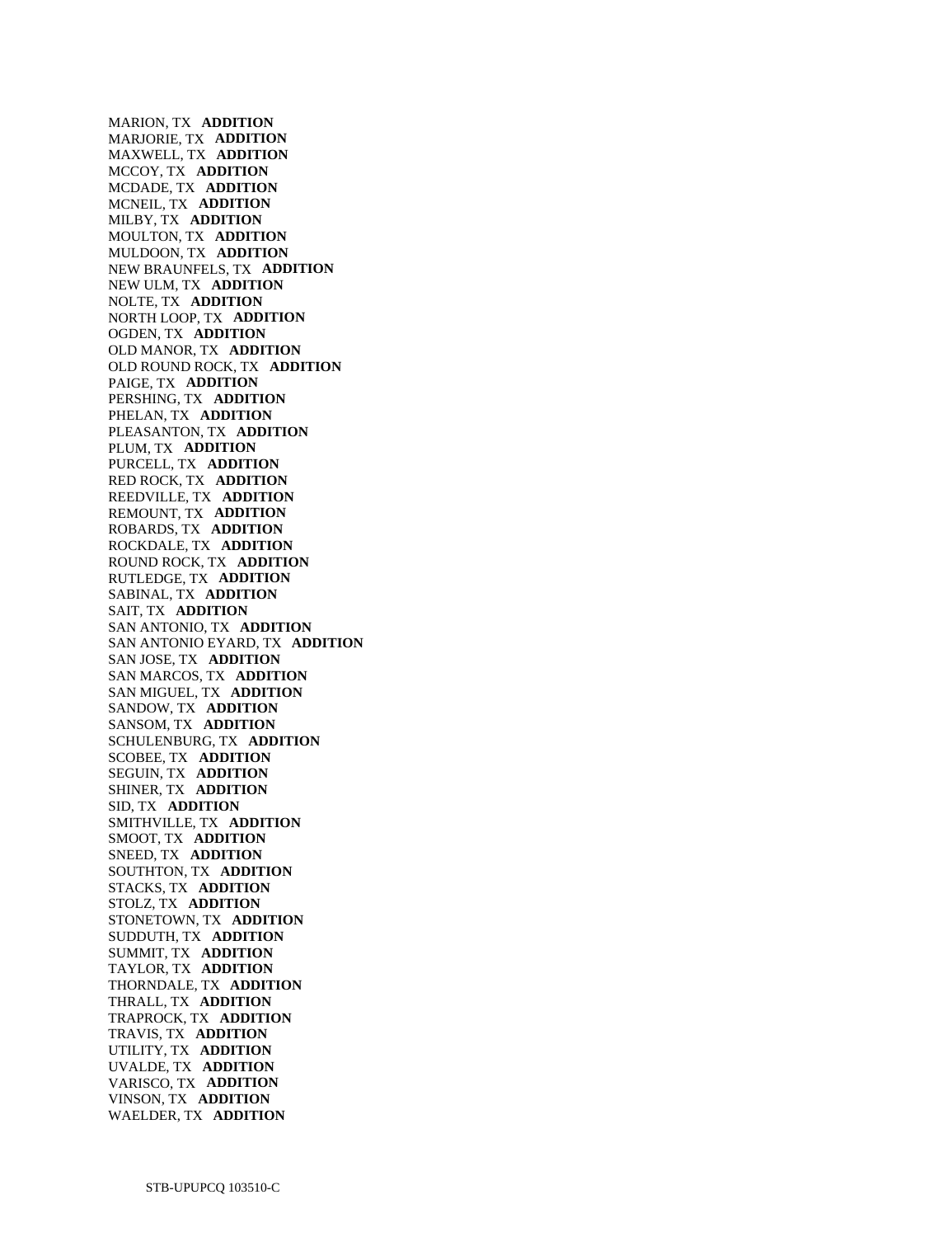MARION, TX **ADDITION**  MARJORIE, TX **ADDITION**  MAXWELL, TX **ADDITION**  MCCOY, TX **ADDITION**  MCDADE, TX **ADDITION**  MCNEIL, TX **ADDITION**  MILBY, TX **ADDITION**  MOULTON, TX **ADDITION**  MULDOON, TX **ADDITION**  NEW BRAUNFELS, TX **ADDITION**  NEW ULM, TX **ADDITION**  NOLTE, TX **ADDITION**  NORTH LOOP, TX **ADDITION**  OGDEN, TX **ADDITION**  OLD MANOR, TX **ADDITION**  OLD ROUND ROCK, TX **ADDITION**  PAIGE, TX **ADDITION**  PERSHING, TX **ADDITION**  PHELAN, TX **ADDITION**  PLEASANTON, TX **ADDITION**  PLUM, TX **ADDITION**  PURCELL, TX **ADDITION**  RED ROCK, TX **ADDITION**  REEDVILLE, TX **ADDITION**  REMOUNT, TX **ADDITION**  ROBARDS, TX **ADDITION**  ROCKDALE, TX **ADDITION**  ROUND ROCK, TX **ADDITION**  RUTLEDGE, TX **ADDITION**  SABINAL, TX **ADDITION**  SAIT, TX **ADDITION**  SAN ANTONIO, TX **ADDITION**  SAN ANTONIO EYARD, TX **ADDITION**  SAN JOSE, TX **ADDITION**  SAN MARCOS, TX **ADDITION**  SAN MIGUEL, TX **ADDITION**  SANDOW, TX **ADDITION**  SANSOM, TX **ADDITION**  SCHULENBURG, TX **ADDITION**  SCOBEE, TX **ADDITION**  SEGUIN, TX **ADDITION**  SHINER, TX **ADDITION**  SID, TX **ADDITION**  SMITHVILLE, TX **ADDITION**  SMOOT, TX **ADDITION**  SNEED, TX **ADDITION**  SOUTHTON, TX **ADDITION**  STACKS, TX **ADDITION**  STOLZ, TX **ADDITION**  STONETOWN, TX **ADDITION**  SUDDUTH, TX **ADDITION**  SUMMIT, TX **ADDITION**  TAYLOR, TX **ADDITION**  THORNDALE, TX **ADDITION**  THRALL, TX **ADDITION**  TRAPROCK, TX **ADDITION**  TRAVIS, TX **ADDITION**  UTILITY, TX **ADDITION**  UVALDE, TX **ADDITION**  VARISCO, TX **ADDITION**  VINSON, TX **ADDITION**  WAELDER, TX **ADDITION**